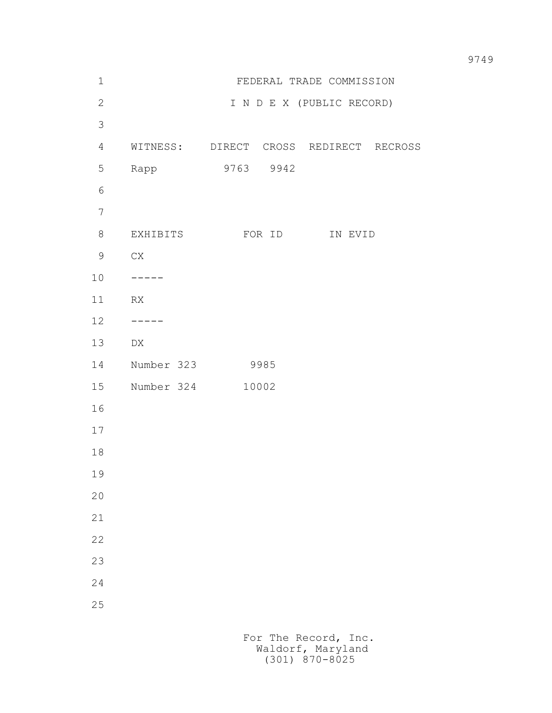| $\mathbf 1$    |            |           |                           | FEDERAL TRADE COMMISSION               |
|----------------|------------|-----------|---------------------------|----------------------------------------|
| $\overline{c}$ |            |           | I N D E X (PUBLIC RECORD) |                                        |
| 3              |            |           |                           |                                        |
| $\overline{4}$ |            |           |                           | WITNESS: DIRECT CROSS REDIRECT RECROSS |
| 5              | Rapp       | 9763 9942 |                           |                                        |
| 6              |            |           |                           |                                        |
| $\overline{7}$ |            |           |                           |                                        |
| 8              | EXHIBITS   | FOR ID    |                           | IN EVID                                |
| 9              | C X        |           |                           |                                        |
| 10             | -----      |           |                           |                                        |
| 11             | RX         |           |                           |                                        |
| 12             |            |           |                           |                                        |
| 13             | DX         |           |                           |                                        |
| 14             | Number 323 | 9985      |                           |                                        |
| 15             | Number 324 | 10002     |                           |                                        |
| 16             |            |           |                           |                                        |
| 17             |            |           |                           |                                        |
| 18             |            |           |                           |                                        |
| 19             |            |           |                           |                                        |
| $20$           |            |           |                           |                                        |
| 21             |            |           |                           |                                        |
| 22             |            |           |                           |                                        |
| 23             |            |           |                           |                                        |
| 24             |            |           |                           |                                        |
| 25             |            |           |                           |                                        |
|                |            |           |                           |                                        |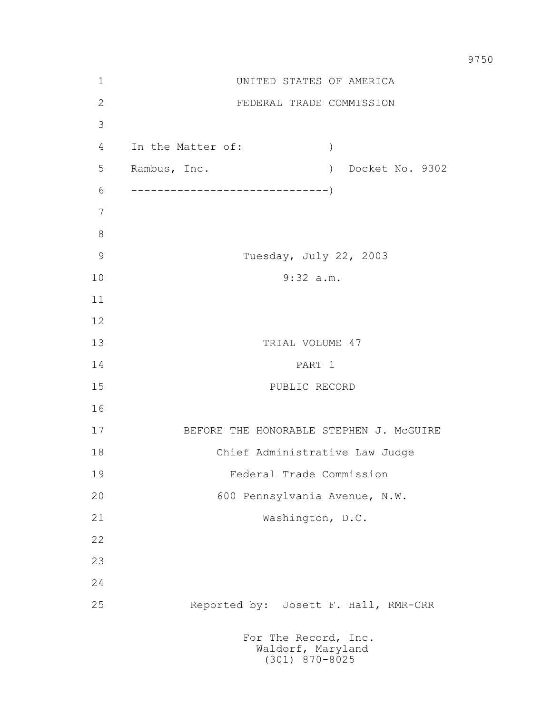| $\mathbf 1$   | UNITED STATES OF AMERICA                                      |
|---------------|---------------------------------------------------------------|
| 2             | FEDERAL TRADE COMMISSION                                      |
| 3             |                                                               |
| 4             | In the Matter of:<br>$\left( \right)$                         |
| 5             | Rambus, Inc.<br>) Docket No. 9302                             |
| 6             |                                                               |
| 7             |                                                               |
| $8\,$         |                                                               |
| $\mathcal{G}$ | Tuesday, July 22, 2003                                        |
| 10            | 9:32 a.m.                                                     |
| 11            |                                                               |
| 12            |                                                               |
| 13            | TRIAL VOLUME 47                                               |
| 14            | PART 1                                                        |
| 15            | PUBLIC RECORD                                                 |
| 16            |                                                               |
| 17            | BEFORE THE HONORABLE STEPHEN J. MCGUIRE                       |
| 18            | Chief Administrative Law Judge                                |
| 19            | Federal Trade Commission                                      |
| 20            | 600 Pennsylvania Avenue, N.W.                                 |
| 21            | Washington, D.C.                                              |
| 22            |                                                               |
| 23            |                                                               |
| 24            |                                                               |
| 25            | Reported by: Josett F. Hall, RMR-CRR                          |
|               | For The Record, Inc.<br>Waldorf, Maryland<br>$(301)$ 870-8025 |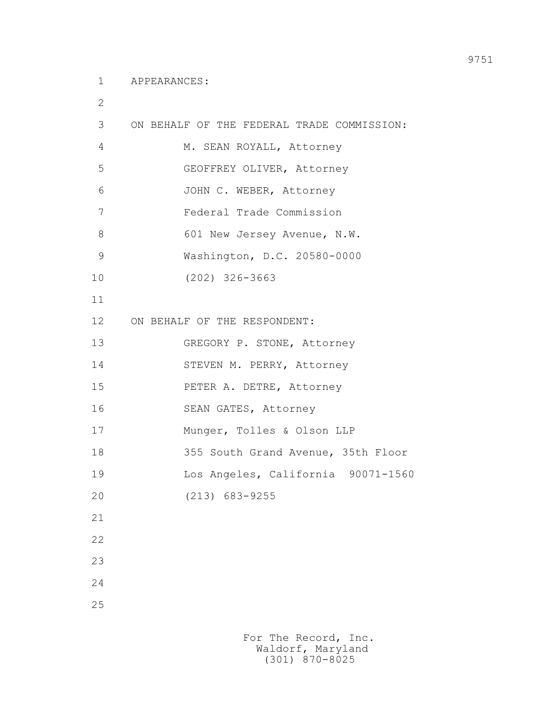2

| 3              | ON BEHALF OF THE FEDERAL TRADE COMMISSION: |
|----------------|--------------------------------------------|
| $\overline{4}$ | M. SEAN ROYALL, Attorney                   |
| 5              | GEOFFREY OLIVER, Attorney                  |
| 6              | JOHN C. WEBER, Attorney                    |
| 7              | Federal Trade Commission                   |
| 8              | 601 New Jersey Avenue, N.W.                |
| $\mathcal{G}$  | Washington, D.C. 20580-0000                |
| 10             | $(202)$ 326-3663                           |
| 11             |                                            |
| 12             | ON BEHALF OF THE RESPONDENT:               |
| 13             | GREGORY P. STONE, Attorney                 |
| 14             | STEVEN M. PERRY, Attorney                  |
| 15             | PETER A. DETRE, Attorney                   |
| 16             | SEAN GATES, Attorney                       |
| 17             | Munger, Tolles & Olson LLP                 |
| 18             | 355 South Grand Avenue, 35th Floor         |
| 19             | Los Angeles, California 90071-1560         |
| 20             | $(213)$ 683-9255                           |
| 21             |                                            |
| 22             |                                            |
| 23             |                                            |
| 24             |                                            |
| 25             |                                            |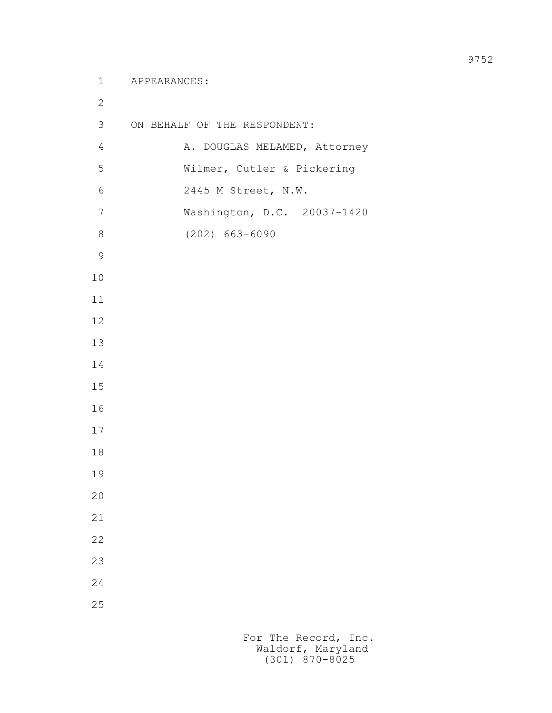3 ON BEHALF OF THE RESPONDENT: 4 A. DOUGLAS MELAMED, Attorney 5 Wilmer, Cutler & Pickering 6 2445 M Street, N.W. 7 Washington, D.C. 20037-1420 8 (202) 663-6090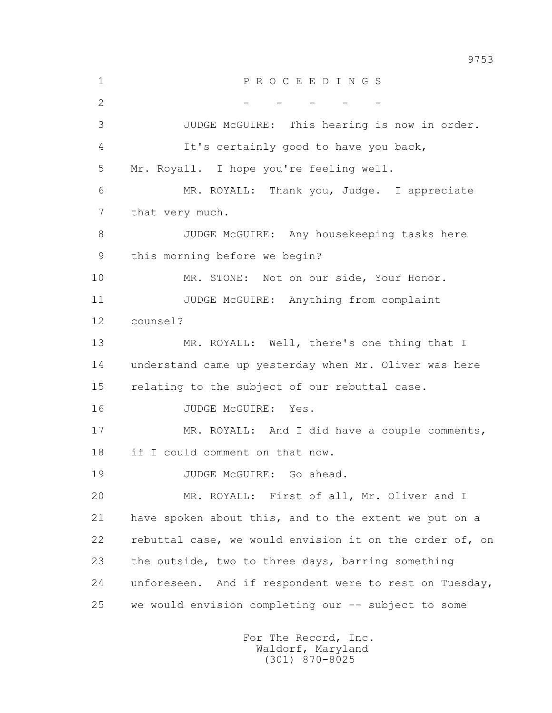1 P R O C E E D I N G S 2 - - - - - - - 3 JUDGE McGUIRE: This hearing is now in order. 4 It's certainly good to have you back, 5 Mr. Royall. I hope you're feeling well. 6 MR. ROYALL: Thank you, Judge. I appreciate 7 that very much. 8 JUDGE McGUIRE: Any housekeeping tasks here 9 this morning before we begin? 10 MR. STONE: Not on our side, Your Honor. 11 JUDGE McGUIRE: Anything from complaint 12 counsel? 13 MR. ROYALL: Well, there's one thing that I 14 understand came up yesterday when Mr. Oliver was here 15 relating to the subject of our rebuttal case. 16 JUDGE McGUIRE: Yes. 17 MR. ROYALL: And I did have a couple comments, 18 if I could comment on that now. 19 JUDGE McGUIRE: Go ahead. 20 MR. ROYALL: First of all, Mr. Oliver and I 21 have spoken about this, and to the extent we put on a 22 rebuttal case, we would envision it on the order of, on 23 the outside, two to three days, barring something 24 unforeseen. And if respondent were to rest on Tuesday, 25 we would envision completing our -- subject to some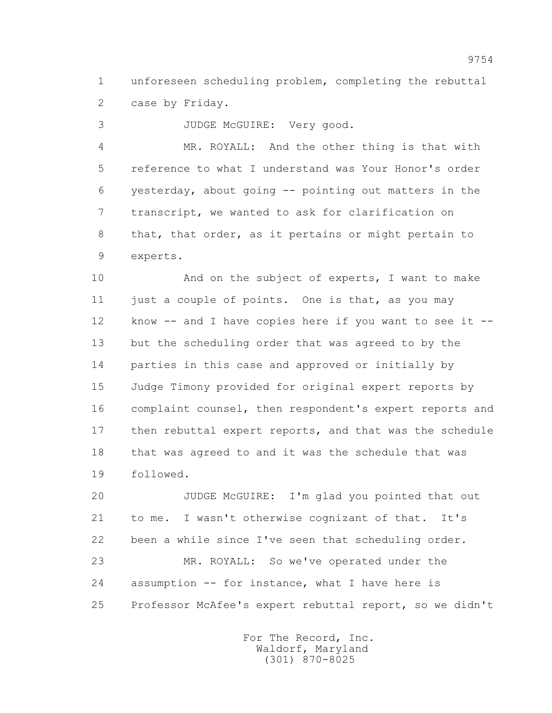1 unforeseen scheduling problem, completing the rebuttal 2 case by Friday.

3 JUDGE McGUIRE: Very good.

 4 MR. ROYALL: And the other thing is that with 5 reference to what I understand was Your Honor's order 6 yesterday, about going -- pointing out matters in the 7 transcript, we wanted to ask for clarification on 8 that, that order, as it pertains or might pertain to 9 experts.

 10 And on the subject of experts, I want to make 11 just a couple of points. One is that, as you may 12 know -- and I have copies here if you want to see it -- 13 but the scheduling order that was agreed to by the 14 parties in this case and approved or initially by 15 Judge Timony provided for original expert reports by 16 complaint counsel, then respondent's expert reports and 17 then rebuttal expert reports, and that was the schedule 18 that was agreed to and it was the schedule that was 19 followed.

 20 JUDGE McGUIRE: I'm glad you pointed that out 21 to me. I wasn't otherwise cognizant of that. It's 22 been a while since I've seen that scheduling order. 23 MR. ROYALL: So we've operated under the 24 assumption -- for instance, what I have here is 25 Professor McAfee's expert rebuttal report, so we didn't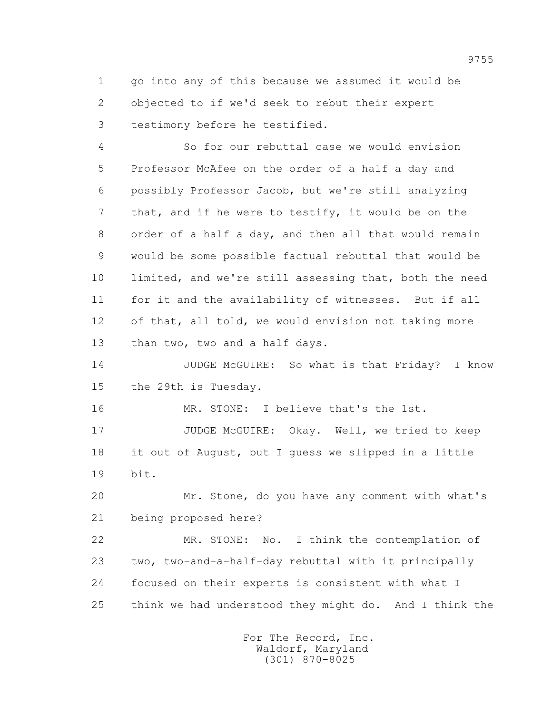1 go into any of this because we assumed it would be 2 objected to if we'd seek to rebut their expert 3 testimony before he testified.

 4 So for our rebuttal case we would envision 5 Professor McAfee on the order of a half a day and 6 possibly Professor Jacob, but we're still analyzing 7 that, and if he were to testify, it would be on the 8 order of a half a day, and then all that would remain 9 would be some possible factual rebuttal that would be 10 limited, and we're still assessing that, both the need 11 for it and the availability of witnesses. But if all 12 of that, all told, we would envision not taking more 13 than two, two and a half days.

 14 JUDGE McGUIRE: So what is that Friday? I know 15 the 29th is Tuesday.

 16 MR. STONE: I believe that's the 1st. 17 JUDGE McGUIRE: Okay. Well, we tried to keep 18 it out of August, but I guess we slipped in a little 19 bit.

 20 Mr. Stone, do you have any comment with what's 21 being proposed here?

 22 MR. STONE: No. I think the contemplation of 23 two, two-and-a-half-day rebuttal with it principally 24 focused on their experts is consistent with what I 25 think we had understood they might do. And I think the

> For The Record, Inc. Waldorf, Maryland (301) 870-8025

9755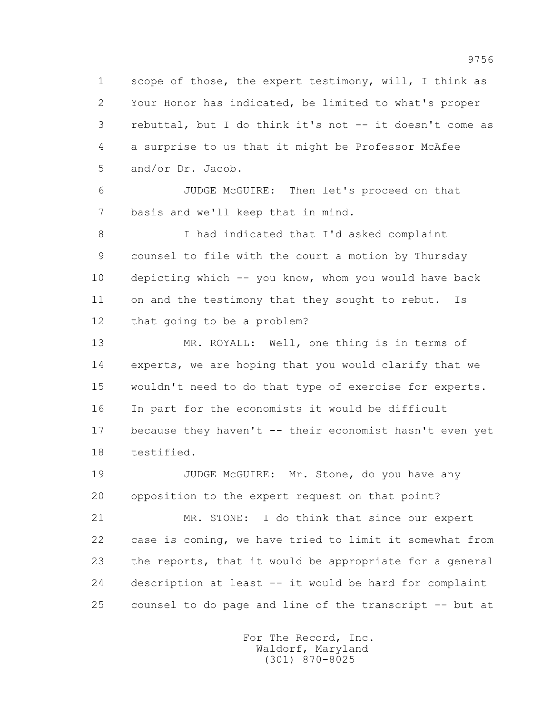1 scope of those, the expert testimony, will, I think as 2 Your Honor has indicated, be limited to what's proper 3 rebuttal, but I do think it's not -- it doesn't come as 4 a surprise to us that it might be Professor McAfee 5 and/or Dr. Jacob.

 6 JUDGE McGUIRE: Then let's proceed on that 7 basis and we'll keep that in mind.

 8 I had indicated that I'd asked complaint 9 counsel to file with the court a motion by Thursday 10 depicting which -- you know, whom you would have back 11 on and the testimony that they sought to rebut. Is 12 that going to be a problem?

 13 MR. ROYALL: Well, one thing is in terms of 14 experts, we are hoping that you would clarify that we 15 wouldn't need to do that type of exercise for experts. 16 In part for the economists it would be difficult 17 because they haven't -- their economist hasn't even yet 18 testified.

19 JUDGE McGUIRE: Mr. Stone, do you have any 20 opposition to the expert request on that point?

 21 MR. STONE: I do think that since our expert 22 case is coming, we have tried to limit it somewhat from 23 the reports, that it would be appropriate for a general 24 description at least -- it would be hard for complaint 25 counsel to do page and line of the transcript -- but at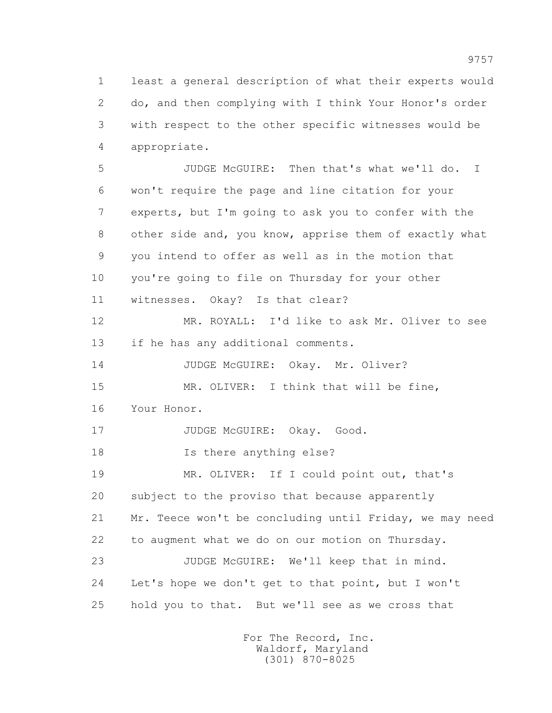1 least a general description of what their experts would 2 do, and then complying with I think Your Honor's order 3 with respect to the other specific witnesses would be 4 appropriate.

 5 JUDGE McGUIRE: Then that's what we'll do. I 6 won't require the page and line citation for your 7 experts, but I'm going to ask you to confer with the 8 other side and, you know, apprise them of exactly what 9 you intend to offer as well as in the motion that 10 you're going to file on Thursday for your other 11 witnesses. Okay? Is that clear? 12 MR. ROYALL: I'd like to ask Mr. Oliver to see 13 if he has any additional comments. 14 JUDGE McGUIRE: Okay. Mr. Oliver? 15 MR. OLIVER: I think that will be fine, 16 Your Honor. 17 JUDGE McGUIRE: Okay. Good. 18 Is there anything else? 19 MR. OLIVER: If I could point out, that's 20 subject to the proviso that because apparently 21 Mr. Teece won't be concluding until Friday, we may need 22 to augment what we do on our motion on Thursday. 23 JUDGE McGUIRE: We'll keep that in mind. 24 Let's hope we don't get to that point, but I won't 25 hold you to that. But we'll see as we cross that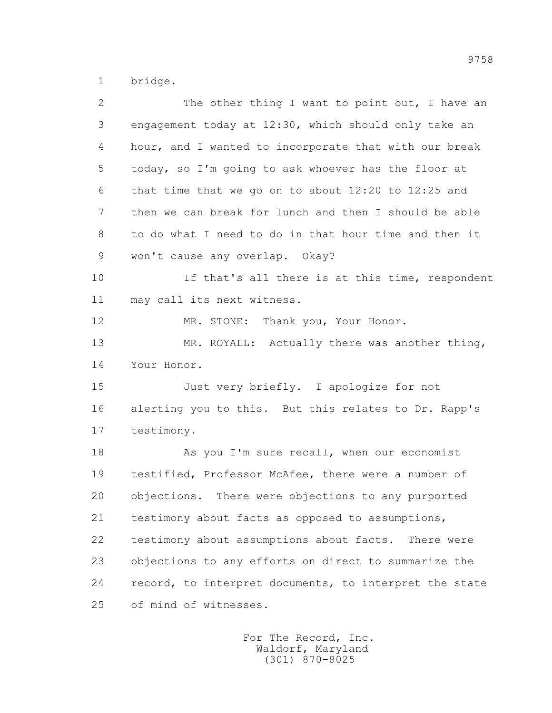1 bridge.

| $\overline{2}$ | The other thing I want to point out, I have an          |
|----------------|---------------------------------------------------------|
| 3              | engagement today at 12:30, which should only take an    |
| 4              | hour, and I wanted to incorporate that with our break   |
| 5              | today, so I'm going to ask whoever has the floor at     |
| 6              | that time that we go on to about $12:20$ to $12:25$ and |
| $\overline{7}$ | then we can break for lunch and then I should be able   |
| 8              | to do what I need to do in that hour time and then it   |
| 9              | won't cause any overlap. Okay?                          |
| 10             | If that's all there is at this time, respondent         |
| 11             | may call its next witness.                              |
| 12             | MR. STONE: Thank you, Your Honor.                       |
| 13             | MR. ROYALL: Actually there was another thing,           |
| 14             | Your Honor.                                             |
| 15             | Just very briefly. I apologize for not                  |
| 16             | alerting you to this. But this relates to Dr. Rapp's    |
| 17             | testimony.                                              |
| 18             | As you I'm sure recall, when our economist              |
| 19             | testified, Professor McAfee, there were a number of     |
| 20             | objections. There were objections to any purported      |
| 21             | testimony about facts as opposed to assumptions,        |
| 22             | testimony about assumptions about facts. There were     |
| 23             | objections to any efforts on direct to summarize the    |
| 24             | record, to interpret documents, to interpret the state  |
| 25             | of mind of witnesses.                                   |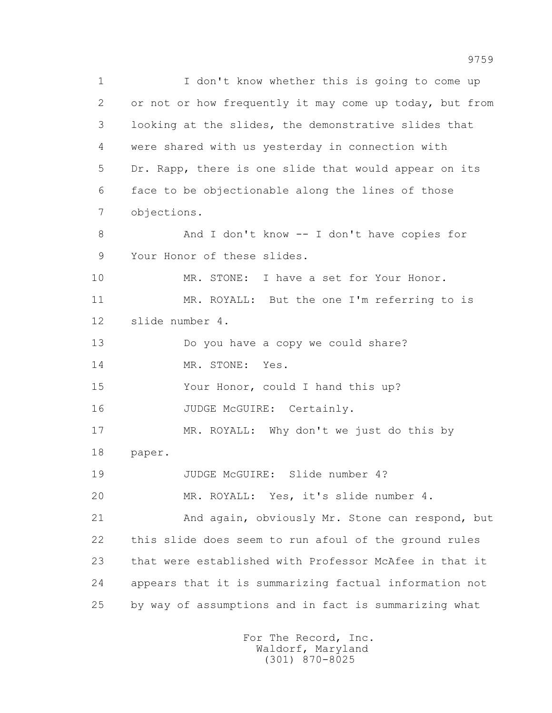1 I don't know whether this is going to come up 2 or not or how frequently it may come up today, but from 3 looking at the slides, the demonstrative slides that 4 were shared with us yesterday in connection with 5 Dr. Rapp, there is one slide that would appear on its 6 face to be objectionable along the lines of those 7 objections. 8 And I don't know -- I don't have copies for 9 Your Honor of these slides. 10 MR. STONE: I have a set for Your Honor. 11 MR. ROYALL: But the one I'm referring to is 12 slide number 4. 13 Do you have a copy we could share? 14 MR. STONE: Yes. 15 Your Honor, could I hand this up? 16 JUDGE McGUIRE: Certainly. 17 MR. ROYALL: Why don't we just do this by 18 paper. 19 JUDGE McGUIRE: Slide number 4? 20 MR. ROYALL: Yes, it's slide number 4. 21 And again, obviously Mr. Stone can respond, but 22 this slide does seem to run afoul of the ground rules 23 that were established with Professor McAfee in that it 24 appears that it is summarizing factual information not 25 by way of assumptions and in fact is summarizing what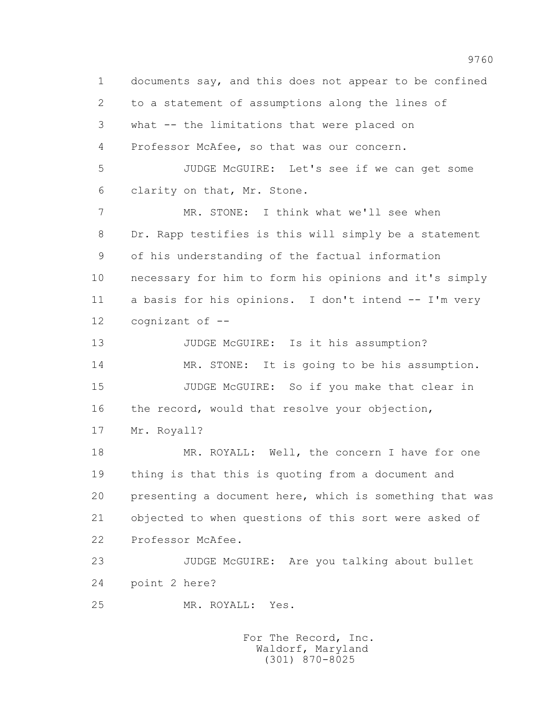1 documents say, and this does not appear to be confined 2 to a statement of assumptions along the lines of 3 what -- the limitations that were placed on 4 Professor McAfee, so that was our concern. 5 JUDGE McGUIRE: Let's see if we can get some 6 clarity on that, Mr. Stone. 7 MR. STONE: I think what we'll see when 8 Dr. Rapp testifies is this will simply be a statement 9 of his understanding of the factual information 10 necessary for him to form his opinions and it's simply 11 a basis for his opinions. I don't intend -- I'm very 12 cognizant of -- 13 JUDGE McGUIRE: Is it his assumption? 14 MR. STONE: It is going to be his assumption. 15 JUDGE McGUIRE: So if you make that clear in 16 the record, would that resolve your objection, 17 Mr. Royall? 18 MR. ROYALL: Well, the concern I have for one 19 thing is that this is quoting from a document and 20 presenting a document here, which is something that was 21 objected to when questions of this sort were asked of 22 Professor McAfee. 23 JUDGE McGUIRE: Are you talking about bullet 24 point 2 here? 25 MR. ROYALL: Yes.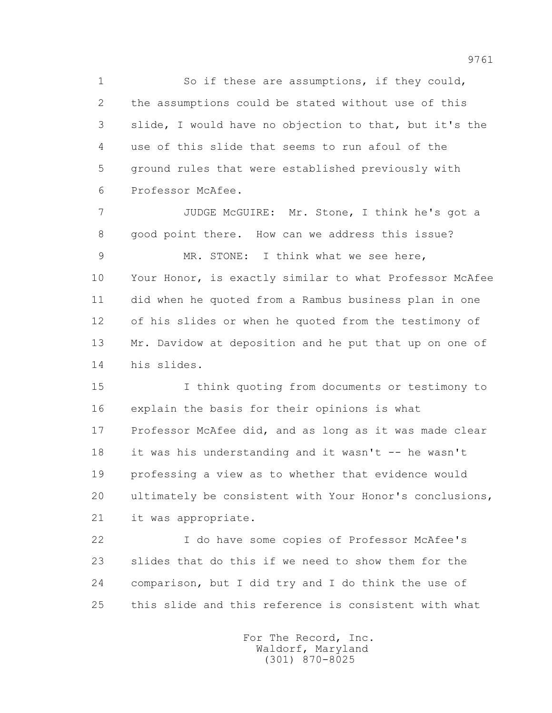1 So if these are assumptions, if they could, 2 the assumptions could be stated without use of this 3 slide, I would have no objection to that, but it's the 4 use of this slide that seems to run afoul of the 5 ground rules that were established previously with 6 Professor McAfee.

 7 JUDGE McGUIRE: Mr. Stone, I think he's got a 8 good point there. How can we address this issue? 9 MR. STONE: I think what we see here, 10 Your Honor, is exactly similar to what Professor McAfee 11 did when he quoted from a Rambus business plan in one 12 of his slides or when he quoted from the testimony of 13 Mr. Davidow at deposition and he put that up on one of 14 his slides.

 15 I think quoting from documents or testimony to 16 explain the basis for their opinions is what 17 Professor McAfee did, and as long as it was made clear 18 it was his understanding and it wasn't -- he wasn't 19 professing a view as to whether that evidence would 20 ultimately be consistent with Your Honor's conclusions, 21 it was appropriate.

 22 I do have some copies of Professor McAfee's 23 slides that do this if we need to show them for the 24 comparison, but I did try and I do think the use of 25 this slide and this reference is consistent with what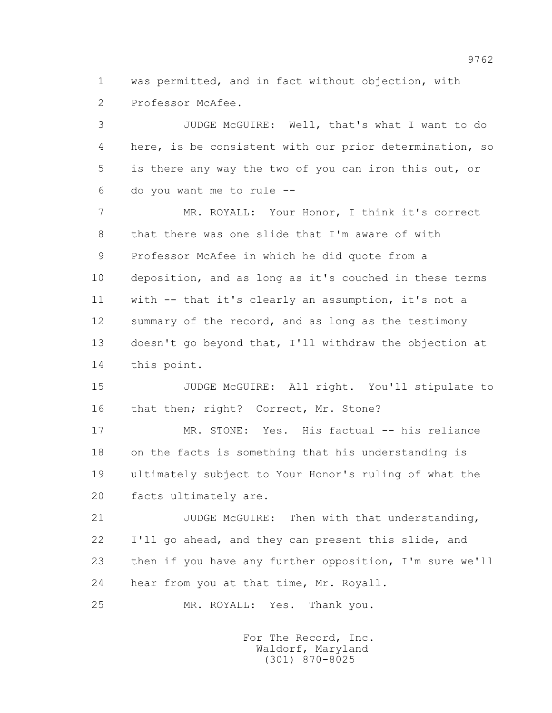1 was permitted, and in fact without objection, with 2 Professor McAfee.

 3 JUDGE McGUIRE: Well, that's what I want to do 4 here, is be consistent with our prior determination, so 5 is there any way the two of you can iron this out, or 6 do you want me to rule --

 7 MR. ROYALL: Your Honor, I think it's correct 8 that there was one slide that I'm aware of with 9 Professor McAfee in which he did quote from a 10 deposition, and as long as it's couched in these terms 11 with -- that it's clearly an assumption, it's not a 12 summary of the record, and as long as the testimony 13 doesn't go beyond that, I'll withdraw the objection at 14 this point.

 15 JUDGE McGUIRE: All right. You'll stipulate to 16 that then; right? Correct, Mr. Stone?

 17 MR. STONE: Yes. His factual -- his reliance 18 on the facts is something that his understanding is 19 ultimately subject to Your Honor's ruling of what the 20 facts ultimately are.

 21 JUDGE McGUIRE: Then with that understanding, 22 I'll go ahead, and they can present this slide, and 23 then if you have any further opposition, I'm sure we'll 24 hear from you at that time, Mr. Royall.

25 MR. ROYALL: Yes. Thank you.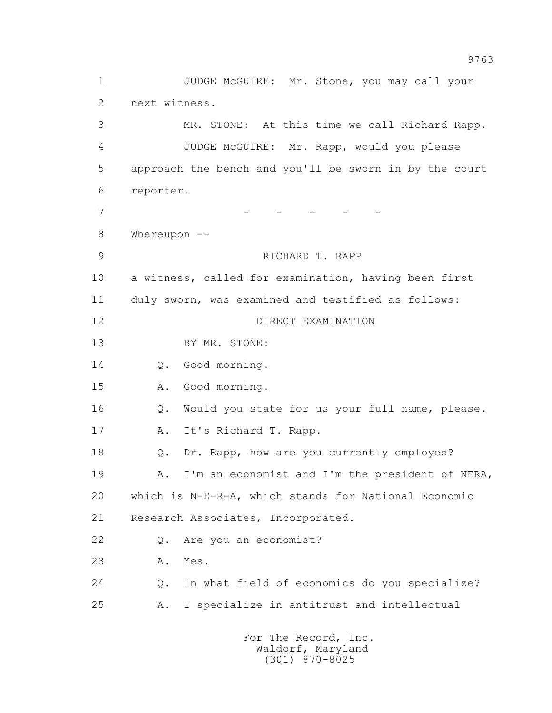1 JUDGE McGUIRE: Mr. Stone, you may call your 2 next witness. 3 MR. STONE: At this time we call Richard Rapp. 4 JUDGE McGUIRE: Mr. Rapp, would you please 5 approach the bench and you'll be sworn in by the court 6 reporter. 7 - - - - - - - 8 Whereupon -- 9 RICHARD T. RAPP 10 a witness, called for examination, having been first 11 duly sworn, was examined and testified as follows: 12 DIRECT EXAMINATION 13 BY MR. STONE: 14 Q. Good morning. 15 A. Good morning. 16 Q. Would you state for us your full name, please. 17 A. It's Richard T. Rapp. 18 Q. Dr. Rapp, how are you currently employed? 19 A. I'm an economist and I'm the president of NERA, 20 which is N-E-R-A, which stands for National Economic 21 Research Associates, Incorporated. 22 Q. Are you an economist? 23 A. Yes. 24 Q. In what field of economics do you specialize? 25 A. I specialize in antitrust and intellectual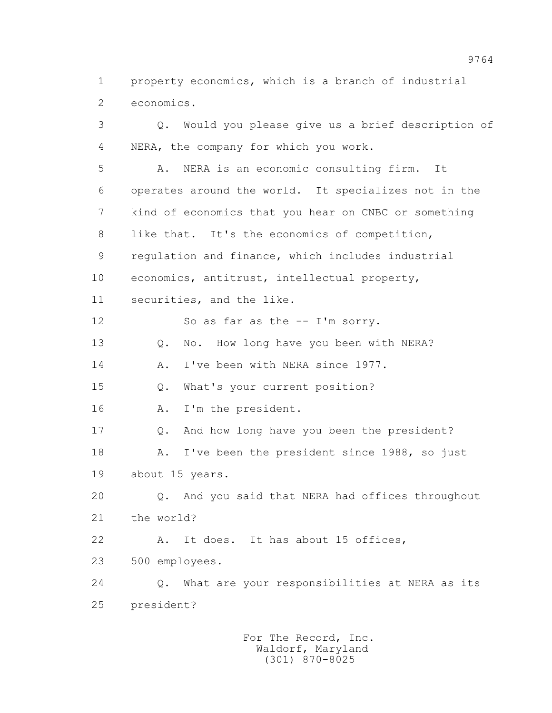1 property economics, which is a branch of industrial 2 economics.

 3 Q. Would you please give us a brief description of 4 NERA, the company for which you work. 5 A. NERA is an economic consulting firm. It 6 operates around the world. It specializes not in the 7 kind of economics that you hear on CNBC or something 8 like that. It's the economics of competition, 9 regulation and finance, which includes industrial 10 economics, antitrust, intellectual property, 11 securities, and the like. 12 So as far as the -- I'm sorry. 13 Q. No. How long have you been with NERA? 14 A. I've been with NERA since 1977. 15 Q. What's your current position? 16 A. I'm the president. 17 Q. And how long have you been the president? 18 A. I've been the president since 1988, so just 19 about 15 years. 20 Q. And you said that NERA had offices throughout 21 the world? 22 A. It does. It has about 15 offices, 23 500 employees. 24 Q. What are your responsibilities at NERA as its 25 president?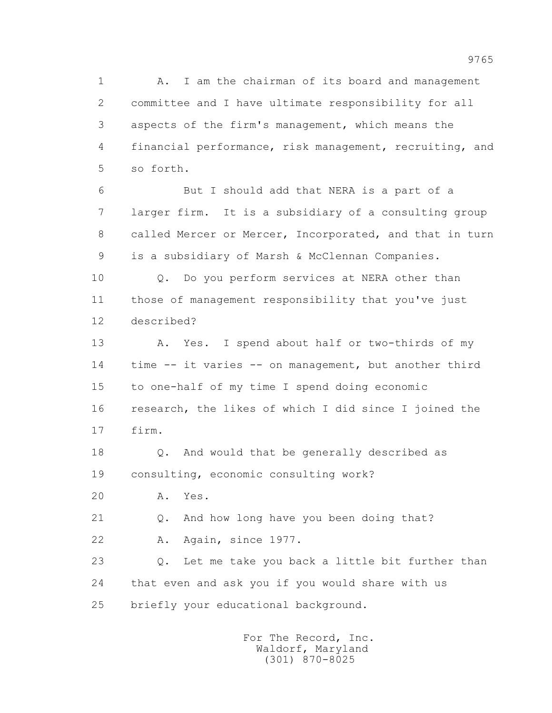1 A. I am the chairman of its board and management 2 committee and I have ultimate responsibility for all 3 aspects of the firm's management, which means the 4 financial performance, risk management, recruiting, and 5 so forth.

 6 But I should add that NERA is a part of a 7 larger firm. It is a subsidiary of a consulting group 8 called Mercer or Mercer, Incorporated, and that in turn 9 is a subsidiary of Marsh & McClennan Companies.

 10 Q. Do you perform services at NERA other than 11 those of management responsibility that you've just 12 described?

 13 A. Yes. I spend about half or two-thirds of my 14 time -- it varies -- on management, but another third 15 to one-half of my time I spend doing economic 16 research, the likes of which I did since I joined the 17 firm.

 18 Q. And would that be generally described as 19 consulting, economic consulting work?

20 A. Yes.

21 Q. And how long have you been doing that?

22 A. Again, since 1977.

 23 Q. Let me take you back a little bit further than 24 that even and ask you if you would share with us 25 briefly your educational background.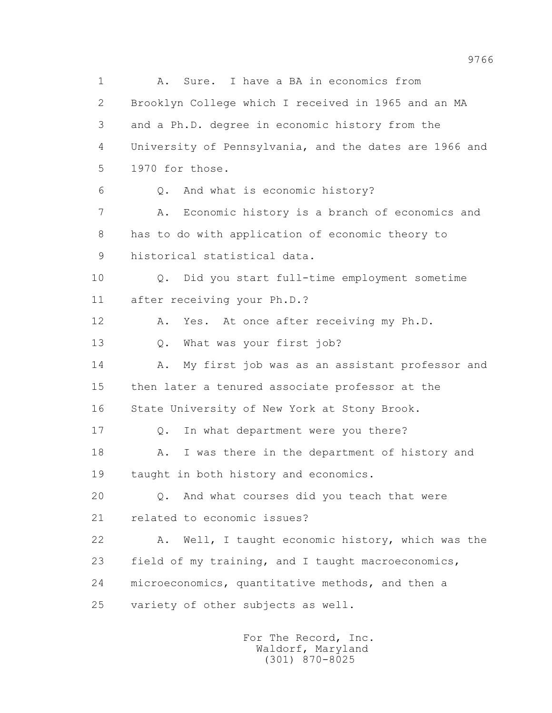1 A. Sure. I have a BA in economics from 2 Brooklyn College which I received in 1965 and an MA 3 and a Ph.D. degree in economic history from the 4 University of Pennsylvania, and the dates are 1966 and 5 1970 for those. 6 Q. And what is economic history? 7 A. Economic history is a branch of economics and 8 has to do with application of economic theory to 9 historical statistical data. 10 Q. Did you start full-time employment sometime 11 after receiving your Ph.D.? 12 A. Yes. At once after receiving my Ph.D. 13 Q. What was your first job? 14 A. My first job was as an assistant professor and 15 then later a tenured associate professor at the 16 State University of New York at Stony Brook. 17 Q. In what department were you there? 18 A. I was there in the department of history and 19 taught in both history and economics. 20 Q. And what courses did you teach that were 21 related to economic issues? 22 A. Well, I taught economic history, which was the 23 field of my training, and I taught macroeconomics, 24 microeconomics, quantitative methods, and then a 25 variety of other subjects as well.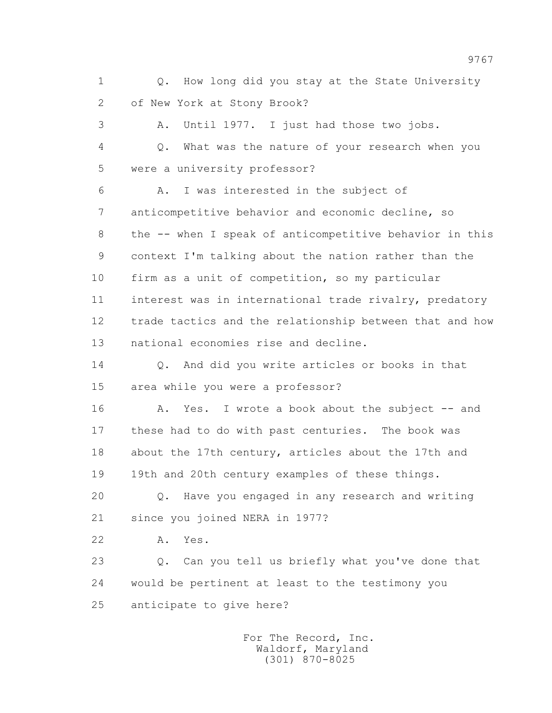1 0. How long did you stay at the State University 2 of New York at Stony Brook?

 3 A. Until 1977. I just had those two jobs. 4 Q. What was the nature of your research when you 5 were a university professor?

 6 A. I was interested in the subject of 7 anticompetitive behavior and economic decline, so 8 the -- when I speak of anticompetitive behavior in this 9 context I'm talking about the nation rather than the 10 firm as a unit of competition, so my particular 11 interest was in international trade rivalry, predatory 12 trade tactics and the relationship between that and how 13 national economies rise and decline.

14 O. And did you write articles or books in that 15 area while you were a professor?

16 A. Yes. I wrote a book about the subject -- and 17 these had to do with past centuries. The book was 18 about the 17th century, articles about the 17th and 19 19th and 20th century examples of these things.

 20 Q. Have you engaged in any research and writing 21 since you joined NERA in 1977?

22 A. Yes.

 23 Q. Can you tell us briefly what you've done that 24 would be pertinent at least to the testimony you 25 anticipate to give here?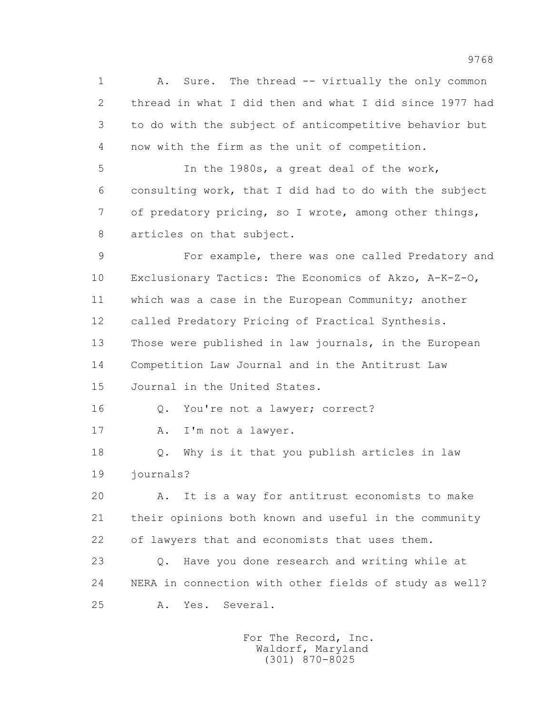1 A. Sure. The thread -- virtually the only common 2 thread in what I did then and what I did since 1977 had 3 to do with the subject of anticompetitive behavior but 4 now with the firm as the unit of competition.

 5 In the 1980s, a great deal of the work, 6 consulting work, that I did had to do with the subject 7 of predatory pricing, so I wrote, among other things, 8 articles on that subject.

 9 For example, there was one called Predatory and 10 Exclusionary Tactics: The Economics of Akzo, A-K-Z-O, 11 which was a case in the European Community; another 12 called Predatory Pricing of Practical Synthesis. 13 Those were published in law journals, in the European 14 Competition Law Journal and in the Antitrust Law 15 Journal in the United States.

16 Q. You're not a lawyer; correct?

17 A. I'm not a lawyer.

 18 Q. Why is it that you publish articles in law 19 journals?

 20 A. It is a way for antitrust economists to make 21 their opinions both known and useful in the community 22 of lawyers that and economists that uses them.

 23 Q. Have you done research and writing while at 24 NERA in connection with other fields of study as well? 25 A. Yes. Several.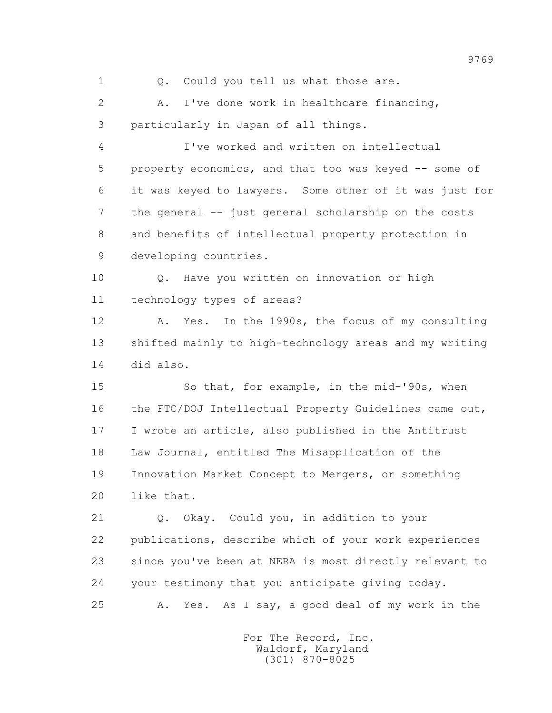1 0. Could you tell us what those are.

 2 A. I've done work in healthcare financing, 3 particularly in Japan of all things.

 4 I've worked and written on intellectual 5 property economics, and that too was keyed -- some of 6 it was keyed to lawyers. Some other of it was just for 7 the general -- just general scholarship on the costs 8 and benefits of intellectual property protection in 9 developing countries.

 10 Q. Have you written on innovation or high 11 technology types of areas?

 12 A. Yes. In the 1990s, the focus of my consulting 13 shifted mainly to high-technology areas and my writing 14 did also.

 15 So that, for example, in the mid-'90s, when 16 the FTC/DOJ Intellectual Property Guidelines came out, 17 I wrote an article, also published in the Antitrust 18 Law Journal, entitled The Misapplication of the 19 Innovation Market Concept to Mergers, or something 20 like that.

 21 Q. Okay. Could you, in addition to your 22 publications, describe which of your work experiences 23 since you've been at NERA is most directly relevant to 24 your testimony that you anticipate giving today. 25 A. Yes. As I say, a good deal of my work in the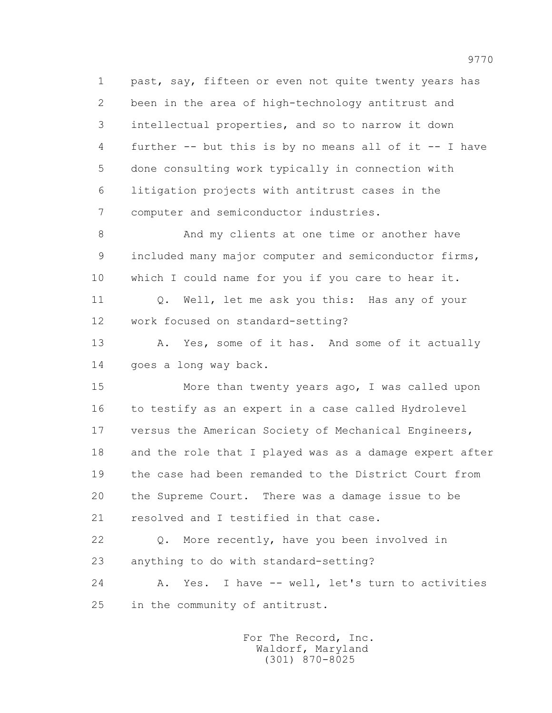1 past, say, fifteen or even not quite twenty years has 2 been in the area of high-technology antitrust and 3 intellectual properties, and so to narrow it down 4 further -- but this is by no means all of it -- I have 5 done consulting work typically in connection with 6 litigation projects with antitrust cases in the 7 computer and semiconductor industries.

 8 And my clients at one time or another have 9 included many major computer and semiconductor firms, 10 which I could name for you if you care to hear it.

11 0. Well, let me ask you this: Has any of your 12 work focused on standard-setting?

13 A. Yes, some of it has. And some of it actually 14 goes a long way back.

 15 More than twenty years ago, I was called upon 16 to testify as an expert in a case called Hydrolevel 17 versus the American Society of Mechanical Engineers, 18 and the role that I played was as a damage expert after 19 the case had been remanded to the District Court from 20 the Supreme Court. There was a damage issue to be 21 resolved and I testified in that case.

 22 Q. More recently, have you been involved in 23 anything to do with standard-setting?

 24 A. Yes. I have -- well, let's turn to activities 25 in the community of antitrust.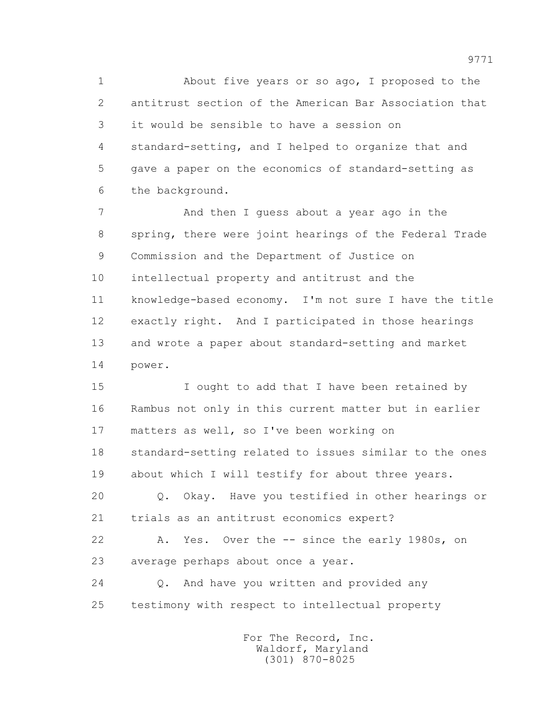1 About five years or so ago, I proposed to the 2 antitrust section of the American Bar Association that 3 it would be sensible to have a session on 4 standard-setting, and I helped to organize that and 5 gave a paper on the economics of standard-setting as 6 the background.

 7 And then I guess about a year ago in the 8 spring, there were joint hearings of the Federal Trade 9 Commission and the Department of Justice on 10 intellectual property and antitrust and the 11 knowledge-based economy. I'm not sure I have the title 12 exactly right. And I participated in those hearings 13 and wrote a paper about standard-setting and market 14 power.

 15 I ought to add that I have been retained by 16 Rambus not only in this current matter but in earlier 17 matters as well, so I've been working on 18 standard-setting related to issues similar to the ones 19 about which I will testify for about three years.

 20 Q. Okay. Have you testified in other hearings or 21 trials as an antitrust economics expert?

 22 A. Yes. Over the -- since the early 1980s, on 23 average perhaps about once a year.

 24 Q. And have you written and provided any 25 testimony with respect to intellectual property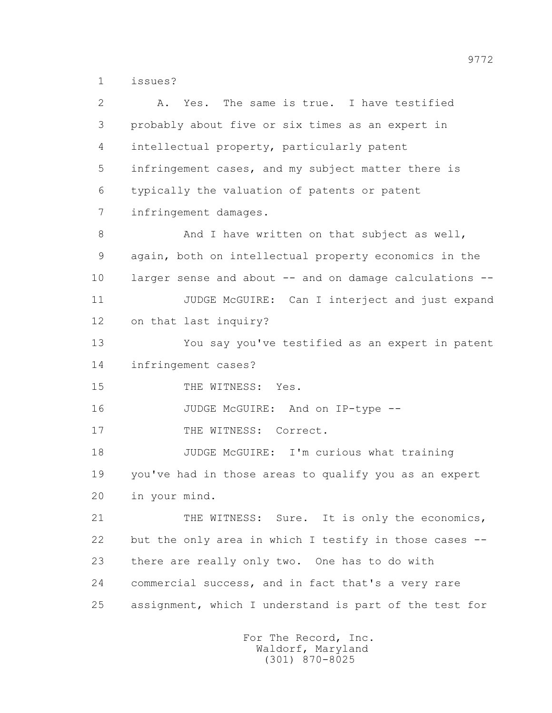1 issues?

| $\mathbf{2}$ | Yes. The same is true. I have testified<br>Α.           |
|--------------|---------------------------------------------------------|
| 3            | probably about five or six times as an expert in        |
| 4            | intellectual property, particularly patent              |
| 5            | infringement cases, and my subject matter there is      |
| 6            | typically the valuation of patents or patent            |
| 7            | infringement damages.                                   |
| 8            | And I have written on that subject as well,             |
| 9            | again, both on intellectual property economics in the   |
| 10           | larger sense and about -- and on damage calculations -- |
| 11           | JUDGE McGUIRE: Can I interject and just expand          |
| 12           | on that last inquiry?                                   |
| 13           | You say you've testified as an expert in patent         |
| 14           | infringement cases?                                     |
| 15           | THE WITNESS: Yes.                                       |
| 16           | JUDGE McGUIRE: And on IP-type --                        |
| 17           | THE WITNESS: Correct.                                   |
| 18           | JUDGE McGUIRE: I'm curious what training                |
| 19           | you've had in those areas to qualify you as an expert   |
| 20           | in your mind.                                           |
| 21           | THE WITNESS: Sure. It is only the economics,            |
| 22           | but the only area in which I testify in those cases --  |
| 23           | there are really only two. One has to do with           |
| 24           | commercial success, and in fact that's a very rare      |
| 25           | assignment, which I understand is part of the test for  |
|              |                                                         |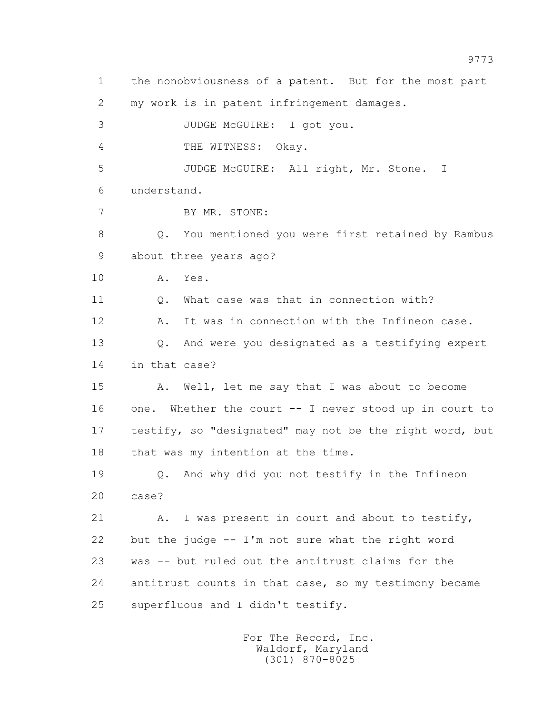1 the nonobviousness of a patent. But for the most part 2 my work is in patent infringement damages. 3 JUDGE McGUIRE: I got you. 4 THE WITNESS: Okay. 5 JUDGE McGUIRE: All right, Mr. Stone. I 6 understand. 7 BY MR. STONE: 8 Q. You mentioned you were first retained by Rambus 9 about three years ago? 10 A. Yes. 11 Q. What case was that in connection with? 12 A. It was in connection with the Infineon case. 13 Q. And were you designated as a testifying expert 14 in that case? 15 A. Well, let me say that I was about to become 16 one. Whether the court -- I never stood up in court to 17 testify, so "designated" may not be the right word, but 18 that was my intention at the time. 19 Q. And why did you not testify in the Infineon 20 case? 21 A. I was present in court and about to testify, 22 but the judge -- I'm not sure what the right word 23 was -- but ruled out the antitrust claims for the 24 antitrust counts in that case, so my testimony became 25 superfluous and I didn't testify.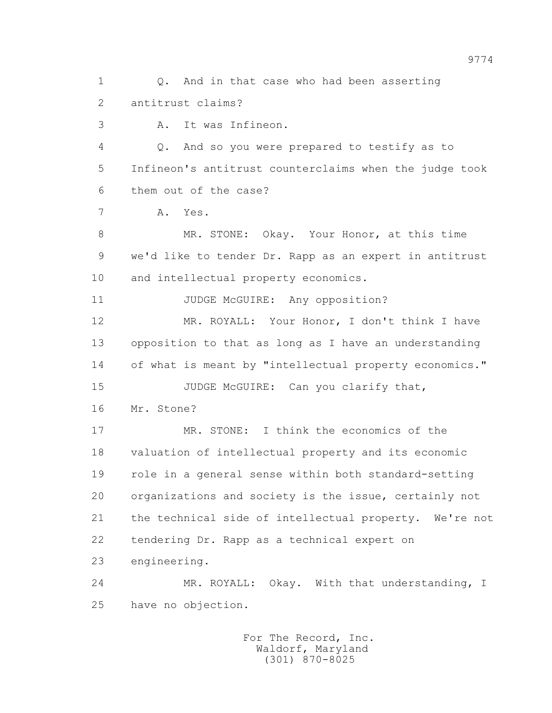1 0. And in that case who had been asserting 2 antitrust claims?

3 A. It was Infineon.

 4 Q. And so you were prepared to testify as to 5 Infineon's antitrust counterclaims when the judge took 6 them out of the case?

7 A. Yes.

 8 MR. STONE: Okay. Your Honor, at this time 9 we'd like to tender Dr. Rapp as an expert in antitrust 10 and intellectual property economics.

11 JUDGE McGUIRE: Any opposition?

 12 MR. ROYALL: Your Honor, I don't think I have 13 opposition to that as long as I have an understanding 14 of what is meant by "intellectual property economics."

15 JUDGE McGUIRE: Can you clarify that, 16 Mr. Stone?

 17 MR. STONE: I think the economics of the 18 valuation of intellectual property and its economic 19 role in a general sense within both standard-setting 20 organizations and society is the issue, certainly not 21 the technical side of intellectual property. We're not 22 tendering Dr. Rapp as a technical expert on 23 engineering.

 24 MR. ROYALL: Okay. With that understanding, I 25 have no objection.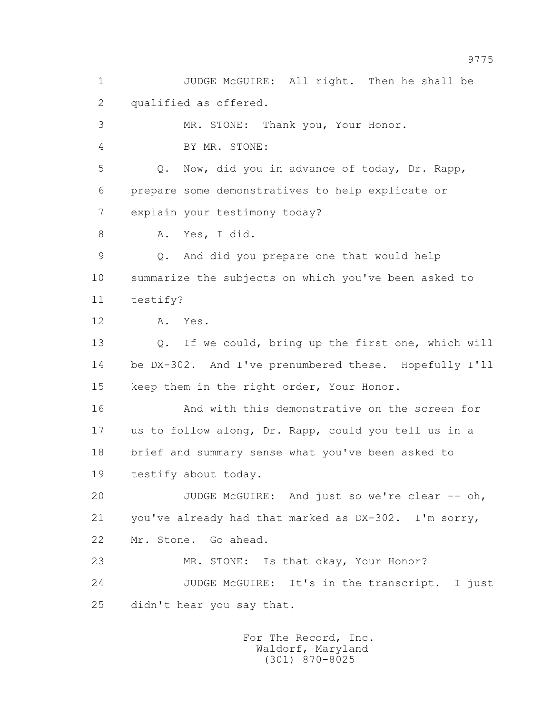1 JUDGE McGUIRE: All right. Then he shall be 2 qualified as offered. 3 MR. STONE: Thank you, Your Honor. 4 BY MR. STONE: 5 Q. Now, did you in advance of today, Dr. Rapp, 6 prepare some demonstratives to help explicate or 7 explain your testimony today? 8 A. Yes, I did. 9 Q. And did you prepare one that would help 10 summarize the subjects on which you've been asked to 11 testify? 12 A. Yes. 13 Q. If we could, bring up the first one, which will 14 be DX-302. And I've prenumbered these. Hopefully I'll 15 keep them in the right order, Your Honor. 16 And with this demonstrative on the screen for 17 us to follow along, Dr. Rapp, could you tell us in a 18 brief and summary sense what you've been asked to 19 testify about today. 20 JUDGE McGUIRE: And just so we're clear -- oh, 21 you've already had that marked as DX-302. I'm sorry, 22 Mr. Stone. Go ahead. 23 MR. STONE: Is that okay, Your Honor? 24 JUDGE McGUIRE: It's in the transcript. I just 25 didn't hear you say that.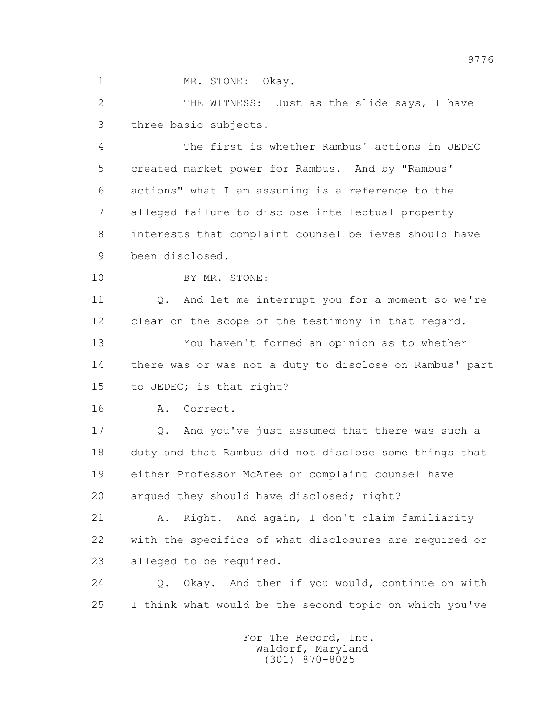1 MR. STONE: Okay.

2 THE WITNESS: Just as the slide says, I have 3 three basic subjects.

 4 The first is whether Rambus' actions in JEDEC 5 created market power for Rambus. And by "Rambus' 6 actions" what I am assuming is a reference to the 7 alleged failure to disclose intellectual property 8 interests that complaint counsel believes should have 9 been disclosed.

10 BY MR. STONE:

 11 Q. And let me interrupt you for a moment so we're 12 clear on the scope of the testimony in that regard.

 13 You haven't formed an opinion as to whether 14 there was or was not a duty to disclose on Rambus' part 15 to JEDEC; is that right?

16 A. Correct.

 17 Q. And you've just assumed that there was such a 18 duty and that Rambus did not disclose some things that 19 either Professor McAfee or complaint counsel have 20 argued they should have disclosed; right?

 21 A. Right. And again, I don't claim familiarity 22 with the specifics of what disclosures are required or 23 alleged to be required.

 24 Q. Okay. And then if you would, continue on with 25 I think what would be the second topic on which you've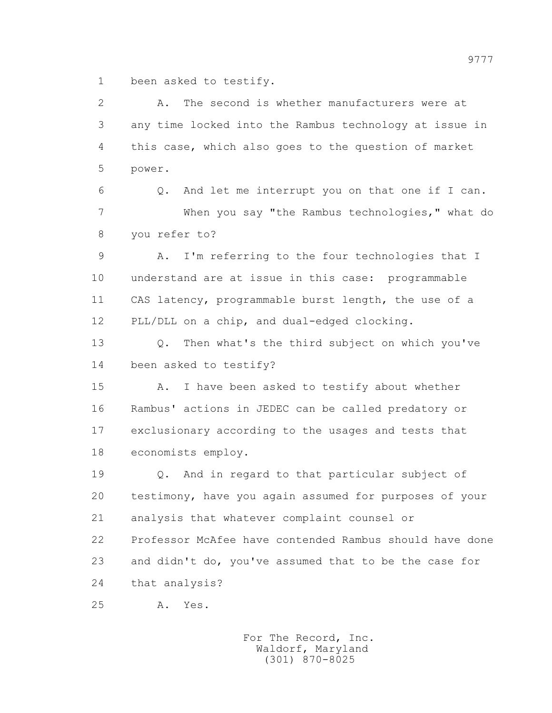1 been asked to testify.

| $\overline{2}$ | The second is whether manufacturers were at<br>Α.       |
|----------------|---------------------------------------------------------|
| 3              | any time locked into the Rambus technology at issue in  |
| 4              | this case, which also goes to the question of market    |
| 5              | power.                                                  |
| 6              | And let me interrupt you on that one if I can.<br>Q.    |
| 7              | When you say "the Rambus technologies," what do         |
| 8              | you refer to?                                           |
| $\mathsf 9$    | I'm referring to the four technologies that I<br>Α.     |
| 10             | understand are at issue in this case: programmable      |
| 11             | CAS latency, programmable burst length, the use of a    |
| 12             | PLL/DLL on a chip, and dual-edged clocking.             |
| 13             | Then what's the third subject on which you've<br>$Q$ .  |
| 14             | been asked to testify?                                  |
| 15             | I have been asked to testify about whether<br>Α.        |
| 16             | Rambus' actions in JEDEC can be called predatory or     |
| 17             | exclusionary according to the usages and tests that     |
| 18             | economists employ.                                      |
| 19             | And in regard to that particular subject of<br>Q.       |
| 20             | testimony, have you again assumed for purposes of your  |
| 21             | analysis that whatever complaint counsel or             |
| 22             | Professor McAfee have contended Rambus should have done |
| 23             | and didn't do, you've assumed that to be the case for   |
| 24             | that analysis?                                          |
| 25             | Yes.<br>Α.                                              |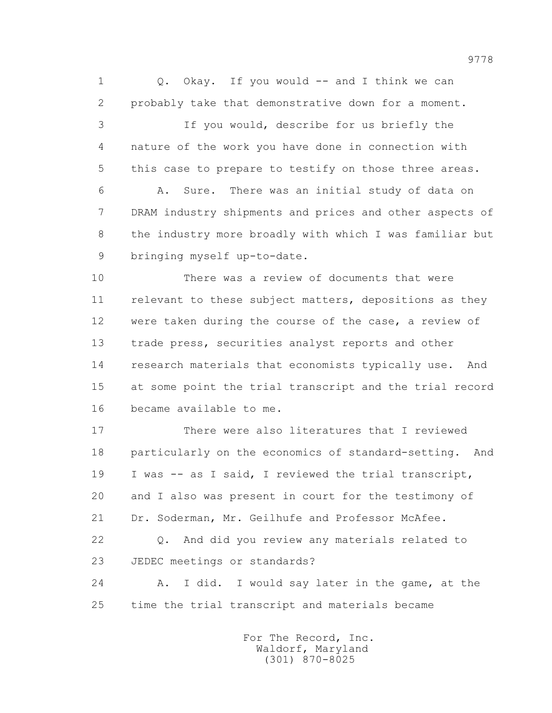1 Q. Okay. If you would -- and I think we can 2 probably take that demonstrative down for a moment. 3 If you would, describe for us briefly the 4 nature of the work you have done in connection with 5 this case to prepare to testify on those three areas. 6 A. Sure. There was an initial study of data on 7 DRAM industry shipments and prices and other aspects of 8 the industry more broadly with which I was familiar but 9 bringing myself up-to-date. 10 There was a review of documents that were

 11 relevant to these subject matters, depositions as they 12 were taken during the course of the case, a review of 13 trade press, securities analyst reports and other 14 research materials that economists typically use. And 15 at some point the trial transcript and the trial record 16 became available to me.

 17 There were also literatures that I reviewed 18 particularly on the economics of standard-setting. And 19 I was -- as I said, I reviewed the trial transcript, 20 and I also was present in court for the testimony of 21 Dr. Soderman, Mr. Geilhufe and Professor McAfee. 22 Q. And did you review any materials related to

23 JEDEC meetings or standards?

 24 A. I did. I would say later in the game, at the 25 time the trial transcript and materials became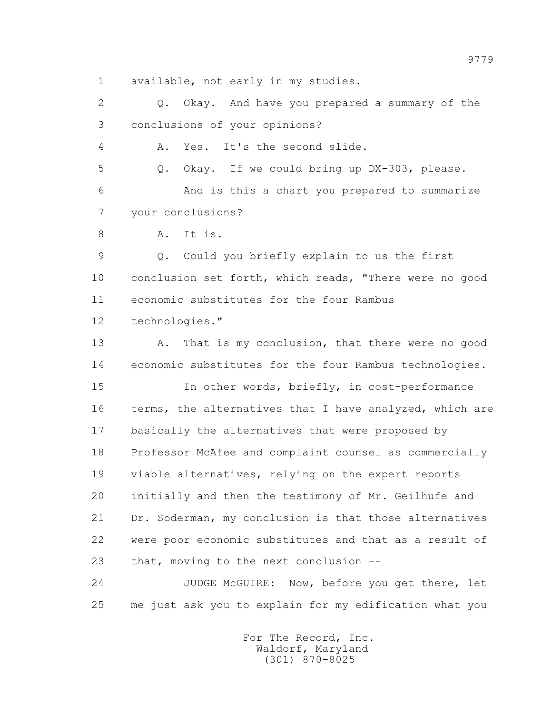1 available, not early in my studies.

 2 Q. Okay. And have you prepared a summary of the 3 conclusions of your opinions?

4 A. Yes. It's the second slide.

5 Q. Okay. If we could bring up DX-303, please.

 6 And is this a chart you prepared to summarize 7 your conclusions?

8 A. It is.

 9 Q. Could you briefly explain to us the first 10 conclusion set forth, which reads, "There were no good 11 economic substitutes for the four Rambus 12 technologies."

 13 A. That is my conclusion, that there were no good 14 economic substitutes for the four Rambus technologies.

 15 In other words, briefly, in cost-performance 16 terms, the alternatives that I have analyzed, which are 17 basically the alternatives that were proposed by 18 Professor McAfee and complaint counsel as commercially 19 viable alternatives, relying on the expert reports 20 initially and then the testimony of Mr. Geilhufe and 21 Dr. Soderman, my conclusion is that those alternatives 22 were poor economic substitutes and that as a result of 23 that, moving to the next conclusion --

 24 JUDGE McGUIRE: Now, before you get there, let 25 me just ask you to explain for my edification what you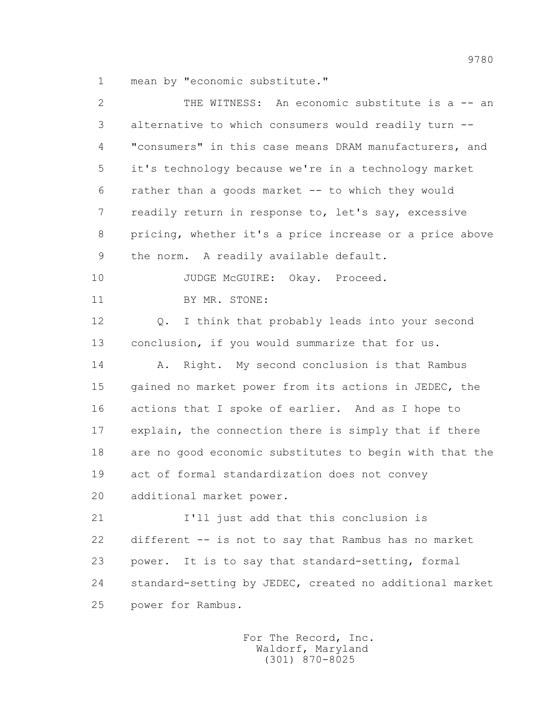1 mean by "economic substitute."

| $\overline{2}$ | THE WITNESS: An economic substitute is a -- an          |
|----------------|---------------------------------------------------------|
| 3              | alternative to which consumers would readily turn --    |
| 4              | "consumers" in this case means DRAM manufacturers, and  |
| 5              | it's technology because we're in a technology market    |
| 6              | rather than a goods market -- to which they would       |
| 7              | readily return in response to, let's say, excessive     |
| 8              | pricing, whether it's a price increase or a price above |
| 9              | the norm. A readily available default.                  |
| 10             | JUDGE McGUIRE: Okay. Proceed.                           |
| 11             | BY MR. STONE:                                           |
| 12             | Q. I think that probably leads into your second         |
| 13             | conclusion, if you would summarize that for us.         |
| 14             | Right. My second conclusion is that Rambus<br>Α.        |
| 15             | gained no market power from its actions in JEDEC, the   |
| 16             | actions that I spoke of earlier. And as I hope to       |
| 17             | explain, the connection there is simply that if there   |
| 18             | are no good economic substitutes to begin with that the |
| 19             | act of formal standardization does not convey           |
| 20             | additional market power.                                |
| 21             | I'll just add that this conclusion is                   |
| 22             | different -- is not to say that Rambus has no market    |
| 23             | It is to say that standard-setting, formal<br>power.    |
| 24             | standard-setting by JEDEC, created no additional market |
| 25             | power for Rambus.                                       |
|                |                                                         |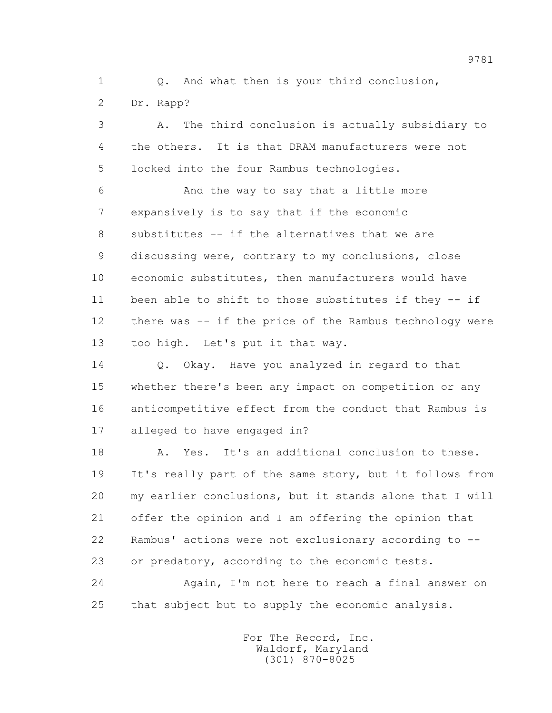1 0. And what then is your third conclusion,

2 Dr. Rapp?

 3 A. The third conclusion is actually subsidiary to 4 the others. It is that DRAM manufacturers were not 5 locked into the four Rambus technologies. 6 And the way to say that a little more 7 expansively is to say that if the economic 8 substitutes -- if the alternatives that we are 9 discussing were, contrary to my conclusions, close 10 economic substitutes, then manufacturers would have 11 been able to shift to those substitutes if they -- if 12 there was -- if the price of the Rambus technology were 13 too high. Let's put it that way.

 14 Q. Okay. Have you analyzed in regard to that 15 whether there's been any impact on competition or any 16 anticompetitive effect from the conduct that Rambus is 17 alleged to have engaged in?

 18 A. Yes. It's an additional conclusion to these. 19 It's really part of the same story, but it follows from 20 my earlier conclusions, but it stands alone that I will 21 offer the opinion and I am offering the opinion that 22 Rambus' actions were not exclusionary according to -- 23 or predatory, according to the economic tests.

 24 Again, I'm not here to reach a final answer on 25 that subject but to supply the economic analysis.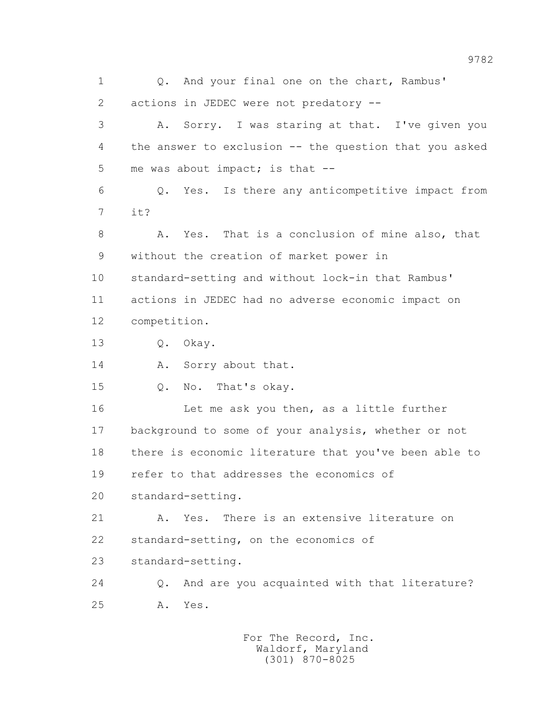1 0. And your final one on the chart, Rambus' 2 actions in JEDEC were not predatory -- 3 A. Sorry. I was staring at that. I've given you 4 the answer to exclusion -- the question that you asked 5 me was about impact; is that -- 6 Q. Yes. Is there any anticompetitive impact from 7 it? 8 A. Yes. That is a conclusion of mine also, that 9 without the creation of market power in 10 standard-setting and without lock-in that Rambus' 11 actions in JEDEC had no adverse economic impact on 12 competition. 13 Q. Okay. 14 A. Sorry about that. 15 Q. No. That's okay. 16 Let me ask you then, as a little further 17 background to some of your analysis, whether or not 18 there is economic literature that you've been able to 19 refer to that addresses the economics of 20 standard-setting. 21 A. Yes. There is an extensive literature on 22 standard-setting, on the economics of 23 standard-setting. 24 Q. And are you acquainted with that literature? 25 A. Yes.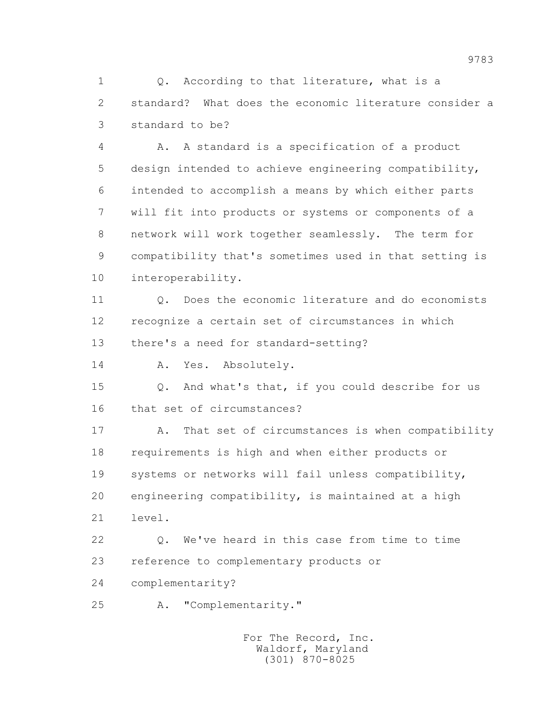1 0. According to that literature, what is a 2 standard? What does the economic literature consider a 3 standard to be?

 4 A. A standard is a specification of a product 5 design intended to achieve engineering compatibility, 6 intended to accomplish a means by which either parts 7 will fit into products or systems or components of a 8 network will work together seamlessly. The term for 9 compatibility that's sometimes used in that setting is 10 interoperability.

 11 Q. Does the economic literature and do economists 12 recognize a certain set of circumstances in which 13 there's a need for standard-setting?

14 A. Yes. Absolutely.

 15 Q. And what's that, if you could describe for us 16 that set of circumstances?

 17 A. That set of circumstances is when compatibility 18 requirements is high and when either products or 19 systems or networks will fail unless compatibility, 20 engineering compatibility, is maintained at a high 21 level.

 22 Q. We've heard in this case from time to time 23 reference to complementary products or

24 complementarity?

25 A. "Complementarity."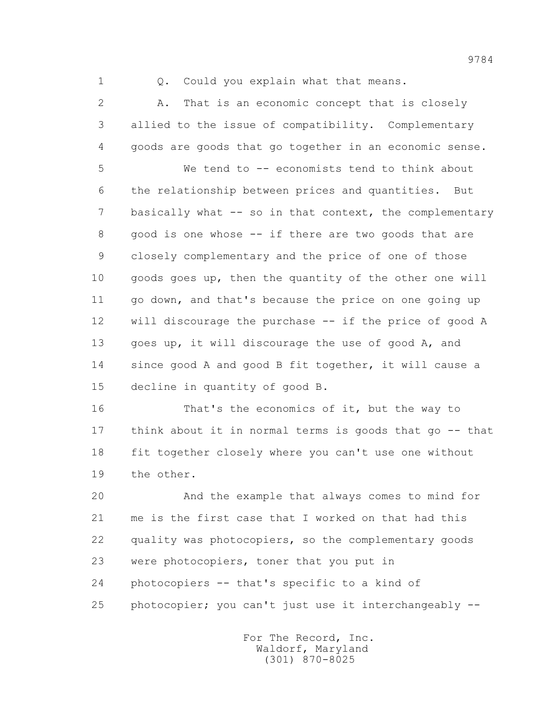1 0. Could you explain what that means.

 2 A. That is an economic concept that is closely 3 allied to the issue of compatibility. Complementary 4 goods are goods that go together in an economic sense.

 5 We tend to -- economists tend to think about 6 the relationship between prices and quantities. But 7 basically what -- so in that context, the complementary 8 good is one whose -- if there are two goods that are 9 closely complementary and the price of one of those 10 goods goes up, then the quantity of the other one will 11 go down, and that's because the price on one going up 12 will discourage the purchase -- if the price of good A 13 goes up, it will discourage the use of good A, and 14 since good A and good B fit together, it will cause a 15 decline in quantity of good B.

 16 That's the economics of it, but the way to 17 think about it in normal terms is goods that go -- that 18 fit together closely where you can't use one without 19 the other.

 20 And the example that always comes to mind for 21 me is the first case that I worked on that had this 22 quality was photocopiers, so the complementary goods 23 were photocopiers, toner that you put in 24 photocopiers -- that's specific to a kind of 25 photocopier; you can't just use it interchangeably --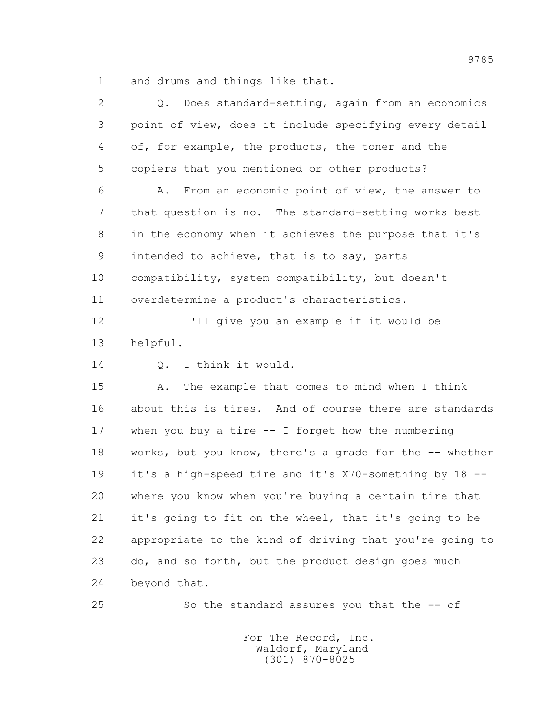1 and drums and things like that.

| $\overline{2}$ | Does standard-setting, again from an economics<br>$Q$ . |
|----------------|---------------------------------------------------------|
| 3              | point of view, does it include specifying every detail  |
| 4              | of, for example, the products, the toner and the        |
| 5              | copiers that you mentioned or other products?           |
| 6              | From an economic point of view, the answer to<br>Α.     |
| 7              | that question is no. The standard-setting works best    |
| 8              | in the economy when it achieves the purpose that it's   |
| 9              | intended to achieve, that is to say, parts              |
| 10             | compatibility, system compatibility, but doesn't        |
| 11             | overdetermine a product's characteristics.              |
| 12             | I'll give you an example if it would be                 |
| 13             | helpful.                                                |
| 14             | I think it would.<br>Q.                                 |
| 15             | The example that comes to mind when I think<br>Α.       |
| 16             | about this is tires. And of course there are standards  |
| 17             | when you buy a tire $-$ I forget how the numbering      |
| 18             | works, but you know, there's a grade for the -- whether |
| 19             | it's a high-speed tire and it's X70-something by 18 --  |
| 20             | where you know when you're buying a certain tire that   |
| 21             | it's going to fit on the wheel, that it's going to be   |
| 22             | appropriate to the kind of driving that you're going to |
| 23             | do, and so forth, but the product design goes much      |
| 24             | beyond that.                                            |
| 25             | So the standard assures you that the -- of              |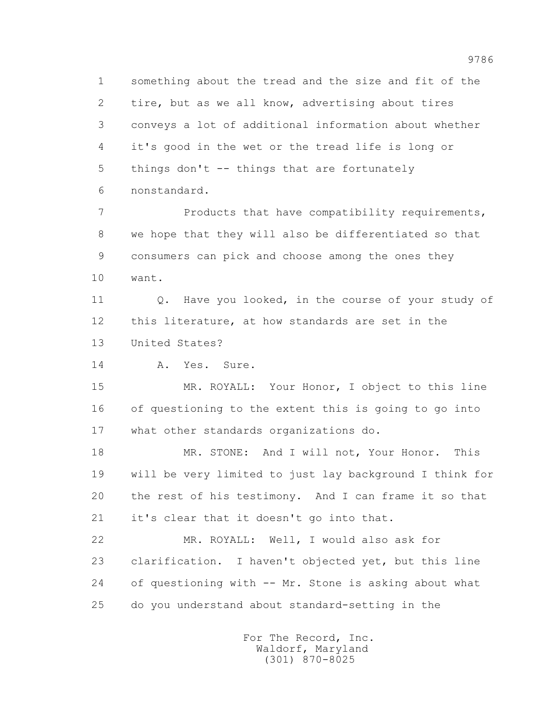1 something about the tread and the size and fit of the 2 tire, but as we all know, advertising about tires 3 conveys a lot of additional information about whether 4 it's good in the wet or the tread life is long or 5 things don't -- things that are fortunately 6 nonstandard.

7 Products that have compatibility requirements, 8 we hope that they will also be differentiated so that 9 consumers can pick and choose among the ones they 10 want.

11 0. Have you looked, in the course of your study of 12 this literature, at how standards are set in the 13 United States?

14 A. Yes. Sure.

 15 MR. ROYALL: Your Honor, I object to this line 16 of questioning to the extent this is going to go into 17 what other standards organizations do.

 18 MR. STONE: And I will not, Your Honor. This 19 will be very limited to just lay background I think for 20 the rest of his testimony. And I can frame it so that 21 it's clear that it doesn't go into that.

 22 MR. ROYALL: Well, I would also ask for 23 clarification. I haven't objected yet, but this line 24 of questioning with -- Mr. Stone is asking about what 25 do you understand about standard-setting in the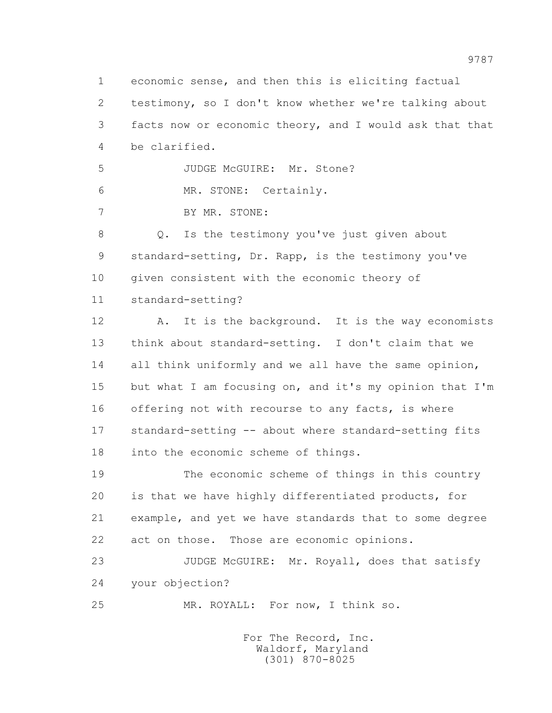1 economic sense, and then this is eliciting factual 2 testimony, so I don't know whether we're talking about 3 facts now or economic theory, and I would ask that that 4 be clarified. 5 JUDGE McGUIRE: Mr. Stone? 6 MR. STONE: Certainly. 7 BY MR. STONE: 8 Q. Is the testimony you've just given about 9 standard-setting, Dr. Rapp, is the testimony you've 10 given consistent with the economic theory of 11 standard-setting? 12 A. It is the background. It is the way economists 13 think about standard-setting. I don't claim that we 14 all think uniformly and we all have the same opinion, 15 but what I am focusing on, and it's my opinion that I'm 16 offering not with recourse to any facts, is where 17 standard-setting -- about where standard-setting fits 18 into the economic scheme of things. 19 The economic scheme of things in this country 20 is that we have highly differentiated products, for 21 example, and yet we have standards that to some degree 22 act on those. Those are economic opinions.

23 JUDGE McGUIRE: Mr. Royall, does that satisfy 24 your objection?

25 MR. ROYALL: For now, I think so.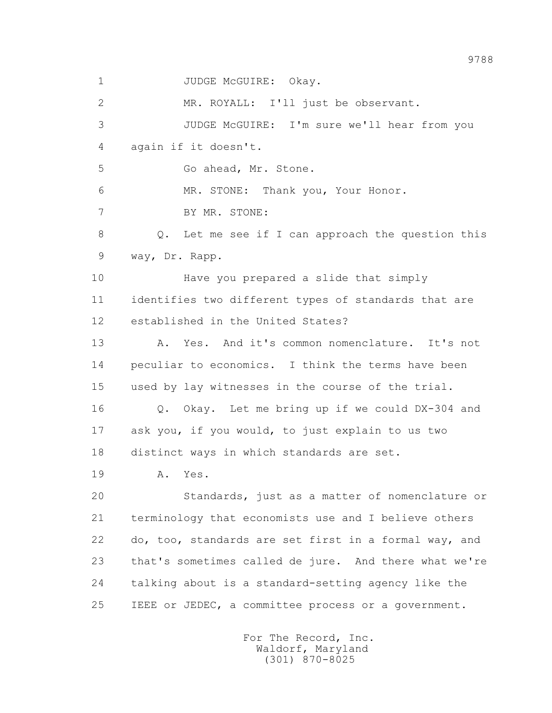1 JUDGE McGUIRE: Okav.

 2 MR. ROYALL: I'll just be observant. 3 JUDGE McGUIRE: I'm sure we'll hear from you 4 again if it doesn't. 5 Go ahead, Mr. Stone. 6 MR. STONE: Thank you, Your Honor. 7 BY MR. STONE: 8 Q. Let me see if I can approach the question this 9 way, Dr. Rapp. 10 Have you prepared a slide that simply 11 identifies two different types of standards that are 12 established in the United States? 13 A. Yes. And it's common nomenclature. It's not 14 peculiar to economics. I think the terms have been 15 used by lay witnesses in the course of the trial. 16 Q. Okay. Let me bring up if we could DX-304 and 17 ask you, if you would, to just explain to us two 18 distinct ways in which standards are set. 19 A. Yes. 20 Standards, just as a matter of nomenclature or 21 terminology that economists use and I believe others 22 do, too, standards are set first in a formal way, and 23 that's sometimes called de jure. And there what we're 24 talking about is a standard-setting agency like the 25 IEEE or JEDEC, a committee process or a government.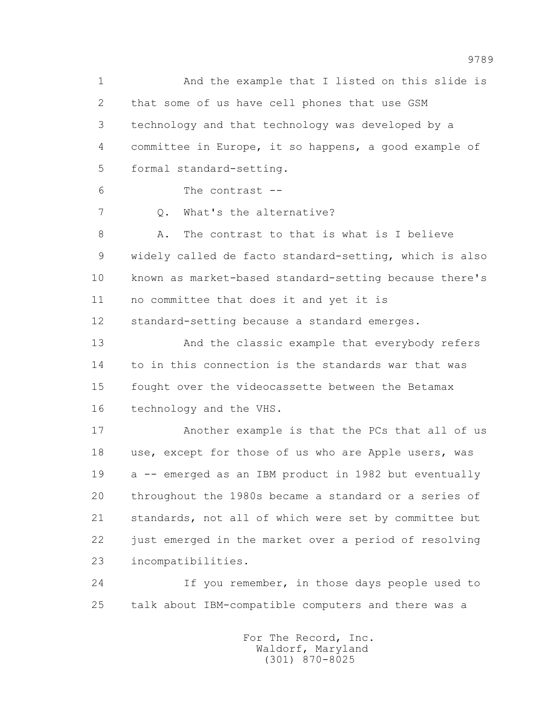1 And the example that I listed on this slide is 2 that some of us have cell phones that use GSM 3 technology and that technology was developed by a 4 committee in Europe, it so happens, a good example of 5 formal standard-setting. 6 The contrast -- 7 0. What's the alternative? 8 A. The contrast to that is what is I believe 9 widely called de facto standard-setting, which is also 10 known as market-based standard-setting because there's 11 no committee that does it and yet it is 12 standard-setting because a standard emerges. 13 And the classic example that everybody refers 14 to in this connection is the standards war that was 15 fought over the videocassette between the Betamax 16 technology and the VHS. 17 Another example is that the PCs that all of us 18 use, except for those of us who are Apple users, was 19 a -- emerged as an IBM product in 1982 but eventually 20 throughout the 1980s became a standard or a series of 21 standards, not all of which were set by committee but 22 just emerged in the market over a period of resolving 23 incompatibilities. 24 If you remember, in those days people used to

25 talk about IBM-compatible computers and there was a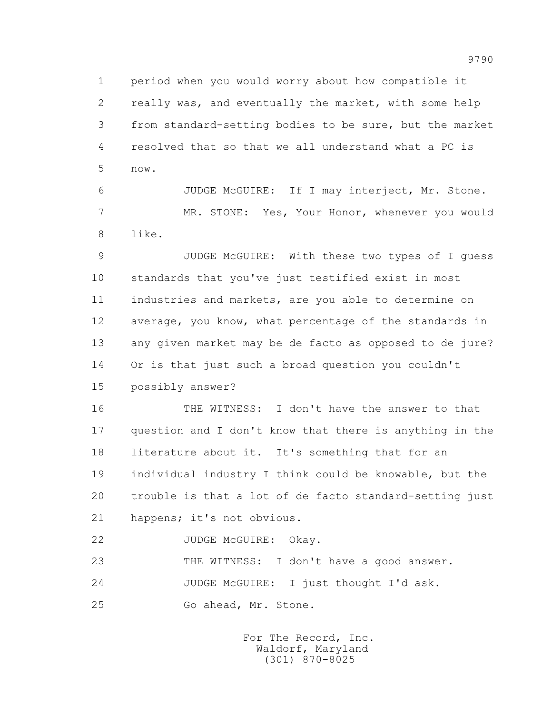1 period when you would worry about how compatible it 2 really was, and eventually the market, with some help 3 from standard-setting bodies to be sure, but the market 4 resolved that so that we all understand what a PC is 5 now.

 6 JUDGE McGUIRE: If I may interject, Mr. Stone. 7 MR. STONE: Yes, Your Honor, whenever you would 8 like.

 9 JUDGE McGUIRE: With these two types of I guess 10 standards that you've just testified exist in most 11 industries and markets, are you able to determine on 12 average, you know, what percentage of the standards in 13 any given market may be de facto as opposed to de jure? 14 Or is that just such a broad question you couldn't 15 possibly answer?

 16 THE WITNESS: I don't have the answer to that 17 question and I don't know that there is anything in the 18 literature about it. It's something that for an 19 individual industry I think could be knowable, but the 20 trouble is that a lot of de facto standard-setting just 21 happens; it's not obvious.

22 JUDGE McGUIRE: Okay.

23 THE WITNESS: I don't have a good answer.

24 JUDGE McGUIRE: I just thought I'd ask.

25 Go ahead, Mr. Stone.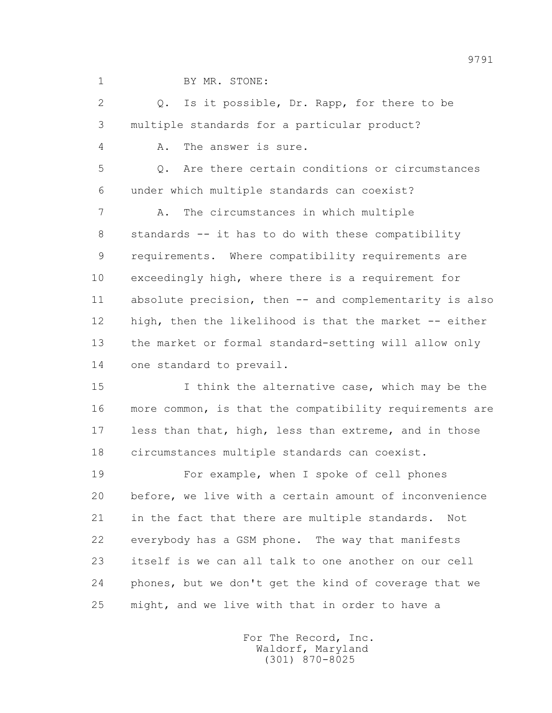1 BY MR. STONE:

 2 Q. Is it possible, Dr. Rapp, for there to be 3 multiple standards for a particular product?

4 A. The answer is sure.

 5 Q. Are there certain conditions or circumstances 6 under which multiple standards can coexist?

 7 A. The circumstances in which multiple 8 standards -- it has to do with these compatibility 9 requirements. Where compatibility requirements are 10 exceedingly high, where there is a requirement for 11 absolute precision, then -- and complementarity is also 12 high, then the likelihood is that the market -- either 13 the market or formal standard-setting will allow only 14 one standard to prevail.

 15 I think the alternative case, which may be the 16 more common, is that the compatibility requirements are 17 less than that, high, less than extreme, and in those 18 circumstances multiple standards can coexist.

 19 For example, when I spoke of cell phones 20 before, we live with a certain amount of inconvenience 21 in the fact that there are multiple standards. Not 22 everybody has a GSM phone. The way that manifests 23 itself is we can all talk to one another on our cell 24 phones, but we don't get the kind of coverage that we 25 might, and we live with that in order to have a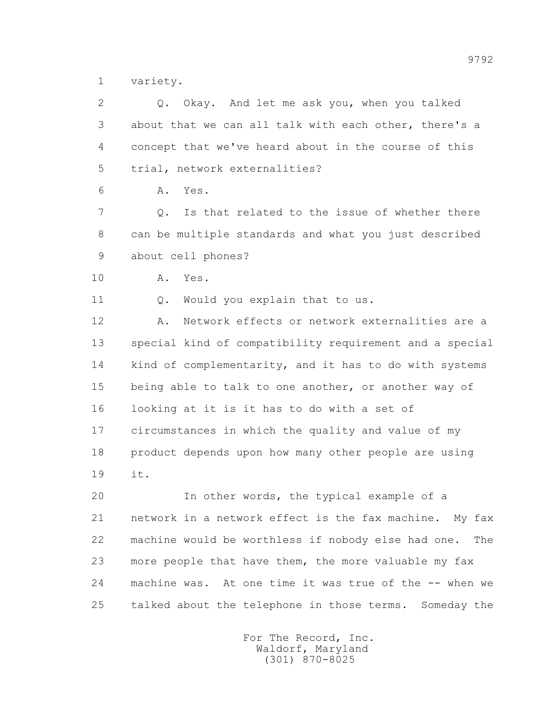1 variety.

| $\overline{2}$ | Okay. And let me ask you, when you talked<br>Q.           |
|----------------|-----------------------------------------------------------|
| 3              | about that we can all talk with each other, there's a     |
| 4              | concept that we've heard about in the course of this      |
| 5              | trial, network externalities?                             |
| 6              | Yes.<br>Α.                                                |
| 7              | Is that related to the issue of whether there<br>Q.       |
| 8              | can be multiple standards and what you just described     |
| 9              | about cell phones?                                        |
| 10             | Α.<br>Yes.                                                |
| 11             | Would you explain that to us.<br>$Q$ .                    |
| 12             | Network effects or network externalities are a<br>Α.      |
| 13             | special kind of compatibility requirement and a special   |
| 14             | kind of complementarity, and it has to do with systems    |
| 15             | being able to talk to one another, or another way of      |
| 16             | looking at it is it has to do with a set of               |
| 17             | circumstances in which the quality and value of my        |
| 18             | product depends upon how many other people are using      |
| 19             | it.                                                       |
| 20             | In other words, the typical example of a                  |
| 21             | network in a network effect is the fax machine. My fax    |
| 22             | machine would be worthless if nobody else had one.<br>The |
| 23             | more people that have them, the more valuable my fax      |
| 24             | machine was. At one time it was true of the -- when we    |
| 25             | talked about the telephone in those terms. Someday the    |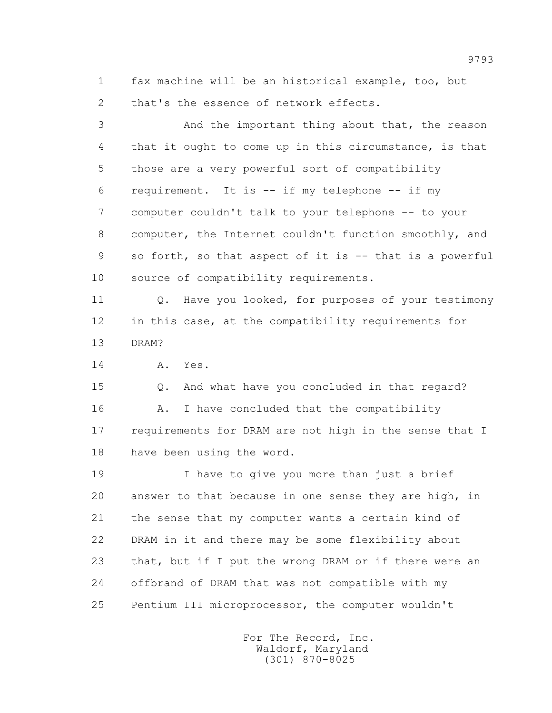1 fax machine will be an historical example, too, but 2 that's the essence of network effects.

 3 And the important thing about that, the reason 4 that it ought to come up in this circumstance, is that 5 those are a very powerful sort of compatibility 6 requirement. It is -- if my telephone -- if my 7 computer couldn't talk to your telephone -- to your 8 computer, the Internet couldn't function smoothly, and 9 so forth, so that aspect of it is -- that is a powerful 10 source of compatibility requirements. 11 Q. Have you looked, for purposes of your testimony 12 in this case, at the compatibility requirements for 13 DRAM? 14 A. Yes. 15 Q. And what have you concluded in that regard? 16 A. I have concluded that the compatibility 17 requirements for DRAM are not high in the sense that I 18 have been using the word. 19 I have to give you more than just a brief 20 answer to that because in one sense they are high, in 21 the sense that my computer wants a certain kind of 22 DRAM in it and there may be some flexibility about 23 that, but if I put the wrong DRAM or if there were an

25 Pentium III microprocessor, the computer wouldn't

24 offbrand of DRAM that was not compatible with my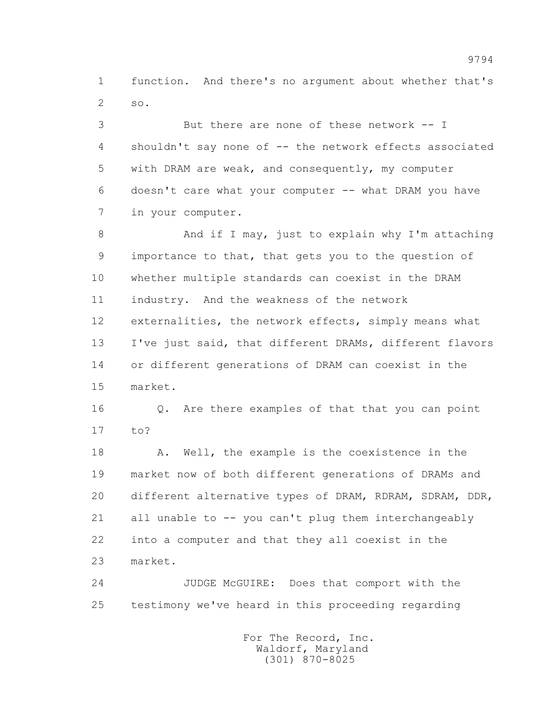1 function. And there's no argument about whether that's 2 so.

 3 But there are none of these network -- I 4 shouldn't say none of -- the network effects associated 5 with DRAM are weak, and consequently, my computer 6 doesn't care what your computer -- what DRAM you have 7 in your computer.

 8 And if I may, just to explain why I'm attaching 9 importance to that, that gets you to the question of 10 whether multiple standards can coexist in the DRAM 11 industry. And the weakness of the network 12 externalities, the network effects, simply means what 13 I've just said, that different DRAMs, different flavors 14 or different generations of DRAM can coexist in the 15 market.

 16 Q. Are there examples of that that you can point 17 to?

 18 A. Well, the example is the coexistence in the 19 market now of both different generations of DRAMs and 20 different alternative types of DRAM, RDRAM, SDRAM, DDR, 21 all unable to -- you can't plug them interchangeably 22 into a computer and that they all coexist in the 23 market.

 24 JUDGE McGUIRE: Does that comport with the 25 testimony we've heard in this proceeding regarding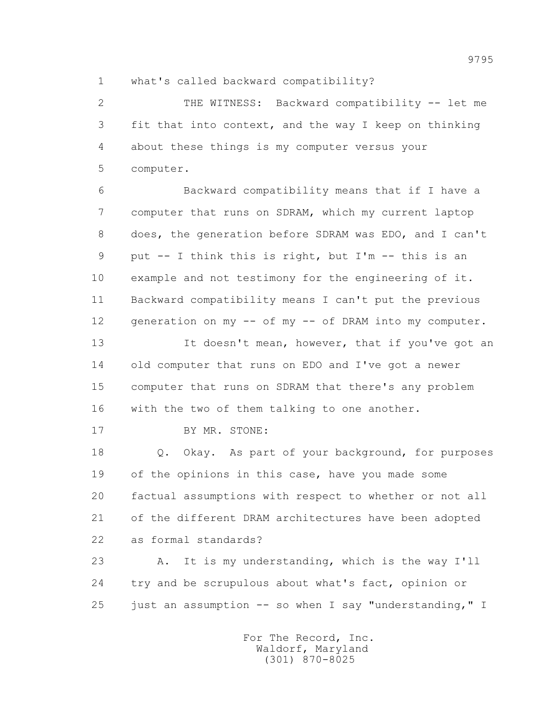1 what's called backward compatibility?

 2 THE WITNESS: Backward compatibility -- let me 3 fit that into context, and the way I keep on thinking 4 about these things is my computer versus your 5 computer.

 6 Backward compatibility means that if I have a 7 computer that runs on SDRAM, which my current laptop 8 does, the generation before SDRAM was EDO, and I can't 9 put -- I think this is right, but I'm -- this is an 10 example and not testimony for the engineering of it. 11 Backward compatibility means I can't put the previous 12 generation on my -- of my -- of DRAM into my computer.

13 It doesn't mean, however, that if you've got an 14 old computer that runs on EDO and I've got a newer 15 computer that runs on SDRAM that there's any problem 16 with the two of them talking to one another.

17 BY MR. STONE:

 18 Q. Okay. As part of your background, for purposes 19 of the opinions in this case, have you made some 20 factual assumptions with respect to whether or not all 21 of the different DRAM architectures have been adopted 22 as formal standards?

 23 A. It is my understanding, which is the way I'll 24 try and be scrupulous about what's fact, opinion or 25 just an assumption -- so when I say "understanding," I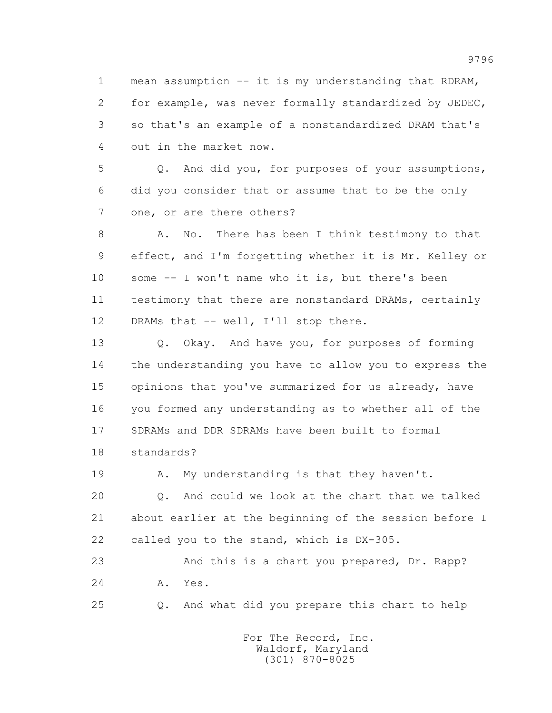1 mean assumption -- it is my understanding that RDRAM, 2 for example, was never formally standardized by JEDEC, 3 so that's an example of a nonstandardized DRAM that's 4 out in the market now.

 5 Q. And did you, for purposes of your assumptions, 6 did you consider that or assume that to be the only 7 one, or are there others?

 8 A. No. There has been I think testimony to that 9 effect, and I'm forgetting whether it is Mr. Kelley or 10 some -- I won't name who it is, but there's been 11 testimony that there are nonstandard DRAMs, certainly 12 DRAMs that -- well, I'll stop there.

 13 Q. Okay. And have you, for purposes of forming 14 the understanding you have to allow you to express the 15 opinions that you've summarized for us already, have 16 you formed any understanding as to whether all of the 17 SDRAMs and DDR SDRAMs have been built to formal 18 standards?

19 A. My understanding is that they haven't.

 20 Q. And could we look at the chart that we talked 21 about earlier at the beginning of the session before I 22 called you to the stand, which is DX-305.

 23 And this is a chart you prepared, Dr. Rapp? 24 A. Yes.

25 Q. And what did you prepare this chart to help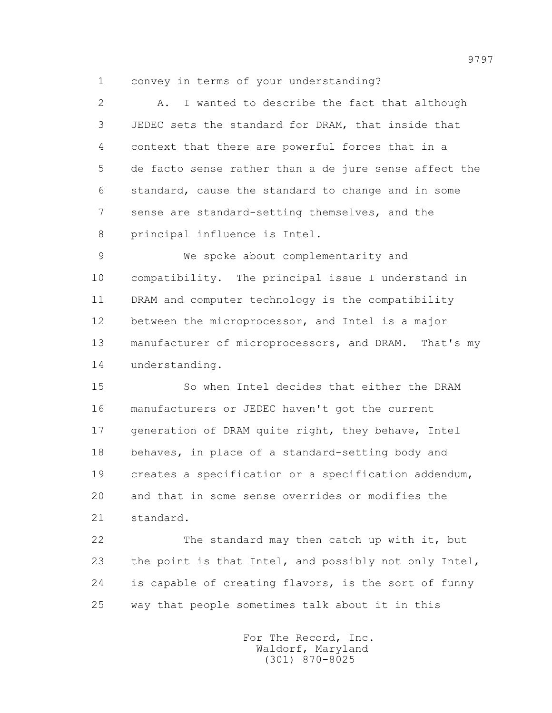1 convey in terms of your understanding?

 2 A. I wanted to describe the fact that although 3 JEDEC sets the standard for DRAM, that inside that 4 context that there are powerful forces that in a 5 de facto sense rather than a de jure sense affect the 6 standard, cause the standard to change and in some 7 sense are standard-setting themselves, and the 8 principal influence is Intel.

 9 We spoke about complementarity and 10 compatibility. The principal issue I understand in 11 DRAM and computer technology is the compatibility 12 between the microprocessor, and Intel is a major 13 manufacturer of microprocessors, and DRAM. That's my 14 understanding.

 15 So when Intel decides that either the DRAM 16 manufacturers or JEDEC haven't got the current 17 generation of DRAM quite right, they behave, Intel 18 behaves, in place of a standard-setting body and 19 creates a specification or a specification addendum, 20 and that in some sense overrides or modifies the 21 standard.

 22 The standard may then catch up with it, but 23 the point is that Intel, and possibly not only Intel, 24 is capable of creating flavors, is the sort of funny 25 way that people sometimes talk about it in this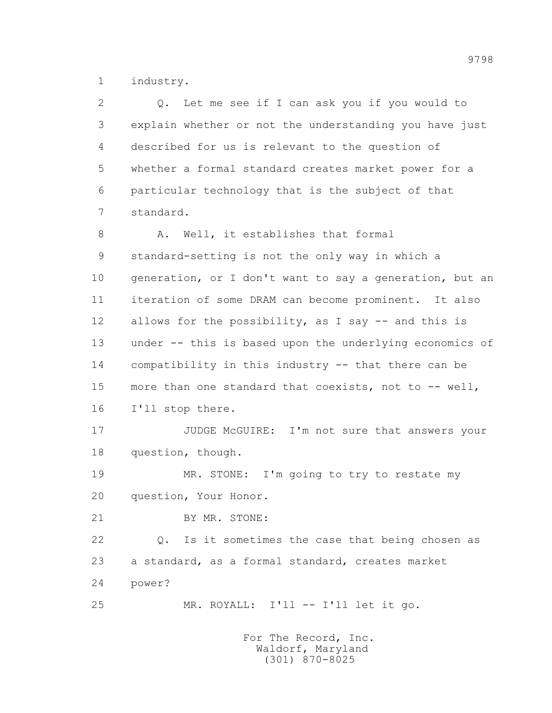1 industry.

| $\overline{2}$ | Let me see if I can ask you if you would to<br>Q.       |
|----------------|---------------------------------------------------------|
| 3              | explain whether or not the understanding you have just  |
| 4              | described for us is relevant to the question of         |
| 5              | whether a formal standard creates market power for a    |
| 6              | particular technology that is the subject of that       |
| 7              | standard.                                               |
| 8              | Well, it establishes that formal<br>Α.                  |
| 9              | standard-setting is not the only way in which a         |
| 10             | generation, or I don't want to say a generation, but an |
| 11             | iteration of some DRAM can become prominent. It also    |
| 12             | allows for the possibility, as I say -- and this is     |
| 13             | under -- this is based upon the underlying economics of |
| 14             | compatibility in this industry -- that there can be     |
| 15             | more than one standard that coexists, not to -- well,   |
| 16             | I'll stop there.                                        |
| 17             | JUDGE McGUIRE: I'm not sure that answers your           |
| 18             | question, though.                                       |
| 19             | MR. STONE: I'm going to try to restate my               |
| 20             | question, Your Honor.                                   |
| 21             | BY MR. STONE:                                           |
| 22             | Q. Is it sometimes the case that being chosen as        |
| 23             | a standard, as a formal standard, creates market        |
| 24             | power?                                                  |
| 25             | MR. ROYALL: I'll -- I'll let it go.                     |
|                |                                                         |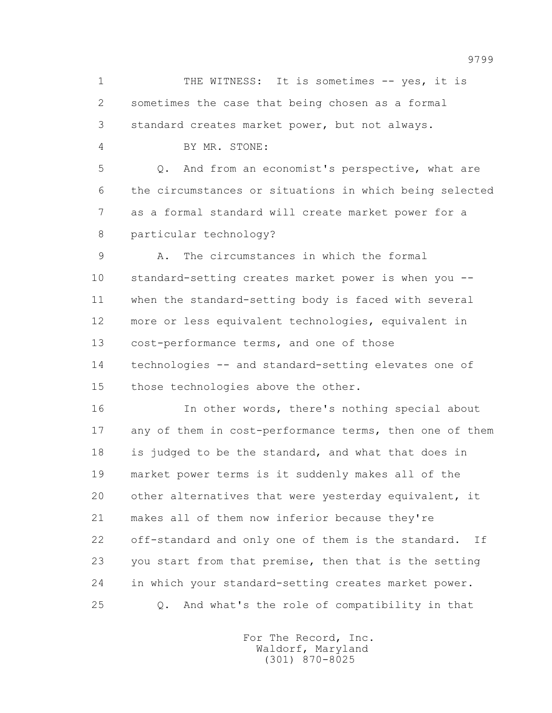1 THE WITNESS: It is sometimes -- yes, it is 2 sometimes the case that being chosen as a formal 3 standard creates market power, but not always.

4 BY MR. STONE:

 5 Q. And from an economist's perspective, what are 6 the circumstances or situations in which being selected 7 as a formal standard will create market power for a 8 particular technology?

 9 A. The circumstances in which the formal 10 standard-setting creates market power is when you -- 11 when the standard-setting body is faced with several 12 more or less equivalent technologies, equivalent in 13 cost-performance terms, and one of those 14 technologies -- and standard-setting elevates one of 15 those technologies above the other.

 16 In other words, there's nothing special about 17 any of them in cost-performance terms, then one of them 18 is judged to be the standard, and what that does in 19 market power terms is it suddenly makes all of the 20 other alternatives that were vesterday equivalent, it 21 makes all of them now inferior because they're 22 off-standard and only one of them is the standard. If 23 you start from that premise, then that is the setting 24 in which your standard-setting creates market power. 25 Q. And what's the role of compatibility in that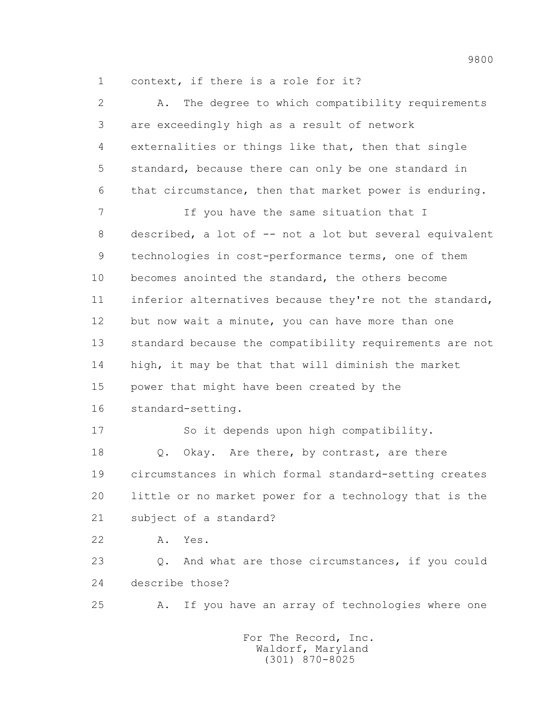1 context, if there is a role for it?

| $\overline{2}$ | The degree to which compatibility requirements<br>Α.        |
|----------------|-------------------------------------------------------------|
| 3              | are exceedingly high as a result of network                 |
| 4              | externalities or things like that, then that single         |
| 5              | standard, because there can only be one standard in         |
| 6              | that circumstance, then that market power is enduring.      |
| $\overline{7}$ | If you have the same situation that I                       |
| 8              | described, a lot of -- not a lot but several equivalent     |
| 9              | technologies in cost-performance terms, one of them         |
| 10             | becomes anointed the standard, the others become            |
| 11             | inferior alternatives because they're not the standard,     |
| 12             | but now wait a minute, you can have more than one           |
| 13             | standard because the compatibility requirements are not     |
| 14             | high, it may be that that will diminish the market          |
| 15             | power that might have been created by the                   |
| 16             | standard-setting.                                           |
| 17             | So it depends upon high compatibility.                      |
| 18             | Okay. Are there, by contrast, are there<br>Q.               |
| 19             | circumstances in which formal standard-setting creates      |
| 20             | little or no market power for a technology that is the      |
| 21             | subject of a standard?                                      |
| 22             | Yes.<br>Α.                                                  |
| 23             | And what are those circumstances, if you could<br>$\circ$ . |
| 24             | describe those?                                             |
| 25             | If you have an array of technologies where one<br>Α.        |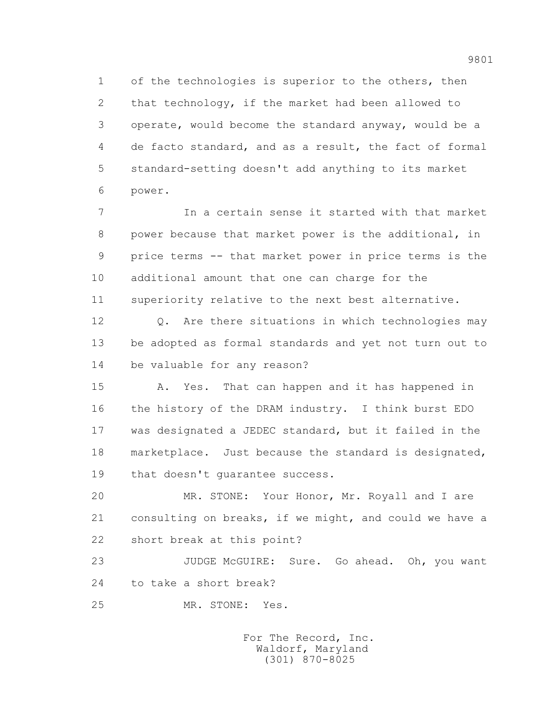1 of the technologies is superior to the others, then 2 that technology, if the market had been allowed to 3 operate, would become the standard anyway, would be a 4 de facto standard, and as a result, the fact of formal 5 standard-setting doesn't add anything to its market 6 power.

 7 In a certain sense it started with that market 8 power because that market power is the additional, in 9 price terms -- that market power in price terms is the 10 additional amount that one can charge for the 11 superiority relative to the next best alternative.

 12 Q. Are there situations in which technologies may 13 be adopted as formal standards and yet not turn out to 14 be valuable for any reason?

 15 A. Yes. That can happen and it has happened in 16 the history of the DRAM industry. I think burst EDO 17 was designated a JEDEC standard, but it failed in the 18 marketplace. Just because the standard is designated, 19 that doesn't guarantee success.

 20 MR. STONE: Your Honor, Mr. Royall and I are 21 consulting on breaks, if we might, and could we have a 22 short break at this point?

 23 JUDGE McGUIRE: Sure. Go ahead. Oh, you want 24 to take a short break?

25 MR. STONE: Yes.

 For The Record, Inc. Waldorf, Maryland (301) 870-8025

9801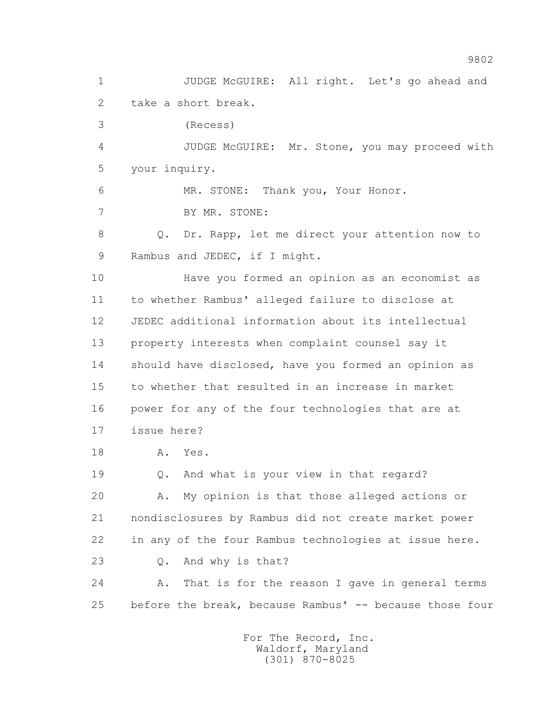1 JUDGE McGUIRE: All right. Let's go ahead and 2 take a short break. 3 (Recess) 4 JUDGE McGUIRE: Mr. Stone, you may proceed with 5 your inquiry. 6 MR. STONE: Thank you, Your Honor. 7 BY MR. STONE: 8 Q. Dr. Rapp, let me direct your attention now to 9 Rambus and JEDEC, if I might. 10 Have you formed an opinion as an economist as 11 to whether Rambus' alleged failure to disclose at 12 JEDEC additional information about its intellectual 13 property interests when complaint counsel say it 14 should have disclosed, have you formed an opinion as 15 to whether that resulted in an increase in market 16 power for any of the four technologies that are at 17 issue here? 18 A. Yes. 19 Q. And what is your view in that regard? 20 A. My opinion is that those alleged actions or 21 nondisclosures by Rambus did not create market power 22 in any of the four Rambus technologies at issue here. 23 Q. And why is that? 24 A. That is for the reason I gave in general terms 25 before the break, because Rambus' -- because those four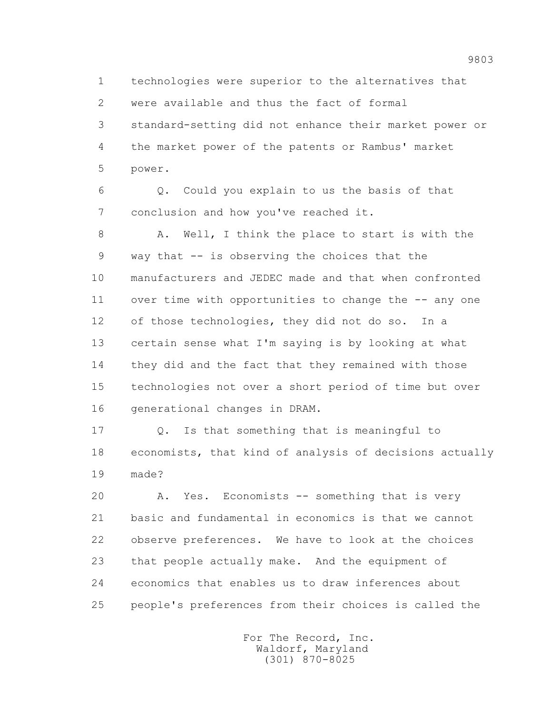1 technologies were superior to the alternatives that 2 were available and thus the fact of formal 3 standard-setting did not enhance their market power or 4 the market power of the patents or Rambus' market

5 power.

 6 Q. Could you explain to us the basis of that 7 conclusion and how you've reached it.

 8 A. Well, I think the place to start is with the 9 way that -- is observing the choices that the 10 manufacturers and JEDEC made and that when confronted 11 over time with opportunities to change the -- any one 12 of those technologies, they did not do so. In a 13 certain sense what I'm saying is by looking at what 14 they did and the fact that they remained with those 15 technologies not over a short period of time but over 16 generational changes in DRAM.

 17 Q. Is that something that is meaningful to 18 economists, that kind of analysis of decisions actually 19 made?

 20 A. Yes. Economists -- something that is very 21 basic and fundamental in economics is that we cannot 22 observe preferences. We have to look at the choices 23 that people actually make. And the equipment of 24 economics that enables us to draw inferences about 25 people's preferences from their choices is called the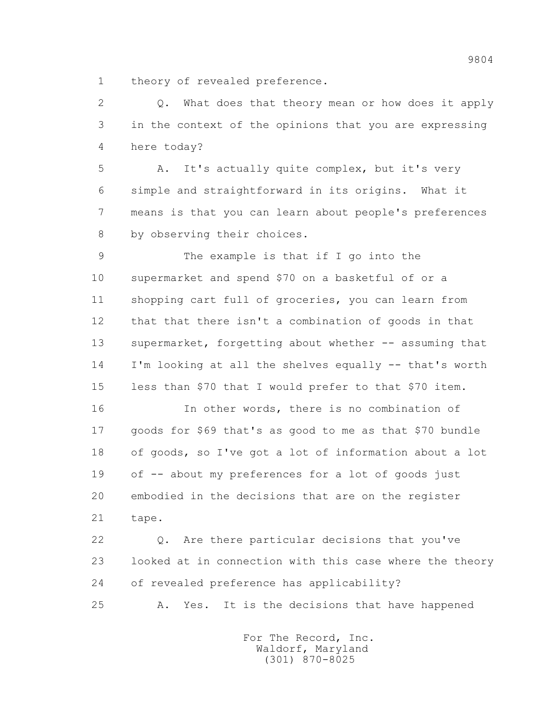1 theory of revealed preference.

 2 Q. What does that theory mean or how does it apply 3 in the context of the opinions that you are expressing 4 here today?

 5 A. It's actually quite complex, but it's very 6 simple and straightforward in its origins. What it 7 means is that you can learn about people's preferences 8 by observing their choices.

 9 The example is that if I go into the 10 supermarket and spend \$70 on a basketful of or a 11 shopping cart full of groceries, you can learn from 12 that that there isn't a combination of goods in that 13 supermarket, forgetting about whether -- assuming that 14 I'm looking at all the shelves equally -- that's worth 15 less than \$70 that I would prefer to that \$70 item.

 16 In other words, there is no combination of 17 goods for \$69 that's as good to me as that \$70 bundle 18 of goods, so I've got a lot of information about a lot 19 of -- about my preferences for a lot of goods just 20 embodied in the decisions that are on the register 21 tape.

 22 Q. Are there particular decisions that you've 23 looked at in connection with this case where the theory 24 of revealed preference has applicability? 25 A. Yes. It is the decisions that have happened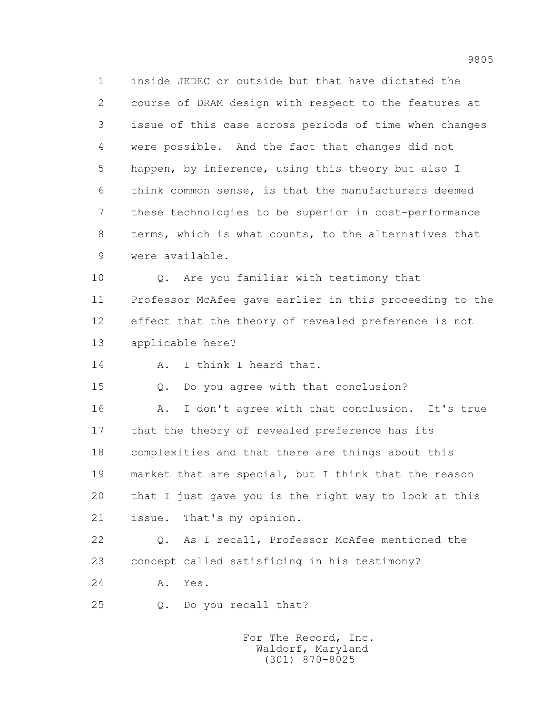1 inside JEDEC or outside but that have dictated the 2 course of DRAM design with respect to the features at 3 issue of this case across periods of time when changes 4 were possible. And the fact that changes did not 5 happen, by inference, using this theory but also I 6 think common sense, is that the manufacturers deemed 7 these technologies to be superior in cost-performance 8 terms, which is what counts, to the alternatives that 9 were available.

 10 Q. Are you familiar with testimony that 11 Professor McAfee gave earlier in this proceeding to the 12 effect that the theory of revealed preference is not 13 applicable here?

14 A. I think I heard that.

15 Q. Do you agree with that conclusion?

16 A. I don't agree with that conclusion. It's true 17 that the theory of revealed preference has its 18 complexities and that there are things about this 19 market that are special, but I think that the reason 20 that I just gave you is the right way to look at this 21 issue. That's my opinion.

 22 Q. As I recall, Professor McAfee mentioned the 23 concept called satisficing in his testimony?

24 A. Yes.

25 Q. Do you recall that?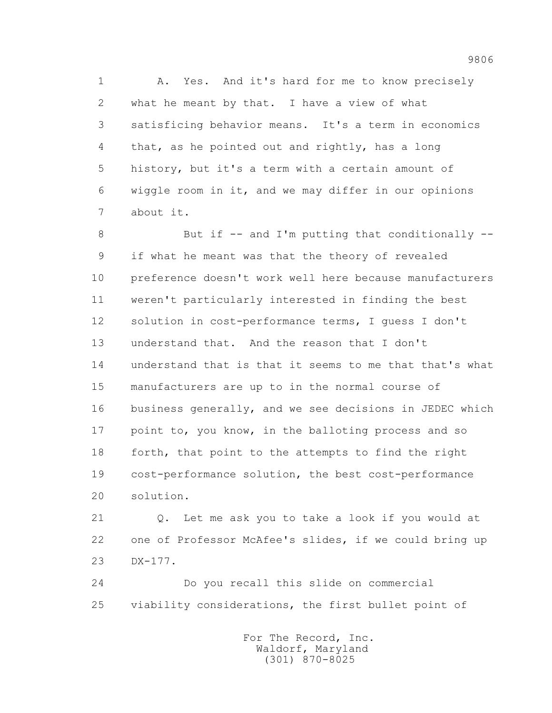1 A. Yes. And it's hard for me to know precisely 2 what he meant by that. I have a view of what 3 satisficing behavior means. It's a term in economics 4 that, as he pointed out and rightly, has a long 5 history, but it's a term with a certain amount of 6 wiggle room in it, and we may differ in our opinions 7 about it.

8 But if -- and I'm putting that conditionally -- 9 if what he meant was that the theory of revealed 10 preference doesn't work well here because manufacturers 11 weren't particularly interested in finding the best 12 solution in cost-performance terms, I guess I don't 13 understand that. And the reason that I don't 14 understand that is that it seems to me that that's what 15 manufacturers are up to in the normal course of 16 business generally, and we see decisions in JEDEC which 17 point to, you know, in the balloting process and so 18 forth, that point to the attempts to find the right 19 cost-performance solution, the best cost-performance 20 solution.

 21 Q. Let me ask you to take a look if you would at 22 one of Professor McAfee's slides, if we could bring up 23 DX-177.

 24 Do you recall this slide on commercial 25 viability considerations, the first bullet point of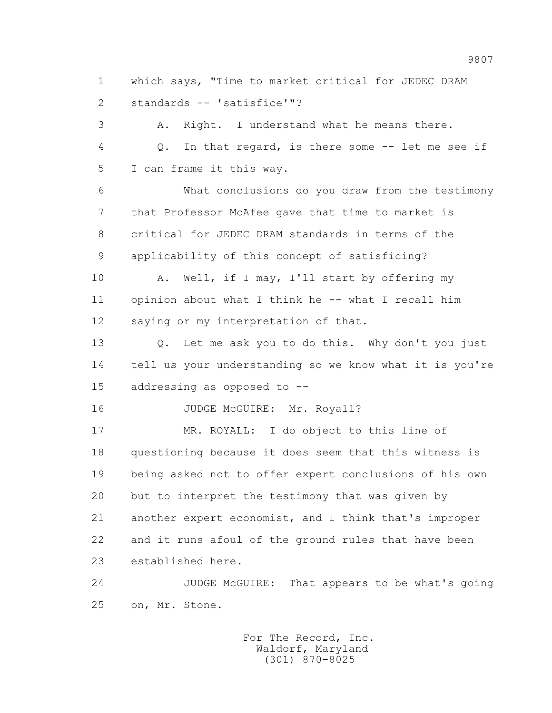1 which says, "Time to market critical for JEDEC DRAM 2 standards -- 'satisfice'"?

 3 A. Right. I understand what he means there. 4 Q. In that regard, is there some -- let me see if 5 I can frame it this way.

 6 What conclusions do you draw from the testimony 7 that Professor McAfee gave that time to market is 8 critical for JEDEC DRAM standards in terms of the 9 applicability of this concept of satisficing?

10 A. Well, if I may, I'll start by offering my 11 opinion about what I think he -- what I recall him 12 saying or my interpretation of that.

 13 Q. Let me ask you to do this. Why don't you just 14 tell us your understanding so we know what it is you're 15 addressing as opposed to --

16 JUDGE McGUIRE: Mr. Royall?

 17 MR. ROYALL: I do object to this line of 18 questioning because it does seem that this witness is 19 being asked not to offer expert conclusions of his own 20 but to interpret the testimony that was given by 21 another expert economist, and I think that's improper 22 and it runs afoul of the ground rules that have been 23 established here.

 24 JUDGE McGUIRE: That appears to be what's going 25 on, Mr. Stone.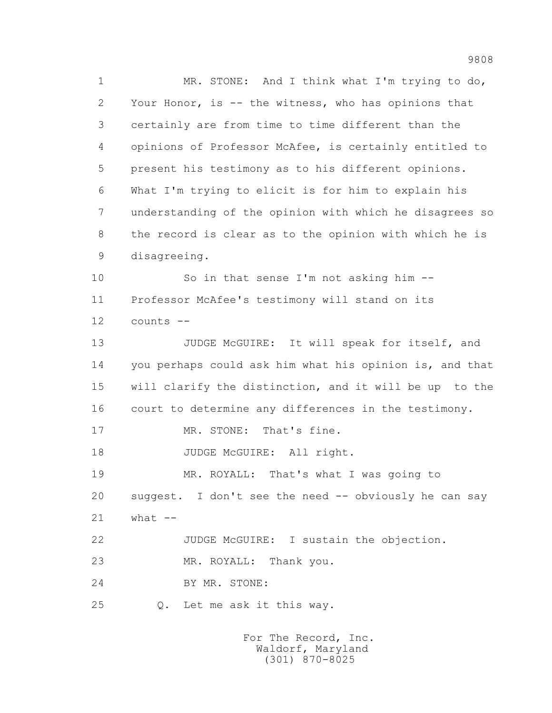1 MR. STONE: And I think what I'm trying to do, 2 Your Honor, is -- the witness, who has opinions that 3 certainly are from time to time different than the 4 opinions of Professor McAfee, is certainly entitled to 5 present his testimony as to his different opinions. 6 What I'm trying to elicit is for him to explain his 7 understanding of the opinion with which he disagrees so 8 the record is clear as to the opinion with which he is 9 disagreeing. 10 So in that sense I'm not asking him --

 11 Professor McAfee's testimony will stand on its 12 counts --

13 JUDGE McGUIRE: It will speak for itself, and 14 you perhaps could ask him what his opinion is, and that 15 will clarify the distinction, and it will be up to the 16 court to determine any differences in the testimony.

17 MR. STONE: That's fine.

18 JUDGE McGUIRE: All right.

19 MR. ROYALL: That's what I was going to

 20 suggest. I don't see the need -- obviously he can say 21 what --

22 JUDGE McGUIRE: I sustain the objection.

23 MR. ROYALL: Thank you.

24 BY MR. STONE:

25 Q. Let me ask it this way.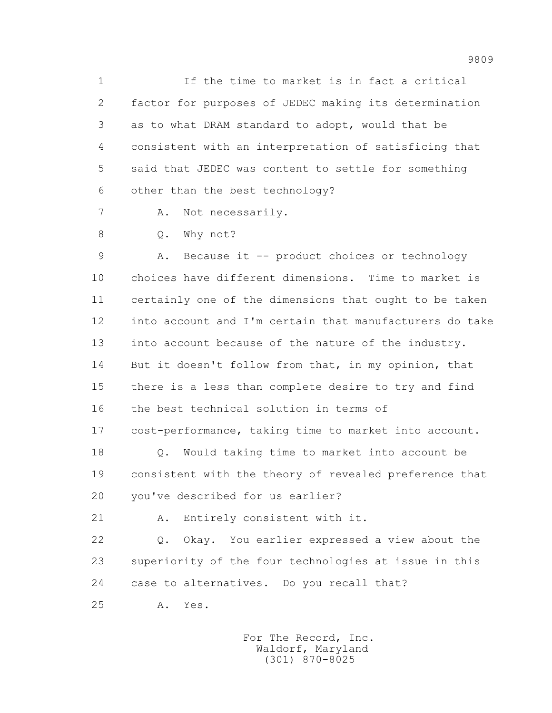1 If the time to market is in fact a critical 2 factor for purposes of JEDEC making its determination 3 as to what DRAM standard to adopt, would that be 4 consistent with an interpretation of satisficing that 5 said that JEDEC was content to settle for something 6 other than the best technology?

7 A. Not necessarily.

8 Q. Why not?

 9 A. Because it -- product choices or technology 10 choices have different dimensions. Time to market is 11 certainly one of the dimensions that ought to be taken 12 into account and I'm certain that manufacturers do take 13 into account because of the nature of the industry. 14 But it doesn't follow from that, in my opinion, that 15 there is a less than complete desire to try and find 16 the best technical solution in terms of 17 cost-performance, taking time to market into account.

 18 Q. Would taking time to market into account be 19 consistent with the theory of revealed preference that 20 you've described for us earlier?

21 A. Entirely consistent with it.

 22 Q. Okay. You earlier expressed a view about the 23 superiority of the four technologies at issue in this 24 case to alternatives. Do you recall that?

25 A. Yes.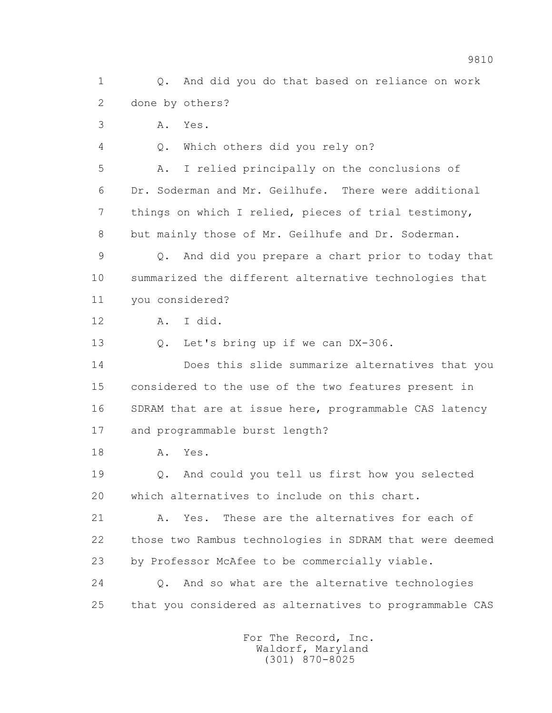1 Q. And did you do that based on reliance on work 2 done by others? 3 A. Yes. 4 Q. Which others did you rely on? 5 A. I relied principally on the conclusions of 6 Dr. Soderman and Mr. Geilhufe. There were additional 7 things on which I relied, pieces of trial testimony, 8 but mainly those of Mr. Geilhufe and Dr. Soderman. 9 Q. And did you prepare a chart prior to today that 10 summarized the different alternative technologies that 11 you considered? 12 A. I did. 13 Q. Let's bring up if we can DX-306. 14 Does this slide summarize alternatives that you 15 considered to the use of the two features present in 16 SDRAM that are at issue here, programmable CAS latency 17 and programmable burst length? 18 A. Yes. 19 Q. And could you tell us first how you selected 20 which alternatives to include on this chart. 21 A. Yes. These are the alternatives for each of 22 those two Rambus technologies in SDRAM that were deemed 23 by Professor McAfee to be commercially viable. 24 Q. And so what are the alternative technologies 25 that you considered as alternatives to programmable CAS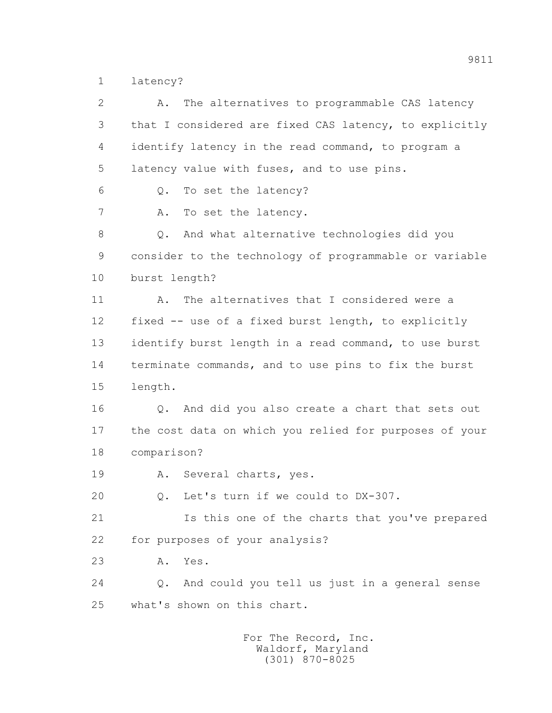1 latency?

| $\overline{2}$ | The alternatives to programmable CAS latency<br>Α.          |
|----------------|-------------------------------------------------------------|
| 3              | that I considered are fixed CAS latency, to explicitly      |
| 4              | identify latency in the read command, to program a          |
| 5              | latency value with fuses, and to use pins.                  |
| 6              | To set the latency?<br>$Q$ .                                |
| $\overline{7}$ | To set the latency.<br>Α.                                   |
| 8              | And what alternative technologies did you<br>$\mathsf{Q}$ . |
| 9              | consider to the technology of programmable or variable      |
| 10             | burst length?                                               |
| 11             | The alternatives that I considered were a<br>Α.             |
| 12             | fixed -- use of a fixed burst length, to explicitly         |
| 13             | identify burst length in a read command, to use burst       |
| 14             | terminate commands, and to use pins to fix the burst        |
| 15             | length.                                                     |
| 16             | And did you also create a chart that sets out<br>$Q$ .      |
| 17             | the cost data on which you relied for purposes of your      |
| 18             | comparison?                                                 |
| 19             | Several charts, yes.<br>Α.                                  |
| 20             | Q. Let's turn if we could to DX-307.                        |
| 21             | Is this one of the charts that you've prepared              |
| 22             | for purposes of your analysis?                              |
| 23             | Yes.<br>Α.                                                  |
| 24             | And could you tell us just in a general sense<br>Q.         |
| 25             | what's shown on this chart.                                 |
|                | For The Record, Inc.<br>Waldorf, Maryland                   |

(301) 870-8025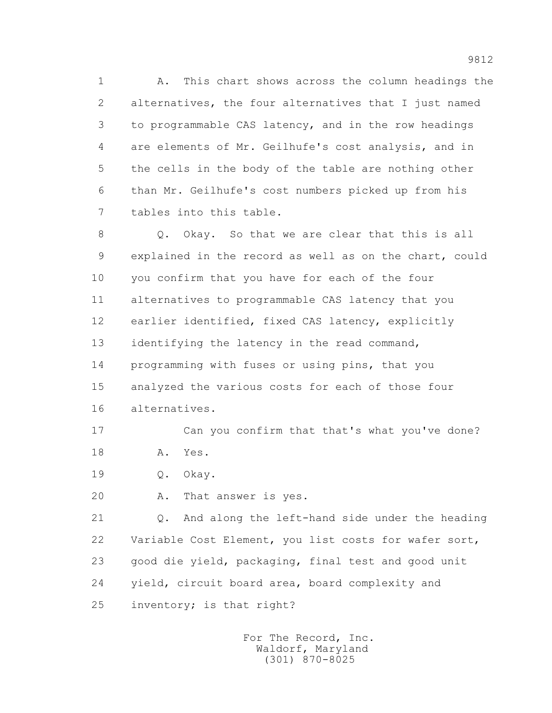1 A. This chart shows across the column headings the 2 alternatives, the four alternatives that I just named 3 to programmable CAS latency, and in the row headings 4 are elements of Mr. Geilhufe's cost analysis, and in 5 the cells in the body of the table are nothing other 6 than Mr. Geilhufe's cost numbers picked up from his 7 tables into this table.

 8 Q. Okay. So that we are clear that this is all 9 explained in the record as well as on the chart, could 10 you confirm that you have for each of the four 11 alternatives to programmable CAS latency that you 12 earlier identified, fixed CAS latency, explicitly 13 identifying the latency in the read command, 14 programming with fuses or using pins, that you 15 analyzed the various costs for each of those four 16 alternatives.

 17 Can you confirm that that's what you've done? 18 A. Yes.

19 Q. Okay.

20 A. That answer is yes.

 21 Q. And along the left-hand side under the heading 22 Variable Cost Element, you list costs for wafer sort, 23 good die yield, packaging, final test and good unit 24 yield, circuit board area, board complexity and 25 inventory; is that right?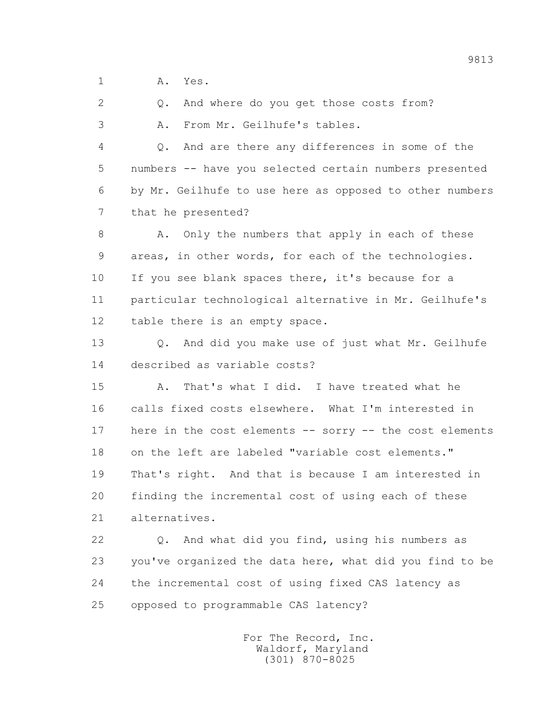1 A. Yes.

2 Q. And where do you get those costs from?

3 A. From Mr. Geilhufe's tables.

 4 Q. And are there any differences in some of the 5 numbers -- have you selected certain numbers presented 6 by Mr. Geilhufe to use here as opposed to other numbers 7 that he presented?

 8 A. Only the numbers that apply in each of these 9 areas, in other words, for each of the technologies. 10 If you see blank spaces there, it's because for a 11 particular technological alternative in Mr. Geilhufe's 12 table there is an empty space.

 13 Q. And did you make use of just what Mr. Geilhufe 14 described as variable costs?

 15 A. That's what I did. I have treated what he 16 calls fixed costs elsewhere. What I'm interested in 17 here in the cost elements -- sorry -- the cost elements 18 on the left are labeled "variable cost elements." 19 That's right. And that is because I am interested in 20 finding the incremental cost of using each of these 21 alternatives.

 22 Q. And what did you find, using his numbers as 23 you've organized the data here, what did you find to be 24 the incremental cost of using fixed CAS latency as 25 opposed to programmable CAS latency?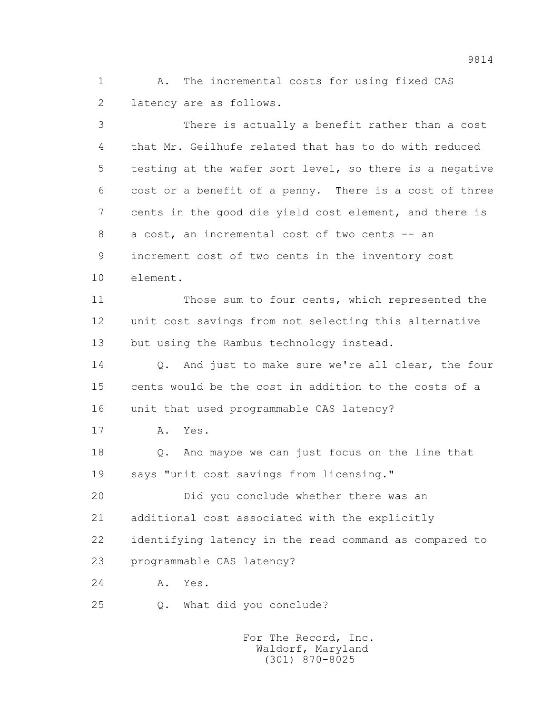1 A. The incremental costs for using fixed CAS 2 latency are as follows.

 3 There is actually a benefit rather than a cost 4 that Mr. Geilhufe related that has to do with reduced 5 testing at the wafer sort level, so there is a negative 6 cost or a benefit of a penny. There is a cost of three 7 cents in the good die yield cost element, and there is 8 a cost, an incremental cost of two cents -- an 9 increment cost of two cents in the inventory cost 10 element. 11 Those sum to four cents, which represented the 12 unit cost savings from not selecting this alternative 13 but using the Rambus technology instead. 14 Q. And just to make sure we're all clear, the four 15 cents would be the cost in addition to the costs of a 16 unit that used programmable CAS latency? 17 A. Yes. 18 Q. And maybe we can just focus on the line that 19 says "unit cost savings from licensing." 20 Did you conclude whether there was an 21 additional cost associated with the explicitly 22 identifying latency in the read command as compared to 23 programmable CAS latency? 24 A. Yes. 25 Q. What did you conclude?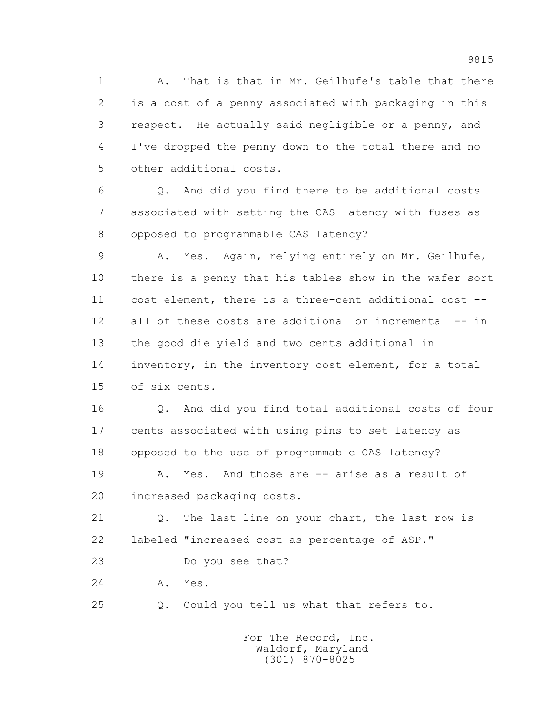1 A. That is that in Mr. Geilhufe's table that there 2 is a cost of a penny associated with packaging in this 3 respect. He actually said negligible or a penny, and 4 I've dropped the penny down to the total there and no 5 other additional costs.

 6 Q. And did you find there to be additional costs 7 associated with setting the CAS latency with fuses as 8 opposed to programmable CAS latency?

 9 A. Yes. Again, relying entirely on Mr. Geilhufe, 10 there is a penny that his tables show in the wafer sort 11 cost element, there is a three-cent additional cost -- 12 all of these costs are additional or incremental -- in 13 the good die yield and two cents additional in 14 inventory, in the inventory cost element, for a total 15 of six cents.

 16 Q. And did you find total additional costs of four 17 cents associated with using pins to set latency as 18 opposed to the use of programmable CAS latency?

19 A. Yes. And those are -- arise as a result of 20 increased packaging costs.

 21 Q. The last line on your chart, the last row is 22 labeled "increased cost as percentage of ASP."

23 Do you see that?

24 A. Yes.

25 Q. Could you tell us what that refers to.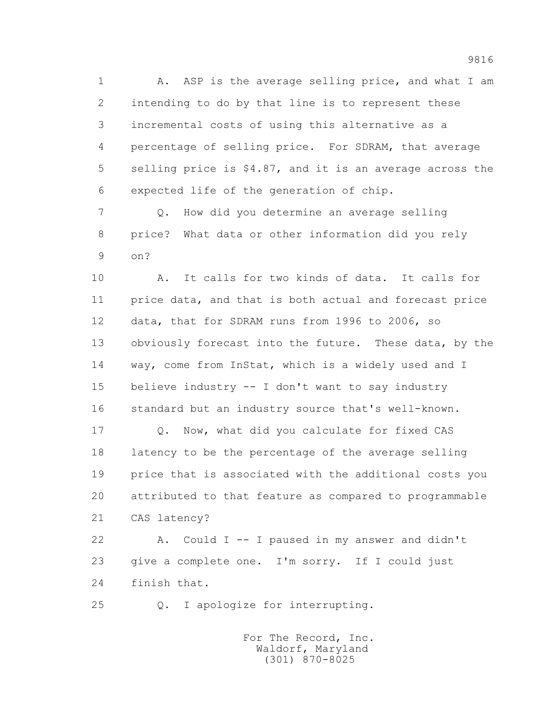1 A. ASP is the average selling price, and what I am 2 intending to do by that line is to represent these 3 incremental costs of using this alternative as a 4 percentage of selling price. For SDRAM, that average 5 selling price is \$4.87, and it is an average across the 6 expected life of the generation of chip.

 7 Q. How did you determine an average selling 8 price? What data or other information did you rely 9 on?

 10 A. It calls for two kinds of data. It calls for 11 price data, and that is both actual and forecast price 12 data, that for SDRAM runs from 1996 to 2006, so 13 obviously forecast into the future. These data, by the 14 way, come from InStat, which is a widely used and I 15 believe industry -- I don't want to say industry 16 standard but an industry source that's well-known.

 17 Q. Now, what did you calculate for fixed CAS 18 latency to be the percentage of the average selling 19 price that is associated with the additional costs you 20 attributed to that feature as compared to programmable 21 CAS latency?

 22 A. Could I -- I paused in my answer and didn't 23 give a complete one. I'm sorry. If I could just 24 finish that.

25 Q. I apologize for interrupting.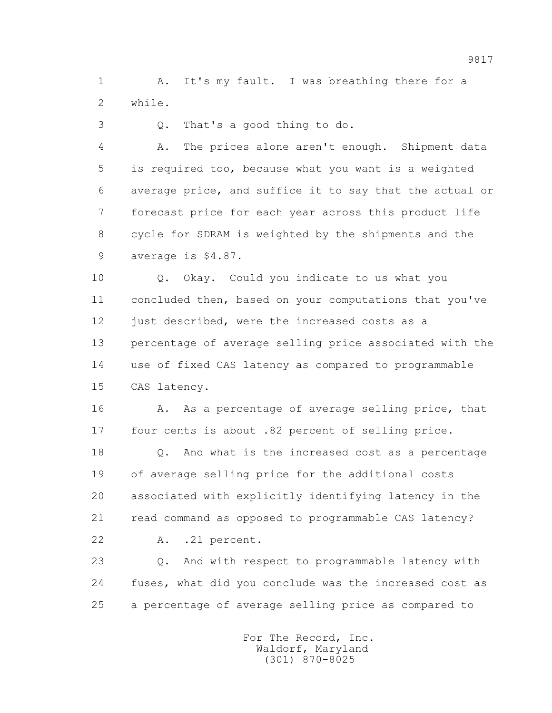1 A. It's my fault. I was breathing there for a 2 while.

3 Q. That's a good thing to do.

 4 A. The prices alone aren't enough. Shipment data 5 is required too, because what you want is a weighted 6 average price, and suffice it to say that the actual or 7 forecast price for each year across this product life 8 cycle for SDRAM is weighted by the shipments and the 9 average is \$4.87.

 10 Q. Okay. Could you indicate to us what you 11 concluded then, based on your computations that you've 12 just described, were the increased costs as a 13 percentage of average selling price associated with the 14 use of fixed CAS latency as compared to programmable 15 CAS latency.

 16 A. As a percentage of average selling price, that 17 four cents is about .82 percent of selling price.

 18 Q. And what is the increased cost as a percentage 19 of average selling price for the additional costs 20 associated with explicitly identifying latency in the 21 read command as opposed to programmable CAS latency?

22 A. .21 percent.

 23 Q. And with respect to programmable latency with 24 fuses, what did you conclude was the increased cost as 25 a percentage of average selling price as compared to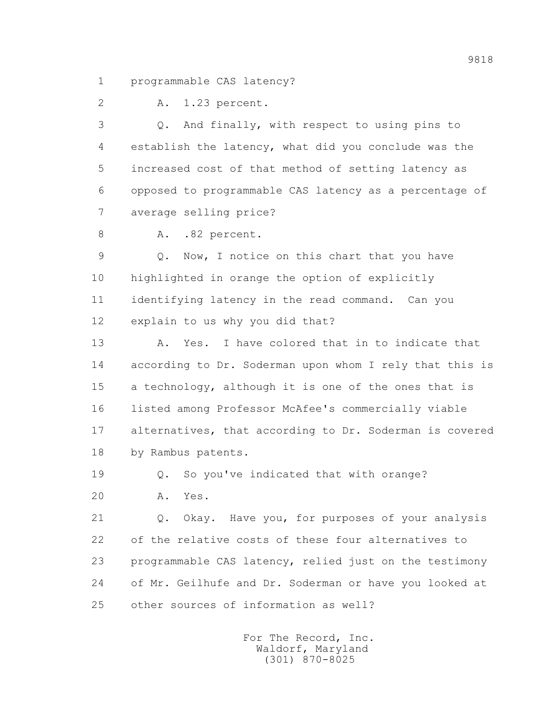1 programmable CAS latency?

2 A. 1.23 percent.

 3 Q. And finally, with respect to using pins to 4 establish the latency, what did you conclude was the 5 increased cost of that method of setting latency as 6 opposed to programmable CAS latency as a percentage of 7 average selling price?

8 A. .82 percent.

 9 Q. Now, I notice on this chart that you have 10 highlighted in orange the option of explicitly 11 identifying latency in the read command. Can you 12 explain to us why you did that?

 13 A. Yes. I have colored that in to indicate that 14 according to Dr. Soderman upon whom I rely that this is 15 a technology, although it is one of the ones that is 16 listed among Professor McAfee's commercially viable 17 alternatives, that according to Dr. Soderman is covered 18 by Rambus patents.

19 Q. So you've indicated that with orange?

20 A. Yes.

 21 Q. Okay. Have you, for purposes of your analysis 22 of the relative costs of these four alternatives to 23 programmable CAS latency, relied just on the testimony 24 of Mr. Geilhufe and Dr. Soderman or have you looked at 25 other sources of information as well?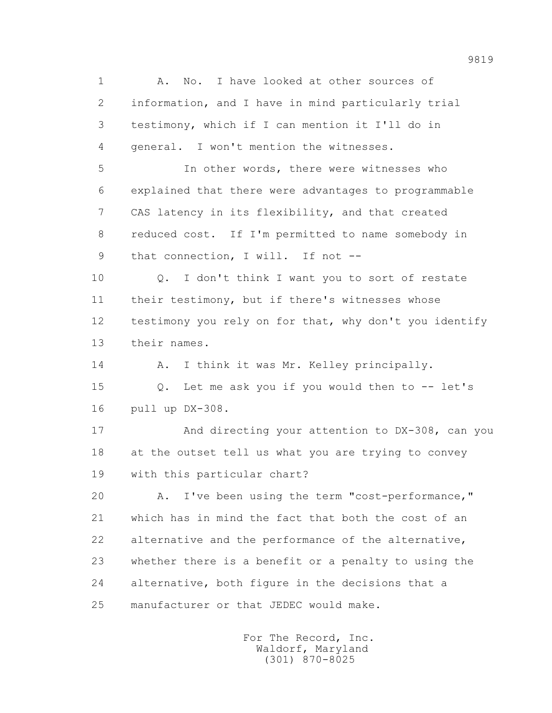1 A. No. I have looked at other sources of 2 information, and I have in mind particularly trial 3 testimony, which if I can mention it I'll do in 4 general. I won't mention the witnesses. 5 In other words, there were witnesses who 6 explained that there were advantages to programmable 7 CAS latency in its flexibility, and that created 8 reduced cost. If I'm permitted to name somebody in 9 that connection, I will. If not -- 10 Q. I don't think I want you to sort of restate 11 their testimony, but if there's witnesses whose 12 testimony you rely on for that, why don't you identify 13 their names. 14 A. I think it was Mr. Kelley principally. 15 Q. Let me ask you if you would then to -- let's 16 pull up DX-308. 17 And directing your attention to DX-308, can you 18 at the outset tell us what you are trying to convey 19 with this particular chart? 20 A. I've been using the term "cost-performance," 21 which has in mind the fact that both the cost of an 22 alternative and the performance of the alternative, 23 whether there is a benefit or a penalty to using the 24 alternative, both figure in the decisions that a 25 manufacturer or that JEDEC would make.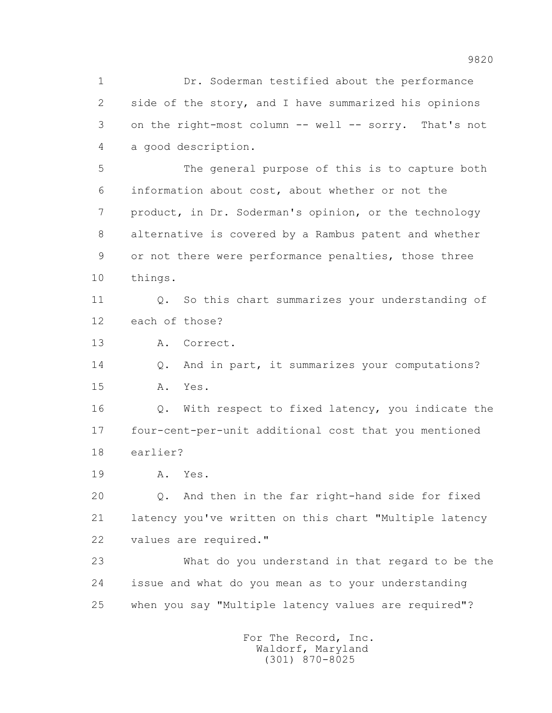1 Dr. Soderman testified about the performance 2 side of the story, and I have summarized his opinions 3 on the right-most column -- well -- sorry. That's not 4 a good description. 5 The general purpose of this is to capture both 6 information about cost, about whether or not the 7 product, in Dr. Soderman's opinion, or the technology 8 alternative is covered by a Rambus patent and whether 9 or not there were performance penalties, those three 10 things. 11 Q. So this chart summarizes your understanding of 12 each of those? 13 A. Correct. 14 Q. And in part, it summarizes your computations? 15 A. Yes. 16 Q. With respect to fixed latency, you indicate the 17 four-cent-per-unit additional cost that you mentioned 18 earlier? 19 A. Yes. 20 Q. And then in the far right-hand side for fixed 21 latency you've written on this chart "Multiple latency 22 values are required." 23 What do you understand in that regard to be the 24 issue and what do you mean as to your understanding 25 when you say "Multiple latency values are required"? For The Record, Inc.

 Waldorf, Maryland (301) 870-8025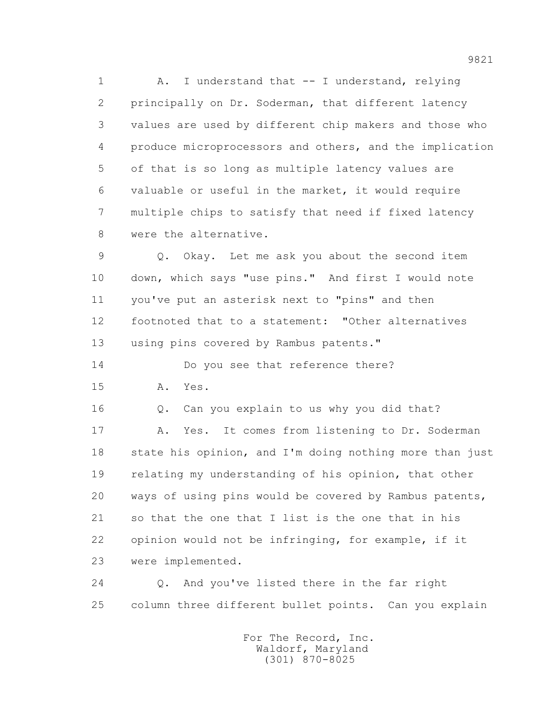1 A. I understand that -- I understand, relying 2 principally on Dr. Soderman, that different latency 3 values are used by different chip makers and those who 4 produce microprocessors and others, and the implication 5 of that is so long as multiple latency values are 6 valuable or useful in the market, it would require 7 multiple chips to satisfy that need if fixed latency 8 were the alternative.

 9 Q. Okay. Let me ask you about the second item 10 down, which says "use pins." And first I would note 11 you've put an asterisk next to "pins" and then 12 footnoted that to a statement: "Other alternatives 13 using pins covered by Rambus patents."

14 Do you see that reference there?

15 A. Yes.

16 Q. Can you explain to us why you did that?

 17 A. Yes. It comes from listening to Dr. Soderman 18 state his opinion, and I'm doing nothing more than just 19 relating my understanding of his opinion, that other 20 ways of using pins would be covered by Rambus patents, 21 so that the one that I list is the one that in his 22 opinion would not be infringing, for example, if it 23 were implemented.

 24 Q. And you've listed there in the far right 25 column three different bullet points. Can you explain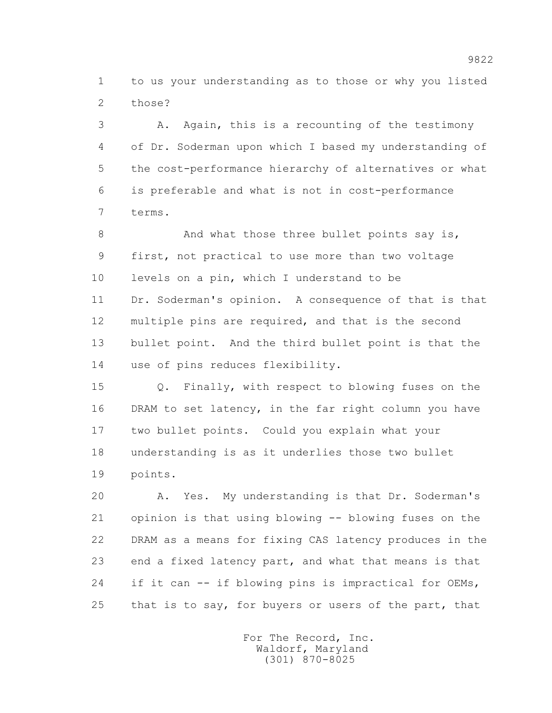1 to us your understanding as to those or why you listed 2 those?

 3 A. Again, this is a recounting of the testimony 4 of Dr. Soderman upon which I based my understanding of 5 the cost-performance hierarchy of alternatives or what 6 is preferable and what is not in cost-performance 7 terms.

8 And what those three bullet points say is, 9 first, not practical to use more than two voltage 10 levels on a pin, which I understand to be 11 Dr. Soderman's opinion. A consequence of that is that 12 multiple pins are required, and that is the second 13 bullet point. And the third bullet point is that the 14 use of pins reduces flexibility.

 15 Q. Finally, with respect to blowing fuses on the 16 DRAM to set latency, in the far right column you have 17 two bullet points. Could you explain what your 18 understanding is as it underlies those two bullet 19 points.

 20 A. Yes. My understanding is that Dr. Soderman's 21 opinion is that using blowing -- blowing fuses on the 22 DRAM as a means for fixing CAS latency produces in the 23 end a fixed latency part, and what that means is that 24 if it can -- if blowing pins is impractical for OEMs, 25 that is to say, for buyers or users of the part, that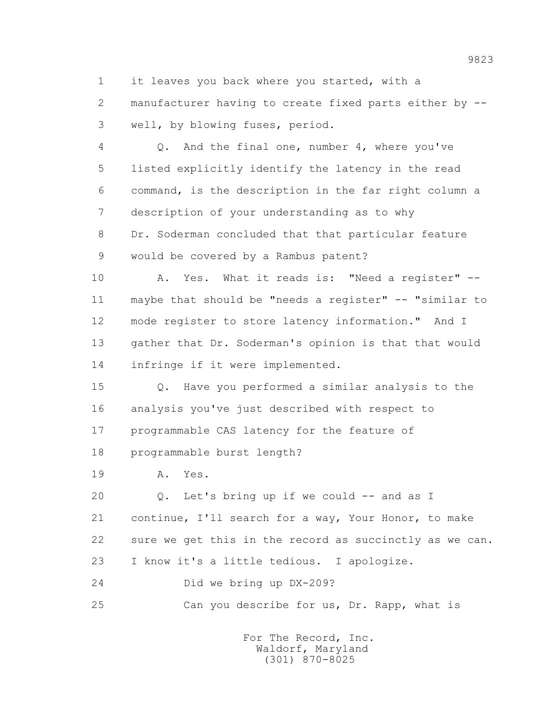1 it leaves you back where you started, with a 2 manufacturer having to create fixed parts either by -- 3 well, by blowing fuses, period.

 4 Q. And the final one, number 4, where you've 5 listed explicitly identify the latency in the read 6 command, is the description in the far right column a 7 description of your understanding as to why 8 Dr. Soderman concluded that that particular feature 9 would be covered by a Rambus patent?

 10 A. Yes. What it reads is: "Need a register" -- 11 maybe that should be "needs a register" -- "similar to 12 mode register to store latency information." And I 13 gather that Dr. Soderman's opinion is that that would 14 infringe if it were implemented.

 15 Q. Have you performed a similar analysis to the 16 analysis you've just described with respect to 17 programmable CAS latency for the feature of 18 programmable burst length?

19 A. Yes.

 20 Q. Let's bring up if we could -- and as I 21 continue, I'll search for a way, Your Honor, to make 22 sure we get this in the record as succinctly as we can. 23 I know it's a little tedious. I apologize.

24 Did we bring up DX-209?

25 Can you describe for us, Dr. Rapp, what is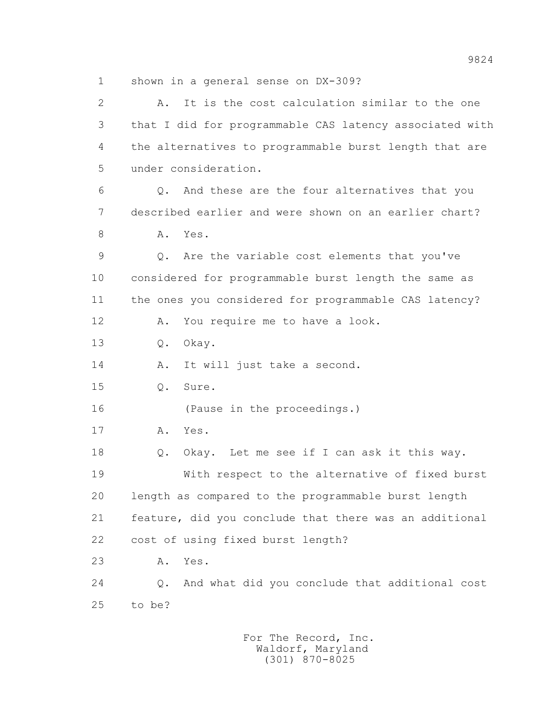1 shown in a general sense on DX-309?

| $\overline{2}$ | It is the cost calculation similar to the one<br>Α.     |
|----------------|---------------------------------------------------------|
| 3              | that I did for programmable CAS latency associated with |
| 4              | the alternatives to programmable burst length that are  |
| 5              | under consideration.                                    |
| 6              | Q. And these are the four alternatives that you         |
| 7              | described earlier and were shown on an earlier chart?   |
| 8              | Α.<br>Yes.                                              |
| 9              | Are the variable cost elements that you've<br>Q.        |
| 10             | considered for programmable burst length the same as    |
| 11             | the ones you considered for programmable CAS latency?   |
| 12             | You require me to have a look.<br>Α.                    |
| 13             | Okay.<br>$Q$ .                                          |
| 14             | It will just take a second.<br>Α.                       |
| 15             | Sure.<br>$Q$ .                                          |
| 16             | (Pause in the proceedings.)                             |
| 17             | Yes.<br>Α.                                              |
| 18             | Okay. Let me see if I can ask it this way.<br>Q.        |
| 19             | With respect to the alternative of fixed burst          |
| 20             | length as compared to the programmable burst length     |
| 21             | feature, did you conclude that there was an additional  |
| 22             | cost of using fixed burst length?                       |
| 23             | Yes.<br>Α.                                              |
| 24             | And what did you conclude that additional cost<br>$Q$ . |
| 25             | to be?                                                  |
|                |                                                         |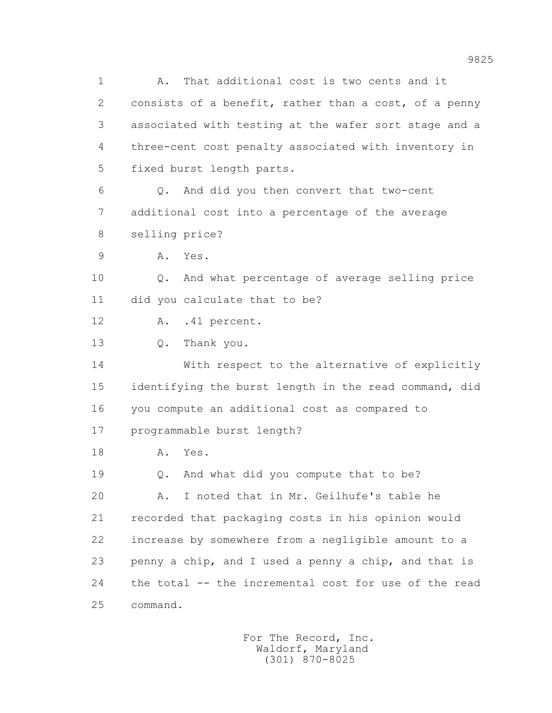1 A. That additional cost is two cents and it 2 consists of a benefit, rather than a cost, of a penny 3 associated with testing at the wafer sort stage and a 4 three-cent cost penalty associated with inventory in 5 fixed burst length parts.

 6 Q. And did you then convert that two-cent 7 additional cost into a percentage of the average 8 selling price?

9 A. Yes.

 10 Q. And what percentage of average selling price 11 did you calculate that to be?

12 A. .41 percent.

13 Q. Thank you.

 14 With respect to the alternative of explicitly 15 identifying the burst length in the read command, did 16 you compute an additional cost as compared to 17 programmable burst length?

18 A. Yes.

19 Q. And what did you compute that to be?

 20 A. I noted that in Mr. Geilhufe's table he 21 recorded that packaging costs in his opinion would 22 increase by somewhere from a negligible amount to a 23 penny a chip, and I used a penny a chip, and that is 24 the total -- the incremental cost for use of the read 25 command.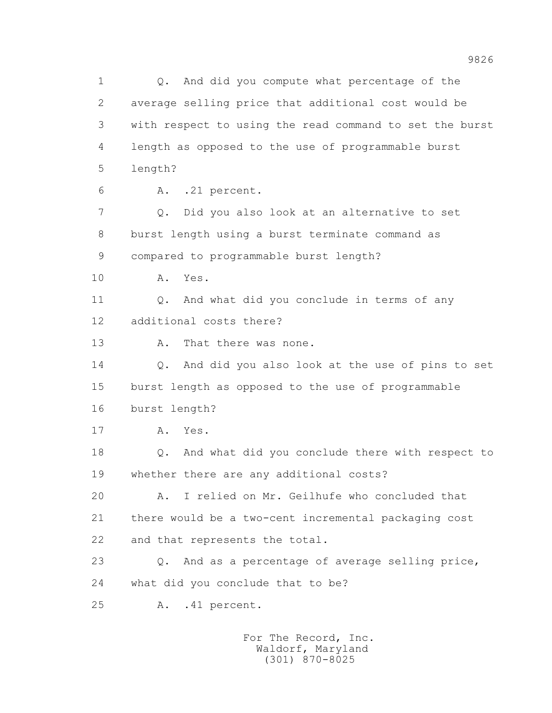1 Q. And did you compute what percentage of the 2 average selling price that additional cost would be 3 with respect to using the read command to set the burst 4 length as opposed to the use of programmable burst 5 length? 6 A. .21 percent. 7 Q. Did you also look at an alternative to set 8 burst length using a burst terminate command as 9 compared to programmable burst length? 10 A. Yes. 11 0. And what did you conclude in terms of any 12 additional costs there? 13 A. That there was none. 14 Q. And did you also look at the use of pins to set 15 burst length as opposed to the use of programmable 16 burst length? 17 A. Yes. 18 Q. And what did you conclude there with respect to 19 whether there are any additional costs? 20 A. I relied on Mr. Geilhufe who concluded that 21 there would be a two-cent incremental packaging cost 22 and that represents the total. 23 Q. And as a percentage of average selling price, 24 what did you conclude that to be? 25 A. .41 percent.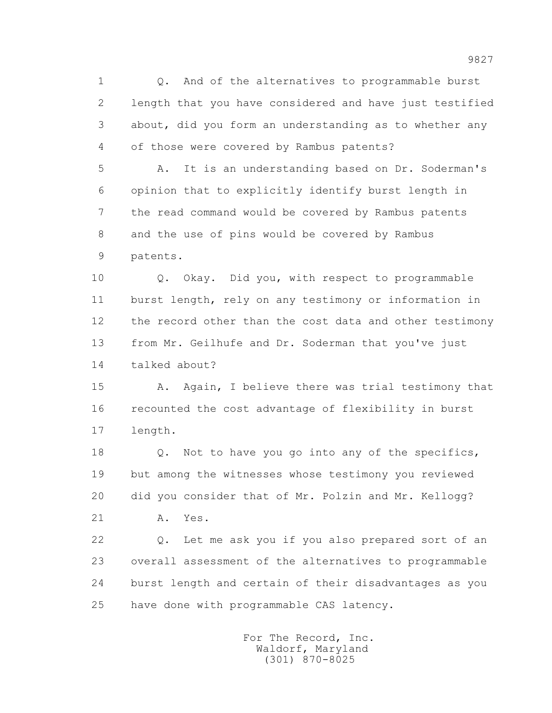1 Q. And of the alternatives to programmable burst 2 length that you have considered and have just testified 3 about, did you form an understanding as to whether any 4 of those were covered by Rambus patents?

 5 A. It is an understanding based on Dr. Soderman's 6 opinion that to explicitly identify burst length in 7 the read command would be covered by Rambus patents 8 and the use of pins would be covered by Rambus 9 patents.

 10 Q. Okay. Did you, with respect to programmable 11 burst length, rely on any testimony or information in 12 the record other than the cost data and other testimony 13 from Mr. Geilhufe and Dr. Soderman that you've just 14 talked about?

 15 A. Again, I believe there was trial testimony that 16 recounted the cost advantage of flexibility in burst 17 length.

 18 Q. Not to have you go into any of the specifics, 19 but among the witnesses whose testimony you reviewed 20 did you consider that of Mr. Polzin and Mr. Kellogg?

21 A. Yes.

 22 Q. Let me ask you if you also prepared sort of an 23 overall assessment of the alternatives to programmable 24 burst length and certain of their disadvantages as you 25 have done with programmable CAS latency.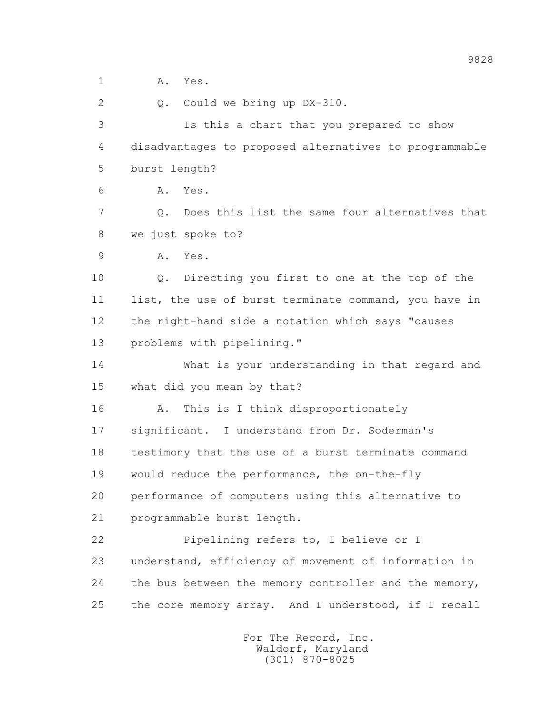1 A. Yes. 2 Q. Could we bring up DX-310. 3 Is this a chart that you prepared to show 4 disadvantages to proposed alternatives to programmable 5 burst length? 6 A. Yes. 7 Q. Does this list the same four alternatives that 8 we just spoke to? 9 A. Yes. 10 Q. Directing you first to one at the top of the 11 list, the use of burst terminate command, you have in 12 the right-hand side a notation which says "causes 13 problems with pipelining." 14 What is your understanding in that regard and 15 what did you mean by that? 16 A. This is I think disproportionately 17 significant. I understand from Dr. Soderman's 18 testimony that the use of a burst terminate command 19 would reduce the performance, the on-the-fly 20 performance of computers using this alternative to 21 programmable burst length. 22 Pipelining refers to, I believe or I 23 understand, efficiency of movement of information in 24 the bus between the memory controller and the memory, 25 the core memory array. And I understood, if I recall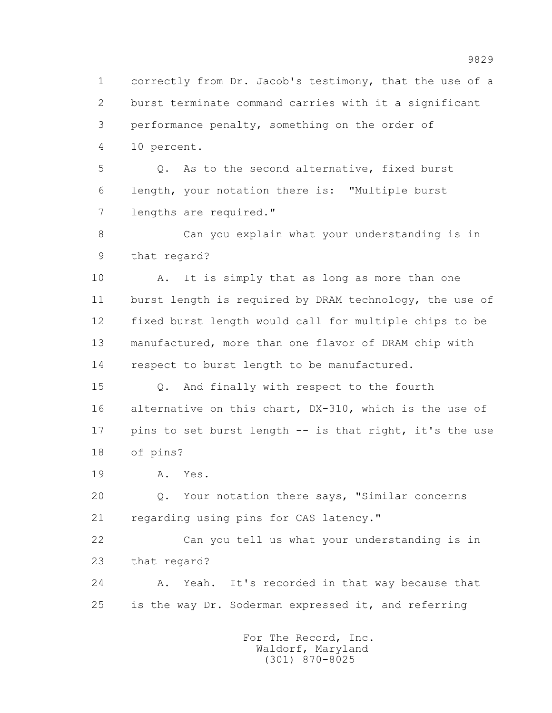1 correctly from Dr. Jacob's testimony, that the use of a 2 burst terminate command carries with it a significant 3 performance penalty, something on the order of 4 10 percent.

 5 Q. As to the second alternative, fixed burst 6 length, your notation there is: "Multiple burst 7 lengths are required."

 8 Can you explain what your understanding is in 9 that regard?

 10 A. It is simply that as long as more than one 11 burst length is required by DRAM technology, the use of 12 fixed burst length would call for multiple chips to be 13 manufactured, more than one flavor of DRAM chip with 14 respect to burst length to be manufactured.

 15 Q. And finally with respect to the fourth 16 alternative on this chart, DX-310, which is the use of 17 pins to set burst length -- is that right, it's the use 18 of pins?

19 A. Yes.

 20 Q. Your notation there says, "Similar concerns 21 regarding using pins for CAS latency."

 22 Can you tell us what your understanding is in 23 that regard?

 24 A. Yeah. It's recorded in that way because that 25 is the way Dr. Soderman expressed it, and referring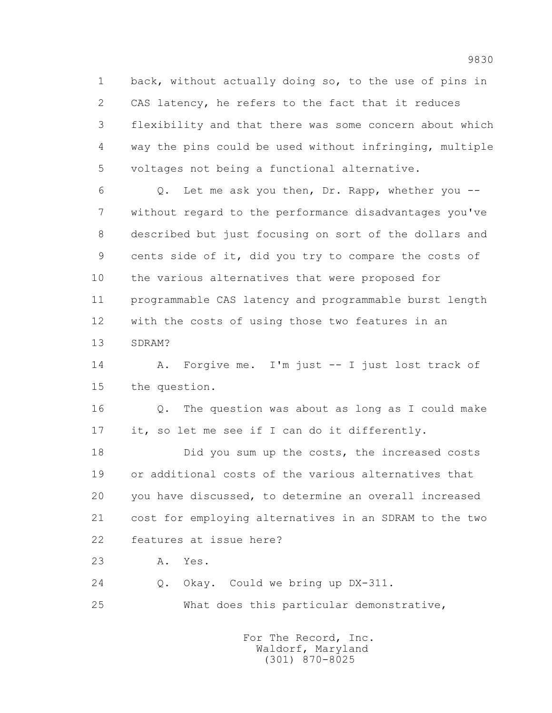1 back, without actually doing so, to the use of pins in 2 CAS latency, he refers to the fact that it reduces 3 flexibility and that there was some concern about which 4 way the pins could be used without infringing, multiple 5 voltages not being a functional alternative.

 6 Q. Let me ask you then, Dr. Rapp, whether you -- 7 without regard to the performance disadvantages you've 8 described but just focusing on sort of the dollars and 9 cents side of it, did you try to compare the costs of 10 the various alternatives that were proposed for 11 programmable CAS latency and programmable burst length 12 with the costs of using those two features in an 13 SDRAM?

 14 A. Forgive me. I'm just -- I just lost track of 15 the question.

 16 Q. The question was about as long as I could make 17 it, so let me see if I can do it differently.

 18 Did you sum up the costs, the increased costs 19 or additional costs of the various alternatives that 20 you have discussed, to determine an overall increased 21 cost for employing alternatives in an SDRAM to the two 22 features at issue here?

23 A. Yes.

 24 Q. Okay. Could we bring up DX-311. 25 What does this particular demonstrative,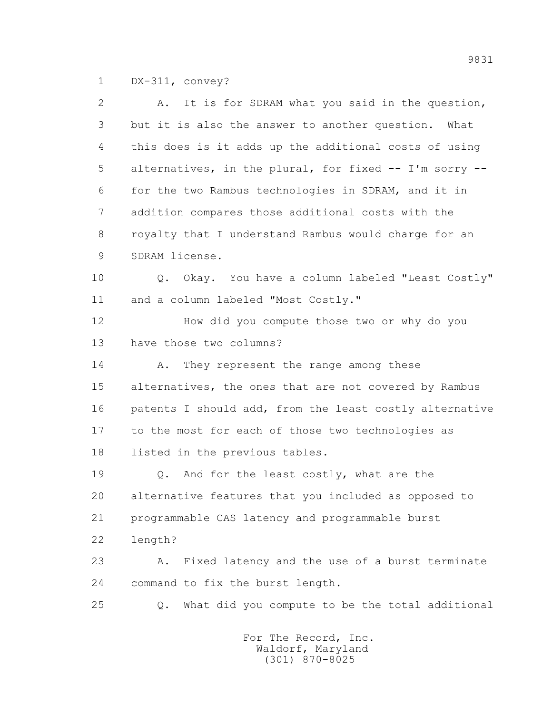1 DX-311, convey?

| $\overline{2}$ | It is for SDRAM what you said in the question,<br>Α.    |
|----------------|---------------------------------------------------------|
| 3              | but it is also the answer to another question. What     |
| 4              | this does is it adds up the additional costs of using   |
| 5              | alternatives, in the plural, for fixed -- I'm sorry --  |
| 6              | for the two Rambus technologies in SDRAM, and it in     |
| 7              | addition compares those additional costs with the       |
| 8              | royalty that I understand Rambus would charge for an    |
| 9              | SDRAM license.                                          |
| 10             | Q. Okay. You have a column labeled "Least Costly"       |
| 11             | and a column labeled "Most Costly."                     |
| 12             | How did you compute those two or why do you             |
| 13             | have those two columns?                                 |
| 14             | They represent the range among these<br>Α.              |
| 15             | alternatives, the ones that are not covered by Rambus   |
| 16             | patents I should add, from the least costly alternative |
| 17             | to the most for each of those two technologies as       |
| 18             | listed in the previous tables.                          |
| 19             | Q. And for the least costly, what are the               |
| 20             | alternative features that you included as opposed to    |
| 21             | programmable CAS latency and programmable burst         |
| 22             | length?                                                 |
| 23             | Fixed latency and the use of a burst terminate<br>Α.    |
| 24             | command to fix the burst length.                        |
| 25             | What did you compute to be the total additional<br>Q.   |
|                |                                                         |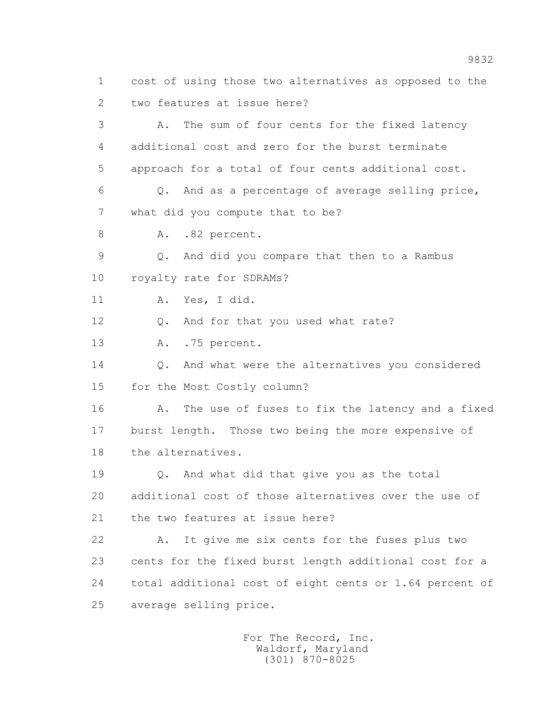1 cost of using those two alternatives as opposed to the 2 two features at issue here? 3 A. The sum of four cents for the fixed latency 4 additional cost and zero for the burst terminate 5 approach for a total of four cents additional cost. 6 Q. And as a percentage of average selling price, 7 what did you compute that to be? 8 A. .82 percent. 9 Q. And did you compare that then to a Rambus 10 royalty rate for SDRAMs? 11 A. Yes, I did. 12 Q. And for that you used what rate? 13 A. .75 percent. 14 Q. And what were the alternatives you considered 15 for the Most Costly column? 16 A. The use of fuses to fix the latency and a fixed 17 burst length. Those two being the more expensive of 18 the alternatives. 19 Q. And what did that give you as the total 20 additional cost of those alternatives over the use of 21 the two features at issue here? 22 A. It give me six cents for the fuses plus two 23 cents for the fixed burst length additional cost for a 24 total additional cost of eight cents or 1.64 percent of 25 average selling price.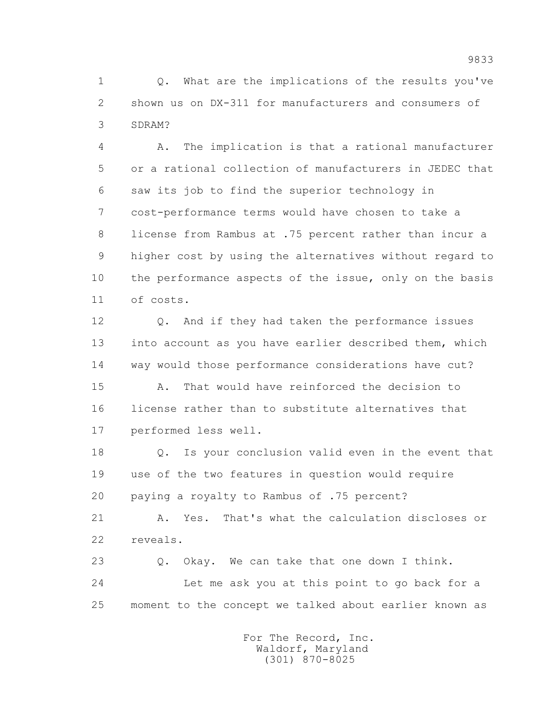1 0. What are the implications of the results you've 2 shown us on DX-311 for manufacturers and consumers of 3 SDRAM?

 4 A. The implication is that a rational manufacturer 5 or a rational collection of manufacturers in JEDEC that 6 saw its job to find the superior technology in 7 cost-performance terms would have chosen to take a 8 license from Rambus at .75 percent rather than incur a 9 higher cost by using the alternatives without regard to 10 the performance aspects of the issue, only on the basis 11 of costs.

 12 Q. And if they had taken the performance issues 13 into account as you have earlier described them, which 14 way would those performance considerations have cut?

 15 A. That would have reinforced the decision to 16 license rather than to substitute alternatives that 17 performed less well.

 18 Q. Is your conclusion valid even in the event that 19 use of the two features in question would require 20 paying a royalty to Rambus of .75 percent?

 21 A. Yes. That's what the calculation discloses or 22 reveals.

 23 Q. Okay. We can take that one down I think. 24 Let me ask you at this point to go back for a 25 moment to the concept we talked about earlier known as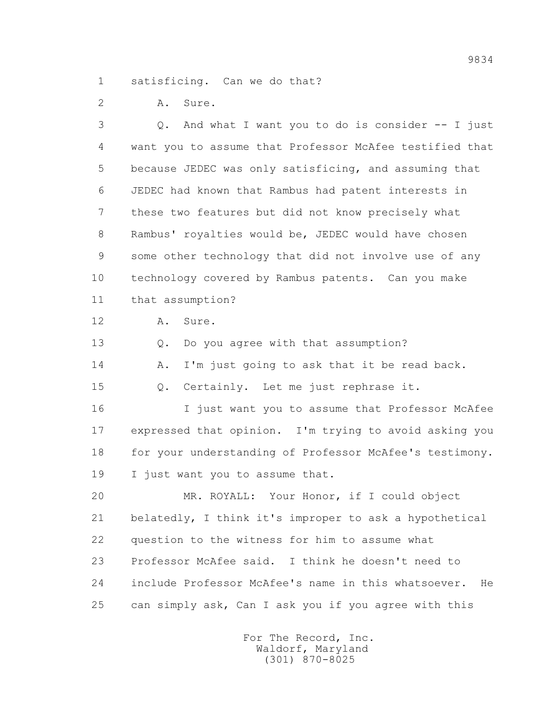1 satisficing. Can we do that?

2 A. Sure.

 3 Q. And what I want you to do is consider -- I just 4 want you to assume that Professor McAfee testified that 5 because JEDEC was only satisficing, and assuming that 6 JEDEC had known that Rambus had patent interests in 7 these two features but did not know precisely what 8 Rambus' royalties would be, JEDEC would have chosen 9 some other technology that did not involve use of any 10 technology covered by Rambus patents. Can you make 11 that assumption? 12 A. Sure. 13 Q. Do you agree with that assumption? 14 A. I'm just going to ask that it be read back. 15 Q. Certainly. Let me just rephrase it. 16 I just want you to assume that Professor McAfee 17 expressed that opinion. I'm trying to avoid asking you 18 for your understanding of Professor McAfee's testimony. 19 I just want you to assume that. 20 MR. ROYALL: Your Honor, if I could object 21 belatedly, I think it's improper to ask a hypothetical 22 question to the witness for him to assume what 23 Professor McAfee said. I think he doesn't need to 24 include Professor McAfee's name in this whatsoever. He 25 can simply ask, Can I ask you if you agree with this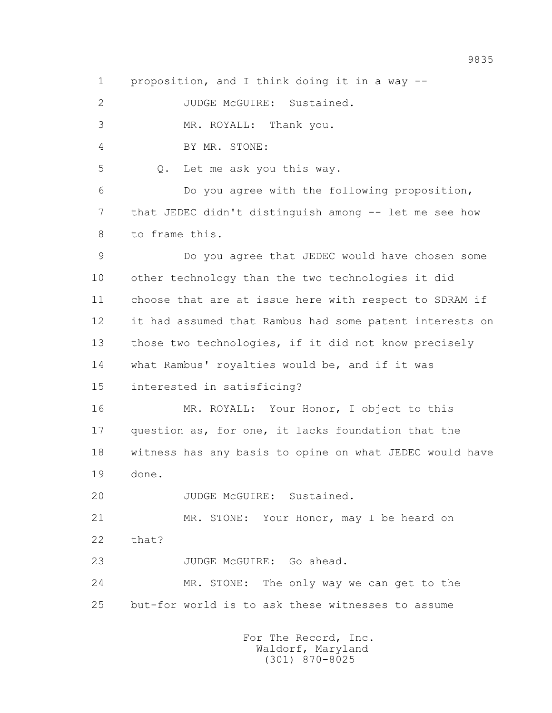1 proposition, and I think doing it in a way --

2 JUDGE McGUIRE: Sustained.

3 MR. ROYALL: Thank you.

4 BY MR. STONE:

5 Q. Let me ask you this way.

 6 Do you agree with the following proposition, 7 that JEDEC didn't distinguish among -- let me see how 8 to frame this.

 9 Do you agree that JEDEC would have chosen some 10 other technology than the two technologies it did 11 choose that are at issue here with respect to SDRAM if 12 it had assumed that Rambus had some patent interests on 13 those two technologies, if it did not know precisely 14 what Rambus' royalties would be, and if it was

15 interested in satisficing?

 16 MR. ROYALL: Your Honor, I object to this 17 question as, for one, it lacks foundation that the 18 witness has any basis to opine on what JEDEC would have 19 done.

20 JUDGE McGUIRE: Sustained.

 21 MR. STONE: Your Honor, may I be heard on 22 that?

23 JUDGE McGUIRE: Go ahead.

 24 MR. STONE: The only way we can get to the 25 but-for world is to ask these witnesses to assume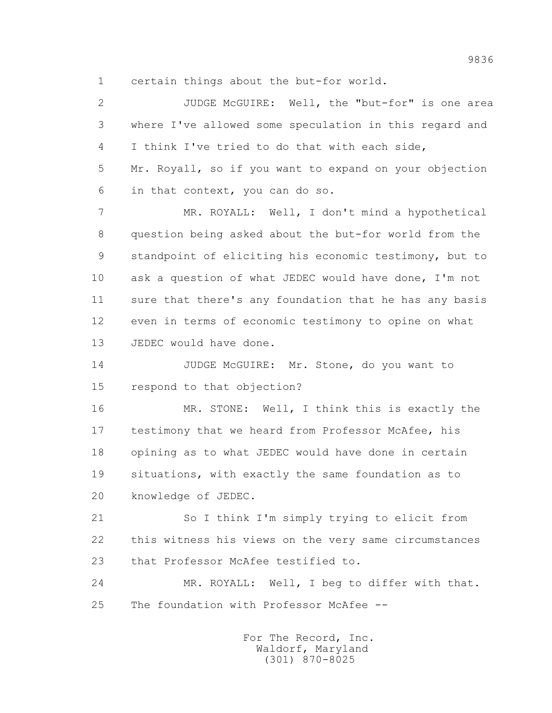1 certain things about the but-for world.

 2 JUDGE McGUIRE: Well, the "but-for" is one area 3 where I've allowed some speculation in this regard and 4 I think I've tried to do that with each side, 5 Mr. Royall, so if you want to expand on your objection 6 in that context, you can do so.

 7 MR. ROYALL: Well, I don't mind a hypothetical 8 question being asked about the but-for world from the 9 standpoint of eliciting his economic testimony, but to 10 ask a question of what JEDEC would have done, I'm not 11 sure that there's any foundation that he has any basis 12 even in terms of economic testimony to opine on what 13 JEDEC would have done.

14 JUDGE McGUIRE: Mr. Stone, do you want to 15 respond to that objection?

 16 MR. STONE: Well, I think this is exactly the 17 testimony that we heard from Professor McAfee, his 18 opining as to what JEDEC would have done in certain 19 situations, with exactly the same foundation as to 20 knowledge of JEDEC.

 21 So I think I'm simply trying to elicit from 22 this witness his views on the very same circumstances 23 that Professor McAfee testified to.

 24 MR. ROYALL: Well, I beg to differ with that. 25 The foundation with Professor McAfee --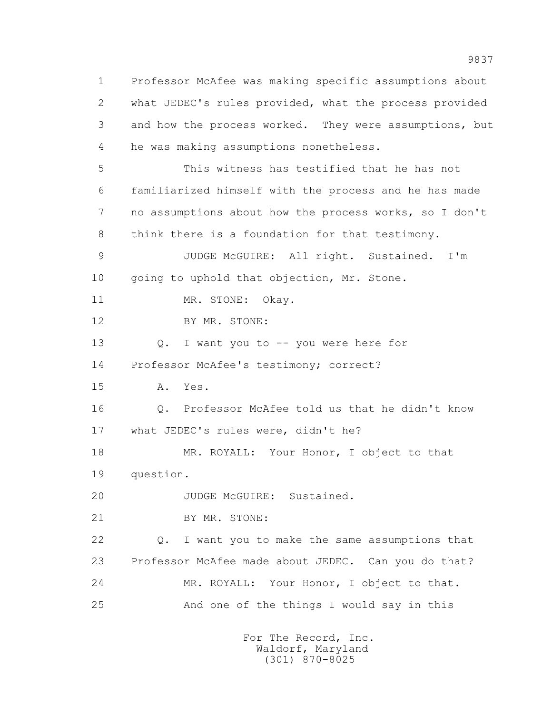1 Professor McAfee was making specific assumptions about 2 what JEDEC's rules provided, what the process provided 3 and how the process worked. They were assumptions, but 4 he was making assumptions nonetheless. 5 This witness has testified that he has not 6 familiarized himself with the process and he has made 7 no assumptions about how the process works, so I don't 8 think there is a foundation for that testimony. 9 JUDGE McGUIRE: All right. Sustained. I'm 10 going to uphold that objection, Mr. Stone. 11 MR. STONE: Okay. 12 BY MR. STONE: 13 Q. I want you to -- you were here for 14 Professor McAfee's testimony; correct? 15 A. Yes. 16 Q. Professor McAfee told us that he didn't know 17 what JEDEC's rules were, didn't he? 18 MR. ROYALL: Your Honor, I object to that 19 question. 20 JUDGE McGUIRE: Sustained. 21 BY MR. STONE: 22 Q. I want you to make the same assumptions that 23 Professor McAfee made about JEDEC. Can you do that? 24 MR. ROYALL: Your Honor, I object to that. 25 And one of the things I would say in this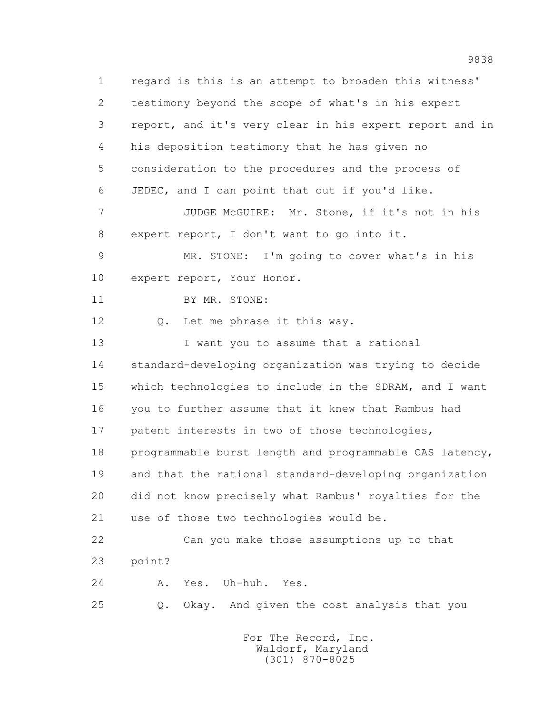1 regard is this is an attempt to broaden this witness' 2 testimony beyond the scope of what's in his expert 3 report, and it's very clear in his expert report and in 4 his deposition testimony that he has given no 5 consideration to the procedures and the process of 6 JEDEC, and I can point that out if you'd like. 7 JUDGE McGUIRE: Mr. Stone, if it's not in his 8 expert report, I don't want to go into it. 9 MR. STONE: I'm going to cover what's in his 10 expert report, Your Honor. 11 BY MR. STONE: 12 Q. Let me phrase it this way. 13 I want you to assume that a rational 14 standard-developing organization was trying to decide 15 which technologies to include in the SDRAM, and I want 16 you to further assume that it knew that Rambus had 17 patent interests in two of those technologies, 18 programmable burst length and programmable CAS latency, 19 and that the rational standard-developing organization 20 did not know precisely what Rambus' royalties for the 21 use of those two technologies would be. 22 Can you make those assumptions up to that 23 point? 24 A. Yes. Uh-huh. Yes. 25 Q. Okay. And given the cost analysis that you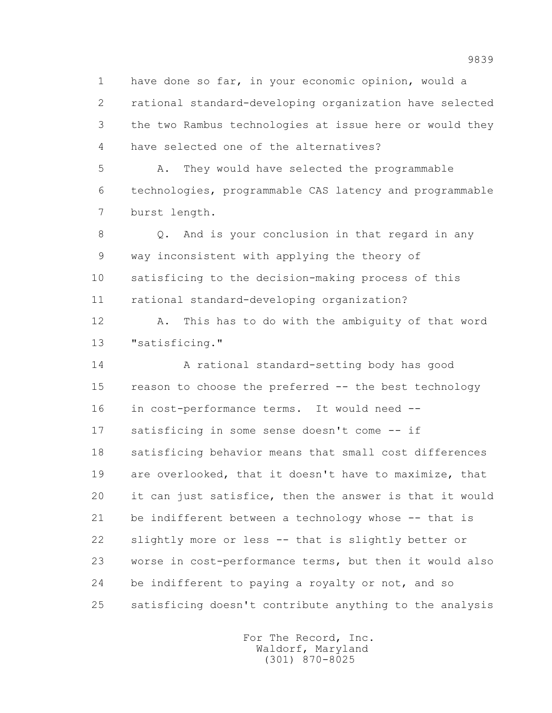1 have done so far, in your economic opinion, would a 2 rational standard-developing organization have selected 3 the two Rambus technologies at issue here or would they 4 have selected one of the alternatives?

 5 A. They would have selected the programmable 6 technologies, programmable CAS latency and programmable 7 burst length.

 8 Q. And is your conclusion in that regard in any 9 way inconsistent with applying the theory of 10 satisficing to the decision-making process of this 11 rational standard-developing organization?

 12 A. This has to do with the ambiguity of that word 13 "satisficing."

 14 A rational standard-setting body has good 15 reason to choose the preferred -- the best technology 16 in cost-performance terms. It would need -- 17 satisficing in some sense doesn't come -- if 18 satisficing behavior means that small cost differences 19 are overlooked, that it doesn't have to maximize, that 20 it can just satisfice, then the answer is that it would 21 be indifferent between a technology whose -- that is 22 slightly more or less -- that is slightly better or 23 worse in cost-performance terms, but then it would also 24 be indifferent to paying a royalty or not, and so 25 satisficing doesn't contribute anything to the analysis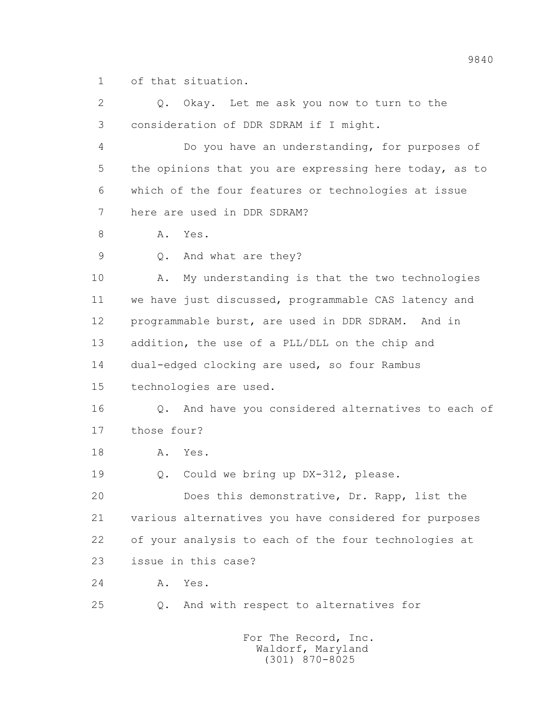1 of that situation.

 2 Q. Okay. Let me ask you now to turn to the 3 consideration of DDR SDRAM if I might. 4 Do you have an understanding, for purposes of 5 the opinions that you are expressing here today, as to 6 which of the four features or technologies at issue 7 here are used in DDR SDRAM? 8 A. Yes. 9 Q. And what are they? 10 A. My understanding is that the two technologies 11 we have just discussed, programmable CAS latency and 12 programmable burst, are used in DDR SDRAM. And in 13 addition, the use of a PLL/DLL on the chip and 14 dual-edged clocking are used, so four Rambus 15 technologies are used. 16 Q. And have you considered alternatives to each of 17 those four? 18 A. Yes. 19 Q. Could we bring up DX-312, please. 20 Does this demonstrative, Dr. Rapp, list the 21 various alternatives you have considered for purposes 22 of your analysis to each of the four technologies at 23 issue in this case? 24 A. Yes. 25 Q. And with respect to alternatives for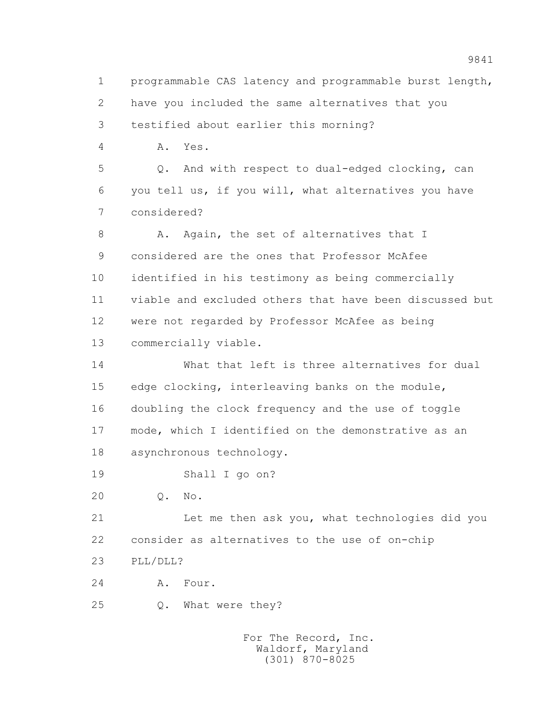1 programmable CAS latency and programmable burst length, 2 have you included the same alternatives that you 3 testified about earlier this morning? 4 A. Yes. 5 Q. And with respect to dual-edged clocking, can 6 you tell us, if you will, what alternatives you have 7 considered? 8 A. Again, the set of alternatives that I 9 considered are the ones that Professor McAfee 10 identified in his testimony as being commercially 11 viable and excluded others that have been discussed but 12 were not regarded by Professor McAfee as being 13 commercially viable. 14 What that left is three alternatives for dual 15 edge clocking, interleaving banks on the module, 16 doubling the clock frequency and the use of toggle 17 mode, which I identified on the demonstrative as an 18 asynchronous technology. 19 Shall I go on? 20 Q. No. 21 Let me then ask you, what technologies did you 22 consider as alternatives to the use of on-chip 23 PLL/DLL? 24 A. Four. 25 Q. What were they?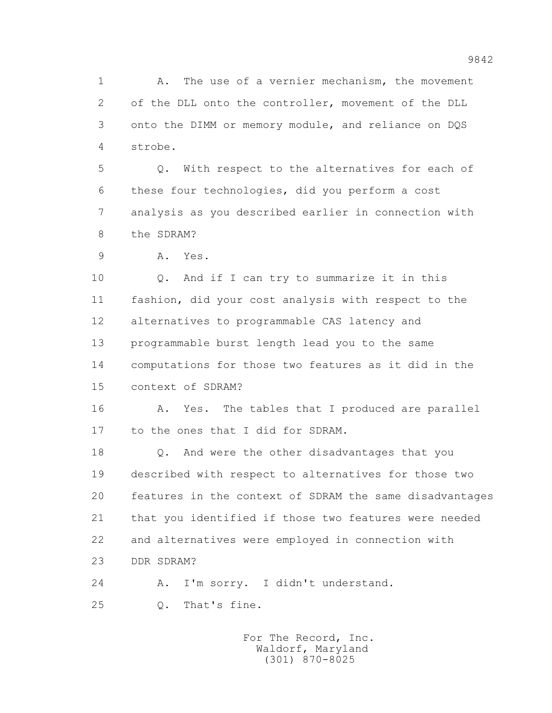1 A. The use of a vernier mechanism, the movement 2 of the DLL onto the controller, movement of the DLL 3 onto the DIMM or memory module, and reliance on DQS 4 strobe.

 5 Q. With respect to the alternatives for each of 6 these four technologies, did you perform a cost 7 analysis as you described earlier in connection with 8 the SDRAM?

9 A. Yes.

 10 Q. And if I can try to summarize it in this 11 fashion, did your cost analysis with respect to the 12 alternatives to programmable CAS latency and 13 programmable burst length lead you to the same 14 computations for those two features as it did in the 15 context of SDRAM?

16 A. Yes. The tables that I produced are parallel 17 to the ones that I did for SDRAM.

 18 Q. And were the other disadvantages that you 19 described with respect to alternatives for those two 20 features in the context of SDRAM the same disadvantages 21 that you identified if those two features were needed 22 and alternatives were employed in connection with 23 DDR SDRAM?

 24 A. I'm sorry. I didn't understand. 25 Q. That's fine.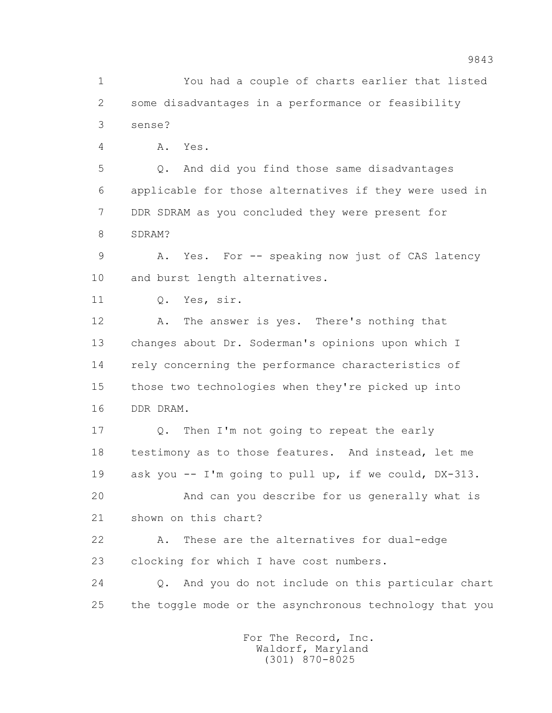1 You had a couple of charts earlier that listed 2 some disadvantages in a performance or feasibility 3 sense?

4 A. Yes.

 5 Q. And did you find those same disadvantages 6 applicable for those alternatives if they were used in 7 DDR SDRAM as you concluded they were present for 8 SDRAM?

 9 A. Yes. For -- speaking now just of CAS latency 10 and burst length alternatives.

11 Q. Yes, sir.

12 A. The answer is yes. There's nothing that 13 changes about Dr. Soderman's opinions upon which I 14 rely concerning the performance characteristics of 15 those two technologies when they're picked up into 16 DDR DRAM.

 17 Q. Then I'm not going to repeat the early 18 testimony as to those features. And instead, let me 19 ask you -- I'm going to pull up, if we could, DX-313.

 20 And can you describe for us generally what is 21 shown on this chart?

 22 A. These are the alternatives for dual-edge 23 clocking for which I have cost numbers.

 24 Q. And you do not include on this particular chart 25 the toggle mode or the asynchronous technology that you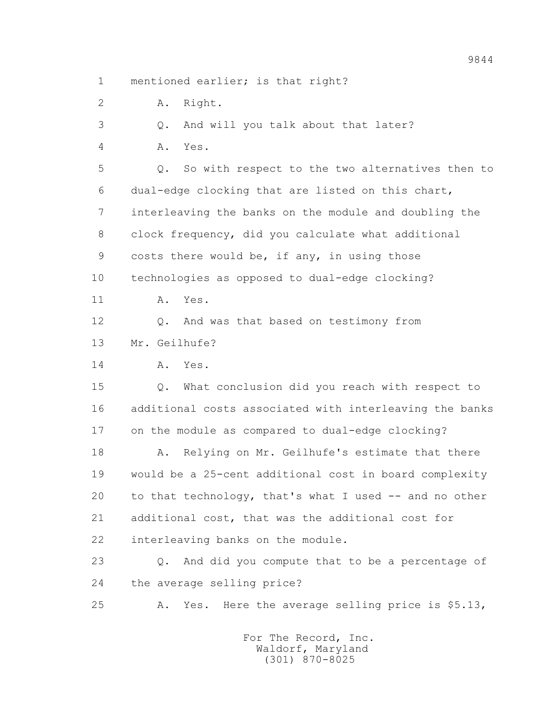1 mentioned earlier; is that right?

2 A. Right.

3 Q. And will you talk about that later?

4 A. Yes.

 5 Q. So with respect to the two alternatives then to 6 dual-edge clocking that are listed on this chart, 7 interleaving the banks on the module and doubling the 8 clock frequency, did you calculate what additional 9 costs there would be, if any, in using those 10 technologies as opposed to dual-edge clocking? 11 A. Yes.

12 Q. And was that based on testimony from

13 Mr. Geilhufe?

14 A. Yes.

 15 Q. What conclusion did you reach with respect to 16 additional costs associated with interleaving the banks 17 on the module as compared to dual-edge clocking?

 18 A. Relying on Mr. Geilhufe's estimate that there 19 would be a 25-cent additional cost in board complexity 20 to that technology, that's what I used -- and no other 21 additional cost, that was the additional cost for 22 interleaving banks on the module.

 23 Q. And did you compute that to be a percentage of 24 the average selling price?

25 A. Yes. Here the average selling price is \$5.13,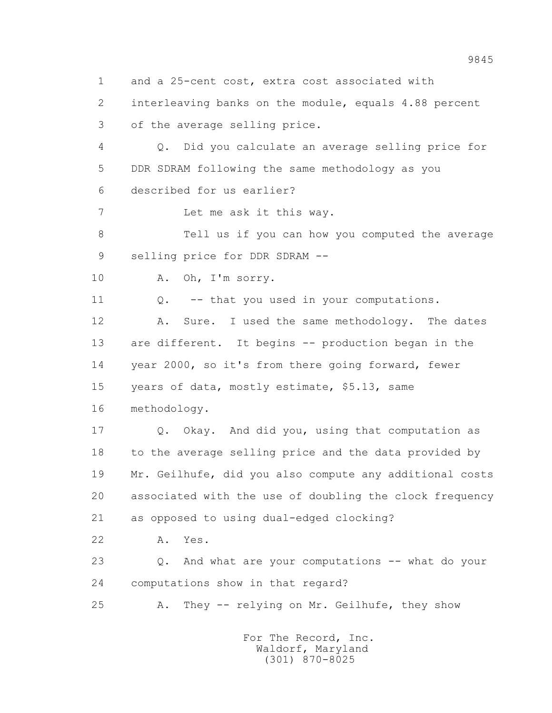1 and a 25-cent cost, extra cost associated with

 2 interleaving banks on the module, equals 4.88 percent 3 of the average selling price.

 4 Q. Did you calculate an average selling price for 5 DDR SDRAM following the same methodology as you 6 described for us earlier?

7 Let me ask it this way.

 8 Tell us if you can how you computed the average 9 selling price for DDR SDRAM --

10 A. Oh, I'm sorry.

11 0. -- that you used in your computations.

12 A. Sure. I used the same methodology. The dates 13 are different. It begins -- production began in the 14 year 2000, so it's from there going forward, fewer 15 years of data, mostly estimate, \$5.13, same

16 methodology.

 17 Q. Okay. And did you, using that computation as 18 to the average selling price and the data provided by 19 Mr. Geilhufe, did you also compute any additional costs 20 associated with the use of doubling the clock frequency 21 as opposed to using dual-edged clocking?

22 A. Yes.

 23 Q. And what are your computations -- what do your 24 computations show in that regard?

25 A. They -- relying on Mr. Geilhufe, they show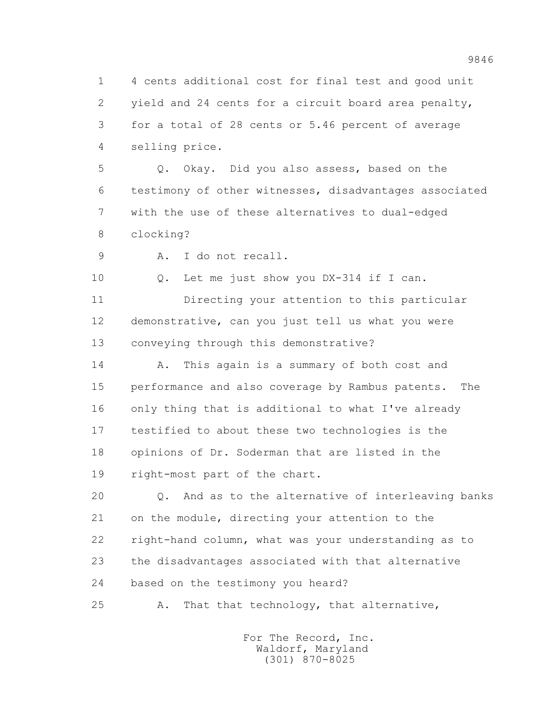1 4 cents additional cost for final test and good unit 2 yield and 24 cents for a circuit board area penalty, 3 for a total of 28 cents or 5.46 percent of average 4 selling price.

 5 Q. Okay. Did you also assess, based on the 6 testimony of other witnesses, disadvantages associated 7 with the use of these alternatives to dual-edged 8 clocking?

9 A. I do not recall.

10 Q. Let me just show you DX-314 if I can.

 11 Directing your attention to this particular 12 demonstrative, can you just tell us what you were 13 conveying through this demonstrative?

 14 A. This again is a summary of both cost and 15 performance and also coverage by Rambus patents. The 16 only thing that is additional to what I've already 17 testified to about these two technologies is the 18 opinions of Dr. Soderman that are listed in the 19 right-most part of the chart.

 20 Q. And as to the alternative of interleaving banks 21 on the module, directing your attention to the 22 right-hand column, what was your understanding as to 23 the disadvantages associated with that alternative 24 based on the testimony you heard?

25 A. That that technology, that alternative,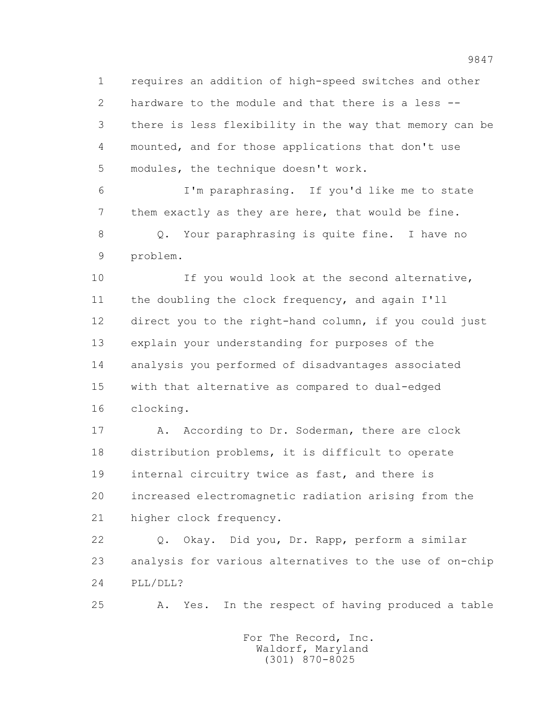1 requires an addition of high-speed switches and other 2 hardware to the module and that there is a less -- 3 there is less flexibility in the way that memory can be 4 mounted, and for those applications that don't use 5 modules, the technique doesn't work.

 6 I'm paraphrasing. If you'd like me to state 7 them exactly as they are here, that would be fine. 8 Q. Your paraphrasing is quite fine. I have no 9 problem.

 10 If you would look at the second alternative, 11 the doubling the clock frequency, and again I'll 12 direct you to the right-hand column, if you could just 13 explain your understanding for purposes of the 14 analysis you performed of disadvantages associated 15 with that alternative as compared to dual-edged 16 clocking.

 17 A. According to Dr. Soderman, there are clock 18 distribution problems, it is difficult to operate 19 internal circuitry twice as fast, and there is 20 increased electromagnetic radiation arising from the 21 higher clock frequency.

 22 Q. Okay. Did you, Dr. Rapp, perform a similar 23 analysis for various alternatives to the use of on-chip 24 PLL/DLL?

25 A. Yes. In the respect of having produced a table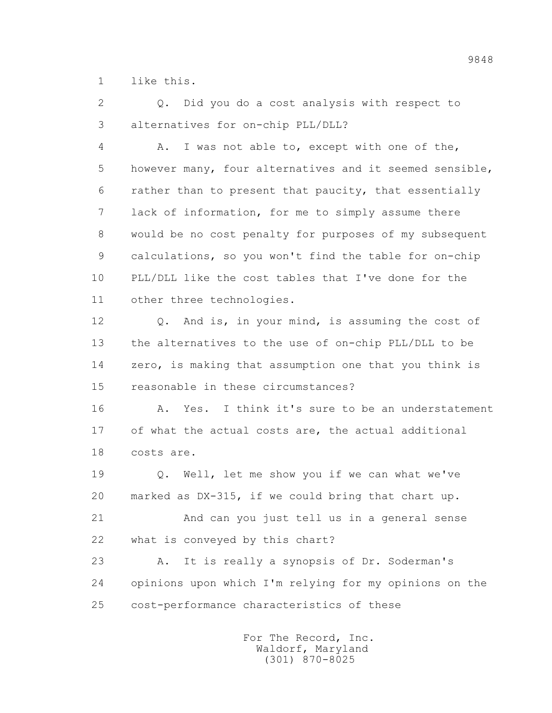1 like this.

 2 Q. Did you do a cost analysis with respect to 3 alternatives for on-chip PLL/DLL?

 4 A. I was not able to, except with one of the, 5 however many, four alternatives and it seemed sensible, 6 rather than to present that paucity, that essentially 7 lack of information, for me to simply assume there 8 would be no cost penalty for purposes of my subsequent 9 calculations, so you won't find the table for on-chip 10 PLL/DLL like the cost tables that I've done for the 11 other three technologies.

 12 Q. And is, in your mind, is assuming the cost of 13 the alternatives to the use of on-chip PLL/DLL to be 14 zero, is making that assumption one that you think is 15 reasonable in these circumstances?

 16 A. Yes. I think it's sure to be an understatement 17 of what the actual costs are, the actual additional 18 costs are.

 19 Q. Well, let me show you if we can what we've 20 marked as DX-315, if we could bring that chart up.

 21 And can you just tell us in a general sense 22 what is conveyed by this chart?

 23 A. It is really a synopsis of Dr. Soderman's 24 opinions upon which I'm relying for my opinions on the 25 cost-performance characteristics of these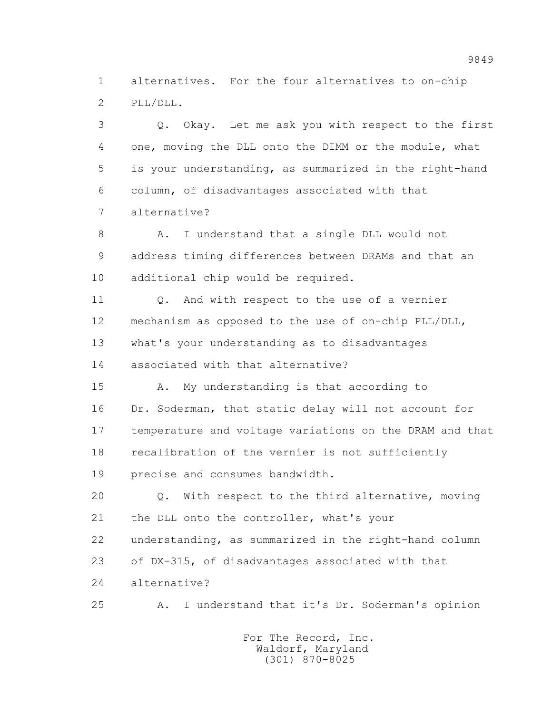1 alternatives. For the four alternatives to on-chip 2 PLL/DLL.

 3 Q. Okay. Let me ask you with respect to the first 4 one, moving the DLL onto the DIMM or the module, what 5 is your understanding, as summarized in the right-hand 6 column, of disadvantages associated with that 7 alternative?

8 A. I understand that a single DLL would not 9 address timing differences between DRAMs and that an 10 additional chip would be required.

11 0. And with respect to the use of a vernier 12 mechanism as opposed to the use of on-chip PLL/DLL, 13 what's your understanding as to disadvantages 14 associated with that alternative?

 15 A. My understanding is that according to 16 Dr. Soderman, that static delay will not account for 17 temperature and voltage variations on the DRAM and that 18 recalibration of the vernier is not sufficiently 19 precise and consumes bandwidth.

 20 Q. With respect to the third alternative, moving 21 the DLL onto the controller, what's your 22 understanding, as summarized in the right-hand column 23 of DX-315, of disadvantages associated with that 24 alternative?

25 A. I understand that it's Dr. Soderman's opinion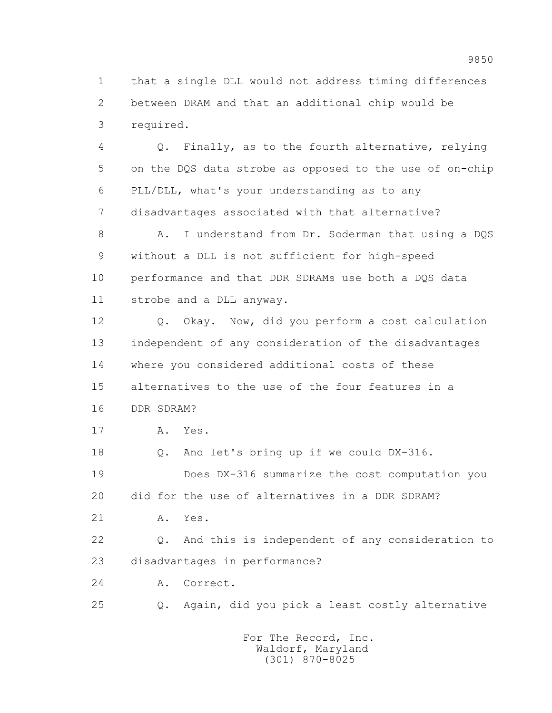1 that a single DLL would not address timing differences 2 between DRAM and that an additional chip would be 3 required.

 4 Q. Finally, as to the fourth alternative, relying 5 on the DQS data strobe as opposed to the use of on-chip 6 PLL/DLL, what's your understanding as to any 7 disadvantages associated with that alternative?

8 A. I understand from Dr. Soderman that using a DQS 9 without a DLL is not sufficient for high-speed 10 performance and that DDR SDRAMs use both a DQS data 11 strobe and a DLL anyway.

 12 Q. Okay. Now, did you perform a cost calculation 13 independent of any consideration of the disadvantages 14 where you considered additional costs of these 15 alternatives to the use of the four features in a 16 DDR SDRAM?

17 A. Yes.

 18 Q. And let's bring up if we could DX-316. 19 Does DX-316 summarize the cost computation you 20 did for the use of alternatives in a DDR SDRAM?

21 A. Yes.

 22 Q. And this is independent of any consideration to 23 disadvantages in performance?

24 A. Correct.

25 Q. Again, did you pick a least costly alternative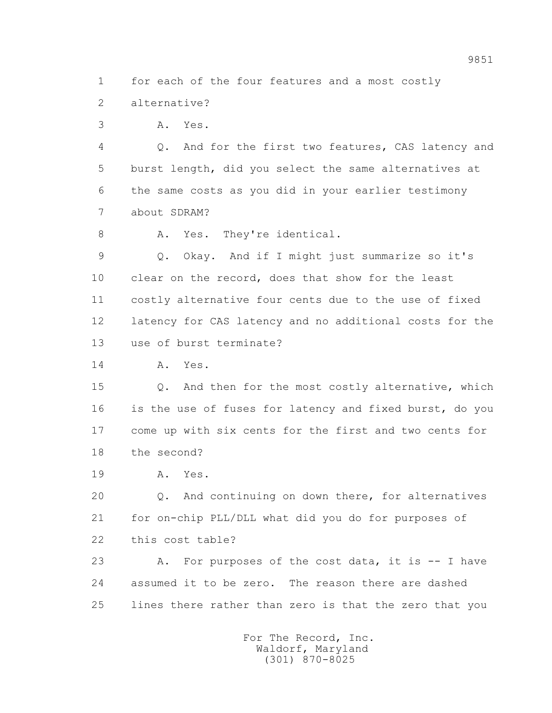1 for each of the four features and a most costly

2 alternative?

3 A. Yes.

 4 Q. And for the first two features, CAS latency and 5 burst length, did you select the same alternatives at 6 the same costs as you did in your earlier testimony 7 about SDRAM?

8 A. Yes. They're identical.

 9 Q. Okay. And if I might just summarize so it's 10 clear on the record, does that show for the least 11 costly alternative four cents due to the use of fixed 12 latency for CAS latency and no additional costs for the 13 use of burst terminate?

14 A. Yes.

 15 Q. And then for the most costly alternative, which 16 is the use of fuses for latency and fixed burst, do you 17 come up with six cents for the first and two cents for 18 the second?

19 A. Yes.

 20 Q. And continuing on down there, for alternatives 21 for on-chip PLL/DLL what did you do for purposes of 22 this cost table?

23 A. For purposes of the cost data, it is -- I have 24 assumed it to be zero. The reason there are dashed 25 lines there rather than zero is that the zero that you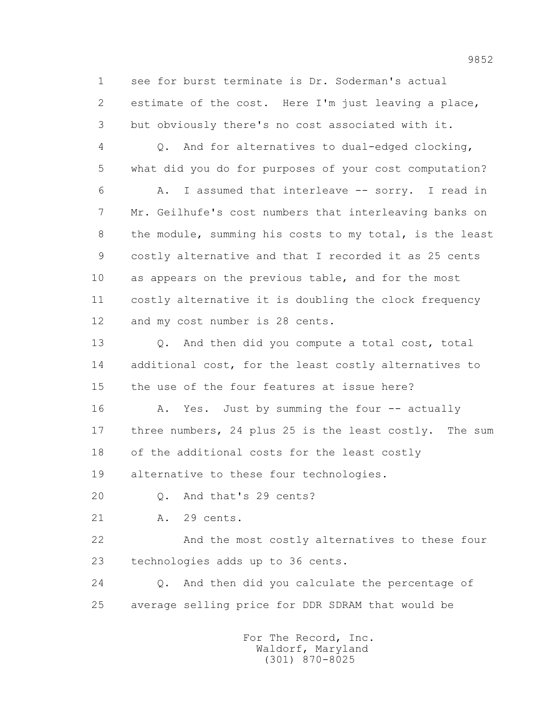1 see for burst terminate is Dr. Soderman's actual 2 estimate of the cost. Here I'm just leaving a place, 3 but obviously there's no cost associated with it.

 4 Q. And for alternatives to dual-edged clocking, 5 what did you do for purposes of your cost computation?

 6 A. I assumed that interleave -- sorry. I read in 7 Mr. Geilhufe's cost numbers that interleaving banks on 8 the module, summing his costs to my total, is the least 9 costly alternative and that I recorded it as 25 cents 10 as appears on the previous table, and for the most 11 costly alternative it is doubling the clock frequency 12 and my cost number is 28 cents.

 13 Q. And then did you compute a total cost, total 14 additional cost, for the least costly alternatives to 15 the use of the four features at issue here?

16 A. Yes. Just by summing the four -- actually 17 three numbers, 24 plus 25 is the least costly. The sum 18 of the additional costs for the least costly

19 alternative to these four technologies.

20 Q. And that's 29 cents?

21 A. 29 cents.

 22 And the most costly alternatives to these four 23 technologies adds up to 36 cents.

 24 Q. And then did you calculate the percentage of 25 average selling price for DDR SDRAM that would be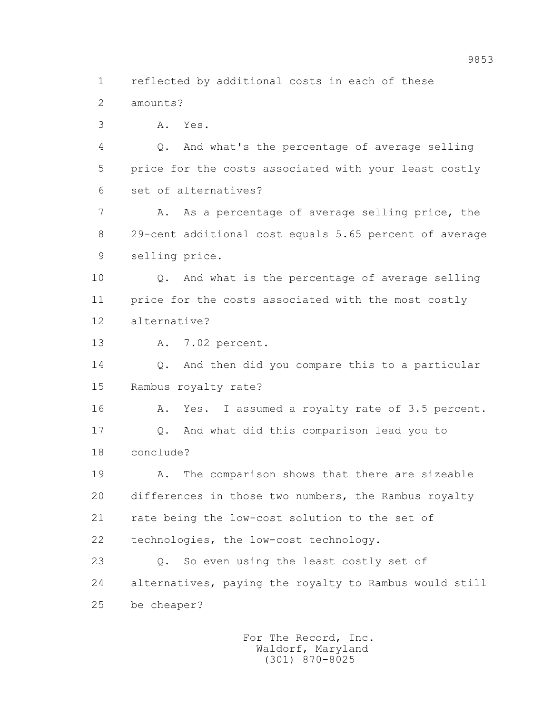1 reflected by additional costs in each of these

2 amounts?

3 A. Yes.

 4 Q. And what's the percentage of average selling 5 price for the costs associated with your least costly 6 set of alternatives?

 7 A. As a percentage of average selling price, the 8 29-cent additional cost equals 5.65 percent of average 9 selling price.

 10 Q. And what is the percentage of average selling 11 price for the costs associated with the most costly 12 alternative?

13 A. 7.02 percent.

 14 Q. And then did you compare this to a particular 15 Rambus royalty rate?

 16 A. Yes. I assumed a royalty rate of 3.5 percent. 17 Q. And what did this comparison lead you to 18 conclude?

 19 A. The comparison shows that there are sizeable 20 differences in those two numbers, the Rambus royalty 21 rate being the low-cost solution to the set of 22 technologies, the low-cost technology.

23 O. So even using the least costly set of 24 alternatives, paying the royalty to Rambus would still 25 be cheaper?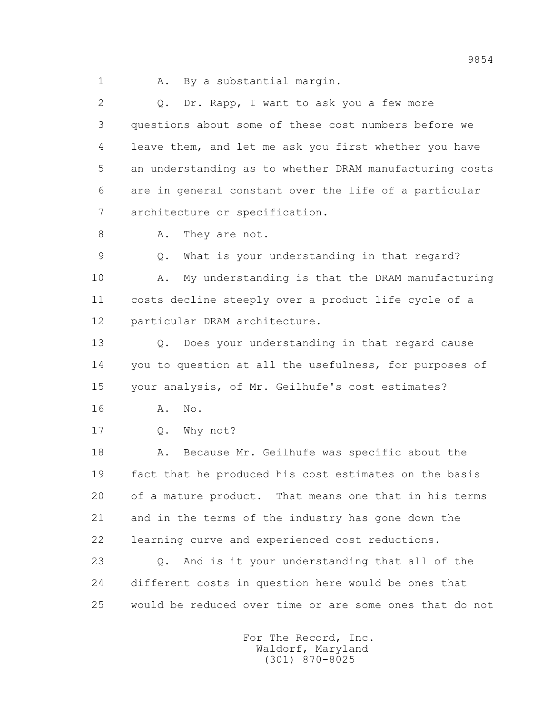1 A. By a substantial margin.

 2 Q. Dr. Rapp, I want to ask you a few more 3 questions about some of these cost numbers before we 4 leave them, and let me ask you first whether you have 5 an understanding as to whether DRAM manufacturing costs 6 are in general constant over the life of a particular 7 architecture or specification.

8 A. They are not.

 9 Q. What is your understanding in that regard? 10 A. My understanding is that the DRAM manufacturing 11 costs decline steeply over a product life cycle of a 12 particular DRAM architecture.

 13 Q. Does your understanding in that regard cause 14 you to question at all the usefulness, for purposes of 15 your analysis, of Mr. Geilhufe's cost estimates?

- 16 A. No.
- 17 0. Why not?

18 A. Because Mr. Geilhufe was specific about the 19 fact that he produced his cost estimates on the basis 20 of a mature product. That means one that in his terms 21 and in the terms of the industry has gone down the 22 learning curve and experienced cost reductions.

 23 Q. And is it your understanding that all of the 24 different costs in question here would be ones that 25 would be reduced over time or are some ones that do not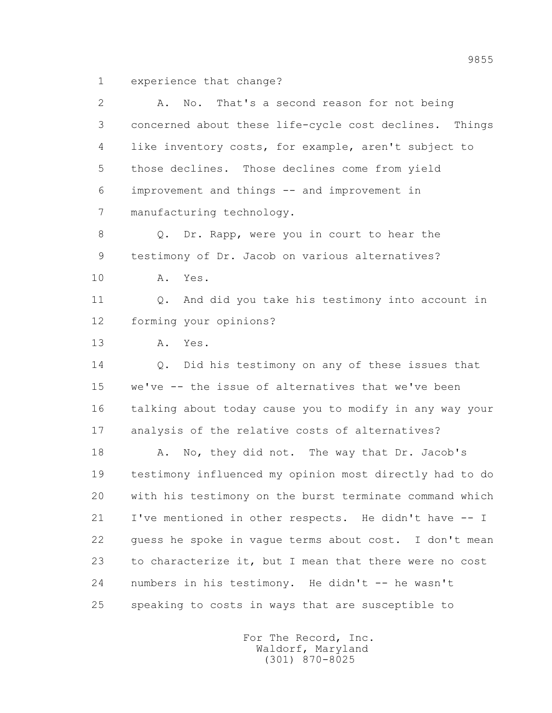1 experience that change?

| $\overline{2}$ | That's a second reason for not being<br>No.<br>Α.       |
|----------------|---------------------------------------------------------|
| 3              | concerned about these life-cycle cost declines. Things  |
| 4              | like inventory costs, for example, aren't subject to    |
| 5              | those declines. Those declines come from yield          |
| 6              | improvement and things -- and improvement in            |
| 7              | manufacturing technology.                               |
| 8              | Q. Dr. Rapp, were you in court to hear the              |
| 9              | testimony of Dr. Jacob on various alternatives?         |
| 10             | Α.<br>Yes.                                              |
| 11             | And did you take his testimony into account in<br>Q.    |
| 12             | forming your opinions?                                  |
| 13             | Α.<br>Yes.                                              |
| 14             | Did his testimony on any of these issues that<br>Q.     |
| 15             | we've -- the issue of alternatives that we've been      |
| 16             | talking about today cause you to modify in any way your |
| 17             | analysis of the relative costs of alternatives?         |
| 18             | No, they did not. The way that Dr. Jacob's<br>Α.        |
| 19             | testimony influenced my opinion most directly had to do |
| 20             | with his testimony on the burst terminate command which |
| 21             | I've mentioned in other respects. He didn't have -- I   |
| 22             | guess he spoke in vague terms about cost. I don't mean  |
| 23             | to characterize it, but I mean that there were no cost  |
| 24             | numbers in his testimony. He didn't -- he wasn't        |
| 25             | speaking to costs in ways that are susceptible to       |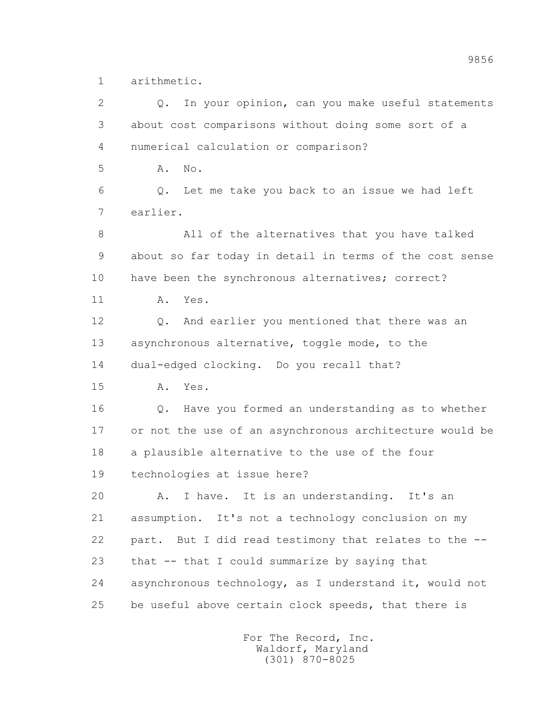1 arithmetic.

 2 Q. In your opinion, can you make useful statements 3 about cost comparisons without doing some sort of a 4 numerical calculation or comparison? 5 A. No. 6 Q. Let me take you back to an issue we had left 7 earlier. 8 All of the alternatives that you have talked 9 about so far today in detail in terms of the cost sense 10 have been the synchronous alternatives; correct? 11 A. Yes. 12 Q. And earlier you mentioned that there was an 13 asynchronous alternative, toggle mode, to the 14 dual-edged clocking. Do you recall that? 15 A. Yes. 16 Q. Have you formed an understanding as to whether 17 or not the use of an asynchronous architecture would be 18 a plausible alternative to the use of the four 19 technologies at issue here? 20 A. I have. It is an understanding. It's an 21 assumption. It's not a technology conclusion on my 22 part. But I did read testimony that relates to the -- 23 that -- that I could summarize by saying that 24 asynchronous technology, as I understand it, would not 25 be useful above certain clock speeds, that there is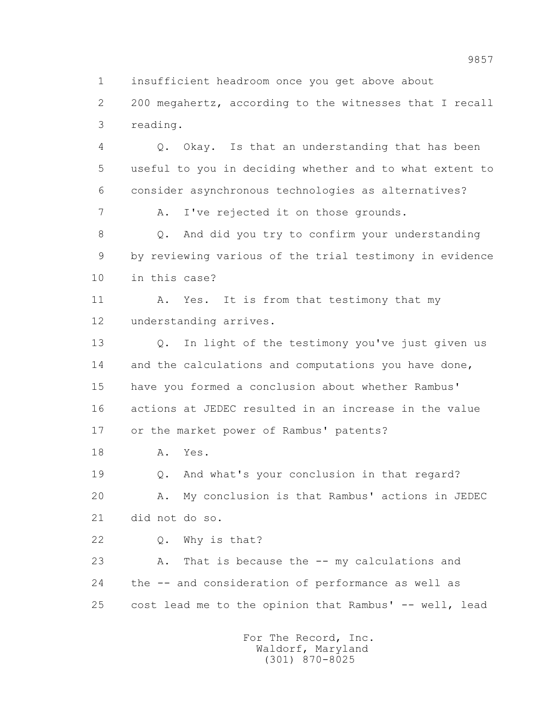1 insufficient headroom once you get above about

 2 200 megahertz, according to the witnesses that I recall 3 reading.

 4 Q. Okay. Is that an understanding that has been 5 useful to you in deciding whether and to what extent to 6 consider asynchronous technologies as alternatives?

7 A. I've rejected it on those grounds.

 8 Q. And did you try to confirm your understanding 9 by reviewing various of the trial testimony in evidence 10 in this case?

11 A. Yes. It is from that testimony that my 12 understanding arrives.

 13 Q. In light of the testimony you've just given us 14 and the calculations and computations you have done, 15 have you formed a conclusion about whether Rambus' 16 actions at JEDEC resulted in an increase in the value 17 or the market power of Rambus' patents?

18 A. Yes.

19 Q. And what's your conclusion in that regard?

 20 A. My conclusion is that Rambus' actions in JEDEC 21 did not do so.

22 Q. Why is that?

 23 A. That is because the -- my calculations and 24 the -- and consideration of performance as well as 25 cost lead me to the opinion that Rambus' -- well, lead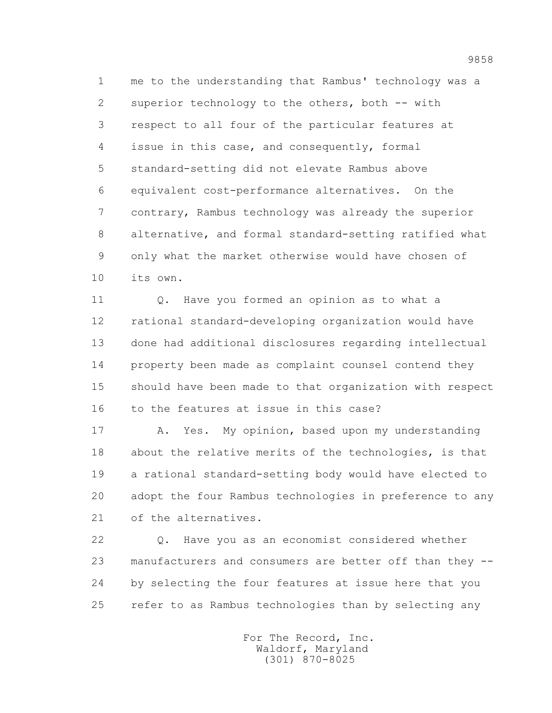1 me to the understanding that Rambus' technology was a 2 superior technology to the others, both -- with 3 respect to all four of the particular features at 4 issue in this case, and consequently, formal 5 standard-setting did not elevate Rambus above 6 equivalent cost-performance alternatives. On the 7 contrary, Rambus technology was already the superior 8 alternative, and formal standard-setting ratified what 9 only what the market otherwise would have chosen of 10 its own.

 11 Q. Have you formed an opinion as to what a 12 rational standard-developing organization would have 13 done had additional disclosures regarding intellectual 14 property been made as complaint counsel contend they 15 should have been made to that organization with respect 16 to the features at issue in this case?

17 A. Yes. My opinion, based upon my understanding 18 about the relative merits of the technologies, is that 19 a rational standard-setting body would have elected to 20 adopt the four Rambus technologies in preference to any 21 of the alternatives.

 22 Q. Have you as an economist considered whether 23 manufacturers and consumers are better off than they -- 24 by selecting the four features at issue here that you 25 refer to as Rambus technologies than by selecting any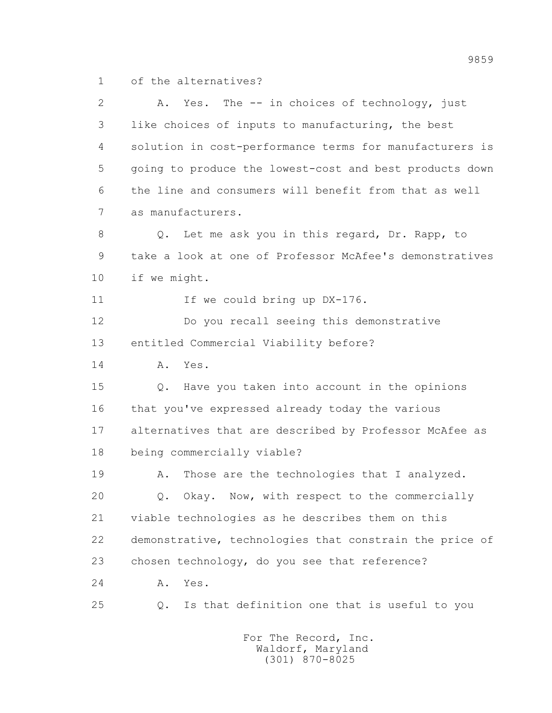1 of the alternatives?

 2 A. Yes. The -- in choices of technology, just 3 like choices of inputs to manufacturing, the best 4 solution in cost-performance terms for manufacturers is 5 going to produce the lowest-cost and best products down 6 the line and consumers will benefit from that as well 7 as manufacturers. 8 Q. Let me ask you in this regard, Dr. Rapp, to 9 take a look at one of Professor McAfee's demonstratives 10 if we might. 11 If we could bring up DX-176. 12 Do you recall seeing this demonstrative 13 entitled Commercial Viability before? 14 A. Yes. 15 Q. Have you taken into account in the opinions 16 that you've expressed already today the various 17 alternatives that are described by Professor McAfee as 18 being commercially viable? 19 A. Those are the technologies that I analyzed. 20 0. Okay. Now, with respect to the commercially 21 viable technologies as he describes them on this 22 demonstrative, technologies that constrain the price of 23 chosen technology, do you see that reference? 24 A. Yes. 25 Q. Is that definition one that is useful to you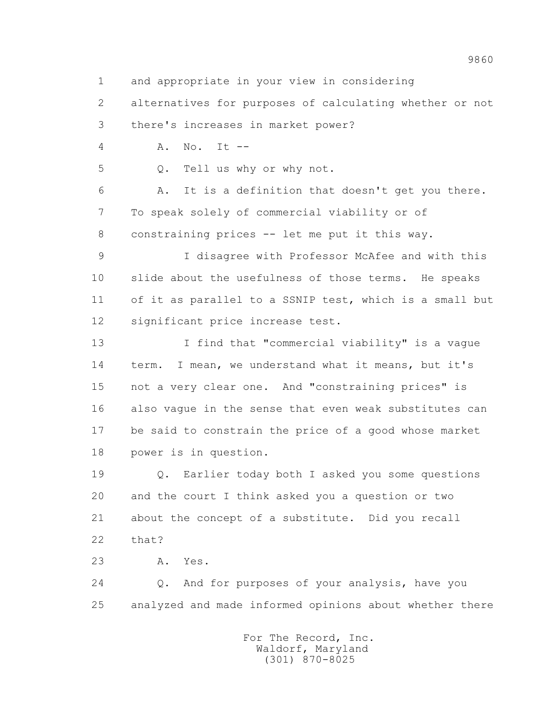1 and appropriate in your view in considering

 2 alternatives for purposes of calculating whether or not 3 there's increases in market power?

4 A. No. It --

5 Q. Tell us why or why not.

 6 A. It is a definition that doesn't get you there. 7 To speak solely of commercial viability or of 8 constraining prices -- let me put it this way.

 9 I disagree with Professor McAfee and with this 10 slide about the usefulness of those terms. He speaks 11 of it as parallel to a SSNIP test, which is a small but 12 significant price increase test.

 13 I find that "commercial viability" is a vague 14 term. I mean, we understand what it means, but it's 15 not a very clear one. And "constraining prices" is 16 also vague in the sense that even weak substitutes can 17 be said to constrain the price of a good whose market 18 power is in question.

 19 Q. Earlier today both I asked you some questions 20 and the court I think asked you a question or two 21 about the concept of a substitute. Did you recall 22 that?

23 A. Yes.

 24 Q. And for purposes of your analysis, have you 25 analyzed and made informed opinions about whether there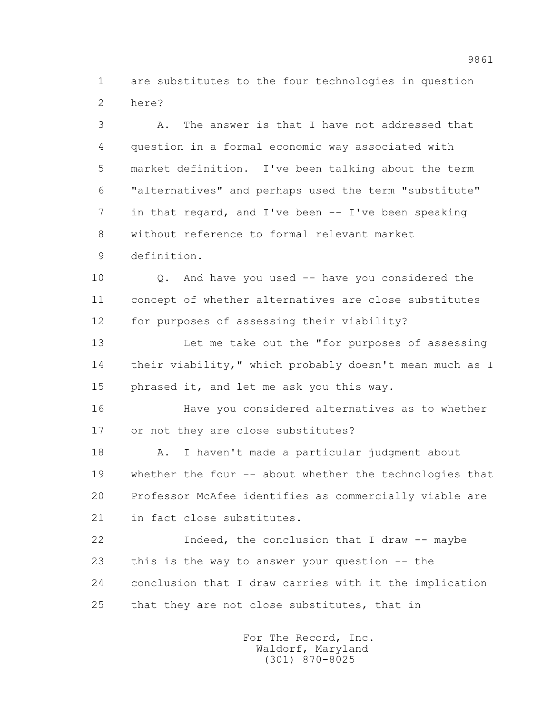1 are substitutes to the four technologies in question 2 here?

 3 A. The answer is that I have not addressed that 4 question in a formal economic way associated with 5 market definition. I've been talking about the term 6 "alternatives" and perhaps used the term "substitute" 7 in that regard, and I've been -- I've been speaking 8 without reference to formal relevant market 9 definition.

 10 Q. And have you used -- have you considered the 11 concept of whether alternatives are close substitutes 12 for purposes of assessing their viability?

 13 Let me take out the "for purposes of assessing 14 their viability," which probably doesn't mean much as I 15 phrased it, and let me ask you this way.

 16 Have you considered alternatives as to whether 17 or not they are close substitutes?

 18 A. I haven't made a particular judgment about 19 whether the four -- about whether the technologies that 20 Professor McAfee identifies as commercially viable are 21 in fact close substitutes.

 22 Indeed, the conclusion that I draw -- maybe 23 this is the way to answer your question -- the 24 conclusion that I draw carries with it the implication 25 that they are not close substitutes, that in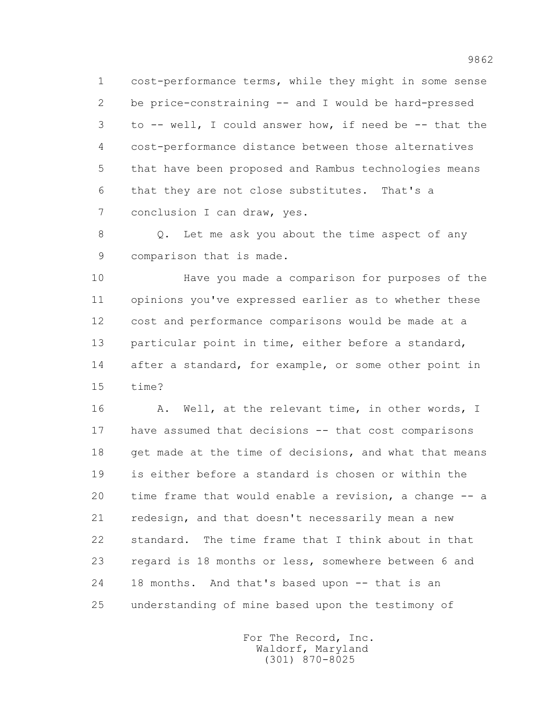1 cost-performance terms, while they might in some sense 2 be price-constraining -- and I would be hard-pressed 3 to -- well, I could answer how, if need be -- that the 4 cost-performance distance between those alternatives 5 that have been proposed and Rambus technologies means 6 that they are not close substitutes. That's a 7 conclusion I can draw, yes.

 8 Q. Let me ask you about the time aspect of any 9 comparison that is made.

 10 Have you made a comparison for purposes of the 11 opinions you've expressed earlier as to whether these 12 cost and performance comparisons would be made at a 13 particular point in time, either before a standard, 14 after a standard, for example, or some other point in 15 time?

16 A. Well, at the relevant time, in other words, I 17 have assumed that decisions -- that cost comparisons 18 get made at the time of decisions, and what that means 19 is either before a standard is chosen or within the 20 time frame that would enable a revision, a change -- a 21 redesign, and that doesn't necessarily mean a new 22 standard. The time frame that I think about in that 23 regard is 18 months or less, somewhere between 6 and 24 18 months. And that's based upon -- that is an 25 understanding of mine based upon the testimony of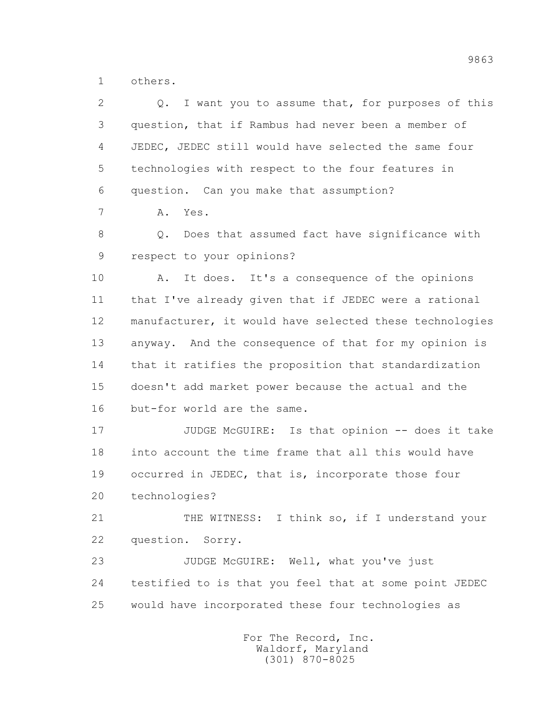1 others.

| $\overline{2}$ | I want you to assume that, for purposes of this<br>Q.   |
|----------------|---------------------------------------------------------|
| 3              | question, that if Rambus had never been a member of     |
| 4              | JEDEC, JEDEC still would have selected the same four    |
| 5              | technologies with respect to the four features in       |
| 6              | question. Can you make that assumption?                 |
| 7              | A. Yes.                                                 |
| 8              | Does that assumed fact have significance with<br>Q.     |
| 9              | respect to your opinions?                               |
| 10             | It does. It's a consequence of the opinions<br>Α.       |
| 11             | that I've already given that if JEDEC were a rational   |
| 12             | manufacturer, it would have selected these technologies |
| 13             | anyway. And the consequence of that for my opinion is   |
| 14             | that it ratifies the proposition that standardization   |
| 15             | doesn't add market power because the actual and the     |
| 16             | but-for world are the same.                             |
| 17             | JUDGE McGUIRE: Is that opinion -- does it take          |
| 18             | into account the time frame that all this would have    |
| 19             | occurred in JEDEC, that is, incorporate those four      |
| 20             | technologies?                                           |
| 21             | THE WITNESS: I think so, if I understand your           |
| 22             | question. Sorry.                                        |
| 23             | JUDGE McGUIRE: Well, what you've just                   |
| 24             | testified to is that you feel that at some point JEDEC  |
| 25             | would have incorporated these four technologies as      |
|                |                                                         |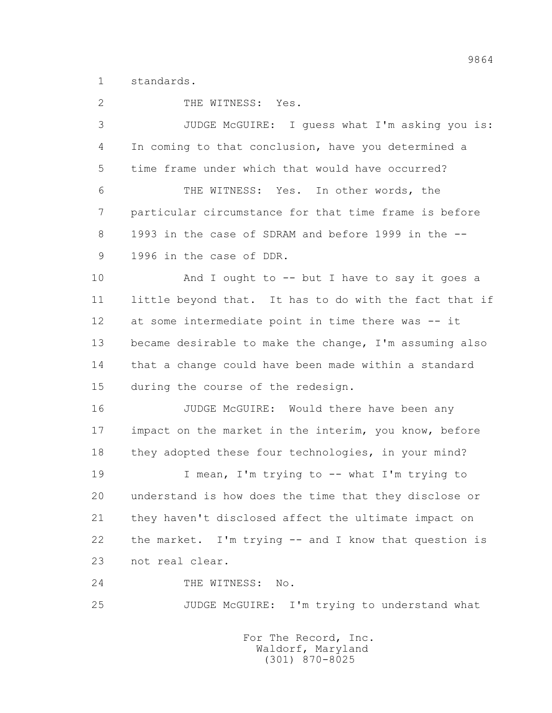1 standards.

2 THE WITNESS: Yes. 3 JUDGE McGUIRE: I guess what I'm asking you is: 4 In coming to that conclusion, have you determined a 5 time frame under which that would have occurred? 6 THE WITNESS: Yes. In other words, the 7 particular circumstance for that time frame is before 8 1993 in the case of SDRAM and before 1999 in the -- 9 1996 in the case of DDR. 10 And I ought to -- but I have to say it goes a 11 little beyond that. It has to do with the fact that if 12 at some intermediate point in time there was -- it 13 became desirable to make the change, I'm assuming also 14 that a change could have been made within a standard 15 during the course of the redesign. 16 **JUDGE McGUIRE:** Would there have been any 17 impact on the market in the interim, you know, before 18 they adopted these four technologies, in your mind? 19 I mean, I'm trying to -- what I'm trying to 20 understand is how does the time that they disclose or 21 they haven't disclosed affect the ultimate impact on 22 the market. I'm trying -- and I know that question is 23 not real clear. 24 THE WITNESS: No. 25 JUDGE McGUIRE: I'm trying to understand what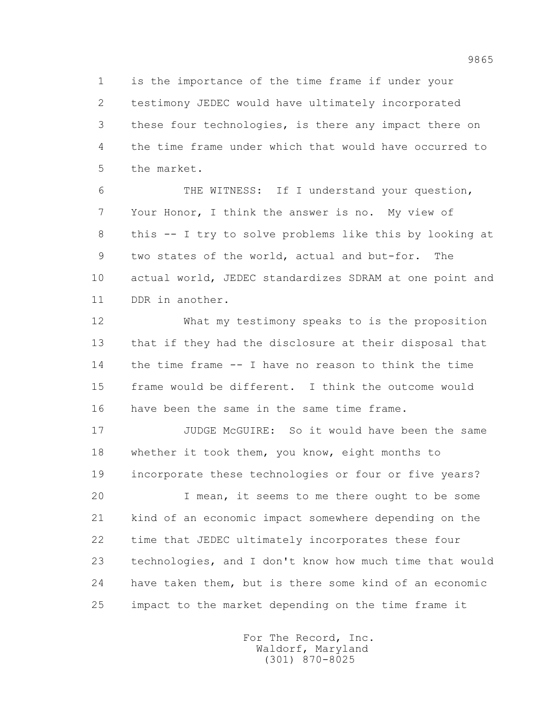1 is the importance of the time frame if under your 2 testimony JEDEC would have ultimately incorporated 3 these four technologies, is there any impact there on 4 the time frame under which that would have occurred to 5 the market.

 6 THE WITNESS: If I understand your question, 7 Your Honor, I think the answer is no. My view of 8 this -- I try to solve problems like this by looking at 9 two states of the world, actual and but-for. The 10 actual world, JEDEC standardizes SDRAM at one point and 11 DDR in another.

 12 What my testimony speaks to is the proposition 13 that if they had the disclosure at their disposal that 14 the time frame -- I have no reason to think the time 15 frame would be different. I think the outcome would 16 have been the same in the same time frame.

 17 JUDGE McGUIRE: So it would have been the same 18 whether it took them, you know, eight months to 19 incorporate these technologies or four or five years?

 20 I mean, it seems to me there ought to be some 21 kind of an economic impact somewhere depending on the 22 time that JEDEC ultimately incorporates these four 23 technologies, and I don't know how much time that would 24 have taken them, but is there some kind of an economic 25 impact to the market depending on the time frame it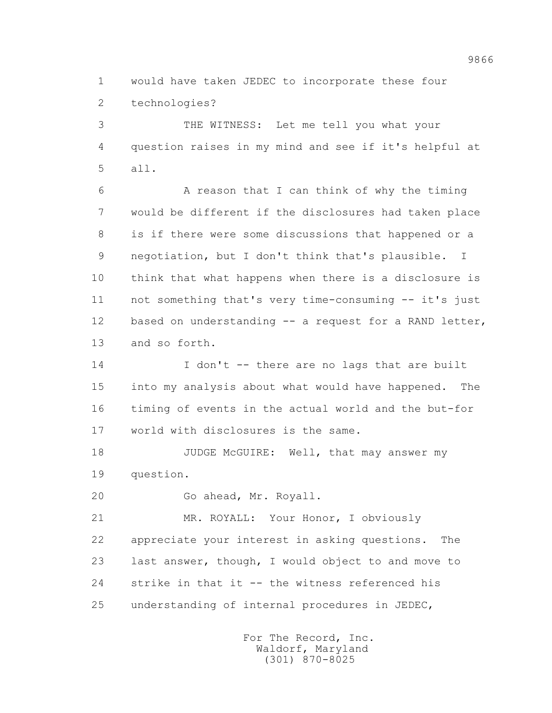1 would have taken JEDEC to incorporate these four 2 technologies?

 3 THE WITNESS: Let me tell you what your 4 question raises in my mind and see if it's helpful at 5 all.

 6 A reason that I can think of why the timing 7 would be different if the disclosures had taken place 8 is if there were some discussions that happened or a 9 negotiation, but I don't think that's plausible. I 10 think that what happens when there is a disclosure is 11 not something that's very time-consuming -- it's just 12 based on understanding -- a request for a RAND letter, 13 and so forth.

14 I don't -- there are no lags that are built 15 into my analysis about what would have happened. The 16 timing of events in the actual world and the but-for 17 world with disclosures is the same.

18 JUDGE McGUIRE: Well, that may answer my 19 question.

20 Go ahead, Mr. Royall.

 21 MR. ROYALL: Your Honor, I obviously 22 appreciate your interest in asking questions. The 23 last answer, though, I would object to and move to 24 strike in that it -- the witness referenced his 25 understanding of internal procedures in JEDEC,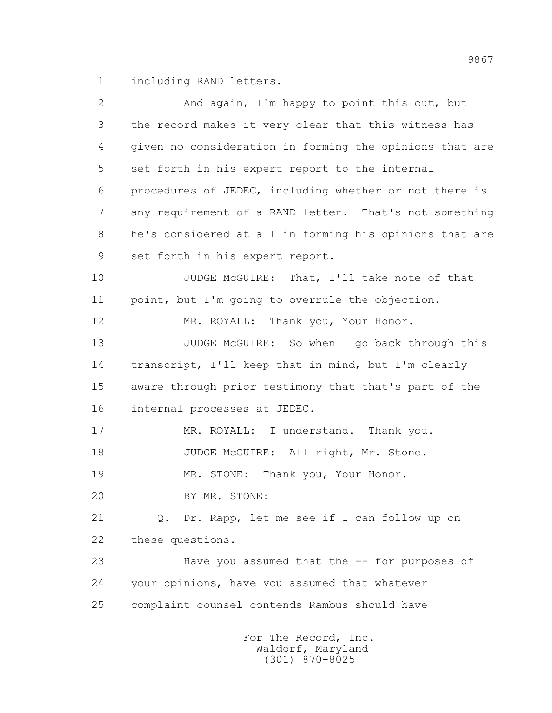1 including RAND letters.

| $\overline{2}$ | And again, I'm happy to point this out, but             |
|----------------|---------------------------------------------------------|
| 3              | the record makes it very clear that this witness has    |
| 4              | given no consideration in forming the opinions that are |
| 5              | set forth in his expert report to the internal          |
| 6              | procedures of JEDEC, including whether or not there is  |
| 7              | any requirement of a RAND letter. That's not something  |
| 8              | he's considered at all in forming his opinions that are |
| 9              | set forth in his expert report.                         |
| 10             | JUDGE McGUIRE: That, I'll take note of that             |
| 11             | point, but I'm going to overrule the objection.         |
| 12             | MR. ROYALL: Thank you, Your Honor.                      |
| 13             | JUDGE McGUIRE: So when I go back through this           |
| 14             | transcript, I'll keep that in mind, but I'm clearly     |
| 15             | aware through prior testimony that that's part of the   |
| 16             | internal processes at JEDEC.                            |
| 17             | MR. ROYALL: I understand. Thank you.                    |
| 18             | JUDGE McGUIRE: All right, Mr. Stone.                    |
| 19             | Thank you, Your Honor.<br>MR. STONE:                    |
| 20             | BY MR. STONE:                                           |
| 21             | Q. Dr. Rapp, let me see if I can follow up on           |
| 22             | these questions.                                        |
| 23             | Have you assumed that the -- for purposes of            |
| 24             | your opinions, have you assumed that whatever           |
| 25             | complaint counsel contends Rambus should have           |
|                | For The Record, Inc.                                    |

Waldorf, Maryland (301) 870-8025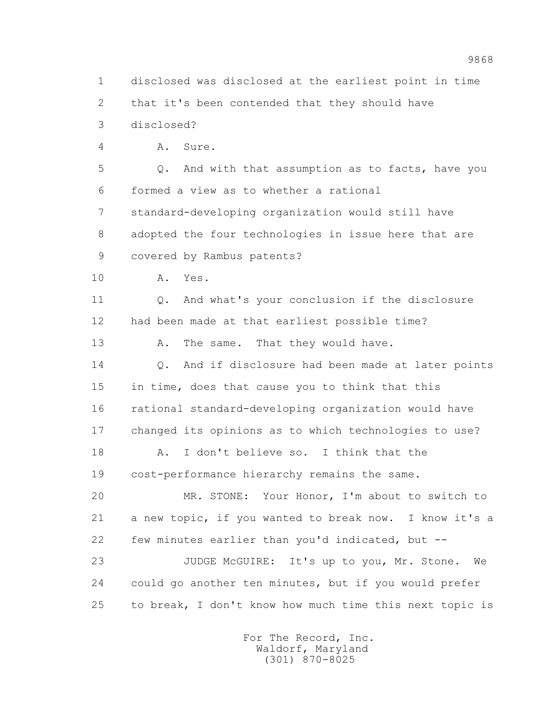1 disclosed was disclosed at the earliest point in time 2 that it's been contended that they should have 3 disclosed? 4 A. Sure. 5 Q. And with that assumption as to facts, have you 6 formed a view as to whether a rational 7 standard-developing organization would still have 8 adopted the four technologies in issue here that are 9 covered by Rambus patents? 10 A. Yes. 11 0. And what's your conclusion if the disclosure 12 had been made at that earliest possible time? 13 A. The same. That they would have. 14 0. And if disclosure had been made at later points 15 in time, does that cause you to think that this 16 rational standard-developing organization would have 17 changed its opinions as to which technologies to use? 18 A. I don't believe so. I think that the 19 cost-performance hierarchy remains the same. 20 MR. STONE: Your Honor, I'm about to switch to 21 a new topic, if you wanted to break now. I know it's a 22 few minutes earlier than you'd indicated, but -- 23 JUDGE McGUIRE: It's up to you, Mr. Stone. We 24 could go another ten minutes, but if you would prefer 25 to break, I don't know how much time this next topic is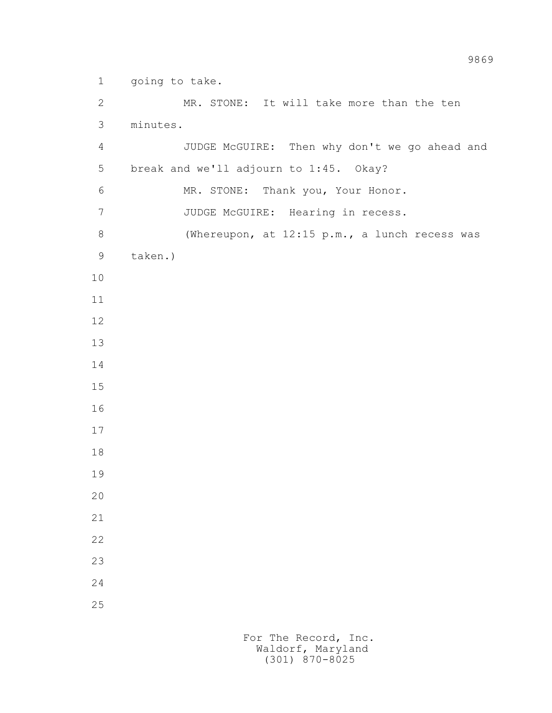1 going to take.

 2 MR. STONE: It will take more than the ten 3 minutes. 4 JUDGE McGUIRE: Then why don't we go ahead and 5 break and we'll adjourn to 1:45. Okay? 6 MR. STONE: Thank you, Your Honor. 7 JUDGE McGUIRE: Hearing in recess. 8 (Whereupon, at 12:15 p.m., a lunch recess was 9 taken.) 10 11 12 13 14 15 16 17 18 19 20 21 22 23 24 25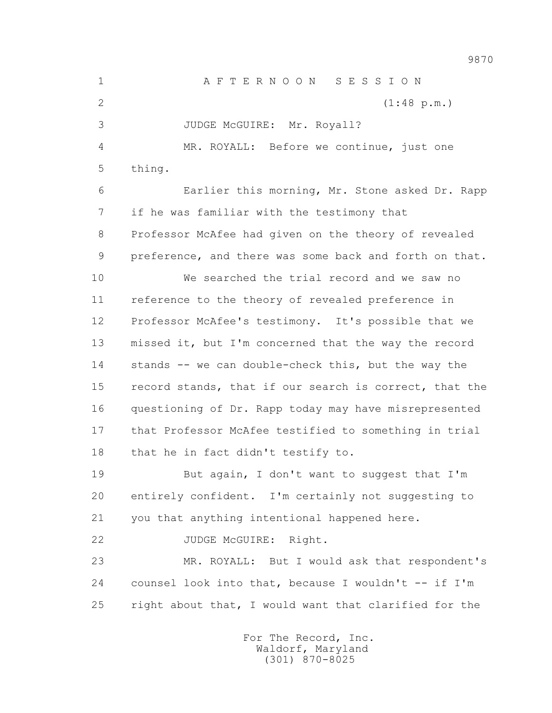1 A F T E R N O O N S E S S I O N 2 (1:48 p.m.) 3 JUDGE McGUIRE: Mr. Royall? 4 MR. ROYALL: Before we continue, just one 5 thing. 6 Earlier this morning, Mr. Stone asked Dr. Rapp 7 if he was familiar with the testimony that 8 Professor McAfee had given on the theory of revealed 9 preference, and there was some back and forth on that. 10 We searched the trial record and we saw no 11 reference to the theory of revealed preference in 12 Professor McAfee's testimony. It's possible that we 13 missed it, but I'm concerned that the way the record 14 stands -- we can double-check this, but the way the 15 record stands, that if our search is correct, that the 16 questioning of Dr. Rapp today may have misrepresented 17 that Professor McAfee testified to something in trial 18 that he in fact didn't testify to. 19 But again, I don't want to suggest that I'm 20 entirely confident. I'm certainly not suggesting to 21 you that anything intentional happened here. 22 JUDGE McGUIRE: Right. 23 MR. ROYALL: But I would ask that respondent's 24 counsel look into that, because I wouldn't -- if I'm 25 right about that, I would want that clarified for the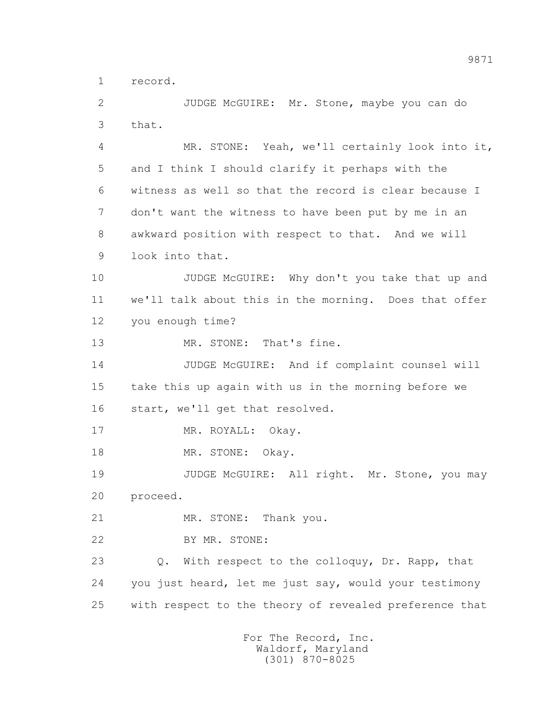1 record.

 2 JUDGE McGUIRE: Mr. Stone, maybe you can do 3 that.

 4 MR. STONE: Yeah, we'll certainly look into it, 5 and I think I should clarify it perhaps with the 6 witness as well so that the record is clear because I 7 don't want the witness to have been put by me in an 8 awkward position with respect to that. And we will 9 look into that.

 10 JUDGE McGUIRE: Why don't you take that up and 11 we'll talk about this in the morning. Does that offer 12 you enough time?

13 MR. STONE: That's fine.

 14 JUDGE McGUIRE: And if complaint counsel will 15 take this up again with us in the morning before we 16 start, we'll get that resolved.

17 MR. ROYALL: Okay.

18 MR. STONE: Okay.

19 JUDGE McGUIRE: All right. Mr. Stone, you may 20 proceed.

21 MR. STONE: Thank you.

22 BY MR. STONE:

 23 Q. With respect to the colloquy, Dr. Rapp, that 24 you just heard, let me just say, would your testimony 25 with respect to the theory of revealed preference that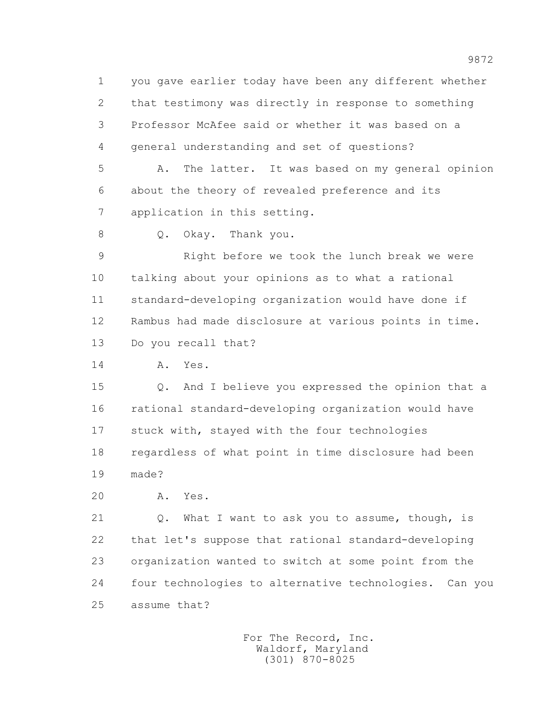1 you gave earlier today have been any different whether 2 that testimony was directly in response to something 3 Professor McAfee said or whether it was based on a 4 general understanding and set of questions?

 5 A. The latter. It was based on my general opinion 6 about the theory of revealed preference and its 7 application in this setting.

8 Q. Okay. Thank you.

 9 Right before we took the lunch break we were 10 talking about your opinions as to what a rational 11 standard-developing organization would have done if 12 Rambus had made disclosure at various points in time. 13 Do you recall that?

14 A. Yes.

 15 Q. And I believe you expressed the opinion that a 16 rational standard-developing organization would have 17 stuck with, stayed with the four technologies 18 regardless of what point in time disclosure had been 19 made?

20 A. Yes.

21 Q. What I want to ask you to assume, though, is 22 that let's suppose that rational standard-developing 23 organization wanted to switch at some point from the 24 four technologies to alternative technologies. Can you 25 assume that?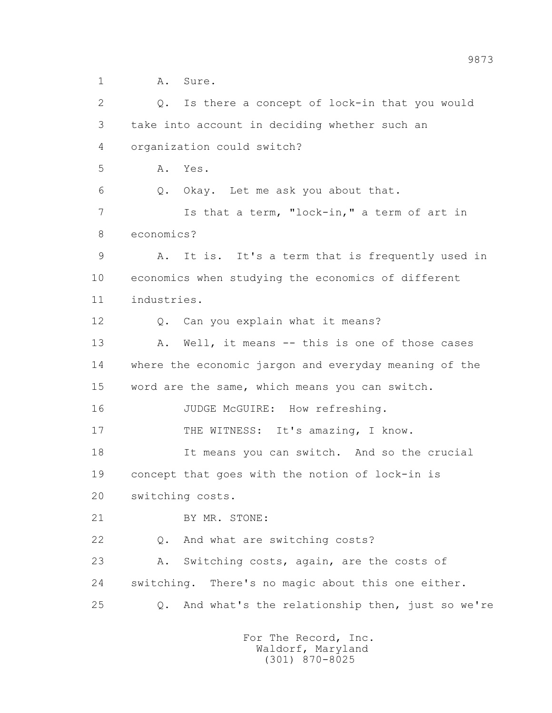1 A. Sure. 2 Q. Is there a concept of lock-in that you would 3 take into account in deciding whether such an 4 organization could switch? 5 A. Yes. 6 Q. Okay. Let me ask you about that. 7 Is that a term, "lock-in," a term of art in 8 economics? 9 A. It is. It's a term that is frequently used in 10 economics when studying the economics of different 11 industries. 12 Q. Can you explain what it means? 13 A. Well, it means -- this is one of those cases 14 where the economic jargon and everyday meaning of the 15 word are the same, which means you can switch. 16 JUDGE McGUIRE: How refreshing. 17 THE WITNESS: It's amazing, I know. 18 It means you can switch. And so the crucial 19 concept that goes with the notion of lock-in is 20 switching costs. 21 BY MR. STONE: 22 Q. And what are switching costs? 23 A. Switching costs, again, are the costs of 24 switching. There's no magic about this one either. 25 Q. And what's the relationship then, just so we're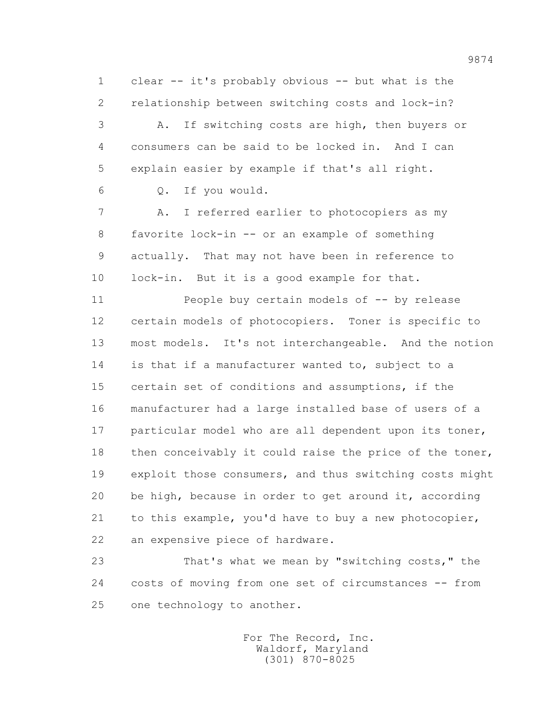1 clear -- it's probably obvious -- but what is the 2 relationship between switching costs and lock-in?

 3 A. If switching costs are high, then buyers or 4 consumers can be said to be locked in. And I can 5 explain easier by example if that's all right.

6 Q. If you would.

 7 A. I referred earlier to photocopiers as my 8 favorite lock-in -- or an example of something 9 actually. That may not have been in reference to 10 lock-in. But it is a good example for that.

 11 People buy certain models of -- by release 12 certain models of photocopiers. Toner is specific to 13 most models. It's not interchangeable. And the notion 14 is that if a manufacturer wanted to, subject to a 15 certain set of conditions and assumptions, if the 16 manufacturer had a large installed base of users of a 17 particular model who are all dependent upon its toner, 18 then conceivably it could raise the price of the toner, 19 exploit those consumers, and thus switching costs might 20 be high, because in order to get around it, according 21 to this example, you'd have to buy a new photocopier, 22 an expensive piece of hardware.

 23 That's what we mean by "switching costs," the 24 costs of moving from one set of circumstances -- from 25 one technology to another.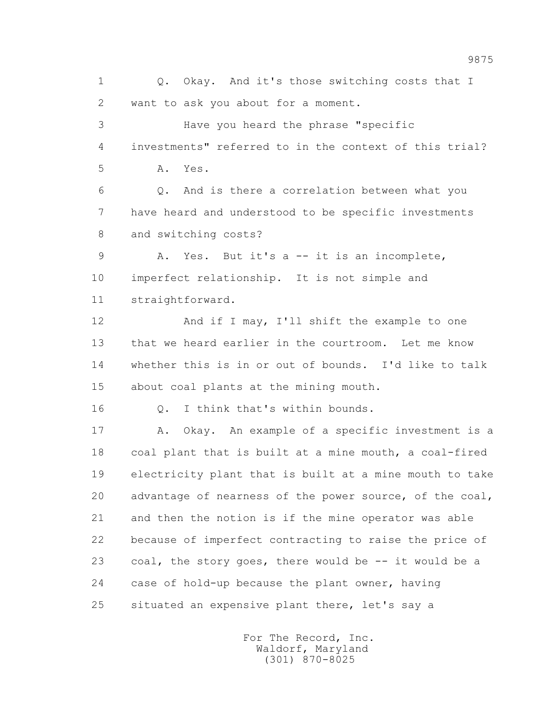1 0. Okay. And it's those switching costs that I 2 want to ask you about for a moment. 3 Have you heard the phrase "specific 4 investments" referred to in the context of this trial? 5 A. Yes. 6 Q. And is there a correlation between what you 7 have heard and understood to be specific investments 8 and switching costs? 9 A. Yes. But it's a -- it is an incomplete, 10 imperfect relationship. It is not simple and 11 straightforward. 12 And if I may, I'll shift the example to one 13 that we heard earlier in the courtroom. Let me know 14 whether this is in or out of bounds. I'd like to talk 15 about coal plants at the mining mouth. 16 0. I think that's within bounds. 17 A. Okay. An example of a specific investment is a 18 coal plant that is built at a mine mouth, a coal-fired 19 electricity plant that is built at a mine mouth to take 20 advantage of nearness of the power source, of the coal, 21 and then the notion is if the mine operator was able 22 because of imperfect contracting to raise the price of 23 coal, the story goes, there would be -- it would be a 24 case of hold-up because the plant owner, having 25 situated an expensive plant there, let's say a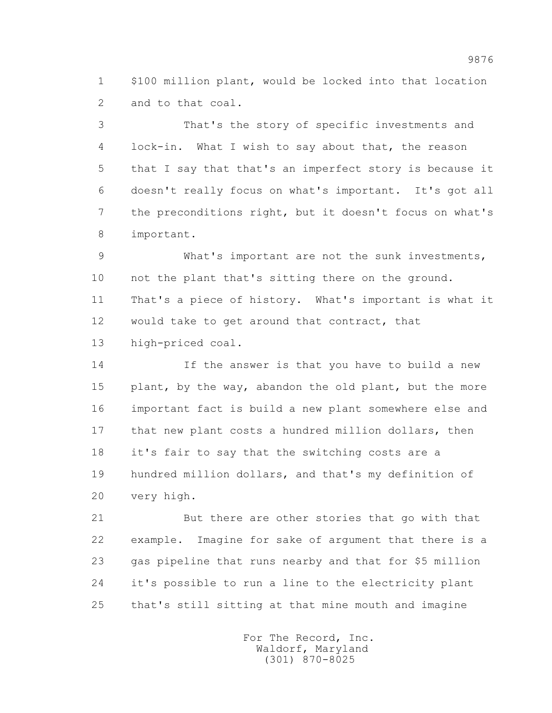1 \$100 million plant, would be locked into that location 2 and to that coal.

 3 That's the story of specific investments and 4 lock-in. What I wish to say about that, the reason 5 that I say that that's an imperfect story is because it 6 doesn't really focus on what's important. It's got all 7 the preconditions right, but it doesn't focus on what's 8 important.

 9 What's important are not the sunk investments, 10 not the plant that's sitting there on the ground. 11 That's a piece of history. What's important is what it 12 would take to get around that contract, that 13 high-priced coal.

 14 If the answer is that you have to build a new 15 plant, by the way, abandon the old plant, but the more 16 important fact is build a new plant somewhere else and 17 that new plant costs a hundred million dollars, then 18 it's fair to say that the switching costs are a 19 hundred million dollars, and that's my definition of 20 very high.

 21 But there are other stories that go with that 22 example. Imagine for sake of argument that there is a 23 gas pipeline that runs nearby and that for \$5 million 24 it's possible to run a line to the electricity plant 25 that's still sitting at that mine mouth and imagine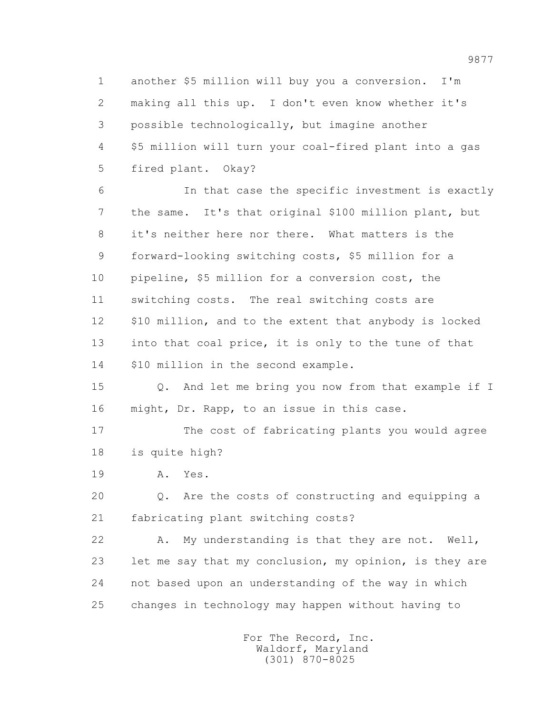1 another \$5 million will buy you a conversion. I'm 2 making all this up. I don't even know whether it's 3 possible technologically, but imagine another 4 \$5 million will turn your coal-fired plant into a gas 5 fired plant. Okay?

 6 In that case the specific investment is exactly 7 the same. It's that original \$100 million plant, but 8 it's neither here nor there. What matters is the 9 forward-looking switching costs, \$5 million for a 10 pipeline, \$5 million for a conversion cost, the 11 switching costs. The real switching costs are 12 \$10 million, and to the extent that anybody is locked 13 into that coal price, it is only to the tune of that 14 \$10 million in the second example.

 15 Q. And let me bring you now from that example if I 16 might, Dr. Rapp, to an issue in this case.

 17 The cost of fabricating plants you would agree 18 is quite high?

19 A. Yes.

 20 Q. Are the costs of constructing and equipping a 21 fabricating plant switching costs?

 22 A. My understanding is that they are not. Well, 23 let me say that my conclusion, my opinion, is they are 24 not based upon an understanding of the way in which 25 changes in technology may happen without having to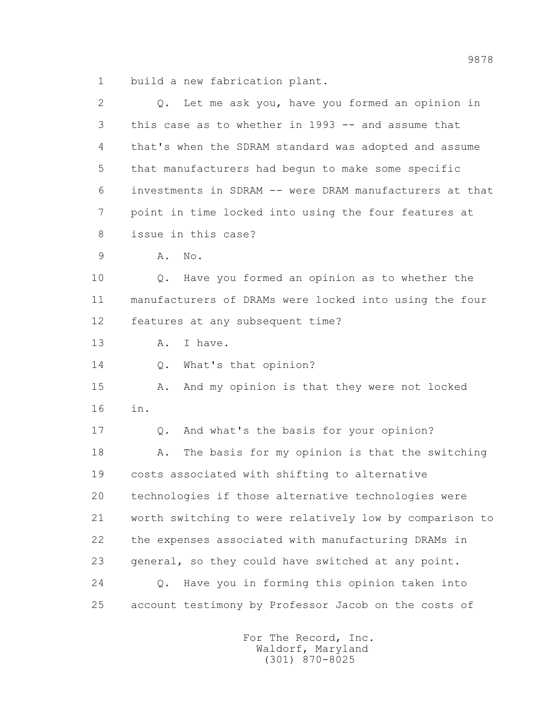1 build a new fabrication plant.

| 2             | Let me ask you, have you formed an opinion in<br>Q.          |
|---------------|--------------------------------------------------------------|
| 3             | this case as to whether in 1993 -- and assume that           |
| 4             | that's when the SDRAM standard was adopted and assume        |
| 5             | that manufacturers had begun to make some specific           |
| 6             | investments in SDRAM -- were DRAM manufacturers at that      |
| 7             | point in time locked into using the four features at         |
| 8             | issue in this case?                                          |
| $\mathcal{G}$ | Α.<br>No.                                                    |
| 10            | Have you formed an opinion as to whether the<br>Q.           |
| 11            | manufacturers of DRAMs were locked into using the four       |
| 12            | features at any subsequent time?                             |
| 13            | Α.<br>I have.                                                |
| 14            | What's that opinion?<br>Q.                                   |
| 15            | And my opinion is that they were not locked<br>Α.            |
| 16            | in.                                                          |
| 17            | And what's the basis for your opinion?<br>Q.                 |
| 18            | The basis for my opinion is that the switching<br>Α.         |
| 19            | costs associated with shifting to alternative                |
| 20            | technologies if those alternative technologies were          |
| 21            | worth switching to were relatively low by comparison to      |
| 22            | the expenses associated with manufacturing DRAMs in          |
| 23            | general, so they could have switched at any point.           |
| 24            | Have you in forming this opinion taken into<br>$Q_{\bullet}$ |
| 25            | account testimony by Professor Jacob on the costs of         |
|               |                                                              |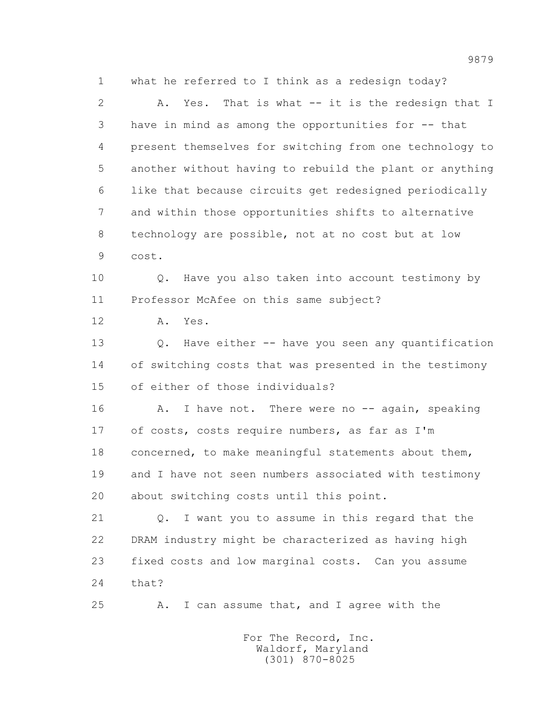1 what he referred to I think as a redesign today? 2 A. Yes. That is what -- it is the redesign that I 3 have in mind as among the opportunities for -- that 4 present themselves for switching from one technology to 5 another without having to rebuild the plant or anything 6 like that because circuits get redesigned periodically 7 and within those opportunities shifts to alternative 8 technology are possible, not at no cost but at low 9 cost. 10 Q. Have you also taken into account testimony by 11 Professor McAfee on this same subject? 12 A. Yes. 13 Q. Have either -- have you seen any quantification 14 of switching costs that was presented in the testimony 15 of either of those individuals? 16 A. I have not. There were no -- again, speaking 17 of costs, costs require numbers, as far as I'm 18 concerned, to make meaningful statements about them, 19 and I have not seen numbers associated with testimony 20 about switching costs until this point. 21 Q. I want you to assume in this regard that the 22 DRAM industry might be characterized as having high 23 fixed costs and low marginal costs. Can you assume 24 that?

25 A. I can assume that, and I agree with the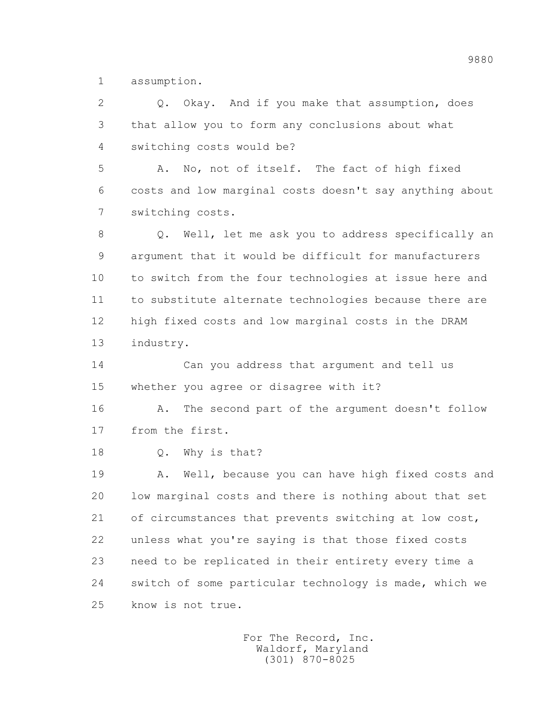1 assumption.

 2 Q. Okay. And if you make that assumption, does 3 that allow you to form any conclusions about what 4 switching costs would be? 5 A. No, not of itself. The fact of high fixed 6 costs and low marginal costs doesn't say anything about 7 switching costs. 8 Q. Well, let me ask you to address specifically an 9 argument that it would be difficult for manufacturers 10 to switch from the four technologies at issue here and 11 to substitute alternate technologies because there are 12 high fixed costs and low marginal costs in the DRAM 13 industry. 14 Can you address that argument and tell us 15 whether you agree or disagree with it? 16 A. The second part of the argument doesn't follow 17 from the first. 18 Q. Why is that? 19 A. Well, because you can have high fixed costs and 20 low marginal costs and there is nothing about that set 21 of circumstances that prevents switching at low cost, 22 unless what you're saying is that those fixed costs 23 need to be replicated in their entirety every time a 24 switch of some particular technology is made, which we 25 know is not true.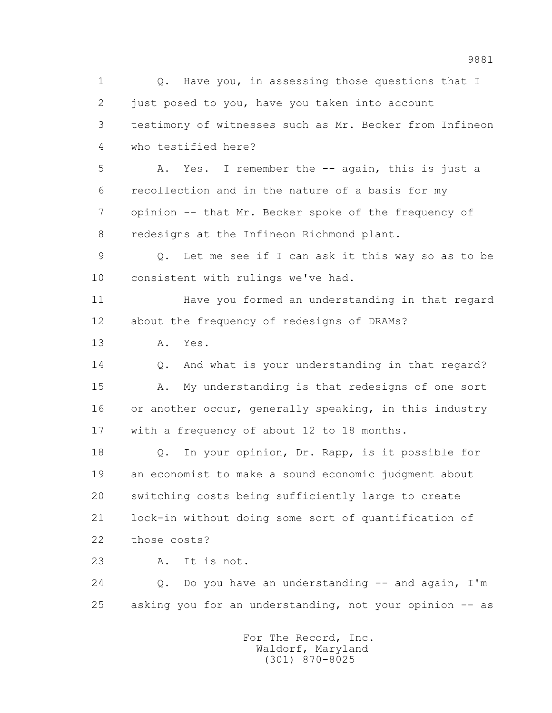1 0. Have you, in assessing those questions that I 2 just posed to you, have you taken into account 3 testimony of witnesses such as Mr. Becker from Infineon 4 who testified here?

 5 A. Yes. I remember the -- again, this is just a 6 recollection and in the nature of a basis for my 7 opinion -- that Mr. Becker spoke of the frequency of 8 redesigns at the Infineon Richmond plant.

 9 Q. Let me see if I can ask it this way so as to be 10 consistent with rulings we've had.

 11 Have you formed an understanding in that regard 12 about the frequency of redesigns of DRAMs?

13 A. Yes.

 14 Q. And what is your understanding in that regard? 15 A. My understanding is that redesigns of one sort 16 or another occur, generally speaking, in this industry 17 with a frequency of about 12 to 18 months.

 18 Q. In your opinion, Dr. Rapp, is it possible for 19 an economist to make a sound economic judgment about 20 switching costs being sufficiently large to create 21 lock-in without doing some sort of quantification of 22 those costs?

23 A. It is not.

24 Q. Do you have an understanding -- and again, I'm 25 asking you for an understanding, not your opinion -- as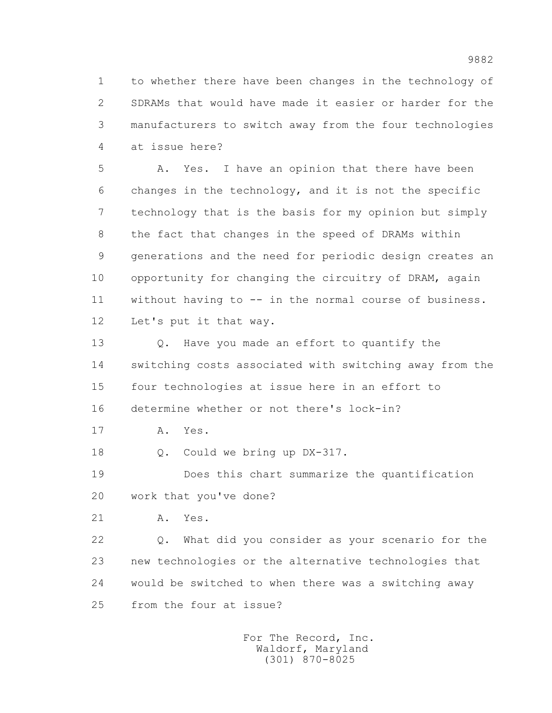1 to whether there have been changes in the technology of 2 SDRAMs that would have made it easier or harder for the 3 manufacturers to switch away from the four technologies 4 at issue here?

 5 A. Yes. I have an opinion that there have been 6 changes in the technology, and it is not the specific 7 technology that is the basis for my opinion but simply 8 the fact that changes in the speed of DRAMs within 9 generations and the need for periodic design creates an 10 opportunity for changing the circuitry of DRAM, again 11 without having to -- in the normal course of business. 12 Let's put it that way.

 13 Q. Have you made an effort to quantify the 14 switching costs associated with switching away from the 15 four technologies at issue here in an effort to 16 determine whether or not there's lock-in?

17 A. Yes.

18 Q. Could we bring up DX-317.

 19 Does this chart summarize the quantification 20 work that you've done?

21 A. Yes.

 22 Q. What did you consider as your scenario for the 23 new technologies or the alternative technologies that 24 would be switched to when there was a switching away 25 from the four at issue?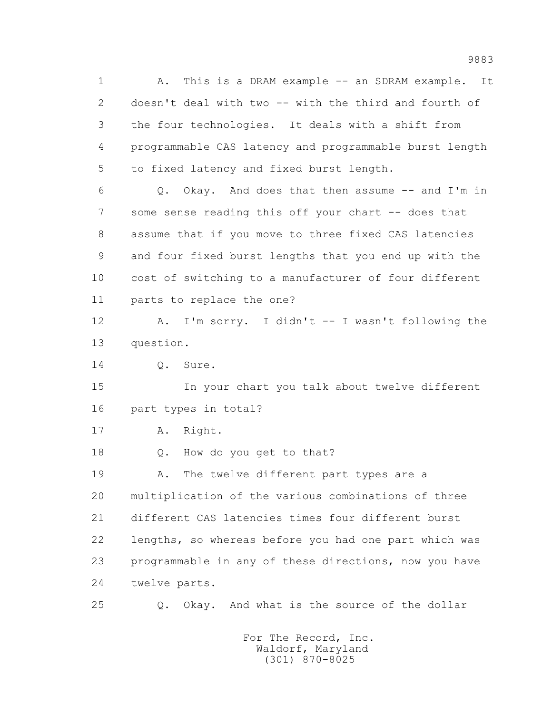1 A. This is a DRAM example -- an SDRAM example. It 2 doesn't deal with two -- with the third and fourth of 3 the four technologies. It deals with a shift from 4 programmable CAS latency and programmable burst length 5 to fixed latency and fixed burst length.

 6 Q. Okay. And does that then assume -- and I'm in 7 some sense reading this off your chart -- does that 8 assume that if you move to three fixed CAS latencies 9 and four fixed burst lengths that you end up with the 10 cost of switching to a manufacturer of four different 11 parts to replace the one?

 12 A. I'm sorry. I didn't -- I wasn't following the 13 question.

14 Q. Sure.

 15 In your chart you talk about twelve different 16 part types in total?

17 A. Right.

18 Q. How do you get to that?

19 A. The twelve different part types are a 20 multiplication of the various combinations of three 21 different CAS latencies times four different burst 22 lengths, so whereas before you had one part which was 23 programmable in any of these directions, now you have 24 twelve parts.

25 Q. Okay. And what is the source of the dollar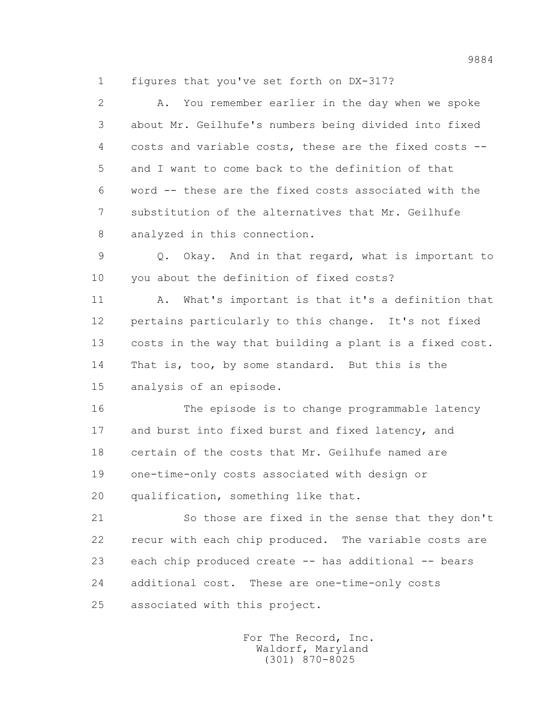1 figures that you've set forth on DX-317?

 2 A. You remember earlier in the day when we spoke 3 about Mr. Geilhufe's numbers being divided into fixed 4 costs and variable costs, these are the fixed costs -- 5 and I want to come back to the definition of that 6 word -- these are the fixed costs associated with the 7 substitution of the alternatives that Mr. Geilhufe 8 analyzed in this connection. 9 Q. Okay. And in that regard, what is important to 10 you about the definition of fixed costs? 11 A. What's important is that it's a definition that 12 pertains particularly to this change. It's not fixed 13 costs in the way that building a plant is a fixed cost. 14 That is, too, by some standard. But this is the 15 analysis of an episode. 16 The episode is to change programmable latency 17 and burst into fixed burst and fixed latency, and 18 certain of the costs that Mr. Geilhufe named are 19 one-time-only costs associated with design or 20 qualification, something like that. 21 So those are fixed in the sense that they don't 22 recur with each chip produced. The variable costs are 23 each chip produced create -- has additional -- bears 24 additional cost. These are one-time-only costs

25 associated with this project.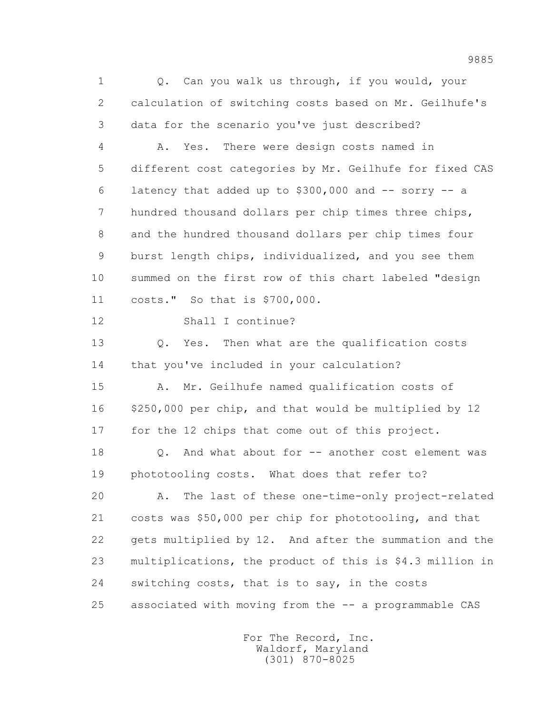1 0. Can you walk us through, if you would, your 2 calculation of switching costs based on Mr. Geilhufe's 3 data for the scenario you've just described?

 4 A. Yes. There were design costs named in 5 different cost categories by Mr. Geilhufe for fixed CAS 6 latency that added up to  $$300,000$  and  $-$  sorry  $-$  a 7 hundred thousand dollars per chip times three chips, 8 and the hundred thousand dollars per chip times four 9 burst length chips, individualized, and you see them 10 summed on the first row of this chart labeled "design 11 costs." So that is \$700,000.

12 Shall I continue?

 13 Q. Yes. Then what are the qualification costs 14 that you've included in your calculation?

 15 A. Mr. Geilhufe named qualification costs of 16 \$250,000 per chip, and that would be multiplied by 12 17 for the 12 chips that come out of this project.

 18 Q. And what about for -- another cost element was 19 phototooling costs. What does that refer to?

 20 A. The last of these one-time-only project-related 21 costs was \$50,000 per chip for phototooling, and that 22 gets multiplied by 12. And after the summation and the 23 multiplications, the product of this is \$4.3 million in 24 switching costs, that is to say, in the costs 25 associated with moving from the -- a programmable CAS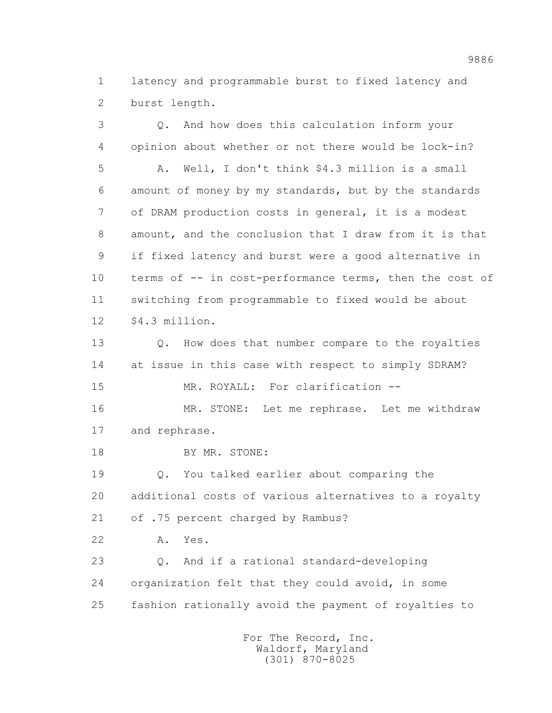1 latency and programmable burst to fixed latency and 2 burst length.

 3 Q. And how does this calculation inform your 4 opinion about whether or not there would be lock-in? 5 A. Well, I don't think \$4.3 million is a small 6 amount of money by my standards, but by the standards 7 of DRAM production costs in general, it is a modest 8 amount, and the conclusion that I draw from it is that 9 if fixed latency and burst were a good alternative in 10 terms of -- in cost-performance terms, then the cost of 11 switching from programmable to fixed would be about 12 \$4.3 million. 13 0. How does that number compare to the royalties 14 at issue in this case with respect to simply SDRAM? 15 MR. ROYALL: For clarification -- 16 MR. STONE: Let me rephrase. Let me withdraw 17 and rephrase. 18 BY MR. STONE: 19 Q. You talked earlier about comparing the 20 additional costs of various alternatives to a royalty 21 of .75 percent charged by Rambus? 22 A. Yes. 23 Q. And if a rational standard-developing 24 organization felt that they could avoid, in some 25 fashion rationally avoid the payment of royalties to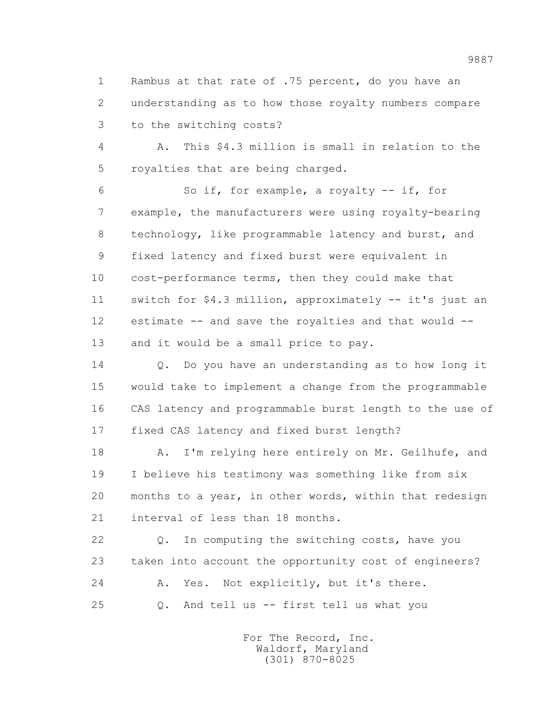1 Rambus at that rate of .75 percent, do you have an 2 understanding as to how those royalty numbers compare 3 to the switching costs?

 4 A. This \$4.3 million is small in relation to the 5 royalties that are being charged.

 6 So if, for example, a royalty -- if, for 7 example, the manufacturers were using royalty-bearing 8 technology, like programmable latency and burst, and 9 fixed latency and fixed burst were equivalent in 10 cost-performance terms, then they could make that 11 switch for \$4.3 million, approximately -- it's just an 12 estimate -- and save the royalties and that would -- 13 and it would be a small price to pay.

 14 Q. Do you have an understanding as to how long it 15 would take to implement a change from the programmable 16 CAS latency and programmable burst length to the use of 17 fixed CAS latency and fixed burst length?

 18 A. I'm relying here entirely on Mr. Geilhufe, and 19 I believe his testimony was something like from six 20 months to a year, in other words, within that redesign 21 interval of less than 18 months.

 22 Q. In computing the switching costs, have you 23 taken into account the opportunity cost of engineers? 24 A. Yes. Not explicitly, but it's there. 25 Q. And tell us -- first tell us what you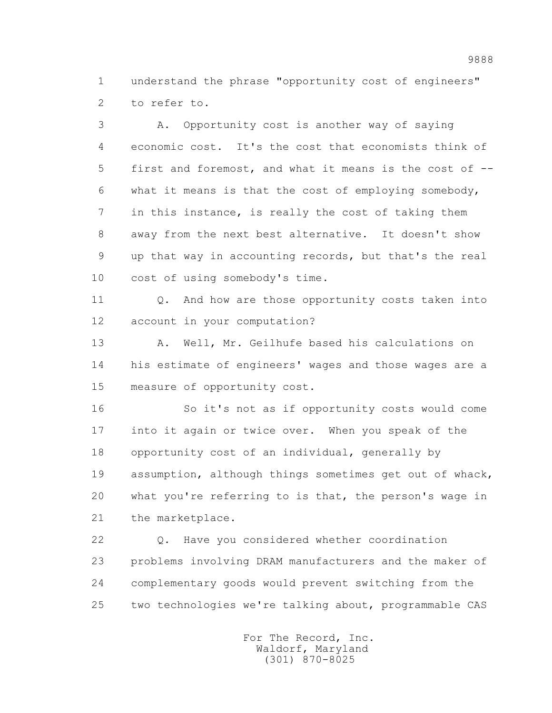1 understand the phrase "opportunity cost of engineers" 2 to refer to.

 3 A. Opportunity cost is another way of saying 4 economic cost. It's the cost that economists think of 5 first and foremost, and what it means is the cost of -- 6 what it means is that the cost of employing somebody, 7 in this instance, is really the cost of taking them 8 away from the next best alternative. It doesn't show 9 up that way in accounting records, but that's the real 10 cost of using somebody's time.

11 0. And how are those opportunity costs taken into 12 account in your computation?

 13 A. Well, Mr. Geilhufe based his calculations on 14 his estimate of engineers' wages and those wages are a 15 measure of opportunity cost.

 16 So it's not as if opportunity costs would come 17 into it again or twice over. When you speak of the 18 opportunity cost of an individual, generally by 19 assumption, although things sometimes get out of whack, 20 what you're referring to is that, the person's wage in 21 the marketplace.

 22 Q. Have you considered whether coordination 23 problems involving DRAM manufacturers and the maker of 24 complementary goods would prevent switching from the 25 two technologies we're talking about, programmable CAS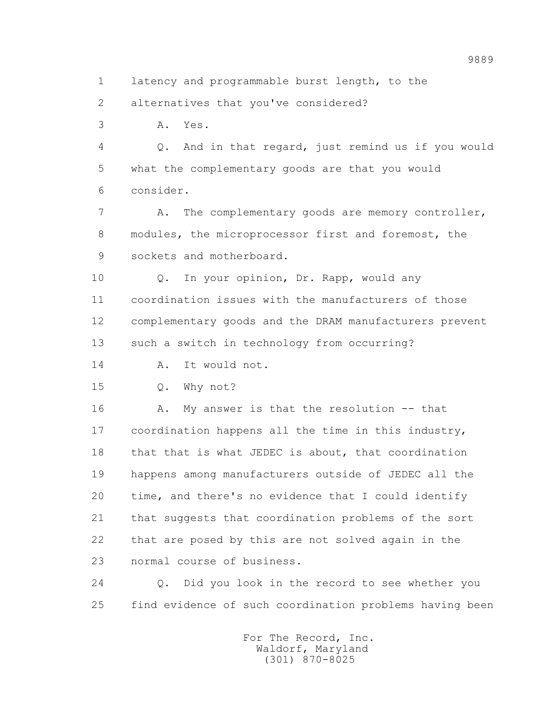1 latency and programmable burst length, to the

2 alternatives that you've considered?

3 A. Yes.

 4 Q. And in that regard, just remind us if you would 5 what the complementary goods are that you would 6 consider.

7 A. The complementary goods are memory controller, 8 modules, the microprocessor first and foremost, the 9 sockets and motherboard.

 10 Q. In your opinion, Dr. Rapp, would any 11 coordination issues with the manufacturers of those 12 complementary goods and the DRAM manufacturers prevent 13 such a switch in technology from occurring?

14 A. It would not.

15 Q. Why not?

 16 A. My answer is that the resolution -- that 17 coordination happens all the time in this industry, 18 that that is what JEDEC is about, that coordination 19 happens among manufacturers outside of JEDEC all the 20 time, and there's no evidence that I could identify 21 that suggests that coordination problems of the sort 22 that are posed by this are not solved again in the 23 normal course of business.

 24 Q. Did you look in the record to see whether you 25 find evidence of such coordination problems having been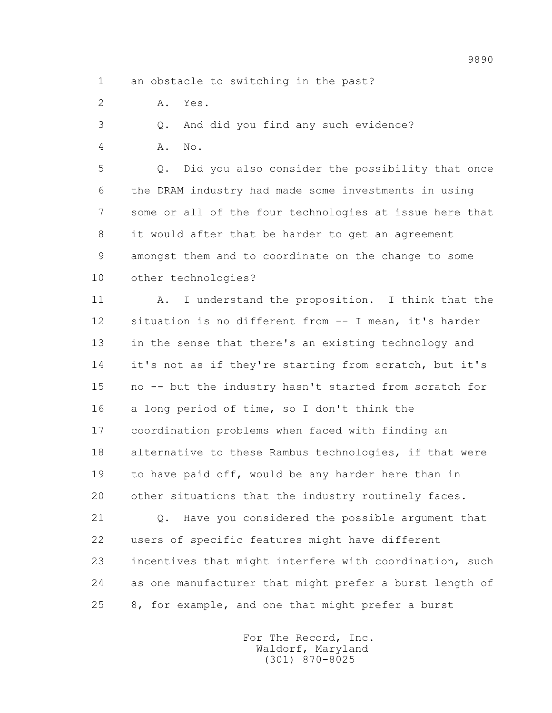- 1 an obstacle to switching in the past?
- 2 A. Yes.

3 Q. And did you find any such evidence?

4 A. No.

 5 Q. Did you also consider the possibility that once 6 the DRAM industry had made some investments in using 7 some or all of the four technologies at issue here that 8 it would after that be harder to get an agreement 9 amongst them and to coordinate on the change to some 10 other technologies?

 11 A. I understand the proposition. I think that the 12 situation is no different from -- I mean, it's harder 13 in the sense that there's an existing technology and 14 it's not as if they're starting from scratch, but it's 15 no -- but the industry hasn't started from scratch for 16 a long period of time, so I don't think the 17 coordination problems when faced with finding an 18 alternative to these Rambus technologies, if that were 19 to have paid off, would be any harder here than in 20 other situations that the industry routinely faces.

 21 Q. Have you considered the possible argument that 22 users of specific features might have different 23 incentives that might interfere with coordination, such 24 as one manufacturer that might prefer a burst length of 25 8, for example, and one that might prefer a burst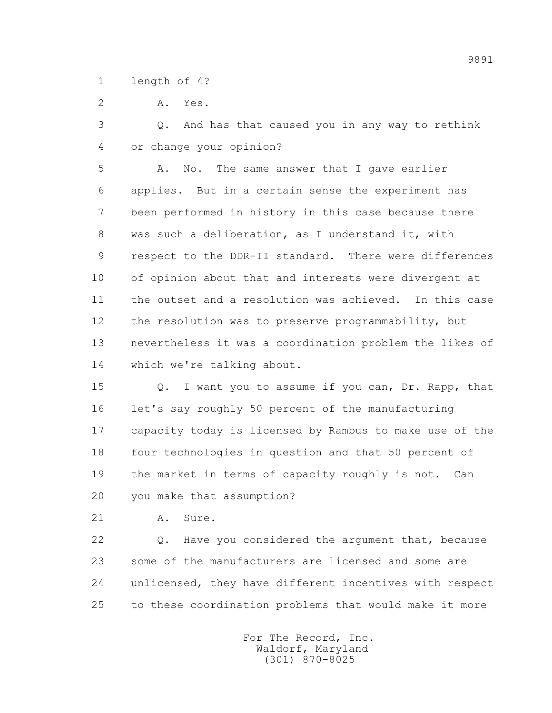1 length of 4?

2 A. Yes.

 3 Q. And has that caused you in any way to rethink 4 or change your opinion?

 5 A. No. The same answer that I gave earlier 6 applies. But in a certain sense the experiment has 7 been performed in history in this case because there 8 was such a deliberation, as I understand it, with 9 respect to the DDR-II standard. There were differences 10 of opinion about that and interests were divergent at 11 the outset and a resolution was achieved. In this case 12 the resolution was to preserve programmability, but 13 nevertheless it was a coordination problem the likes of 14 which we're talking about.

 15 Q. I want you to assume if you can, Dr. Rapp, that 16 let's say roughly 50 percent of the manufacturing 17 capacity today is licensed by Rambus to make use of the 18 four technologies in question and that 50 percent of 19 the market in terms of capacity roughly is not. Can 20 you make that assumption?

21 A. Sure.

 22 Q. Have you considered the argument that, because 23 some of the manufacturers are licensed and some are 24 unlicensed, they have different incentives with respect 25 to these coordination problems that would make it more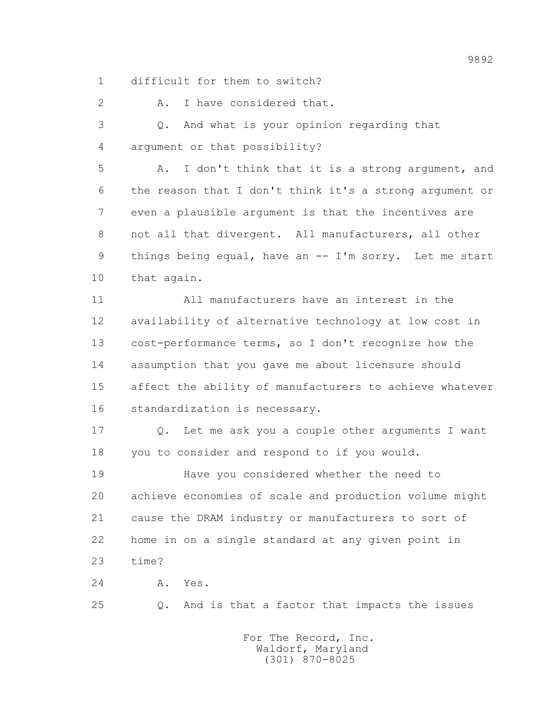1 difficult for them to switch?

2 A. I have considered that.

 3 Q. And what is your opinion regarding that 4 argument or that possibility?

 5 A. I don't think that it is a strong argument, and 6 the reason that I don't think it's a strong argument or 7 even a plausible argument is that the incentives are 8 not all that divergent. All manufacturers, all other 9 things being equal, have an -- I'm sorry. Let me start 10 that again.

 11 All manufacturers have an interest in the 12 availability of alternative technology at low cost in 13 cost-performance terms, so I don't recognize how the 14 assumption that you gave me about licensure should 15 affect the ability of manufacturers to achieve whatever 16 standardization is necessary.

 17 Q. Let me ask you a couple other arguments I want 18 you to consider and respond to if you would.

 19 Have you considered whether the need to 20 achieve economies of scale and production volume might 21 cause the DRAM industry or manufacturers to sort of 22 home in on a single standard at any given point in 23 time?

24 A. Yes.

25 Q. And is that a factor that impacts the issues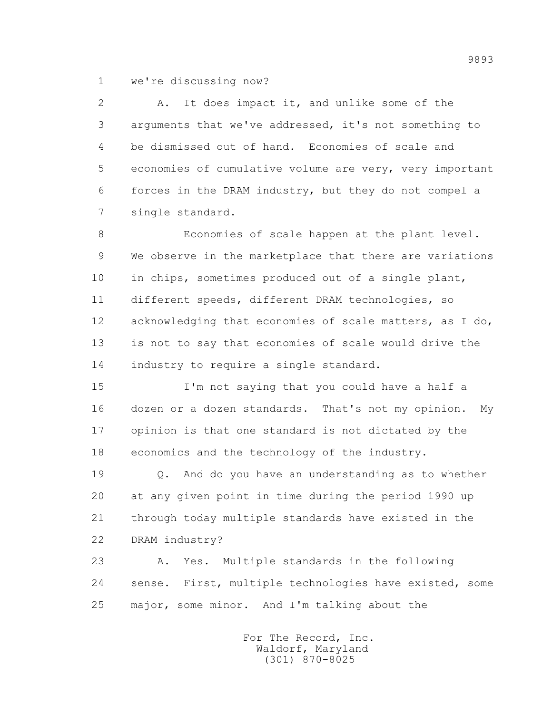1 we're discussing now?

 2 A. It does impact it, and unlike some of the 3 arguments that we've addressed, it's not something to 4 be dismissed out of hand. Economies of scale and 5 economies of cumulative volume are very, very important 6 forces in the DRAM industry, but they do not compel a 7 single standard.

 8 Economies of scale happen at the plant level. 9 We observe in the marketplace that there are variations 10 in chips, sometimes produced out of a single plant, 11 different speeds, different DRAM technologies, so 12 acknowledging that economies of scale matters, as I do, 13 is not to say that economies of scale would drive the 14 industry to require a single standard.

 15 I'm not saying that you could have a half a 16 dozen or a dozen standards. That's not my opinion. My 17 opinion is that one standard is not dictated by the 18 economics and the technology of the industry.

 19 Q. And do you have an understanding as to whether 20 at any given point in time during the period 1990 up 21 through today multiple standards have existed in the 22 DRAM industry?

 23 A. Yes. Multiple standards in the following 24 sense. First, multiple technologies have existed, some 25 major, some minor. And I'm talking about the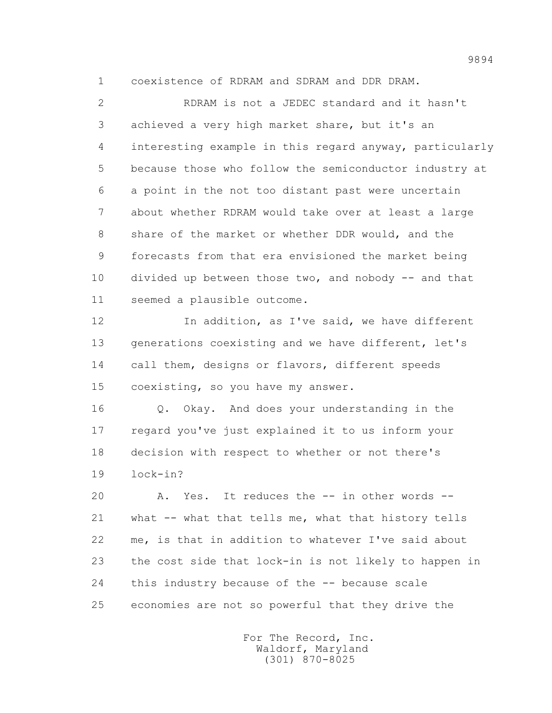1 coexistence of RDRAM and SDRAM and DDR DRAM.

 2 RDRAM is not a JEDEC standard and it hasn't 3 achieved a very high market share, but it's an 4 interesting example in this regard anyway, particularly 5 because those who follow the semiconductor industry at 6 a point in the not too distant past were uncertain 7 about whether RDRAM would take over at least a large 8 share of the market or whether DDR would, and the 9 forecasts from that era envisioned the market being 10 divided up between those two, and nobody -- and that 11 seemed a plausible outcome.

12 In addition, as I've said, we have different 13 generations coexisting and we have different, let's 14 call them, designs or flavors, different speeds 15 coexisting, so you have my answer.

 16 Q. Okay. And does your understanding in the 17 regard you've just explained it to us inform your 18 decision with respect to whether or not there's 19 lock-in?

 20 A. Yes. It reduces the -- in other words -- 21 what -- what that tells me, what that history tells 22 me, is that in addition to whatever I've said about 23 the cost side that lock-in is not likely to happen in 24 this industry because of the -- because scale 25 economies are not so powerful that they drive the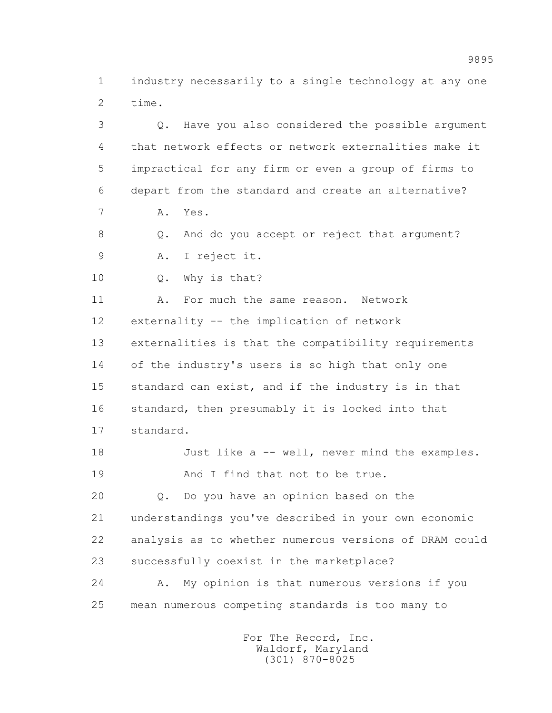1 industry necessarily to a single technology at any one 2 time.

 3 Q. Have you also considered the possible argument 4 that network effects or network externalities make it 5 impractical for any firm or even a group of firms to 6 depart from the standard and create an alternative? 7 A. Yes. 8 Q. And do you accept or reject that argument? 9 A. I reject it. 10 Q. Why is that? 11 A. For much the same reason. Network 12 externality -- the implication of network 13 externalities is that the compatibility requirements 14 of the industry's users is so high that only one 15 standard can exist, and if the industry is in that 16 standard, then presumably it is locked into that 17 standard. 18 Just like a -- well, never mind the examples. 19 And I find that not to be true. 20 Q. Do you have an opinion based on the 21 understandings you've described in your own economic 22 analysis as to whether numerous versions of DRAM could 23 successfully coexist in the marketplace? 24 A. My opinion is that numerous versions if you 25 mean numerous competing standards is too many to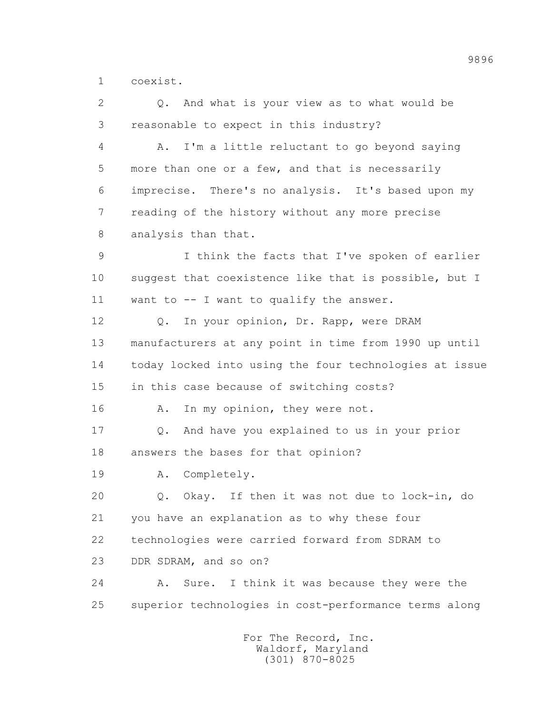1 coexist.

 2 Q. And what is your view as to what would be 3 reasonable to expect in this industry? 4 A. I'm a little reluctant to go beyond saying 5 more than one or a few, and that is necessarily 6 imprecise. There's no analysis. It's based upon my 7 reading of the history without any more precise 8 analysis than that. 9 I think the facts that I've spoken of earlier 10 suggest that coexistence like that is possible, but I 11 want to -- I want to qualify the answer. 12 Q. In your opinion, Dr. Rapp, were DRAM 13 manufacturers at any point in time from 1990 up until 14 today locked into using the four technologies at issue 15 in this case because of switching costs? 16 A. In my opinion, they were not. 17 Q. And have you explained to us in your prior 18 answers the bases for that opinion? 19 A. Completely. 20 Q. Okay. If then it was not due to lock-in, do 21 you have an explanation as to why these four 22 technologies were carried forward from SDRAM to 23 DDR SDRAM, and so on? 24 A. Sure. I think it was because they were the 25 superior technologies in cost-performance terms along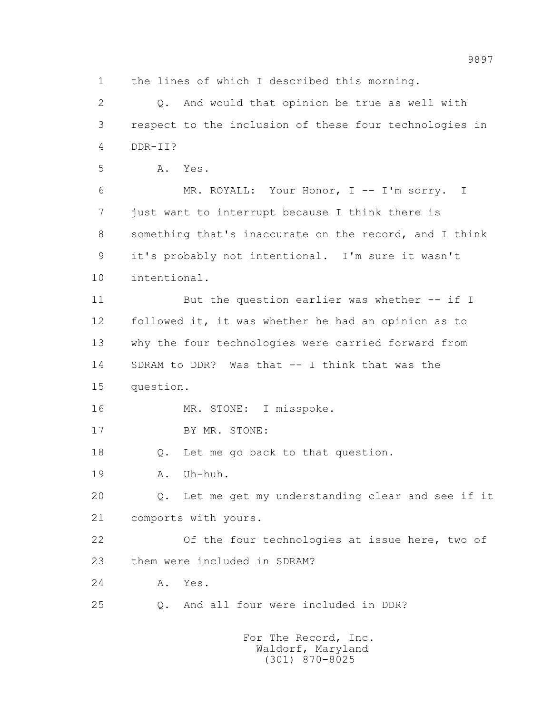1 the lines of which I described this morning.

 2 Q. And would that opinion be true as well with 3 respect to the inclusion of these four technologies in 4 DDR-II? 5 A. Yes. 6 MR. ROYALL: Your Honor, I -- I'm sorry. I 7 just want to interrupt because I think there is 8 something that's inaccurate on the record, and I think 9 it's probably not intentional. I'm sure it wasn't 10 intentional. 11 But the question earlier was whether -- if I 12 followed it, it was whether he had an opinion as to 13 why the four technologies were carried forward from 14 SDRAM to DDR? Was that -- I think that was the 15 question. 16 MR. STONE: I misspoke. 17 BY MR. STONE: 18 Q. Let me go back to that question. 19 A. Uh-huh. 20 Q. Let me get my understanding clear and see if it 21 comports with yours. 22 Of the four technologies at issue here, two of 23 them were included in SDRAM? 24 A. Yes. 25 Q. And all four were included in DDR? For The Record, Inc.

 Waldorf, Maryland (301) 870-8025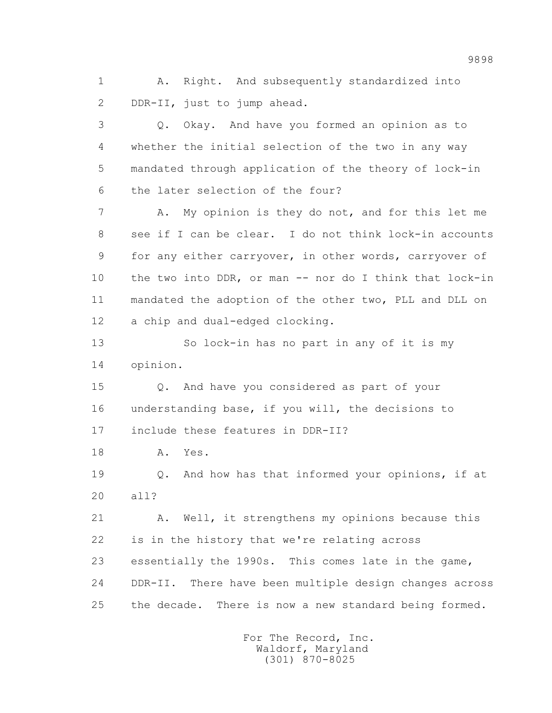1 A. Right. And subsequently standardized into 2 DDR-II, just to jump ahead.

 3 Q. Okay. And have you formed an opinion as to 4 whether the initial selection of the two in any way 5 mandated through application of the theory of lock-in 6 the later selection of the four?

 7 A. My opinion is they do not, and for this let me 8 see if I can be clear. I do not think lock-in accounts 9 for any either carryover, in other words, carryover of 10 the two into DDR, or man -- nor do I think that lock-in 11 mandated the adoption of the other two, PLL and DLL on 12 a chip and dual-edged clocking.

 13 So lock-in has no part in any of it is my 14 opinion.

 15 Q. And have you considered as part of your 16 understanding base, if you will, the decisions to 17 include these features in DDR-II?

18 A. Yes.

 19 Q. And how has that informed your opinions, if at 20 all?

 21 A. Well, it strengthens my opinions because this 22 is in the history that we're relating across 23 essentially the 1990s. This comes late in the game, 24 DDR-II. There have been multiple design changes across 25 the decade. There is now a new standard being formed.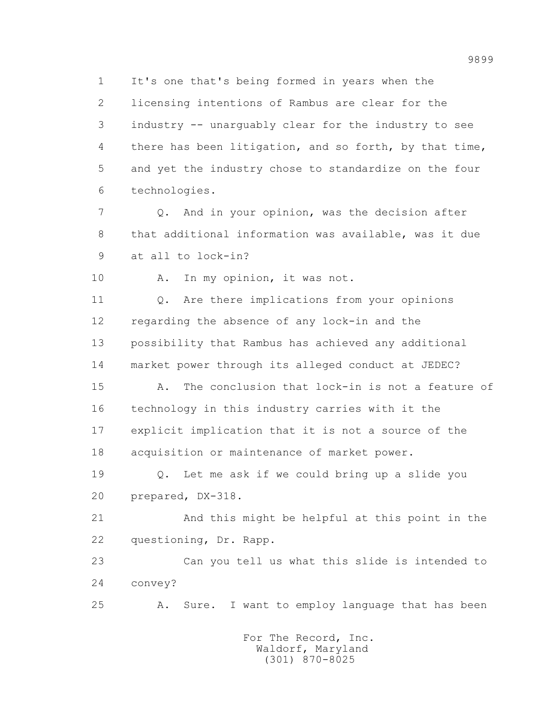1 It's one that's being formed in years when the

 2 licensing intentions of Rambus are clear for the 3 industry -- unarguably clear for the industry to see 4 there has been litigation, and so forth, by that time, 5 and yet the industry chose to standardize on the four 6 technologies.

 7 Q. And in your opinion, was the decision after 8 that additional information was available, was it due 9 at all to lock-in?

10 A. In my opinion, it was not.

 11 Q. Are there implications from your opinions 12 regarding the absence of any lock-in and the 13 possibility that Rambus has achieved any additional 14 market power through its alleged conduct at JEDEC?

 15 A. The conclusion that lock-in is not a feature of 16 technology in this industry carries with it the 17 explicit implication that it is not a source of the 18 acquisition or maintenance of market power.

 19 Q. Let me ask if we could bring up a slide you 20 prepared, DX-318.

 21 And this might be helpful at this point in the 22 questioning, Dr. Rapp.

 23 Can you tell us what this slide is intended to 24 convey?

25 A. Sure. I want to employ language that has been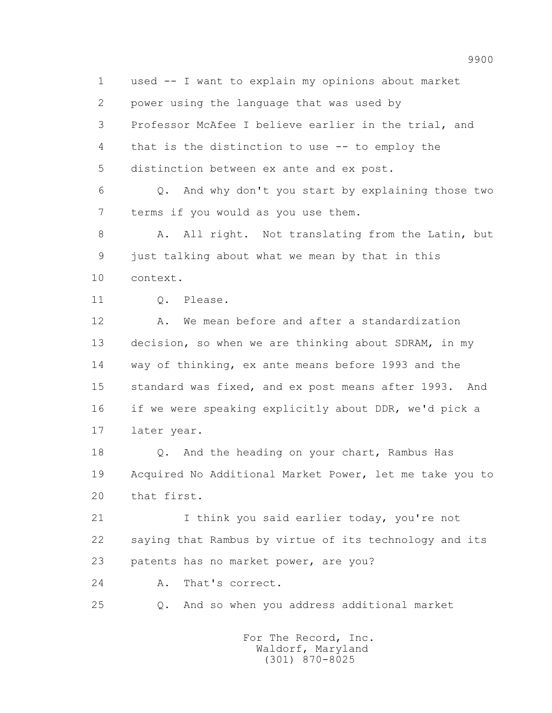1 used -- I want to explain my opinions about market 2 power using the language that was used by 3 Professor McAfee I believe earlier in the trial, and 4 that is the distinction to use -- to employ the 5 distinction between ex ante and ex post.

 6 Q. And why don't you start by explaining those two 7 terms if you would as you use them.

8 A. All right. Not translating from the Latin, but 9 just talking about what we mean by that in this 10 context.

11 0. Please.

 12 A. We mean before and after a standardization 13 decision, so when we are thinking about SDRAM, in my 14 way of thinking, ex ante means before 1993 and the 15 standard was fixed, and ex post means after 1993. And 16 if we were speaking explicitly about DDR, we'd pick a 17 later year.

 18 Q. And the heading on your chart, Rambus Has 19 Acquired No Additional Market Power, let me take you to 20 that first.

21 I think you said earlier today, you're not 22 saying that Rambus by virtue of its technology and its 23 patents has no market power, are you?

24 A. That's correct.

25 Q. And so when you address additional market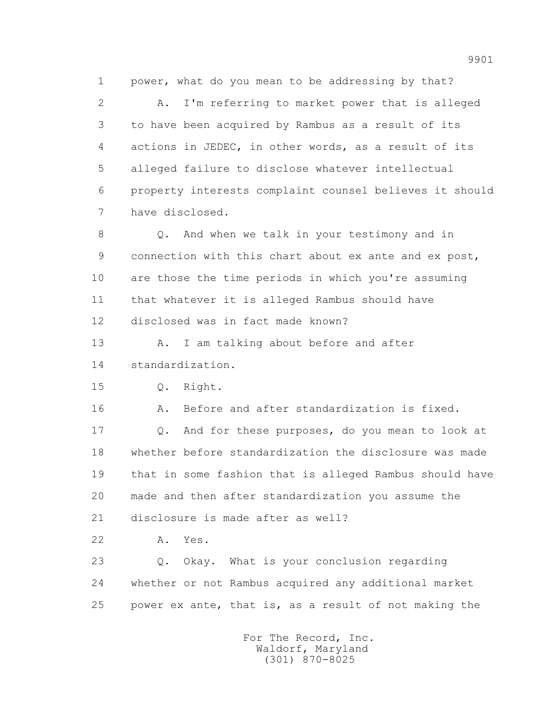1 power, what do you mean to be addressing by that?

 2 A. I'm referring to market power that is alleged 3 to have been acquired by Rambus as a result of its 4 actions in JEDEC, in other words, as a result of its 5 alleged failure to disclose whatever intellectual 6 property interests complaint counsel believes it should 7 have disclosed.

 8 Q. And when we talk in your testimony and in 9 connection with this chart about ex ante and ex post, 10 are those the time periods in which you're assuming 11 that whatever it is alleged Rambus should have 12 disclosed was in fact made known?

13 A. I am talking about before and after 14 standardization.

15 Q. Right.

16 A. Before and after standardization is fixed.

 17 Q. And for these purposes, do you mean to look at 18 whether before standardization the disclosure was made 19 that in some fashion that is alleged Rambus should have 20 made and then after standardization you assume the 21 disclosure is made after as well?

22 A. Yes.

 23 Q. Okay. What is your conclusion regarding 24 whether or not Rambus acquired any additional market 25 power ex ante, that is, as a result of not making the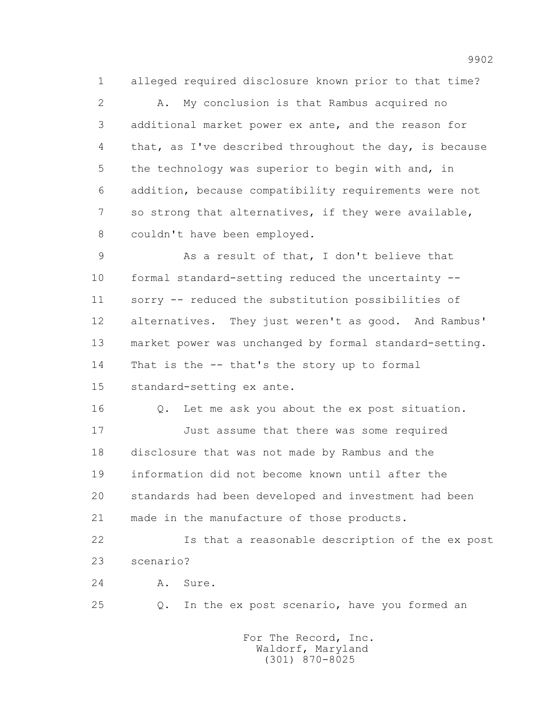1 alleged required disclosure known prior to that time?

 2 A. My conclusion is that Rambus acquired no 3 additional market power ex ante, and the reason for 4 that, as I've described throughout the day, is because 5 the technology was superior to begin with and, in 6 addition, because compatibility requirements were not 7 so strong that alternatives, if they were available, 8 couldn't have been employed.

 9 As a result of that, I don't believe that 10 formal standard-setting reduced the uncertainty -- 11 sorry -- reduced the substitution possibilities of 12 alternatives. They just weren't as good. And Rambus' 13 market power was unchanged by formal standard-setting. 14 That is the -- that's the story up to formal 15 standard-setting ex ante.

 16 Q. Let me ask you about the ex post situation. 17 Just assume that there was some required 18 disclosure that was not made by Rambus and the 19 information did not become known until after the 20 standards had been developed and investment had been 21 made in the manufacture of those products.

 22 Is that a reasonable description of the ex post 23 scenario?

24 A. Sure.

25 Q. In the ex post scenario, have you formed an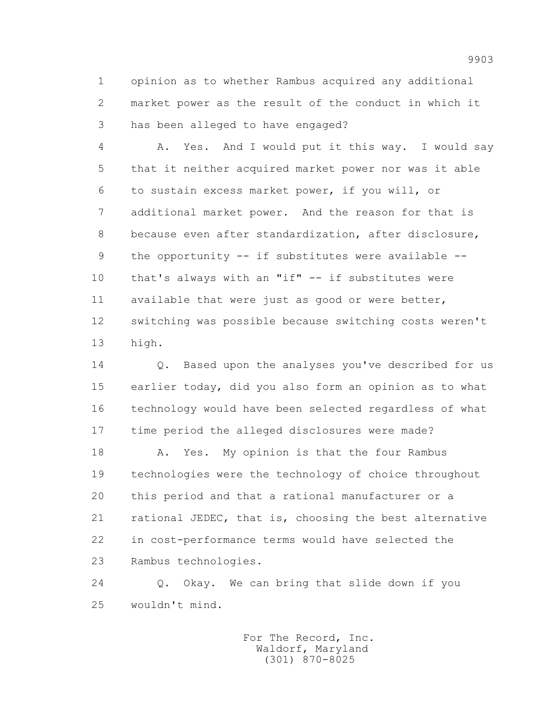1 opinion as to whether Rambus acquired any additional 2 market power as the result of the conduct in which it 3 has been alleged to have engaged?

 4 A. Yes. And I would put it this way. I would say 5 that it neither acquired market power nor was it able 6 to sustain excess market power, if you will, or 7 additional market power. And the reason for that is 8 because even after standardization, after disclosure, 9 the opportunity -- if substitutes were available -- 10 that's always with an "if" -- if substitutes were 11 available that were just as good or were better, 12 switching was possible because switching costs weren't 13 high.

 14 Q. Based upon the analyses you've described for us 15 earlier today, did you also form an opinion as to what 16 technology would have been selected regardless of what 17 time period the alleged disclosures were made?

18 A. Yes. My opinion is that the four Rambus 19 technologies were the technology of choice throughout 20 this period and that a rational manufacturer or a 21 rational JEDEC, that is, choosing the best alternative 22 in cost-performance terms would have selected the 23 Rambus technologies.

 24 Q. Okay. We can bring that slide down if you 25 wouldn't mind.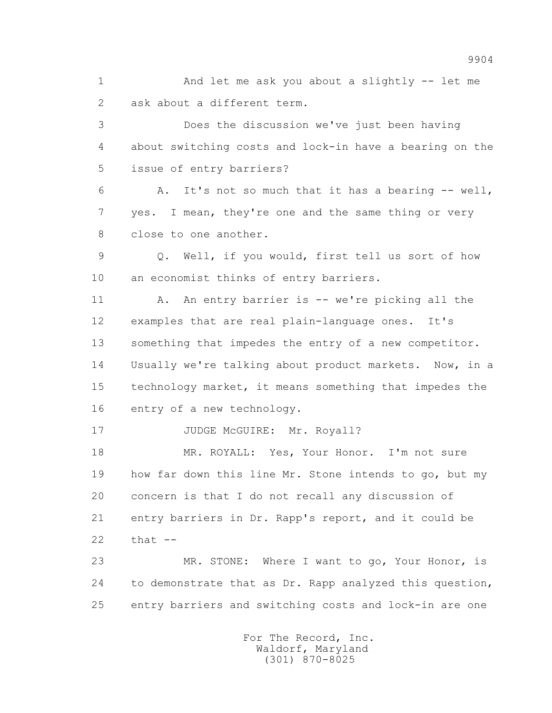1 And let me ask you about a slightly -- let me 2 ask about a different term.

 3 Does the discussion we've just been having 4 about switching costs and lock-in have a bearing on the 5 issue of entry barriers?

 6 A. It's not so much that it has a bearing -- well, 7 yes. I mean, they're one and the same thing or very 8 close to one another.

 9 Q. Well, if you would, first tell us sort of how 10 an economist thinks of entry barriers.

 11 A. An entry barrier is -- we're picking all the 12 examples that are real plain-language ones. It's 13 something that impedes the entry of a new competitor. 14 Usually we're talking about product markets. Now, in a 15 technology market, it means something that impedes the 16 entry of a new technology.

17 JUDGE McGUIRE: Mr. Royall?

18 MR. ROYALL: Yes, Your Honor. I'm not sure 19 how far down this line Mr. Stone intends to go, but my 20 concern is that I do not recall any discussion of 21 entry barriers in Dr. Rapp's report, and it could be 22 that --

 23 MR. STONE: Where I want to go, Your Honor, is 24 to demonstrate that as Dr. Rapp analyzed this question, 25 entry barriers and switching costs and lock-in are one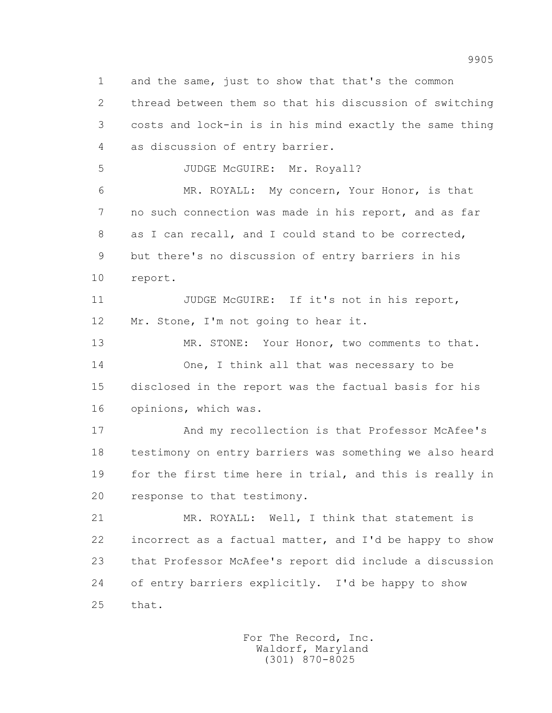1 and the same, just to show that that's the common 2 thread between them so that his discussion of switching 3 costs and lock-in is in his mind exactly the same thing 4 as discussion of entry barrier. 5 JUDGE McGUIRE: Mr. Royall? 6 MR. ROYALL: My concern, Your Honor, is that 7 no such connection was made in his report, and as far 8 as I can recall, and I could stand to be corrected, 9 but there's no discussion of entry barriers in his 10 report. 11 JUDGE McGUIRE: If it's not in his report, 12 Mr. Stone, I'm not going to hear it. 13 MR. STONE: Your Honor, two comments to that. 14 One, I think all that was necessary to be 15 disclosed in the report was the factual basis for his 16 opinions, which was. 17 And my recollection is that Professor McAfee's 18 testimony on entry barriers was something we also heard 19 for the first time here in trial, and this is really in 20 response to that testimony. 21 MR. ROYALL: Well, I think that statement is 22 incorrect as a factual matter, and I'd be happy to show

 24 of entry barriers explicitly. I'd be happy to show 25 that.

23 that Professor McAfee's report did include a discussion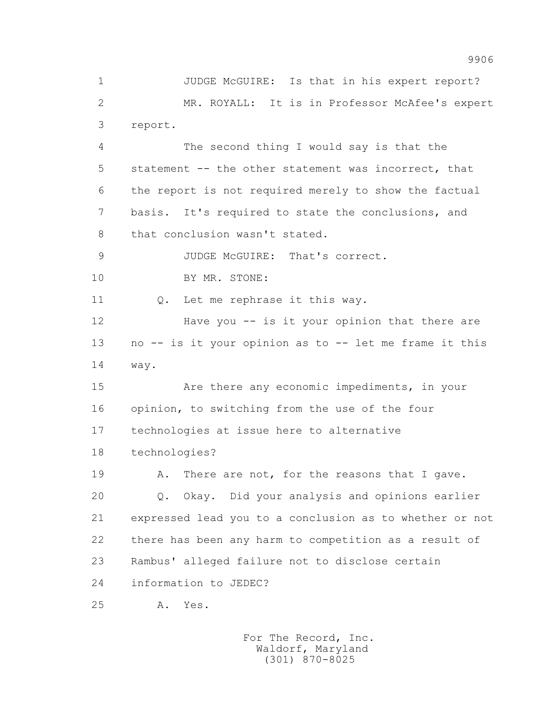1 JUDGE McGUIRE: Is that in his expert report? 2 MR. ROYALL: It is in Professor McAfee's expert 3 report. 4 The second thing I would say is that the 5 statement -- the other statement was incorrect, that

 6 the report is not required merely to show the factual 7 basis. It's required to state the conclusions, and 8 that conclusion wasn't stated.

9 JUDGE McGUIRE: That's correct.

10 BY MR. STONE:

11 0. Let me rephrase it this way.

 12 Have you -- is it your opinion that there are 13 no -- is it your opinion as to -- let me frame it this 14 way.

 15 Are there any economic impediments, in your 16 opinion, to switching from the use of the four 17 technologies at issue here to alternative 18 technologies?

19 A. There are not, for the reasons that I gave. 20 Q. Okay. Did your analysis and opinions earlier 21 expressed lead you to a conclusion as to whether or not 22 there has been any harm to competition as a result of 23 Rambus' alleged failure not to disclose certain 24 information to JEDEC?

25 A. Yes.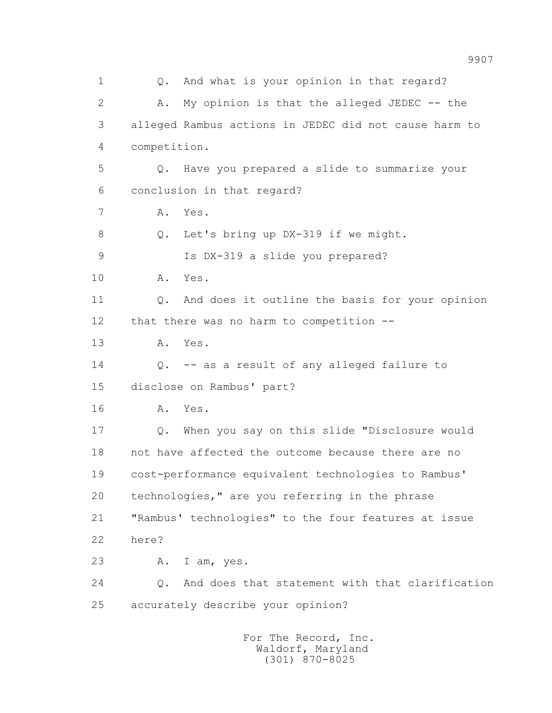1 Q. And what is your opinion in that regard? 2 A. My opinion is that the alleged JEDEC -- the 3 alleged Rambus actions in JEDEC did not cause harm to 4 competition. 5 Q. Have you prepared a slide to summarize your 6 conclusion in that regard? 7 A. Yes. 8 Q. Let's bring up DX-319 if we might. 9 Is DX-319 a slide you prepared? 10 A. Yes. 11 0. And does it outline the basis for your opinion 12 that there was no harm to competition -- 13 A. Yes. 14 Q. -- as a result of any alleged failure to 15 disclose on Rambus' part? 16 A. Yes. 17 Q. When you say on this slide "Disclosure would 18 not have affected the outcome because there are no 19 cost-performance equivalent technologies to Rambus' 20 technologies," are you referring in the phrase 21 "Rambus' technologies" to the four features at issue 22 here? 23 A. I am, yes. 24 Q. And does that statement with that clarification 25 accurately describe your opinion? For The Record, Inc.

 Waldorf, Maryland (301) 870-8025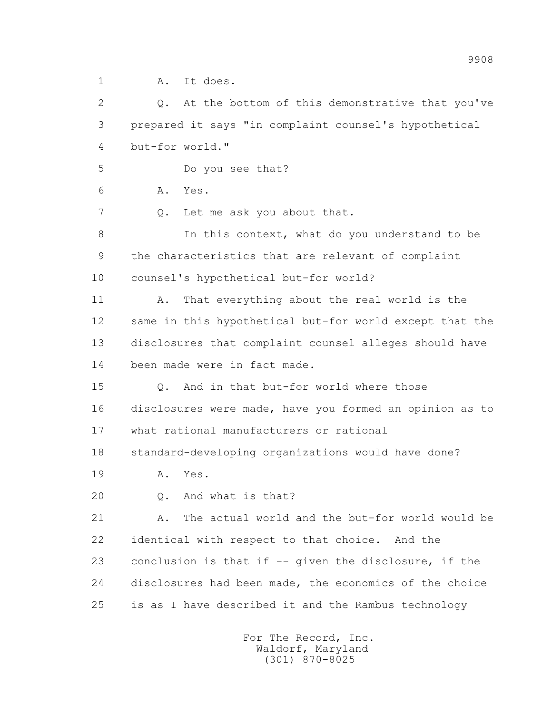1 A. It does.

 2 Q. At the bottom of this demonstrative that you've 3 prepared it says "in complaint counsel's hypothetical 4 but-for world." 5 Do you see that? 6 A. Yes. 7 Q. Let me ask you about that. 8 In this context, what do you understand to be 9 the characteristics that are relevant of complaint 10 counsel's hypothetical but-for world? 11 A. That everything about the real world is the 12 same in this hypothetical but-for world except that the 13 disclosures that complaint counsel alleges should have 14 been made were in fact made. 15 Q. And in that but-for world where those 16 disclosures were made, have you formed an opinion as to 17 what rational manufacturers or rational 18 standard-developing organizations would have done? 19 A. Yes. 20 Q. And what is that? 21 A. The actual world and the but-for world would be 22 identical with respect to that choice. And the 23 conclusion is that if -- given the disclosure, if the 24 disclosures had been made, the economics of the choice 25 is as I have described it and the Rambus technology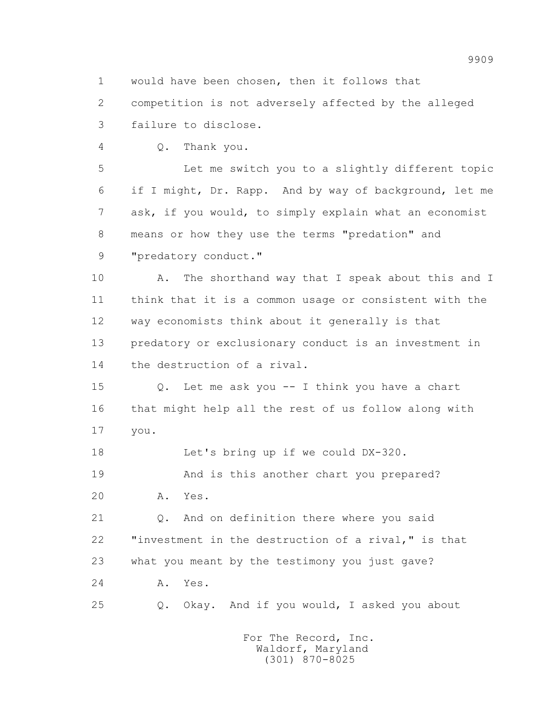1 would have been chosen, then it follows that

 2 competition is not adversely affected by the alleged 3 failure to disclose.

4 Q. Thank you.

 5 Let me switch you to a slightly different topic 6 if I might, Dr. Rapp. And by way of background, let me 7 ask, if you would, to simply explain what an economist 8 means or how they use the terms "predation" and 9 "predatory conduct."

10 A. The shorthand way that I speak about this and I 11 think that it is a common usage or consistent with the 12 way economists think about it generally is that 13 predatory or exclusionary conduct is an investment in 14 the destruction of a rival.

 15 Q. Let me ask you -- I think you have a chart 16 that might help all the rest of us follow along with 17 you.

18 Let's bring up if we could DX-320.

19 And is this another chart you prepared?

20 A. Yes.

 21 Q. And on definition there where you said 22 "investment in the destruction of a rival," is that 23 what you meant by the testimony you just gave? 24 A. Yes.

25 Q. Okay. And if you would, I asked you about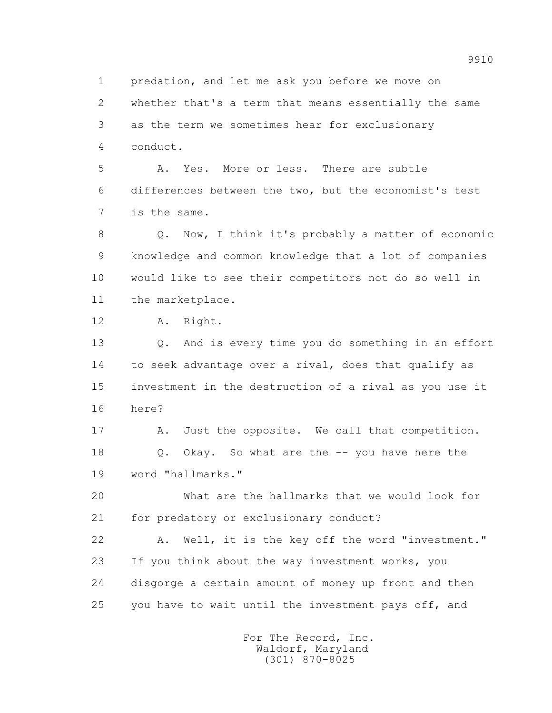1 predation, and let me ask you before we move on

 2 whether that's a term that means essentially the same 3 as the term we sometimes hear for exclusionary 4 conduct.

 5 A. Yes. More or less. There are subtle 6 differences between the two, but the economist's test 7 is the same.

 8 Q. Now, I think it's probably a matter of economic 9 knowledge and common knowledge that a lot of companies 10 would like to see their competitors not do so well in 11 the marketplace.

12 A. Right.

 13 Q. And is every time you do something in an effort 14 to seek advantage over a rival, does that qualify as 15 investment in the destruction of a rival as you use it 16 here?

17 A. Just the opposite. We call that competition. 18 Q. Okay. So what are the -- you have here the 19 word "hallmarks."

 20 What are the hallmarks that we would look for 21 for predatory or exclusionary conduct?

 22 A. Well, it is the key off the word "investment." 23 If you think about the way investment works, you 24 disgorge a certain amount of money up front and then 25 you have to wait until the investment pays off, and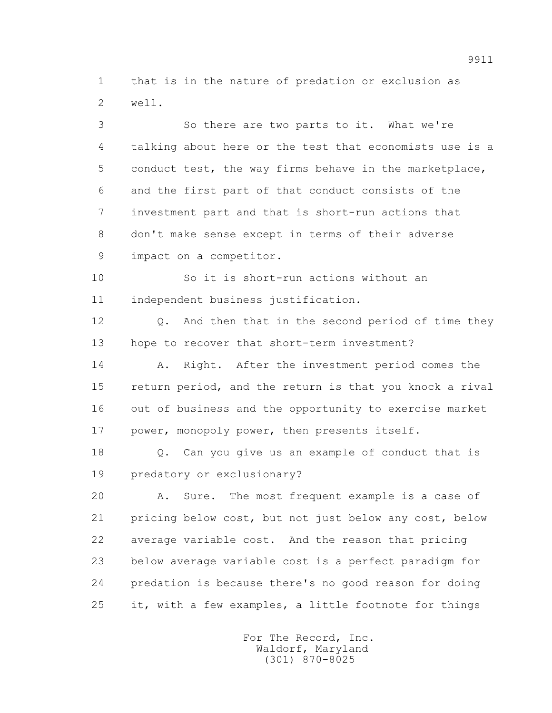1 that is in the nature of predation or exclusion as 2 well.

 3 So there are two parts to it. What we're 4 talking about here or the test that economists use is a 5 conduct test, the way firms behave in the marketplace, 6 and the first part of that conduct consists of the 7 investment part and that is short-run actions that 8 don't make sense except in terms of their adverse 9 impact on a competitor.

 10 So it is short-run actions without an 11 independent business justification.

 12 Q. And then that in the second period of time they 13 hope to recover that short-term investment?

14 A. Right. After the investment period comes the 15 return period, and the return is that you knock a rival 16 out of business and the opportunity to exercise market 17 power, monopoly power, then presents itself.

 18 Q. Can you give us an example of conduct that is 19 predatory or exclusionary?

 20 A. Sure. The most frequent example is a case of 21 pricing below cost, but not just below any cost, below 22 average variable cost. And the reason that pricing 23 below average variable cost is a perfect paradigm for 24 predation is because there's no good reason for doing 25 it, with a few examples, a little footnote for things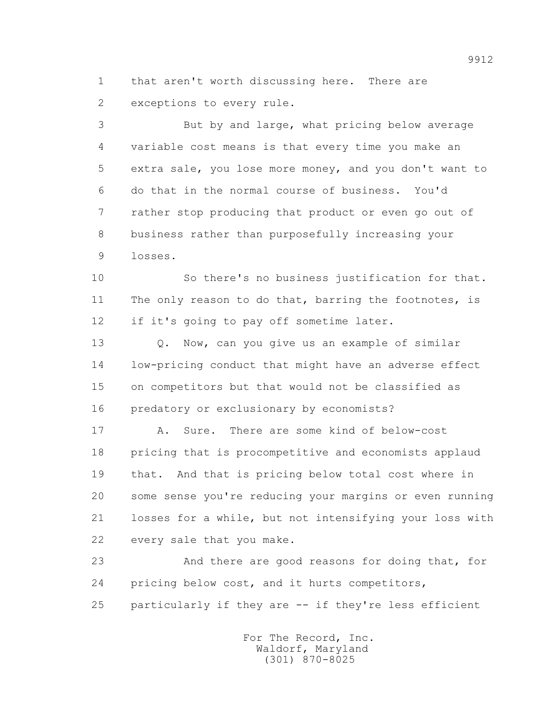1 that aren't worth discussing here. There are 2 exceptions to every rule.

 3 But by and large, what pricing below average 4 variable cost means is that every time you make an 5 extra sale, you lose more money, and you don't want to 6 do that in the normal course of business. You'd 7 rather stop producing that product or even go out of 8 business rather than purposefully increasing your 9 losses.

 10 So there's no business justification for that. 11 The only reason to do that, barring the footnotes, is 12 if it's going to pay off sometime later.

13 0. Now, can you give us an example of similar 14 low-pricing conduct that might have an adverse effect 15 on competitors but that would not be classified as 16 predatory or exclusionary by economists?

 17 A. Sure. There are some kind of below-cost 18 pricing that is procompetitive and economists applaud 19 that. And that is pricing below total cost where in 20 some sense you're reducing your margins or even running 21 losses for a while, but not intensifying your loss with 22 every sale that you make.

 23 And there are good reasons for doing that, for 24 pricing below cost, and it hurts competitors, 25 particularly if they are -- if they're less efficient

> For The Record, Inc. Waldorf, Maryland (301) 870-8025

9912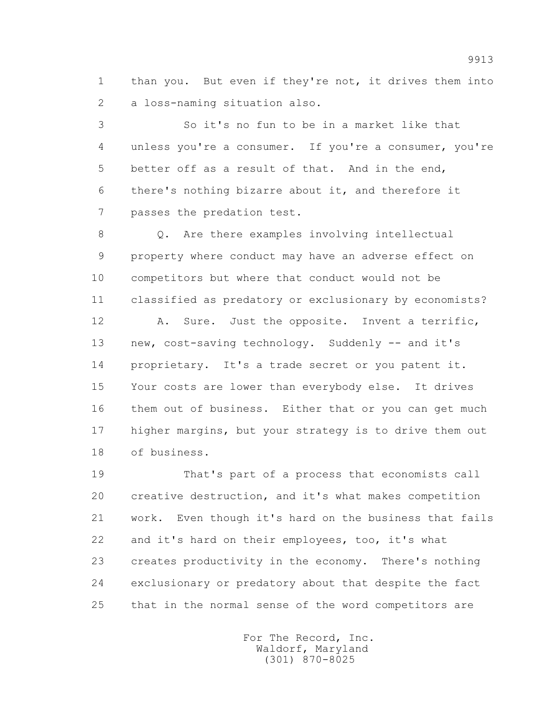1 than you. But even if they're not, it drives them into 2 a loss-naming situation also.

 3 So it's no fun to be in a market like that 4 unless you're a consumer. If you're a consumer, you're 5 better off as a result of that. And in the end, 6 there's nothing bizarre about it, and therefore it 7 passes the predation test.

 8 Q. Are there examples involving intellectual 9 property where conduct may have an adverse effect on 10 competitors but where that conduct would not be 11 classified as predatory or exclusionary by economists?

 12 A. Sure. Just the opposite. Invent a terrific, 13 new, cost-saving technology. Suddenly -- and it's 14 proprietary. It's a trade secret or you patent it. 15 Your costs are lower than everybody else. It drives 16 them out of business. Either that or you can get much 17 higher margins, but your strategy is to drive them out 18 of business.

 19 That's part of a process that economists call 20 creative destruction, and it's what makes competition 21 work. Even though it's hard on the business that fails 22 and it's hard on their employees, too, it's what 23 creates productivity in the economy. There's nothing 24 exclusionary or predatory about that despite the fact 25 that in the normal sense of the word competitors are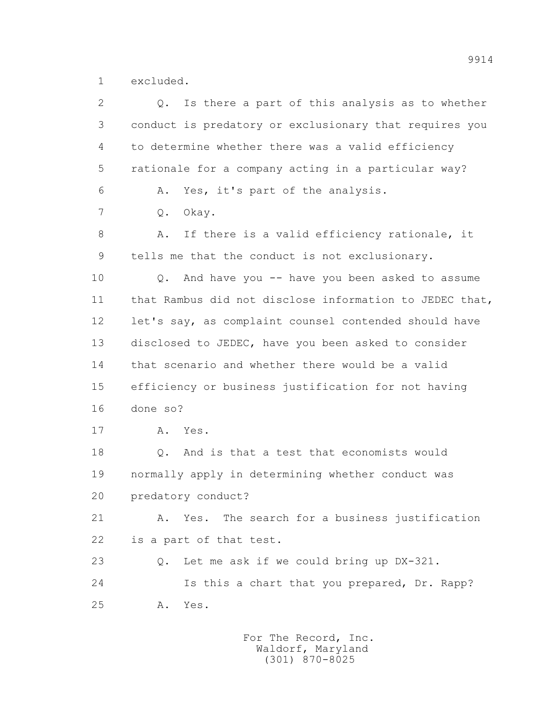1 excluded.

| $\overline{2}$ | Is there a part of this analysis as to whether<br>Q.    |
|----------------|---------------------------------------------------------|
| 3              | conduct is predatory or exclusionary that requires you  |
| 4              | to determine whether there was a valid efficiency       |
| 5              | rationale for a company acting in a particular way?     |
| 6              | Yes, it's part of the analysis.<br>Α.                   |
| 7              | Okay.<br>Q.                                             |
| 8              | If there is a valid efficiency rationale, it<br>Α.      |
| 9              | tells me that the conduct is not exclusionary.          |
| 10             | Q. And have you -- have you been asked to assume        |
| 11             | that Rambus did not disclose information to JEDEC that, |
| 12             | let's say, as complaint counsel contended should have   |
| 13             | disclosed to JEDEC, have you been asked to consider     |
| 14             | that scenario and whether there would be a valid        |
| 15             | efficiency or business justification for not having     |
| 16             | done so?                                                |
| 17             | Yes.<br>Α.                                              |
| 18             | And is that a test that economists would<br>$Q$ .       |
| 19             | normally apply in determining whether conduct was       |
| 20             | predatory conduct?                                      |
| 21             | Yes. The search for a business justification<br>Α.      |
| 22             | is a part of that test.                                 |
| 23             | Let me ask if we could bring up DX-321.<br>Q.           |
| 24             | Is this a chart that you prepared, Dr. Rapp?            |
| 25             | Yes.<br>Α.                                              |
|                |                                                         |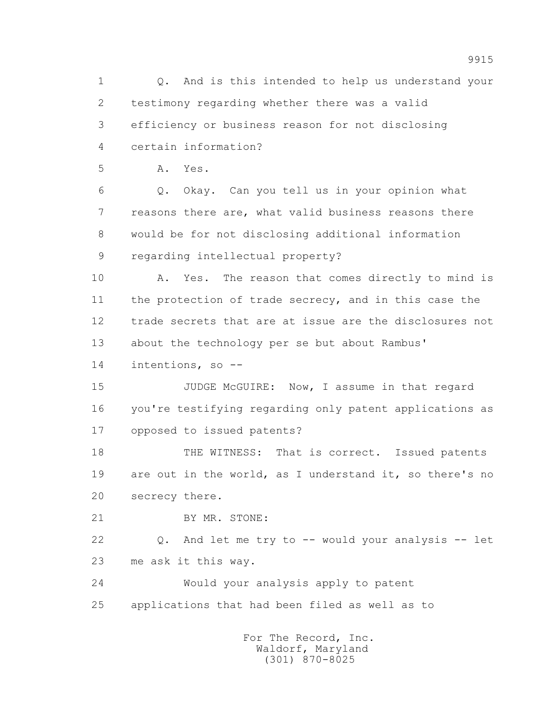1 Q. And is this intended to help us understand your 2 testimony regarding whether there was a valid 3 efficiency or business reason for not disclosing 4 certain information? 5 A. Yes. 6 Q. Okay. Can you tell us in your opinion what 7 reasons there are, what valid business reasons there 8 would be for not disclosing additional information 9 regarding intellectual property? 10 A. Yes. The reason that comes directly to mind is 11 the protection of trade secrecy, and in this case the 12 trade secrets that are at issue are the disclosures not 13 about the technology per se but about Rambus' 14 intentions, so -- 15 JUDGE McGUIRE: Now, I assume in that regard 16 you're testifying regarding only patent applications as 17 opposed to issued patents? 18 THE WITNESS: That is correct. Issued patents 19 are out in the world, as I understand it, so there's no 20 secrecy there. 21 BY MR. STONE: 22 Q. And let me try to -- would your analysis -- let 23 me ask it this way. 24 Would your analysis apply to patent 25 applications that had been filed as well as to For The Record, Inc.

 Waldorf, Maryland (301) 870-8025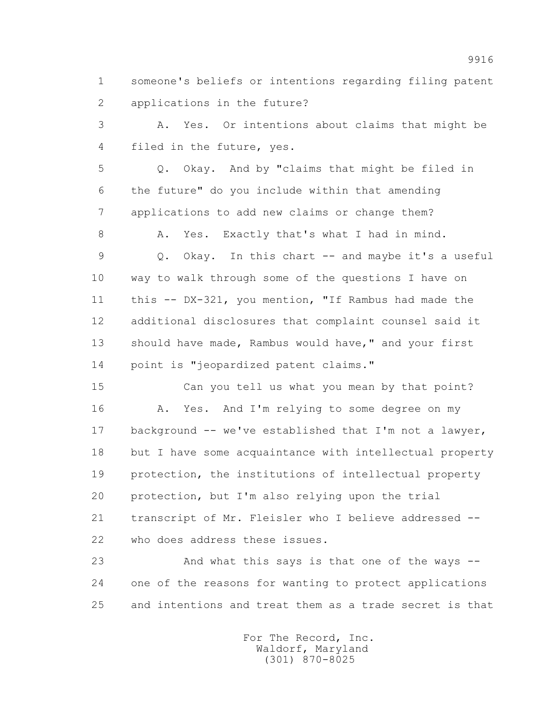1 someone's beliefs or intentions regarding filing patent 2 applications in the future?

 3 A. Yes. Or intentions about claims that might be 4 filed in the future, yes.

 5 Q. Okay. And by "claims that might be filed in 6 the future" do you include within that amending 7 applications to add new claims or change them?

8 A. Yes. Exactly that's what I had in mind.

 9 Q. Okay. In this chart -- and maybe it's a useful 10 way to walk through some of the questions I have on 11 this -- DX-321, you mention, "If Rambus had made the 12 additional disclosures that complaint counsel said it 13 should have made, Rambus would have," and your first 14 point is "jeopardized patent claims."

 15 Can you tell us what you mean by that point? 16 A. Yes. And I'm relying to some degree on my 17 background -- we've established that I'm not a lawyer, 18 but I have some acquaintance with intellectual property 19 protection, the institutions of intellectual property 20 protection, but I'm also relying upon the trial 21 transcript of Mr. Fleisler who I believe addressed -- 22 who does address these issues.

 23 And what this says is that one of the ways -- 24 one of the reasons for wanting to protect applications 25 and intentions and treat them as a trade secret is that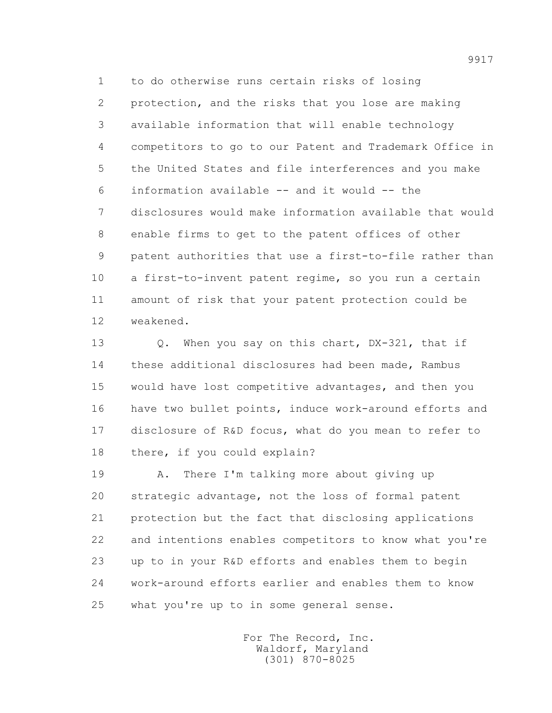1 to do otherwise runs certain risks of losing 2 protection, and the risks that you lose are making 3 available information that will enable technology 4 competitors to go to our Patent and Trademark Office in 5 the United States and file interferences and you make 6 information available -- and it would -- the 7 disclosures would make information available that would 8 enable firms to get to the patent offices of other 9 patent authorities that use a first-to-file rather than 10 a first-to-invent patent regime, so you run a certain 11 amount of risk that your patent protection could be 12 weakened.

13 0. When you say on this chart, DX-321, that if 14 these additional disclosures had been made, Rambus 15 would have lost competitive advantages, and then you 16 have two bullet points, induce work-around efforts and 17 disclosure of R&D focus, what do you mean to refer to 18 there, if you could explain?

 19 A. There I'm talking more about giving up 20 strategic advantage, not the loss of formal patent 21 protection but the fact that disclosing applications 22 and intentions enables competitors to know what you're 23 up to in your R&D efforts and enables them to begin 24 work-around efforts earlier and enables them to know 25 what you're up to in some general sense.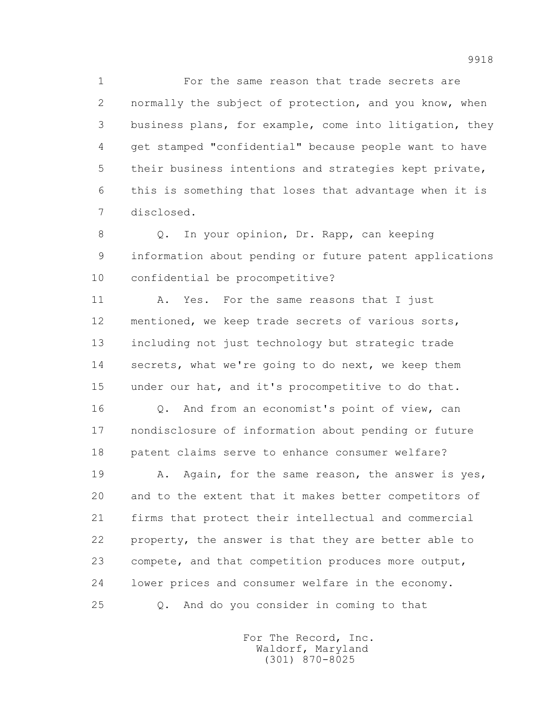1 For the same reason that trade secrets are 2 normally the subject of protection, and you know, when 3 business plans, for example, come into litigation, they 4 get stamped "confidential" because people want to have 5 their business intentions and strategies kept private, 6 this is something that loses that advantage when it is 7 disclosed.

 8 Q. In your opinion, Dr. Rapp, can keeping 9 information about pending or future patent applications 10 confidential be procompetitive?

11 A. Yes. For the same reasons that I just 12 mentioned, we keep trade secrets of various sorts, 13 including not just technology but strategic trade 14 secrets, what we're going to do next, we keep them 15 under our hat, and it's procompetitive to do that.

16 0. And from an economist's point of view, can 17 nondisclosure of information about pending or future 18 patent claims serve to enhance consumer welfare?

19 A. Again, for the same reason, the answer is yes, 20 and to the extent that it makes better competitors of 21 firms that protect their intellectual and commercial 22 property, the answer is that they are better able to 23 compete, and that competition produces more output, 24 lower prices and consumer welfare in the economy. 25 Q. And do you consider in coming to that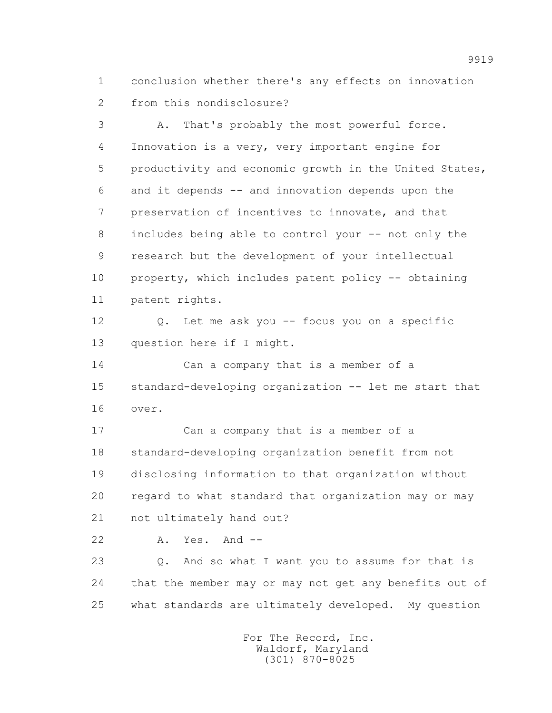1 conclusion whether there's any effects on innovation 2 from this nondisclosure?

 3 A. That's probably the most powerful force. 4 Innovation is a very, very important engine for 5 productivity and economic growth in the United States, 6 and it depends -- and innovation depends upon the 7 preservation of incentives to innovate, and that 8 includes being able to control your -- not only the 9 research but the development of your intellectual 10 property, which includes patent policy -- obtaining 11 patent rights. 12 Q. Let me ask you -- focus you on a specific 13 question here if I might. 14 Can a company that is a member of a 15 standard-developing organization -- let me start that 16 over. 17 Can a company that is a member of a 18 standard-developing organization benefit from not 19 disclosing information to that organization without 20 regard to what standard that organization may or may 21 not ultimately hand out? 22 A. Yes. And -- 23 Q. And so what I want you to assume for that is 24 that the member may or may not get any benefits out of

25 what standards are ultimately developed. My question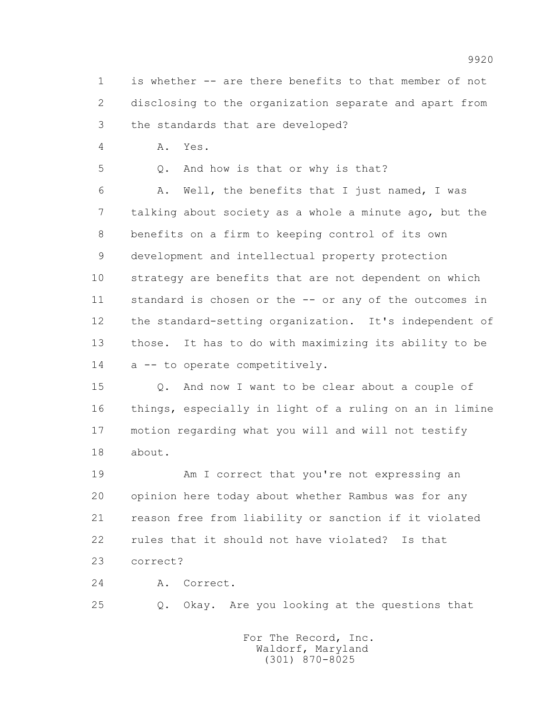1 is whether -- are there benefits to that member of not 2 disclosing to the organization separate and apart from 3 the standards that are developed?

4 A. Yes.

5 Q. And how is that or why is that?

 6 A. Well, the benefits that I just named, I was 7 talking about society as a whole a minute ago, but the 8 benefits on a firm to keeping control of its own 9 development and intellectual property protection 10 strategy are benefits that are not dependent on which 11 standard is chosen or the -- or any of the outcomes in 12 the standard-setting organization. It's independent of 13 those. It has to do with maximizing its ability to be 14 a -- to operate competitively.

 15 Q. And now I want to be clear about a couple of 16 things, especially in light of a ruling on an in limine 17 motion regarding what you will and will not testify 18 about.

 19 Am I correct that you're not expressing an 20 opinion here today about whether Rambus was for any 21 reason free from liability or sanction if it violated 22 rules that it should not have violated? Is that 23 correct?

24 A. Correct.

25 Q. Okay. Are you looking at the questions that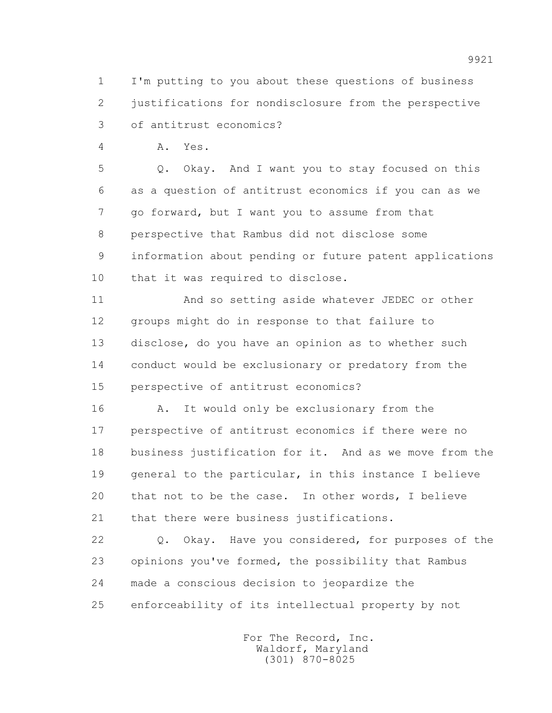1 I'm putting to you about these questions of business 2 justifications for nondisclosure from the perspective 3 of antitrust economics?

4 A. Yes.

 5 Q. Okay. And I want you to stay focused on this 6 as a question of antitrust economics if you can as we 7 go forward, but I want you to assume from that 8 perspective that Rambus did not disclose some 9 information about pending or future patent applications 10 that it was required to disclose.

 11 And so setting aside whatever JEDEC or other 12 groups might do in response to that failure to 13 disclose, do you have an opinion as to whether such 14 conduct would be exclusionary or predatory from the 15 perspective of antitrust economics?

16 A. It would only be exclusionary from the 17 perspective of antitrust economics if there were no 18 business justification for it. And as we move from the 19 general to the particular, in this instance I believe 20 that not to be the case. In other words, I believe 21 that there were business justifications.

 22 Q. Okay. Have you considered, for purposes of the 23 opinions you've formed, the possibility that Rambus 24 made a conscious decision to jeopardize the 25 enforceability of its intellectual property by not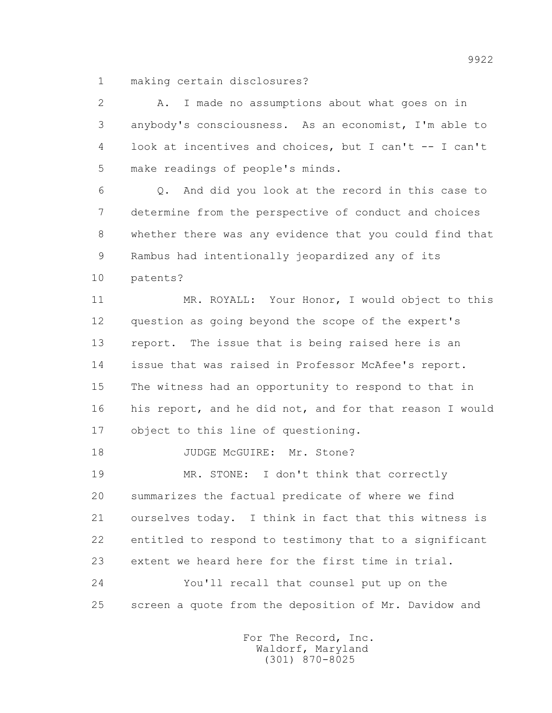1 making certain disclosures?

 2 A. I made no assumptions about what goes on in 3 anybody's consciousness. As an economist, I'm able to 4 look at incentives and choices, but I can't -- I can't 5 make readings of people's minds.

 6 Q. And did you look at the record in this case to 7 determine from the perspective of conduct and choices 8 whether there was any evidence that you could find that 9 Rambus had intentionally jeopardized any of its 10 patents?

 11 MR. ROYALL: Your Honor, I would object to this 12 question as going beyond the scope of the expert's 13 report. The issue that is being raised here is an 14 issue that was raised in Professor McAfee's report. 15 The witness had an opportunity to respond to that in 16 his report, and he did not, and for that reason I would 17 object to this line of questioning.

18 JUDGE McGUIRE: Mr. Stone?

19 MR. STONE: I don't think that correctly 20 summarizes the factual predicate of where we find 21 ourselves today. I think in fact that this witness is 22 entitled to respond to testimony that to a significant 23 extent we heard here for the first time in trial. 24 You'll recall that counsel put up on the

25 screen a quote from the deposition of Mr. Davidow and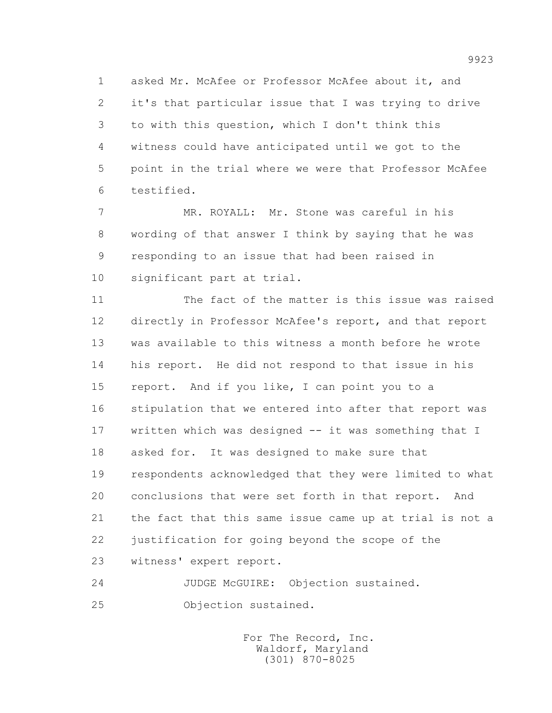1 asked Mr. McAfee or Professor McAfee about it, and 2 it's that particular issue that I was trying to drive 3 to with this question, which I don't think this 4 witness could have anticipated until we got to the 5 point in the trial where we were that Professor McAfee 6 testified.

 7 MR. ROYALL: Mr. Stone was careful in his 8 wording of that answer I think by saying that he was 9 responding to an issue that had been raised in 10 significant part at trial.

 11 The fact of the matter is this issue was raised 12 directly in Professor McAfee's report, and that report 13 was available to this witness a month before he wrote 14 his report. He did not respond to that issue in his 15 report. And if you like, I can point you to a 16 stipulation that we entered into after that report was 17 written which was designed -- it was something that I 18 asked for. It was designed to make sure that 19 respondents acknowledged that they were limited to what 20 conclusions that were set forth in that report. And 21 the fact that this same issue came up at trial is not a 22 justification for going beyond the scope of the 23 witness' expert report.

 24 JUDGE McGUIRE: Objection sustained. 25 Objection sustained.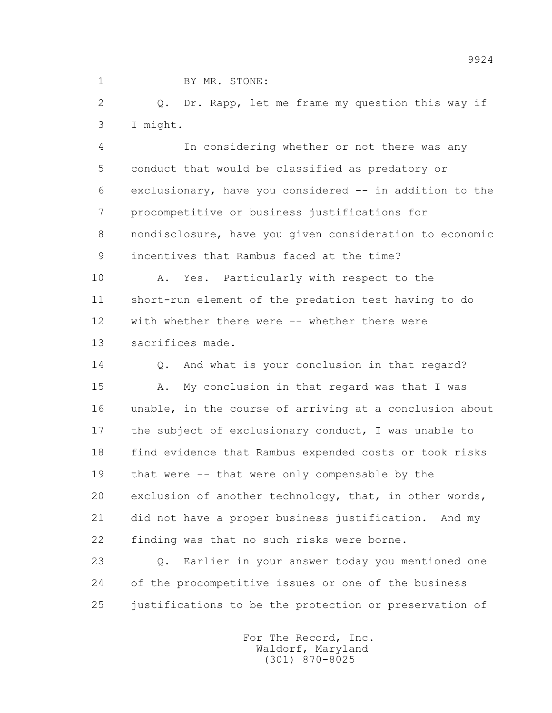1 BY MR. STONE:

 2 Q. Dr. Rapp, let me frame my question this way if 3 I might.

 4 In considering whether or not there was any 5 conduct that would be classified as predatory or 6 exclusionary, have you considered -- in addition to the 7 procompetitive or business justifications for 8 nondisclosure, have you given consideration to economic 9 incentives that Rambus faced at the time?

10 A. Yes. Particularly with respect to the 11 short-run element of the predation test having to do 12 with whether there were -- whether there were 13 sacrifices made.

 14 Q. And what is your conclusion in that regard? 15 A. My conclusion in that regard was that I was 16 unable, in the course of arriving at a conclusion about 17 the subject of exclusionary conduct, I was unable to 18 find evidence that Rambus expended costs or took risks 19 that were -- that were only compensable by the 20 exclusion of another technology, that, in other words, 21 did not have a proper business justification. And my 22 finding was that no such risks were borne.

 23 Q. Earlier in your answer today you mentioned one 24 of the procompetitive issues or one of the business 25 justifications to be the protection or preservation of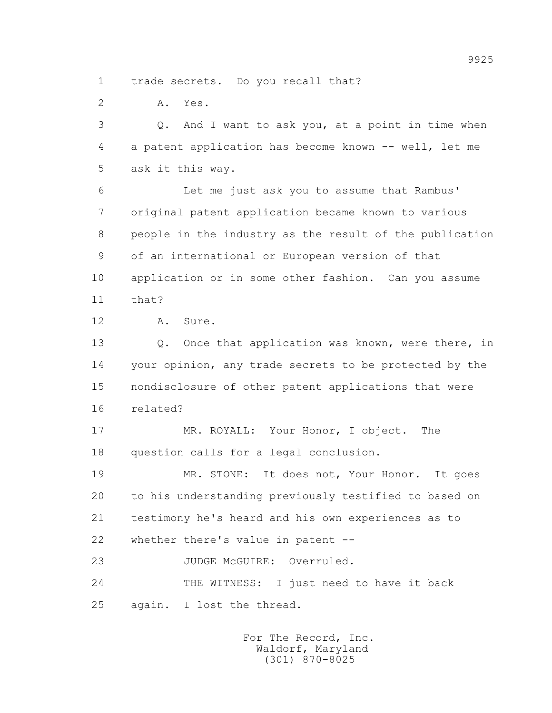1 trade secrets. Do you recall that?

2 A. Yes.

 3 Q. And I want to ask you, at a point in time when 4 a patent application has become known -- well, let me 5 ask it this way.

 6 Let me just ask you to assume that Rambus' 7 original patent application became known to various 8 people in the industry as the result of the publication 9 of an international or European version of that 10 application or in some other fashion. Can you assume  $11 + hat?$ 

12 A. Sure.

13 Q. Once that application was known, were there, in 14 your opinion, any trade secrets to be protected by the 15 nondisclosure of other patent applications that were 16 related?

 17 MR. ROYALL: Your Honor, I object. The 18 question calls for a legal conclusion.

 19 MR. STONE: It does not, Your Honor. It goes 20 to his understanding previously testified to based on 21 testimony he's heard and his own experiences as to 22 whether there's value in patent --

23 JUDGE McGUIRE: Overruled.

 24 THE WITNESS: I just need to have it back 25 again. I lost the thread.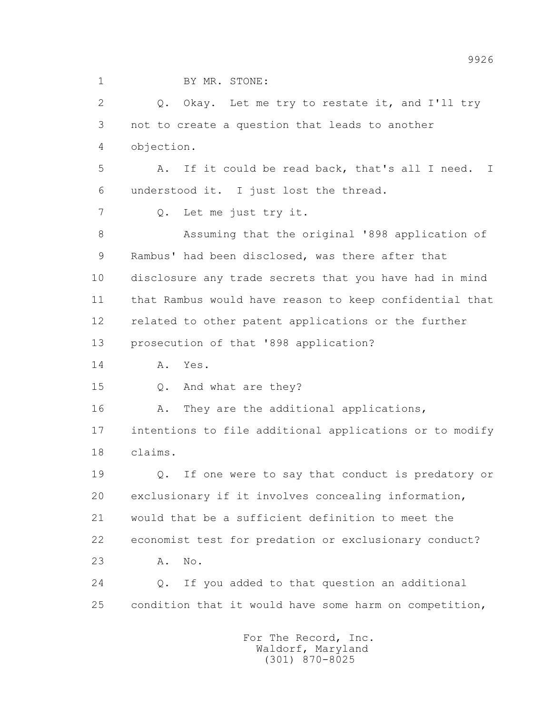1 BY MR. STONE:

 2 Q. Okay. Let me try to restate it, and I'll try 3 not to create a question that leads to another 4 objection. 5 A. If it could be read back, that's all I need. I 6 understood it. I just lost the thread. 7 Q. Let me just try it. 8 Assuming that the original '898 application of 9 Rambus' had been disclosed, was there after that 10 disclosure any trade secrets that you have had in mind 11 that Rambus would have reason to keep confidential that 12 related to other patent applications or the further 13 prosecution of that '898 application? 14 A. Yes. 15 Q. And what are they? 16 A. They are the additional applications, 17 intentions to file additional applications or to modify 18 claims. 19 Q. If one were to say that conduct is predatory or 20 exclusionary if it involves concealing information, 21 would that be a sufficient definition to meet the 22 economist test for predation or exclusionary conduct? 23 A. No. 24 Q. If you added to that question an additional 25 condition that it would have some harm on competition,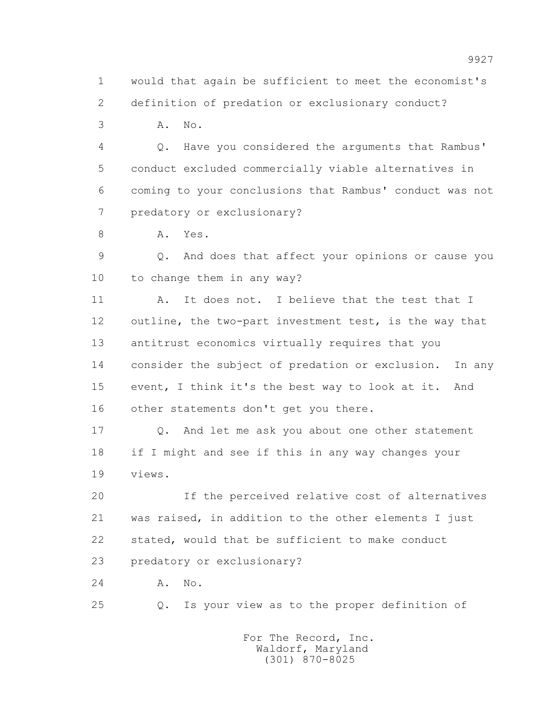1 would that again be sufficient to meet the economist's 2 definition of predation or exclusionary conduct?

3 A. No.

 4 Q. Have you considered the arguments that Rambus' 5 conduct excluded commercially viable alternatives in 6 coming to your conclusions that Rambus' conduct was not 7 predatory or exclusionary?

8 A. Yes.

 9 Q. And does that affect your opinions or cause you 10 to change them in any way?

 11 A. It does not. I believe that the test that I 12 outline, the two-part investment test, is the way that 13 antitrust economics virtually requires that you 14 consider the subject of predation or exclusion. In any 15 event, I think it's the best way to look at it. And 16 other statements don't get you there.

 17 Q. And let me ask you about one other statement 18 if I might and see if this in any way changes your 19 views.

 20 If the perceived relative cost of alternatives 21 was raised, in addition to the other elements I just 22 stated, would that be sufficient to make conduct 23 predatory or exclusionary?

24 A. No.

25 Q. Is your view as to the proper definition of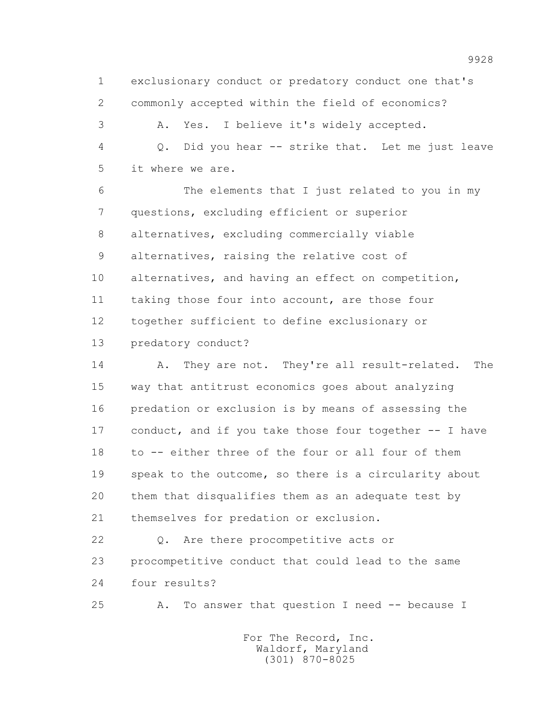1 exclusionary conduct or predatory conduct one that's 2 commonly accepted within the field of economics?

 3 A. Yes. I believe it's widely accepted. 4 Q. Did you hear -- strike that. Let me just leave 5 it where we are.

 6 The elements that I just related to you in my 7 questions, excluding efficient or superior 8 alternatives, excluding commercially viable 9 alternatives, raising the relative cost of 10 alternatives, and having an effect on competition, 11 taking those four into account, are those four 12 together sufficient to define exclusionary or 13 predatory conduct?

14 A. They are not. They're all result-related. The 15 way that antitrust economics goes about analyzing 16 predation or exclusion is by means of assessing the 17 conduct, and if you take those four together -- I have 18 to -- either three of the four or all four of them 19 speak to the outcome, so there is a circularity about 20 them that disqualifies them as an adequate test by 21 themselves for predation or exclusion.

 22 Q. Are there procompetitive acts or 23 procompetitive conduct that could lead to the same 24 four results?

25 A. To answer that question I need -- because I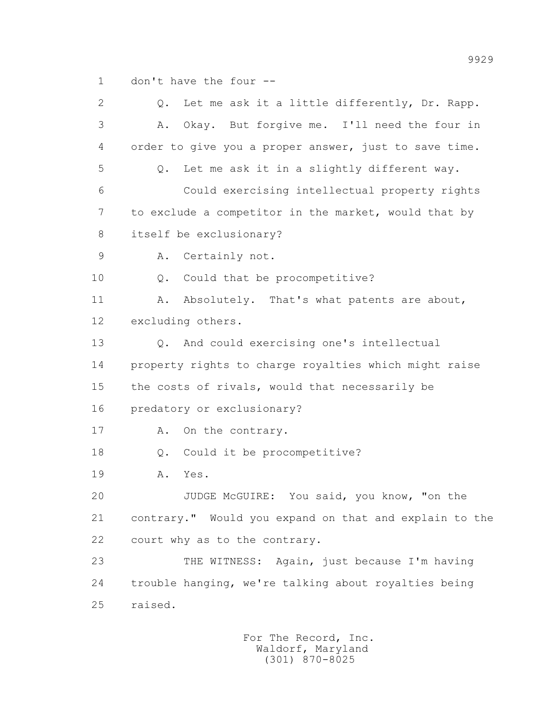1 don't have the four --

 2 Q. Let me ask it a little differently, Dr. Rapp. 3 A. Okay. But forgive me. I'll need the four in 4 order to give you a proper answer, just to save time. 5 Q. Let me ask it in a slightly different way. 6 Could exercising intellectual property rights 7 to exclude a competitor in the market, would that by 8 itself be exclusionary? 9 A. Certainly not. 10 Q. Could that be procompetitive? 11 A. Absolutely. That's what patents are about, 12 excluding others. 13 Q. And could exercising one's intellectual 14 property rights to charge royalties which might raise 15 the costs of rivals, would that necessarily be 16 predatory or exclusionary? 17 A. On the contrary. 18 Q. Could it be procompetitive? 19 A. Yes. 20 JUDGE McGUIRE: You said, you know, "on the 21 contrary." Would you expand on that and explain to the 22 court why as to the contrary. 23 THE WITNESS: Again, just because I'm having 24 trouble hanging, we're talking about royalties being 25 raised.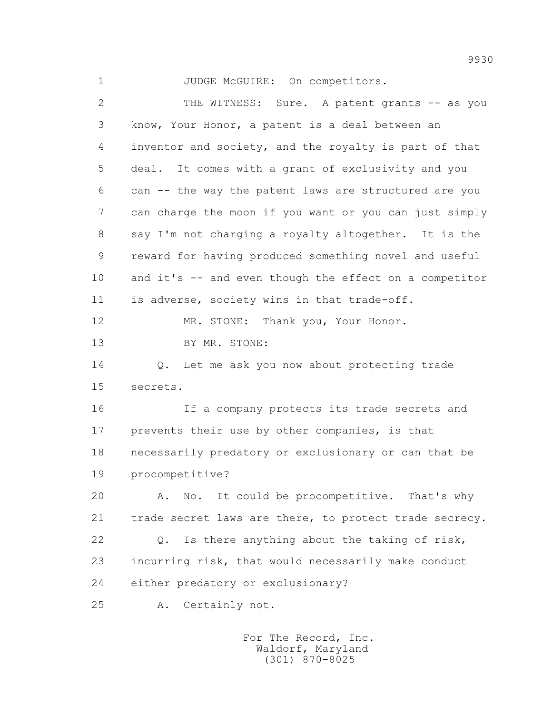1 JUDGE McGUIRE: On competitors.

2 THE WITNESS: Sure. A patent grants -- as you 3 know, Your Honor, a patent is a deal between an 4 inventor and society, and the royalty is part of that 5 deal. It comes with a grant of exclusivity and you 6 can -- the way the patent laws are structured are you 7 can charge the moon if you want or you can just simply 8 say I'm not charging a royalty altogether. It is the 9 reward for having produced something novel and useful 10 and it's -- and even though the effect on a competitor 11 is adverse, society wins in that trade-off. 12 MR. STONE: Thank you, Your Honor. 13 BY MR. STONE: 14 Q. Let me ask you now about protecting trade 15 secrets. 16 If a company protects its trade secrets and 17 prevents their use by other companies, is that 18 necessarily predatory or exclusionary or can that be 19 procompetitive? 20 A. No. It could be procompetitive. That's why 21 trade secret laws are there, to protect trade secrecy. 22 Q. Is there anything about the taking of risk, 23 incurring risk, that would necessarily make conduct 24 either predatory or exclusionary? 25 A. Certainly not.

> For The Record, Inc. Waldorf, Maryland (301) 870-8025

9930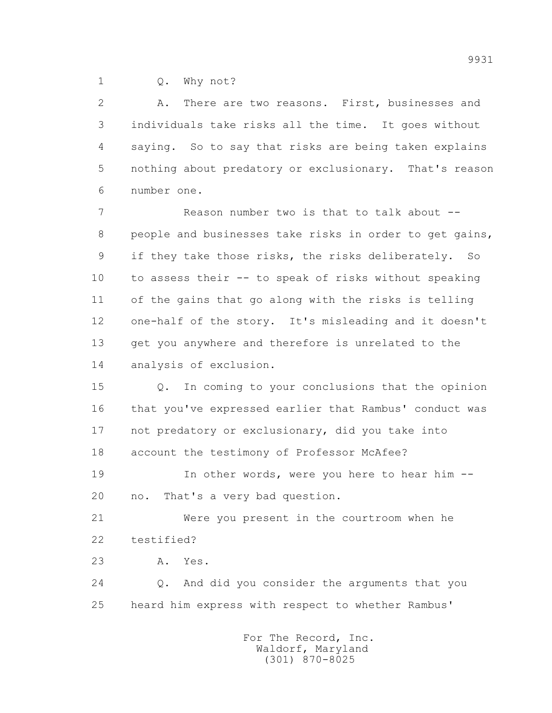1 0. Why not?

 2 A. There are two reasons. First, businesses and 3 individuals take risks all the time. It goes without 4 saying. So to say that risks are being taken explains 5 nothing about predatory or exclusionary. That's reason 6 number one.

 7 Reason number two is that to talk about -- 8 people and businesses take risks in order to get gains, 9 if they take those risks, the risks deliberately. So 10 to assess their -- to speak of risks without speaking 11 of the gains that go along with the risks is telling 12 one-half of the story. It's misleading and it doesn't 13 get you anywhere and therefore is unrelated to the 14 analysis of exclusion.

 15 Q. In coming to your conclusions that the opinion 16 that you've expressed earlier that Rambus' conduct was 17 not predatory or exclusionary, did you take into 18 account the testimony of Professor McAfee?

19 In other words, were you here to hear him --20 no. That's a very bad question.

 21 Were you present in the courtroom when he 22 testified?

23 A. Yes.

 24 Q. And did you consider the arguments that you 25 heard him express with respect to whether Rambus'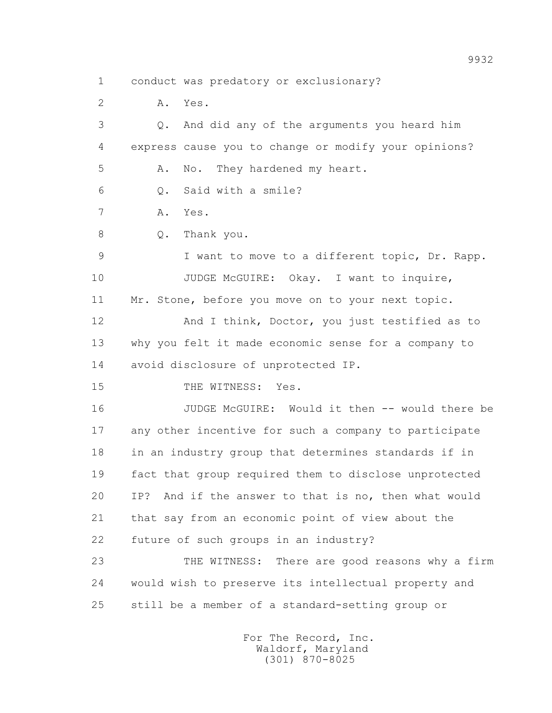1 conduct was predatory or exclusionary?

2 A. Yes.

 3 Q. And did any of the arguments you heard him 4 express cause you to change or modify your opinions? 5 A. No. They hardened my heart. 6 Q. Said with a smile? 7 A. Yes. 8 Q. Thank you. 9 I want to move to a different topic, Dr. Rapp. 10 JUDGE McGUIRE: Okay. I want to inquire, 11 Mr. Stone, before you move on to your next topic. 12 And I think, Doctor, you just testified as to 13 why you felt it made economic sense for a company to 14 avoid disclosure of unprotected IP. 15 THE WITNESS: Yes. 16 JUDGE McGUIRE: Would it then -- would there be 17 any other incentive for such a company to participate 18 in an industry group that determines standards if in 19 fact that group required them to disclose unprotected 20 IP? And if the answer to that is no, then what would 21 that say from an economic point of view about the 22 future of such groups in an industry? 23 THE WITNESS: There are good reasons why a firm 24 would wish to preserve its intellectual property and 25 still be a member of a standard-setting group or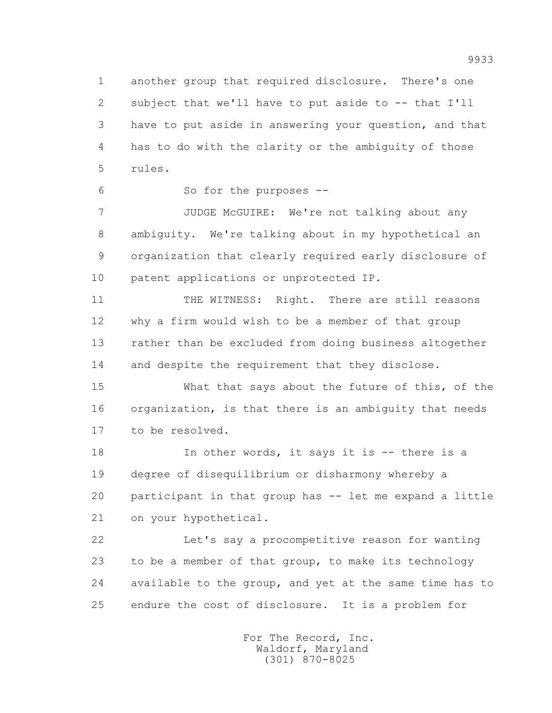1 another group that required disclosure. There's one 2 subject that we'll have to put aside to -- that I'll 3 have to put aside in answering your question, and that 4 has to do with the clarity or the ambiguity of those 5 rules.

6 So for the purposes --

 7 JUDGE McGUIRE: We're not talking about any 8 ambiguity. We're talking about in my hypothetical an 9 organization that clearly required early disclosure of 10 patent applications or unprotected IP.

 11 THE WITNESS: Right. There are still reasons 12 why a firm would wish to be a member of that group 13 rather than be excluded from doing business altogether 14 and despite the requirement that they disclose.

 15 What that says about the future of this, of the 16 organization, is that there is an ambiguity that needs 17 to be resolved.

18 In other words, it says it is -- there is a 19 degree of disequilibrium or disharmony whereby a 20 participant in that group has -- let me expand a little 21 on your hypothetical.

 22 Let's say a procompetitive reason for wanting 23 to be a member of that group, to make its technology 24 available to the group, and yet at the same time has to 25 endure the cost of disclosure. It is a problem for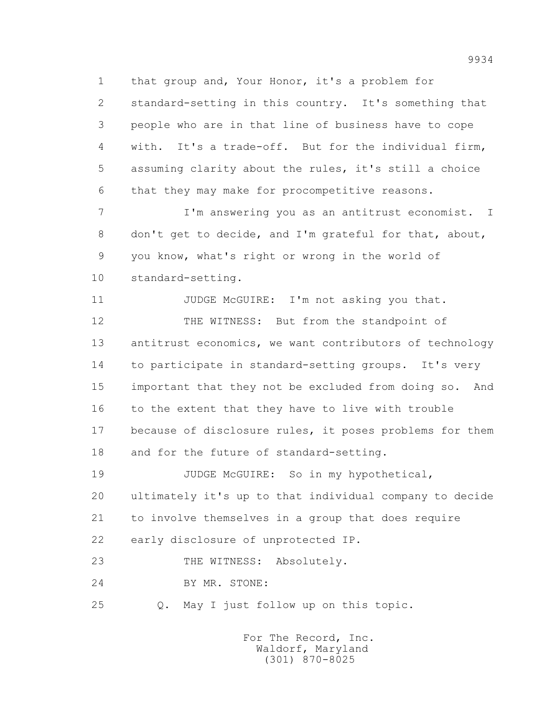1 that group and, Your Honor, it's a problem for

 2 standard-setting in this country. It's something that 3 people who are in that line of business have to cope 4 with. It's a trade-off. But for the individual firm, 5 assuming clarity about the rules, it's still a choice 6 that they may make for procompetitive reasons.

 7 I'm answering you as an antitrust economist. I 8 don't get to decide, and I'm grateful for that, about, 9 you know, what's right or wrong in the world of 10 standard-setting.

11 JUDGE McGUIRE: I'm not asking you that. 12 THE WITNESS: But from the standpoint of 13 antitrust economics, we want contributors of technology 14 to participate in standard-setting groups. It's very 15 important that they not be excluded from doing so. And 16 to the extent that they have to live with trouble 17 because of disclosure rules, it poses problems for them 18 and for the future of standard-setting.

 19 JUDGE McGUIRE: So in my hypothetical, 20 ultimately it's up to that individual company to decide 21 to involve themselves in a group that does require 22 early disclosure of unprotected IP.

23 THE WITNESS: Absolutely.

24 BY MR. STONE:

25 Q. May I just follow up on this topic.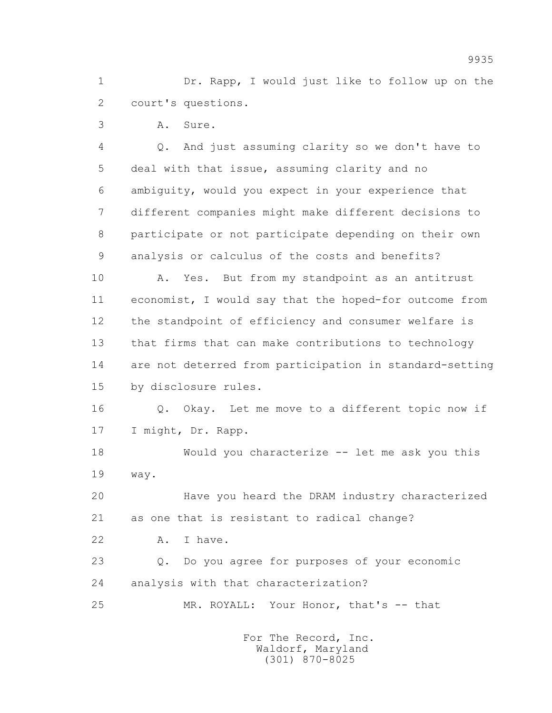1 Dr. Rapp, I would just like to follow up on the 2 court's questions.

3 A. Sure.

 4 Q. And just assuming clarity so we don't have to 5 deal with that issue, assuming clarity and no 6 ambiguity, would you expect in your experience that 7 different companies might make different decisions to 8 participate or not participate depending on their own 9 analysis or calculus of the costs and benefits?

 10 A. Yes. But from my standpoint as an antitrust 11 economist, I would say that the hoped-for outcome from 12 the standpoint of efficiency and consumer welfare is 13 that firms that can make contributions to technology 14 are not deterred from participation in standard-setting 15 by disclosure rules.

 16 Q. Okay. Let me move to a different topic now if 17 I might, Dr. Rapp.

 18 Would you characterize -- let me ask you this 19 way.

 20 Have you heard the DRAM industry characterized 21 as one that is resistant to radical change?

22 A. I have.

 23 Q. Do you agree for purposes of your economic 24 analysis with that characterization?

25 MR. ROYALL: Your Honor, that's -- that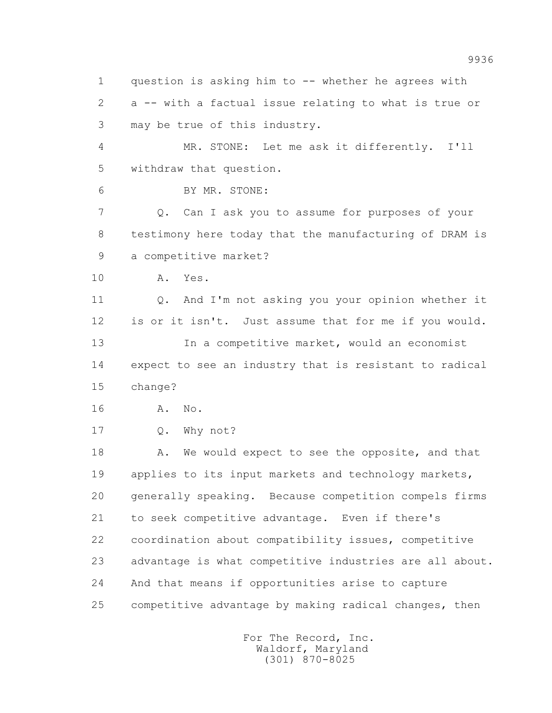1 question is asking him to -- whether he agrees with 2 a -- with a factual issue relating to what is true or 3 may be true of this industry.

 4 MR. STONE: Let me ask it differently. I'll 5 withdraw that question.

6 BY MR. STONE:

 7 Q. Can I ask you to assume for purposes of your 8 testimony here today that the manufacturing of DRAM is 9 a competitive market?

10 A. Yes.

 11 Q. And I'm not asking you your opinion whether it 12 is or it isn't. Just assume that for me if you would. 13 13 In a competitive market, would an economist 14 expect to see an industry that is resistant to radical 15 change?

16 A. No.

17 0. Why not?

18 A. We would expect to see the opposite, and that 19 applies to its input markets and technology markets, 20 generally speaking. Because competition compels firms 21 to seek competitive advantage. Even if there's 22 coordination about compatibility issues, competitive 23 advantage is what competitive industries are all about. 24 And that means if opportunities arise to capture 25 competitive advantage by making radical changes, then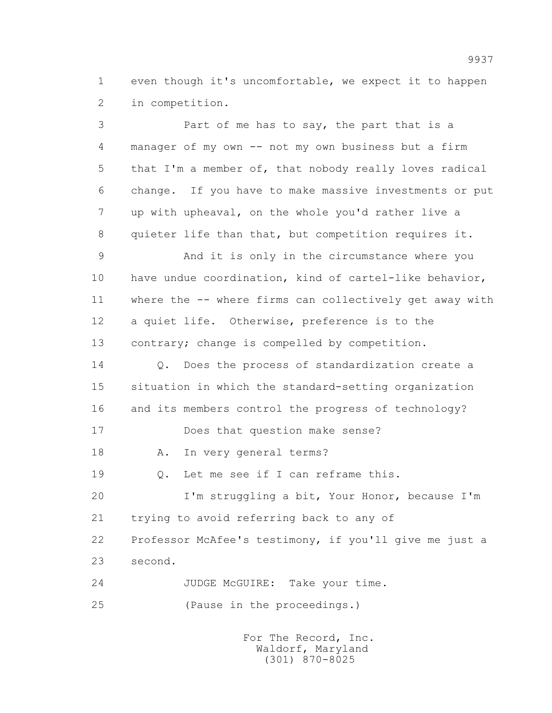1 even though it's uncomfortable, we expect it to happen 2 in competition.

 3 Part of me has to say, the part that is a 4 manager of my own -- not my own business but a firm 5 that I'm a member of, that nobody really loves radical 6 change. If you have to make massive investments or put 7 up with upheaval, on the whole you'd rather live a 8 quieter life than that, but competition requires it. 9 And it is only in the circumstance where you 10 have undue coordination, kind of cartel-like behavior, 11 where the -- where firms can collectively get away with 12 a quiet life. Otherwise, preference is to the 13 contrary; change is compelled by competition. 14 Q. Does the process of standardization create a 15 situation in which the standard-setting organization 16 and its members control the progress of technology? 17 Does that question make sense? 18 A. In very general terms? 19 Q. Let me see if I can reframe this. 20 I'm struggling a bit, Your Honor, because I'm 21 trying to avoid referring back to any of 22 Professor McAfee's testimony, if you'll give me just a 23 second. 24 JUDGE McGUIRE: Take your time. 25 (Pause in the proceedings.)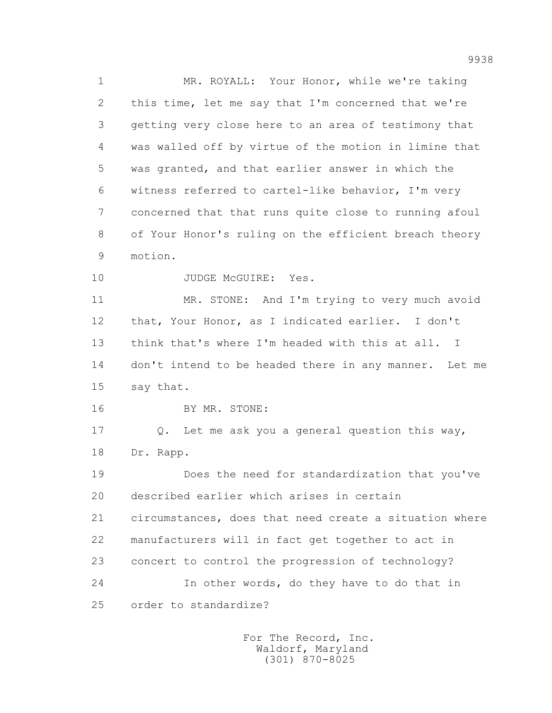1 MR. ROYALL: Your Honor, while we're taking 2 this time, let me say that I'm concerned that we're 3 getting very close here to an area of testimony that 4 was walled off by virtue of the motion in limine that 5 was granted, and that earlier answer in which the 6 witness referred to cartel-like behavior, I'm very 7 concerned that that runs quite close to running afoul 8 of Your Honor's ruling on the efficient breach theory 9 motion.

10 JUDGE McGUIRE: Yes.

 11 MR. STONE: And I'm trying to very much avoid 12 that, Your Honor, as I indicated earlier. I don't 13 think that's where I'm headed with this at all. I 14 don't intend to be headed there in any manner. Let me 15 say that.

16 BY MR. STONE:

 17 Q. Let me ask you a general question this way, 18 Dr. Rapp.

 19 Does the need for standardization that you've 20 described earlier which arises in certain 21 circumstances, does that need create a situation where 22 manufacturers will in fact get together to act in 23 concert to control the progression of technology? 24 In other words, do they have to do that in 25 order to standardize?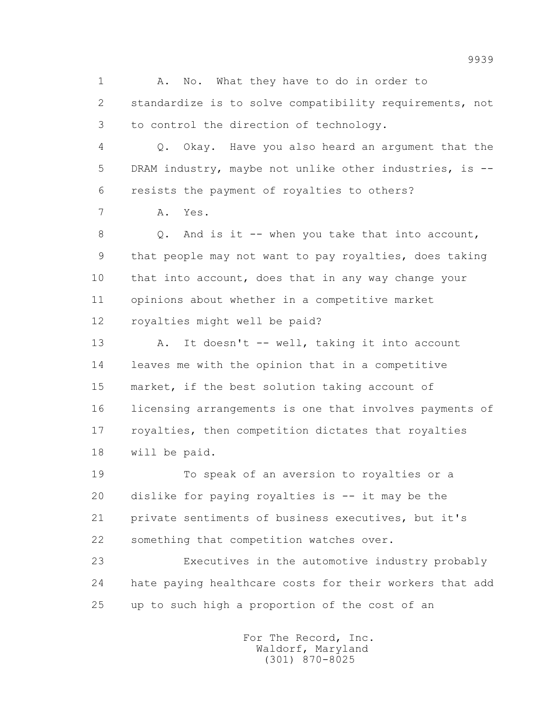1 A. No. What they have to do in order to 2 standardize is to solve compatibility requirements, not 3 to control the direction of technology.

 4 Q. Okay. Have you also heard an argument that the 5 DRAM industry, maybe not unlike other industries, is -- 6 resists the payment of royalties to others?

7 A. Yes.

 8 Q. And is it -- when you take that into account, 9 that people may not want to pay royalties, does taking 10 that into account, does that in any way change your 11 opinions about whether in a competitive market 12 royalties might well be paid?

13 A. It doesn't -- well, taking it into account 14 leaves me with the opinion that in a competitive 15 market, if the best solution taking account of 16 licensing arrangements is one that involves payments of 17 royalties, then competition dictates that royalties 18 will be paid.

 19 To speak of an aversion to royalties or a 20 dislike for paying royalties is -- it may be the 21 private sentiments of business executives, but it's 22 something that competition watches over.

 23 Executives in the automotive industry probably 24 hate paying healthcare costs for their workers that add 25 up to such high a proportion of the cost of an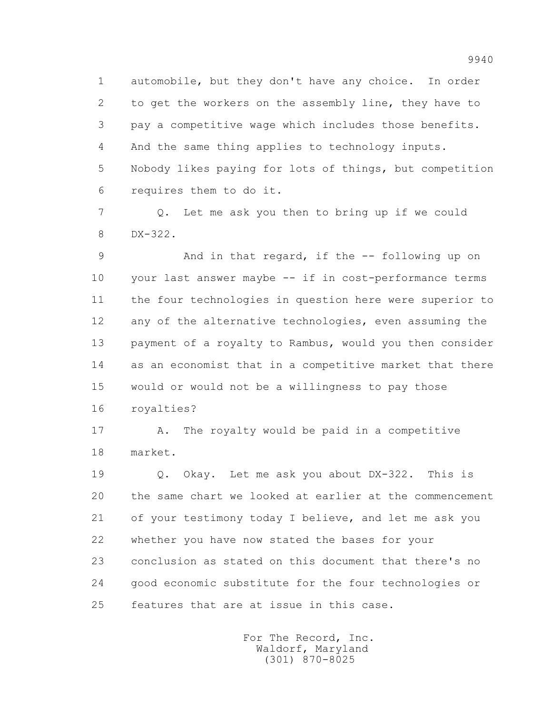1 automobile, but they don't have any choice. In order 2 to get the workers on the assembly line, they have to 3 pay a competitive wage which includes those benefits. 4 And the same thing applies to technology inputs. 5 Nobody likes paying for lots of things, but competition 6 requires them to do it.

 7 Q. Let me ask you then to bring up if we could 8 DX-322.

 9 And in that regard, if the -- following up on 10 your last answer maybe -- if in cost-performance terms 11 the four technologies in question here were superior to 12 any of the alternative technologies, even assuming the 13 payment of a royalty to Rambus, would you then consider 14 as an economist that in a competitive market that there 15 would or would not be a willingness to pay those 16 royalties?

 17 A. The royalty would be paid in a competitive 18 market.

 19 Q. Okay. Let me ask you about DX-322. This is 20 the same chart we looked at earlier at the commencement 21 of your testimony today I believe, and let me ask you 22 whether you have now stated the bases for your 23 conclusion as stated on this document that there's no 24 good economic substitute for the four technologies or 25 features that are at issue in this case.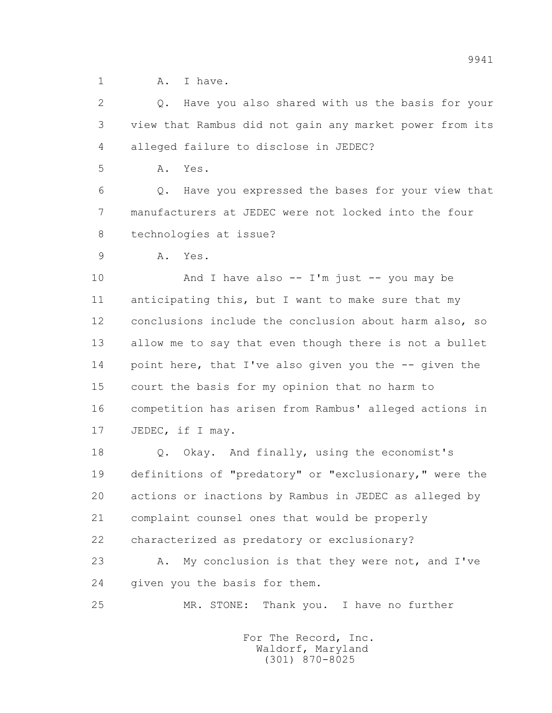1 A. Thave.

 2 Q. Have you also shared with us the basis for your 3 view that Rambus did not gain any market power from its 4 alleged failure to disclose in JEDEC?

5 A. Yes.

 6 Q. Have you expressed the bases for your view that 7 manufacturers at JEDEC were not locked into the four 8 technologies at issue?

9 A. Yes.

 10 And I have also -- I'm just -- you may be 11 anticipating this, but I want to make sure that my 12 conclusions include the conclusion about harm also, so 13 allow me to say that even though there is not a bullet 14 point here, that I've also given you the -- given the 15 court the basis for my opinion that no harm to 16 competition has arisen from Rambus' alleged actions in 17 JEDEC, if I may.

 18 Q. Okay. And finally, using the economist's 19 definitions of "predatory" or "exclusionary," were the 20 actions or inactions by Rambus in JEDEC as alleged by 21 complaint counsel ones that would be properly 22 characterized as predatory or exclusionary?

23 A. My conclusion is that they were not, and I've 24 given you the basis for them.

25 MR. STONE: Thank you. I have no further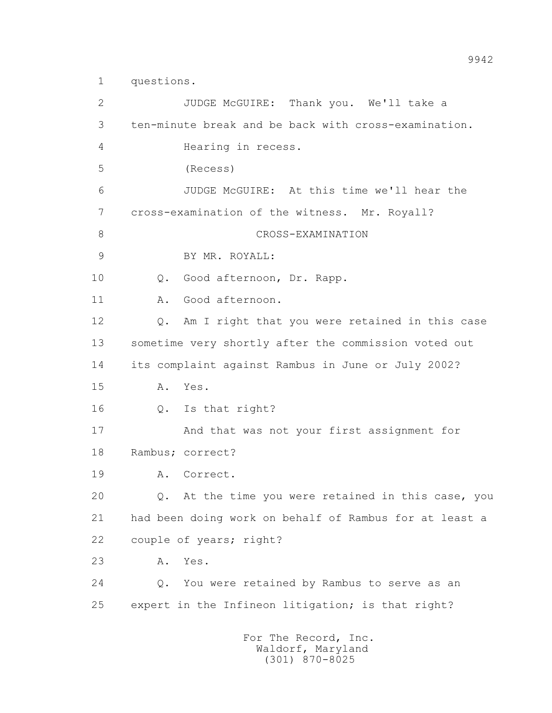1 questions.

 2 JUDGE McGUIRE: Thank you. We'll take a 3 ten-minute break and be back with cross-examination. 4 Hearing in recess. 5 (Recess) 6 JUDGE McGUIRE: At this time we'll hear the 7 cross-examination of the witness. Mr. Royall? 8 CROSS-EXAMINATION 9 BY MR. ROYALL: 10 Q. Good afternoon, Dr. Rapp. 11 A. Good afternoon. 12 Q. Am I right that you were retained in this case 13 sometime very shortly after the commission voted out 14 its complaint against Rambus in June or July 2002? 15 A. Yes. 16 Q. Is that right? 17 And that was not your first assignment for 18 Rambus; correct? 19 A. Correct. 20 Q. At the time you were retained in this case, you 21 had been doing work on behalf of Rambus for at least a 22 couple of years; right? 23 A. Yes. 24 Q. You were retained by Rambus to serve as an 25 expert in the Infineon litigation; is that right? For The Record, Inc. Waldorf, Maryland

(301) 870-8025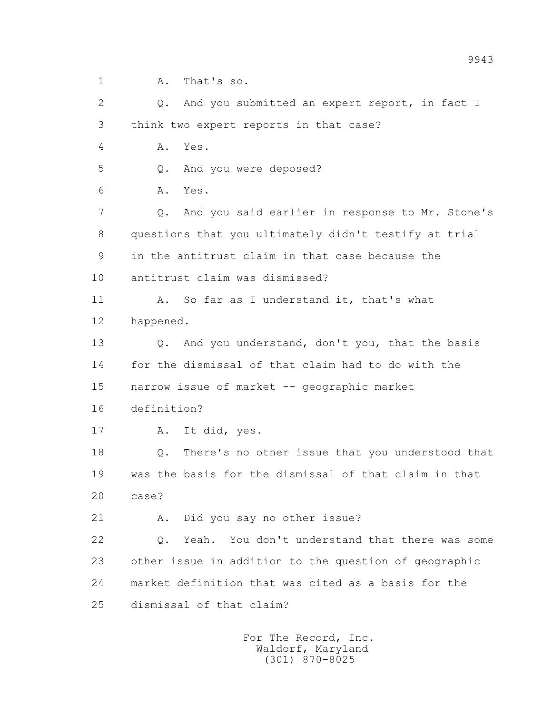1 A. That's so.

 2 Q. And you submitted an expert report, in fact I 3 think two expert reports in that case? 4 A. Yes. 5 Q. And you were deposed? 6 A. Yes. 7 Q. And you said earlier in response to Mr. Stone's 8 questions that you ultimately didn't testify at trial 9 in the antitrust claim in that case because the 10 antitrust claim was dismissed? 11 A. So far as I understand it, that's what 12 happened. 13 0. And you understand, don't you, that the basis 14 for the dismissal of that claim had to do with the 15 narrow issue of market -- geographic market 16 definition? 17 A. It did, yes. 18 Q. There's no other issue that you understood that 19 was the basis for the dismissal of that claim in that 20 case? 21 A. Did you say no other issue? 22 Q. Yeah. You don't understand that there was some 23 other issue in addition to the question of geographic 24 market definition that was cited as a basis for the 25 dismissal of that claim?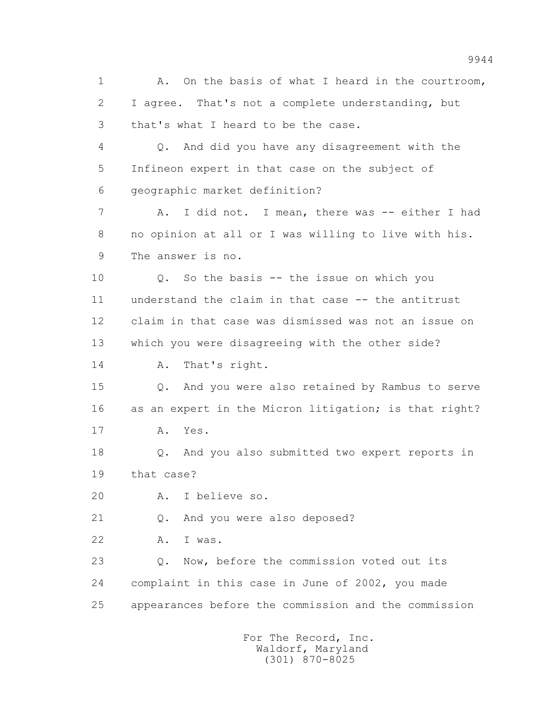1 A. On the basis of what I heard in the courtroom, 2 I agree. That's not a complete understanding, but 3 that's what I heard to be the case. 4 Q. And did you have any disagreement with the 5 Infineon expert in that case on the subject of 6 geographic market definition? 7 A. I did not. I mean, there was -- either I had 8 no opinion at all or I was willing to live with his. 9 The answer is no. 10 Q. So the basis -- the issue on which you 11 understand the claim in that case -- the antitrust 12 claim in that case was dismissed was not an issue on 13 which you were disagreeing with the other side? 14 A. That's right. 15 Q. And you were also retained by Rambus to serve 16 as an expert in the Micron litigation; is that right? 17 A. Yes. 18 Q. And you also submitted two expert reports in 19 that case? 20 A. I believe so. 21 Q. And you were also deposed? 22 A. I was. 23 Q. Now, before the commission voted out its 24 complaint in this case in June of 2002, you made 25 appearances before the commission and the commission For The Record, Inc.

 Waldorf, Maryland (301) 870-8025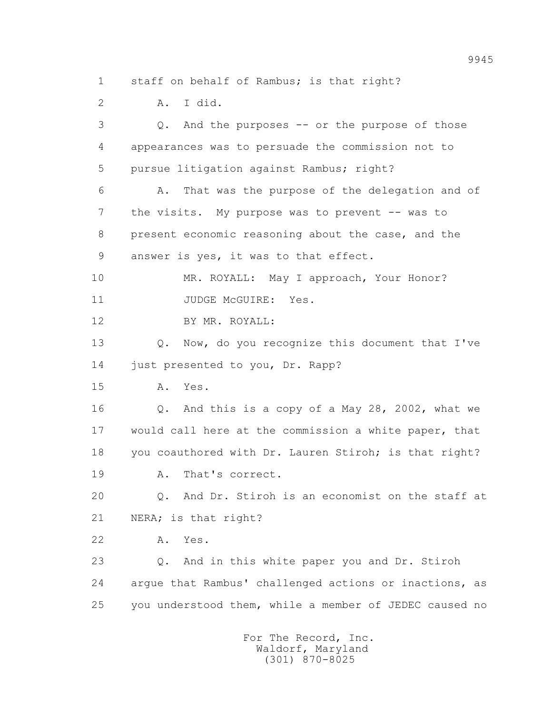1 staff on behalf of Rambus; is that right?

2 A. I did.

 3 Q. And the purposes -- or the purpose of those 4 appearances was to persuade the commission not to 5 pursue litigation against Rambus; right? 6 A. That was the purpose of the delegation and of 7 the visits. My purpose was to prevent -- was to 8 present economic reasoning about the case, and the 9 answer is yes, it was to that effect. 10 MR. ROYALL: May I approach, Your Honor? 11 JUDGE McGUIRE: Yes. 12 BY MR. ROYALL: 13 0. Now, do you recognize this document that I've 14 just presented to you, Dr. Rapp? 15 A. Yes. 16 Q. And this is a copy of a May 28, 2002, what we 17 would call here at the commission a white paper, that 18 you coauthored with Dr. Lauren Stiroh; is that right? 19 A. That's correct. 20 Q. And Dr. Stiroh is an economist on the staff at 21 NERA; is that right? 22 A. Yes. 23 Q. And in this white paper you and Dr. Stiroh 24 argue that Rambus' challenged actions or inactions, as 25 you understood them, while a member of JEDEC caused no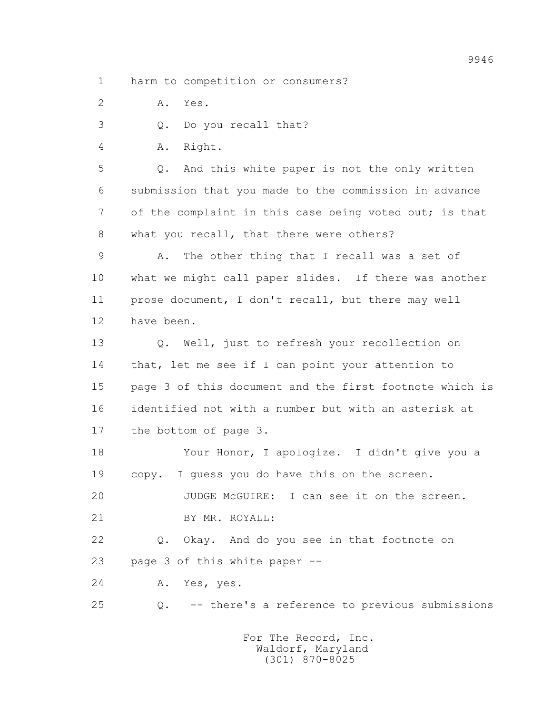1 harm to competition or consumers?

2 A. Yes.

3 Q. Do you recall that?

4 A. Right.

 5 Q. And this white paper is not the only written 6 submission that you made to the commission in advance 7 of the complaint in this case being voted out; is that 8 what you recall, that there were others?

 9 A. The other thing that I recall was a set of 10 what we might call paper slides. If there was another 11 prose document, I don't recall, but there may well 12 have been.

 13 Q. Well, just to refresh your recollection on 14 that, let me see if I can point your attention to 15 page 3 of this document and the first footnote which is 16 identified not with a number but with an asterisk at 17 the bottom of page 3.

 18 Your Honor, I apologize. I didn't give you a 19 copy. I guess you do have this on the screen.

 20 JUDGE McGUIRE: I can see it on the screen. 21 BY MR. ROYALL:

 22 Q. Okay. And do you see in that footnote on 23 page 3 of this white paper --

24 A. Yes, yes.

25 Q. -- there's a reference to previous submissions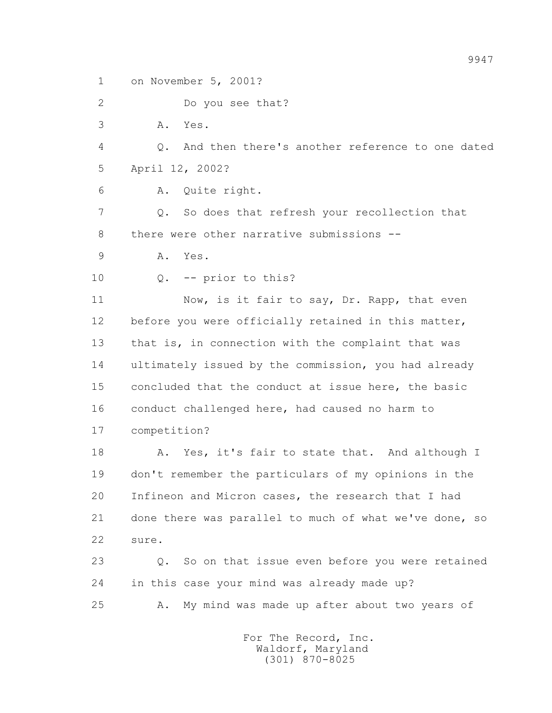1 on November 5, 2001?

2 Do you see that?

3 A. Yes.

 4 Q. And then there's another reference to one dated 5 April 12, 2002?

6 A. Quite right.

 7 Q. So does that refresh your recollection that 8 there were other narrative submissions --

9 A. Yes.

10 Q. -- prior to this?

11 Now, is it fair to say, Dr. Rapp, that even 12 before you were officially retained in this matter, 13 that is, in connection with the complaint that was 14 ultimately issued by the commission, you had already 15 concluded that the conduct at issue here, the basic 16 conduct challenged here, had caused no harm to 17 competition?

18 A. Yes, it's fair to state that. And although I 19 don't remember the particulars of my opinions in the 20 Infineon and Micron cases, the research that I had 21 done there was parallel to much of what we've done, so 22 sure.

 23 Q. So on that issue even before you were retained 24 in this case your mind was already made up? 25 A. My mind was made up after about two years of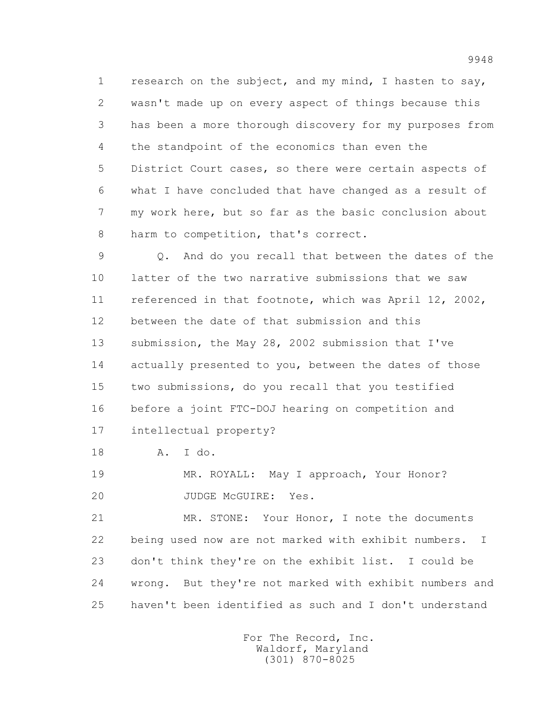1 research on the subject, and my mind, I hasten to say, 2 wasn't made up on every aspect of things because this 3 has been a more thorough discovery for my purposes from 4 the standpoint of the economics than even the 5 District Court cases, so there were certain aspects of 6 what I have concluded that have changed as a result of 7 my work here, but so far as the basic conclusion about 8 harm to competition, that's correct.

 9 Q. And do you recall that between the dates of the 10 latter of the two narrative submissions that we saw 11 referenced in that footnote, which was April 12, 2002, 12 between the date of that submission and this 13 submission, the May 28, 2002 submission that I've 14 actually presented to you, between the dates of those 15 two submissions, do you recall that you testified 16 before a joint FTC-DOJ hearing on competition and 17 intellectual property?

18 A. I do.

 19 MR. ROYALL: May I approach, Your Honor? 20 JUDGE McGUIRE: Yes.

 21 MR. STONE: Your Honor, I note the documents 22 being used now are not marked with exhibit numbers. I 23 don't think they're on the exhibit list. I could be 24 wrong. But they're not marked with exhibit numbers and 25 haven't been identified as such and I don't understand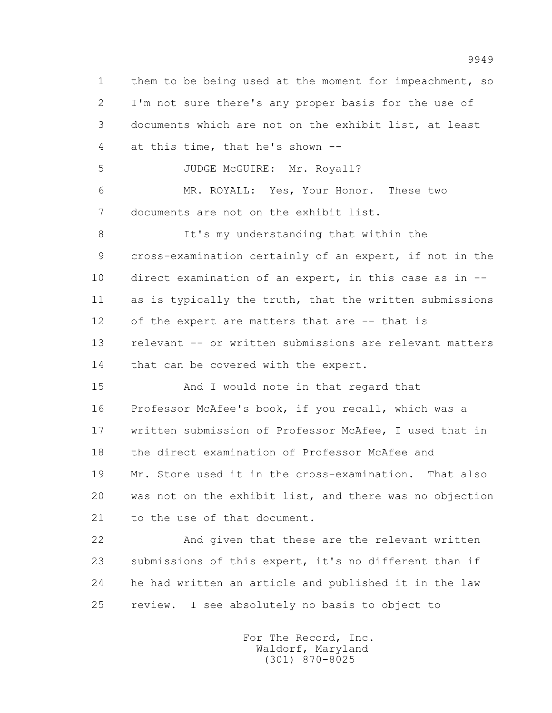1 them to be being used at the moment for impeachment, so 2 I'm not sure there's any proper basis for the use of 3 documents which are not on the exhibit list, at least 4 at this time, that he's shown -- 5 JUDGE McGUIRE: Mr. Royall? 6 MR. ROYALL: Yes, Your Honor. These two 7 documents are not on the exhibit list. 8 It's my understanding that within the 9 cross-examination certainly of an expert, if not in the 10 direct examination of an expert, in this case as in -- 11 as is typically the truth, that the written submissions 12 of the expert are matters that are -- that is 13 relevant -- or written submissions are relevant matters 14 that can be covered with the expert. 15 And I would note in that regard that 16 Professor McAfee's book, if you recall, which was a 17 written submission of Professor McAfee, I used that in 18 the direct examination of Professor McAfee and 19 Mr. Stone used it in the cross-examination. That also 20 was not on the exhibit list, and there was no objection 21 to the use of that document.

 22 And given that these are the relevant written 23 submissions of this expert, it's no different than if 24 he had written an article and published it in the law 25 review. I see absolutely no basis to object to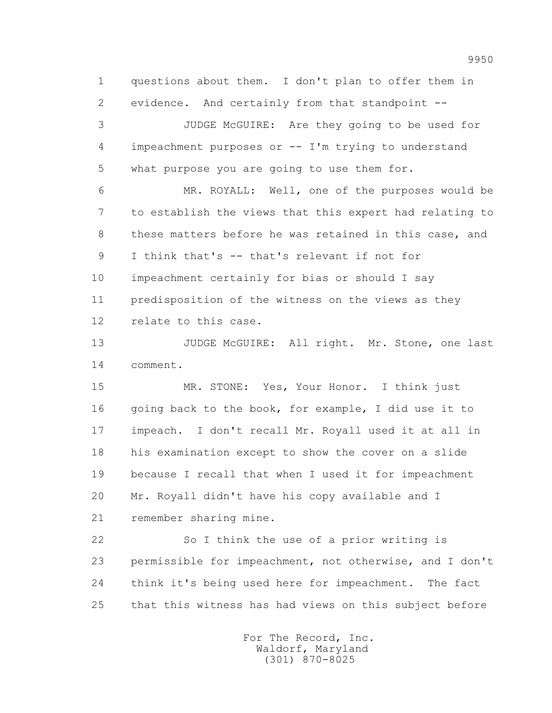1 questions about them. I don't plan to offer them in 2 evidence. And certainly from that standpoint --

 3 JUDGE McGUIRE: Are they going to be used for 4 impeachment purposes or -- I'm trying to understand 5 what purpose you are going to use them for.

 6 MR. ROYALL: Well, one of the purposes would be 7 to establish the views that this expert had relating to 8 these matters before he was retained in this case, and 9 I think that's -- that's relevant if not for 10 impeachment certainly for bias or should I say 11 predisposition of the witness on the views as they 12 relate to this case.

13 JUDGE McGUIRE: All right. Mr. Stone, one last 14 comment.

 15 MR. STONE: Yes, Your Honor. I think just 16 going back to the book, for example, I did use it to 17 impeach. I don't recall Mr. Royall used it at all in 18 his examination except to show the cover on a slide 19 because I recall that when I used it for impeachment 20 Mr. Royall didn't have his copy available and I 21 remember sharing mine.

 22 So I think the use of a prior writing is 23 permissible for impeachment, not otherwise, and I don't 24 think it's being used here for impeachment. The fact 25 that this witness has had views on this subject before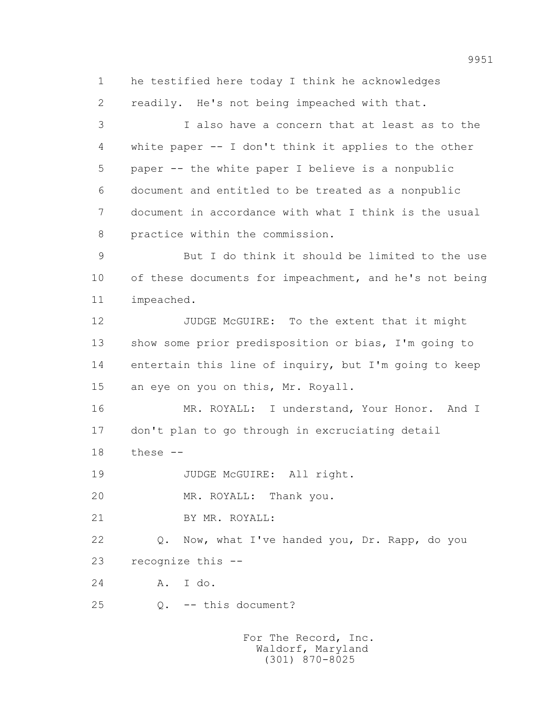1 he testified here today I think he acknowledges

2 readily. He's not being impeached with that.

 3 I also have a concern that at least as to the 4 white paper -- I don't think it applies to the other 5 paper -- the white paper I believe is a nonpublic 6 document and entitled to be treated as a nonpublic 7 document in accordance with what I think is the usual 8 practice within the commission.

 9 But I do think it should be limited to the use 10 of these documents for impeachment, and he's not being 11 impeached.

12 JUDGE McGUIRE: To the extent that it might 13 show some prior predisposition or bias, I'm going to 14 entertain this line of inquiry, but I'm going to keep 15 an eye on you on this, Mr. Royall.

 16 MR. ROYALL: I understand, Your Honor. And I 17 don't plan to go through in excruciating detail

18 these --

19 JUDGE McGUIRE: All right.

20 MR. ROYALL: Thank you.

21 BY MR. ROYALL:

 22 Q. Now, what I've handed you, Dr. Rapp, do you 23 recognize this --

24 A. I do.

25 Q. -- this document?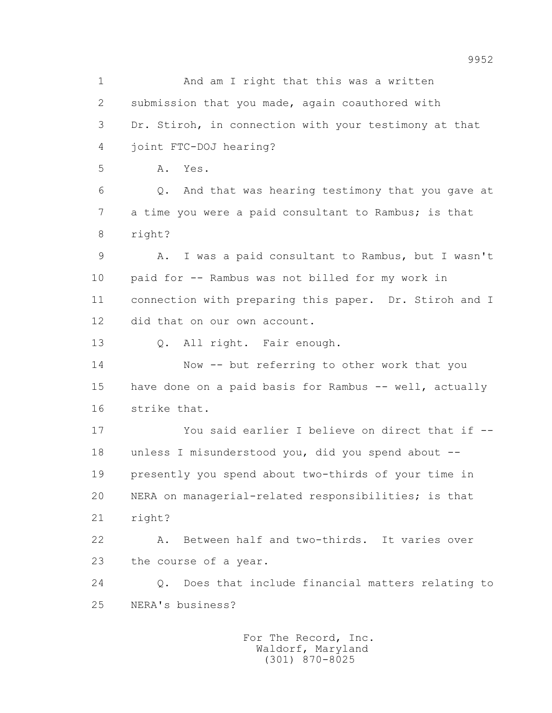1 And am I right that this was a written 2 submission that you made, again coauthored with 3 Dr. Stiroh, in connection with your testimony at that 4 joint FTC-DOJ hearing? 5 A. Yes. 6 Q. And that was hearing testimony that you gave at 7 a time you were a paid consultant to Rambus; is that 8 right? 9 A. I was a paid consultant to Rambus, but I wasn't 10 paid for -- Rambus was not billed for my work in 11 connection with preparing this paper. Dr. Stiroh and I 12 did that on our own account. 13 Q. All right. Fair enough. 14 Now -- but referring to other work that you 15 have done on a paid basis for Rambus -- well, actually 16 strike that. 17 You said earlier I believe on direct that if -- 18 unless I misunderstood you, did you spend about -- 19 presently you spend about two-thirds of your time in 20 NERA on managerial-related responsibilities; is that 21 right? 22 A. Between half and two-thirds. It varies over 23 the course of a year. 24 Q. Does that include financial matters relating to 25 NERA's business?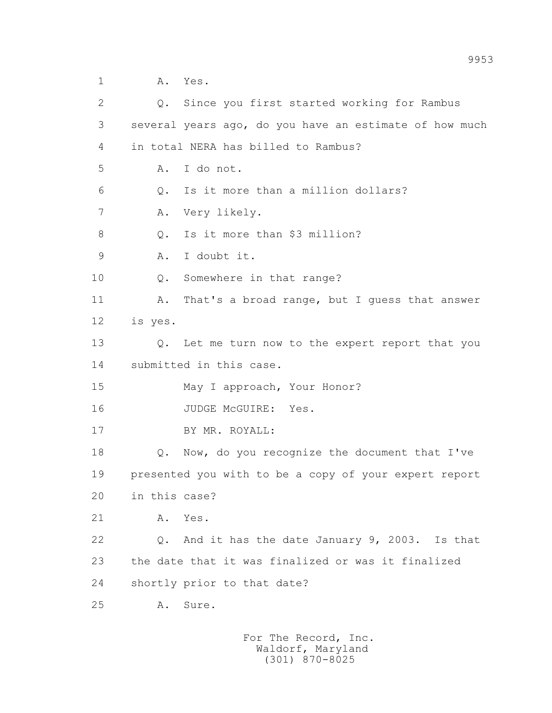1 A. Yes. 2 Q. Since you first started working for Rambus 3 several years ago, do you have an estimate of how much 4 in total NERA has billed to Rambus? 5 A. I do not. 6 Q. Is it more than a million dollars? 7 A. Very likely. 8 0. Is it more than \$3 million? 9 A. I doubt it. 10 Q. Somewhere in that range? 11 A. That's a broad range, but I quess that answer 12 is yes. 13 Q. Let me turn now to the expert report that you 14 submitted in this case. 15 May I approach, Your Honor? 16 JUDGE McGUIRE: Yes. 17 BY MR. ROYALL: 18 Q. Now, do you recognize the document that I've 19 presented you with to be a copy of your expert report 20 in this case? 21 A. Yes. 22 Q. And it has the date January 9, 2003. Is that 23 the date that it was finalized or was it finalized 24 shortly prior to that date? 25 A. Sure.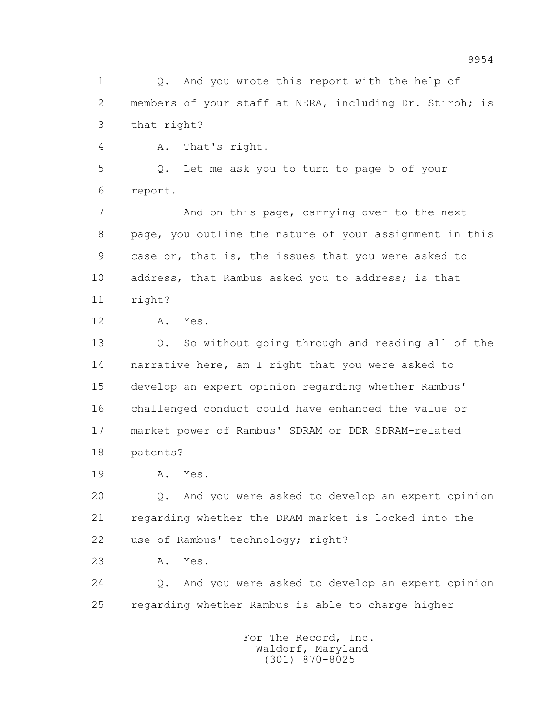1 0. And you wrote this report with the help of 2 members of your staff at NERA, including Dr. Stiroh; is 3 that right?

4 A. That's right.

 5 Q. Let me ask you to turn to page 5 of your 6 report.

7 **And on this page, carrying over to the next**  8 page, you outline the nature of your assignment in this 9 case or, that is, the issues that you were asked to 10 address, that Rambus asked you to address; is that 11 right?

12 A. Yes.

 13 Q. So without going through and reading all of the 14 narrative here, am I right that you were asked to 15 develop an expert opinion regarding whether Rambus' 16 challenged conduct could have enhanced the value or 17 market power of Rambus' SDRAM or DDR SDRAM-related 18 patents?

19 A. Yes.

 20 Q. And you were asked to develop an expert opinion 21 regarding whether the DRAM market is locked into the 22 use of Rambus' technology; right?

23 A. Yes.

 24 Q. And you were asked to develop an expert opinion 25 regarding whether Rambus is able to charge higher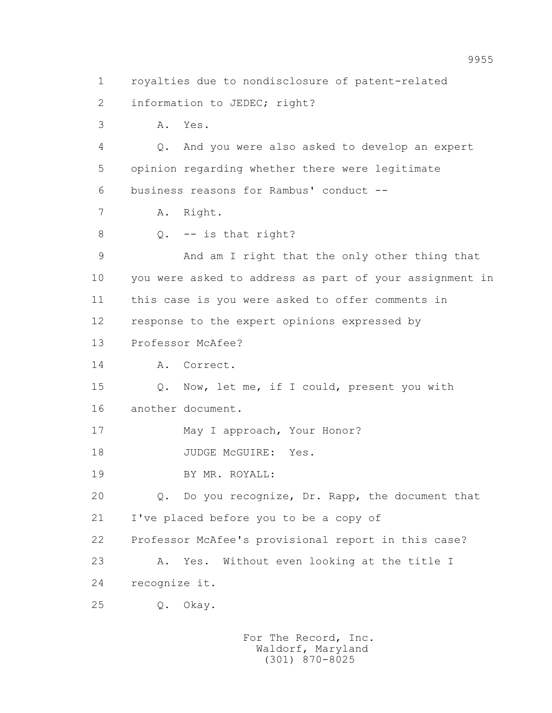1 royalties due to nondisclosure of patent-related 2 information to JEDEC; right? 3 A. Yes. 4 Q. And you were also asked to develop an expert 5 opinion regarding whether there were legitimate 6 business reasons for Rambus' conduct -- 7 A. Right. 8 Q. -- is that right? 9 And am I right that the only other thing that 10 you were asked to address as part of your assignment in 11 this case is you were asked to offer comments in 12 response to the expert opinions expressed by 13 Professor McAfee? 14 A. Correct. 15 Q. Now, let me, if I could, present you with 16 another document. 17 May I approach, Your Honor? 18 JUDGE McGUIRE: Yes. 19 BY MR. ROYALL: 20 Q. Do you recognize, Dr. Rapp, the document that 21 I've placed before you to be a copy of 22 Professor McAfee's provisional report in this case? 23 A. Yes. Without even looking at the title I 24 recognize it. 25 Q. Okay.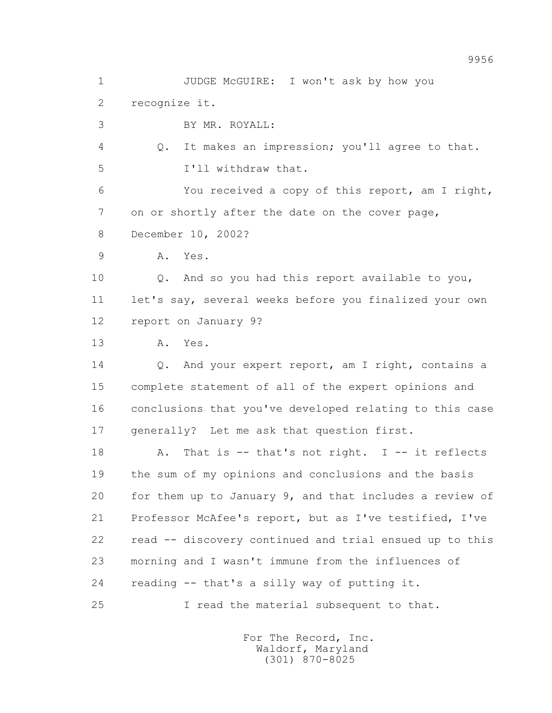1 JUDGE McGUIRE: I won't ask by how you

2 recognize it.

3 BY MR. ROYALL:

 4 Q. It makes an impression; you'll agree to that. 5 I'll withdraw that.

 6 You received a copy of this report, am I right, 7 on or shortly after the date on the cover page, 8 December 10, 2002?

9 A. Yes.

 10 Q. And so you had this report available to you, 11 let's say, several weeks before you finalized your own 12 report on January 9?

13 A. Yes.

 14 Q. And your expert report, am I right, contains a 15 complete statement of all of the expert opinions and 16 conclusions that you've developed relating to this case 17 generally? Let me ask that question first.

18 A. That is -- that's not right. I -- it reflects 19 the sum of my opinions and conclusions and the basis 20 for them up to January 9, and that includes a review of 21 Professor McAfee's report, but as I've testified, I've 22 read -- discovery continued and trial ensued up to this 23 morning and I wasn't immune from the influences of 24 reading -- that's a silly way of putting it.

25 I read the material subsequent to that.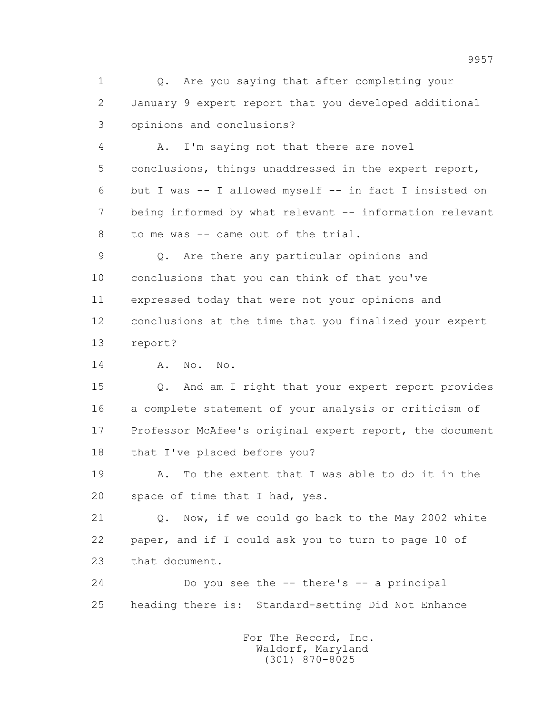1 0. Are you saying that after completing your 2 January 9 expert report that you developed additional 3 opinions and conclusions?

 4 A. I'm saying not that there are novel 5 conclusions, things unaddressed in the expert report, 6 but I was -- I allowed myself -- in fact I insisted on 7 being informed by what relevant -- information relevant 8 to me was -- came out of the trial.

 9 Q. Are there any particular opinions and 10 conclusions that you can think of that you've 11 expressed today that were not your opinions and 12 conclusions at the time that you finalized your expert 13 report?

14 A. No. No.

 15 Q. And am I right that your expert report provides 16 a complete statement of your analysis or criticism of 17 Professor McAfee's original expert report, the document 18 that I've placed before you?

 19 A. To the extent that I was able to do it in the 20 space of time that I had, yes.

 21 Q. Now, if we could go back to the May 2002 white 22 paper, and if I could ask you to turn to page 10 of 23 that document.

 24 Do you see the -- there's -- a principal 25 heading there is: Standard-setting Did Not Enhance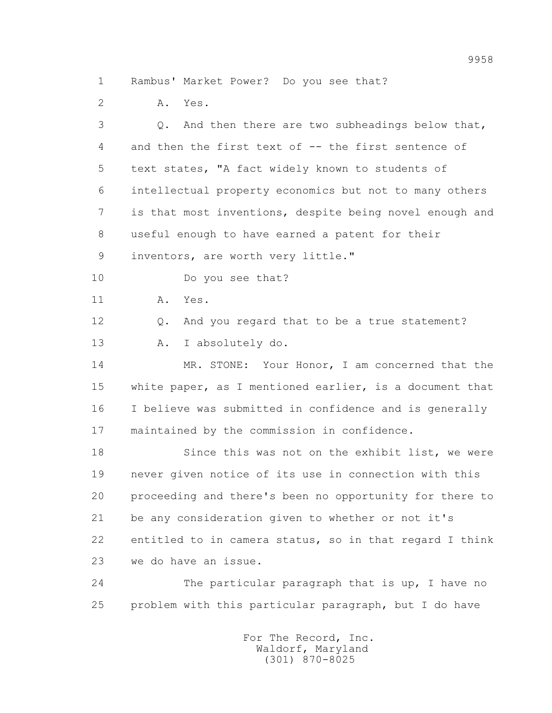1 Rambus' Market Power? Do you see that?

2 A. Yes.

 3 Q. And then there are two subheadings below that, 4 and then the first text of -- the first sentence of 5 text states, "A fact widely known to students of 6 intellectual property economics but not to many others 7 is that most inventions, despite being novel enough and 8 useful enough to have earned a patent for their 9 inventors, are worth very little." 10 Do you see that? 11 A. Yes. 12 Q. And you regard that to be a true statement? 13 A. I absolutely do. 14 MR. STONE: Your Honor, I am concerned that the 15 white paper, as I mentioned earlier, is a document that 16 I believe was submitted in confidence and is generally 17 maintained by the commission in confidence. 18 Since this was not on the exhibit list, we were 19 never given notice of its use in connection with this 20 proceeding and there's been no opportunity for there to 21 be any consideration given to whether or not it's 22 entitled to in camera status, so in that regard I think 23 we do have an issue. 24 The particular paragraph that is up, I have no 25 problem with this particular paragraph, but I do have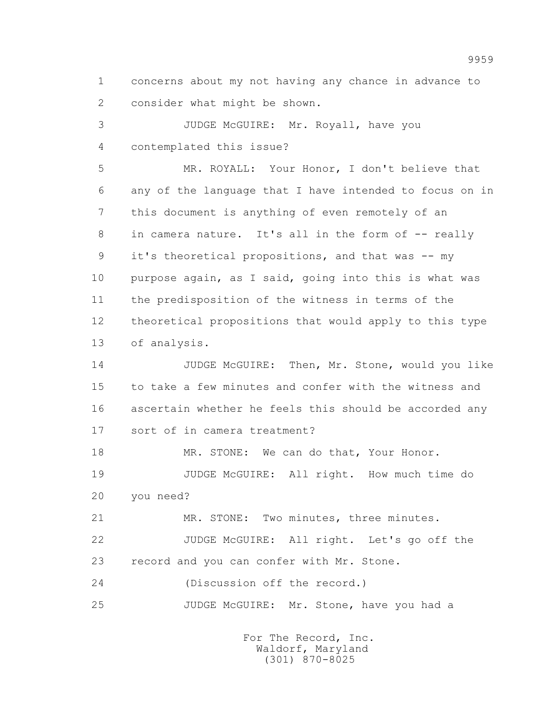1 concerns about my not having any chance in advance to 2 consider what might be shown.

 3 JUDGE McGUIRE: Mr. Royall, have you 4 contemplated this issue?

 5 MR. ROYALL: Your Honor, I don't believe that 6 any of the language that I have intended to focus on in 7 this document is anything of even remotely of an 8 in camera nature. It's all in the form of -- really 9 it's theoretical propositions, and that was -- my 10 purpose again, as I said, going into this is what was 11 the predisposition of the witness in terms of the 12 theoretical propositions that would apply to this type 13 of analysis.

14 JUDGE McGUIRE: Then, Mr. Stone, would you like 15 to take a few minutes and confer with the witness and 16 ascertain whether he feels this should be accorded any 17 sort of in camera treatment?

18 MR. STONE: We can do that, Your Honor. 19 JUDGE McGUIRE: All right. How much time do 20 you need?

 21 MR. STONE: Two minutes, three minutes. 22 JUDGE McGUIRE: All right. Let's go off the 23 record and you can confer with Mr. Stone.

24 (Discussion off the record.)

25 JUDGE McGUIRE: Mr. Stone, have you had a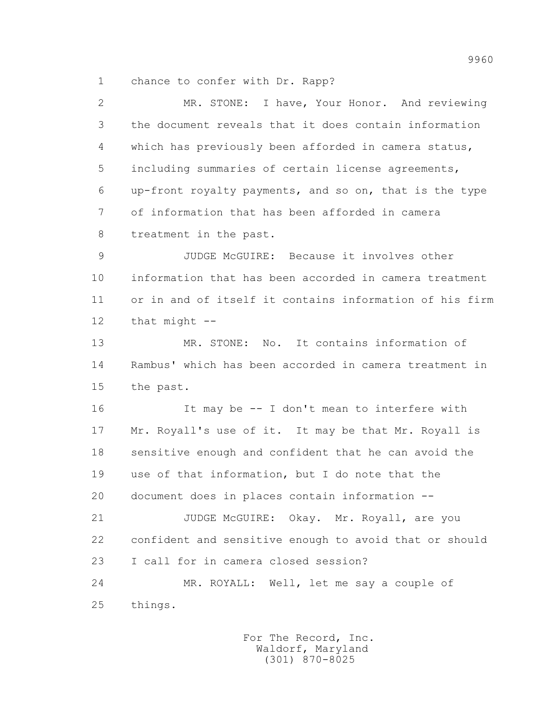1 chance to confer with Dr. Rapp?

| $\overline{2}$ | MR. STONE: I have, Your Honor. And reviewing            |
|----------------|---------------------------------------------------------|
| 3              | the document reveals that it does contain information   |
| 4              | which has previously been afforded in camera status,    |
| 5              | including summaries of certain license agreements,      |
| 6              | up-front royalty payments, and so on, that is the type  |
| 7              | of information that has been afforded in camera         |
| 8              | treatment in the past.                                  |
| 9              | JUDGE McGUIRE: Because it involves other                |
| 10             | information that has been accorded in camera treatment  |
| 11             | or in and of itself it contains information of his firm |
| 12             | that $might$ $--$                                       |
| 13             | MR. STONE: No. It contains information of               |
| 14             | Rambus' which has been accorded in camera treatment in  |
| 15             | the past.                                               |
| 16             | It may be -- I don't mean to interfere with             |
| 17             | Mr. Royall's use of it. It may be that Mr. Royall is    |
| 18             | sensitive enough and confident that he can avoid the    |
| 19             | use of that information, but I do note that the         |
| 20             | document does in places contain information --          |
| 21             | JUDGE McGUIRE: Okay. Mr. Royall, are you                |
| 22             | confident and sensitive enough to avoid that or should  |
| 23             | I call for in camera closed session?                    |
| 24             | MR. ROYALL: Well, let me say a couple of                |
| 25             | things.                                                 |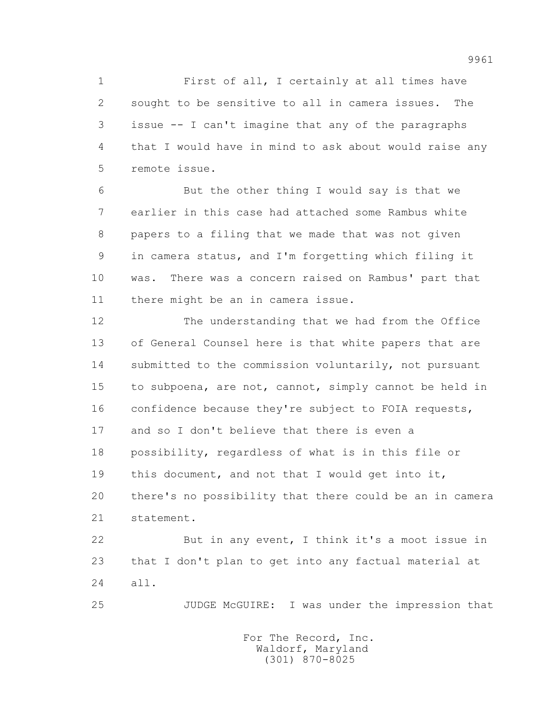1 First of all, I certainly at all times have 2 sought to be sensitive to all in camera issues. The 3 issue -- I can't imagine that any of the paragraphs 4 that I would have in mind to ask about would raise any 5 remote issue.

 6 But the other thing I would say is that we 7 earlier in this case had attached some Rambus white 8 papers to a filing that we made that was not given 9 in camera status, and I'm forgetting which filing it 10 was. There was a concern raised on Rambus' part that 11 there might be an in camera issue.

 12 The understanding that we had from the Office 13 of General Counsel here is that white papers that are 14 submitted to the commission voluntarily, not pursuant 15 to subpoena, are not, cannot, simply cannot be held in 16 confidence because they're subject to FOIA requests, 17 and so I don't believe that there is even a 18 possibility, regardless of what is in this file or 19 this document, and not that I would get into it, 20 there's no possibility that there could be an in camera 21 statement. 22 But in any event, I think it's a moot issue in

 23 that I don't plan to get into any factual material at 24 all.

25 JUDGE McGUIRE: I was under the impression that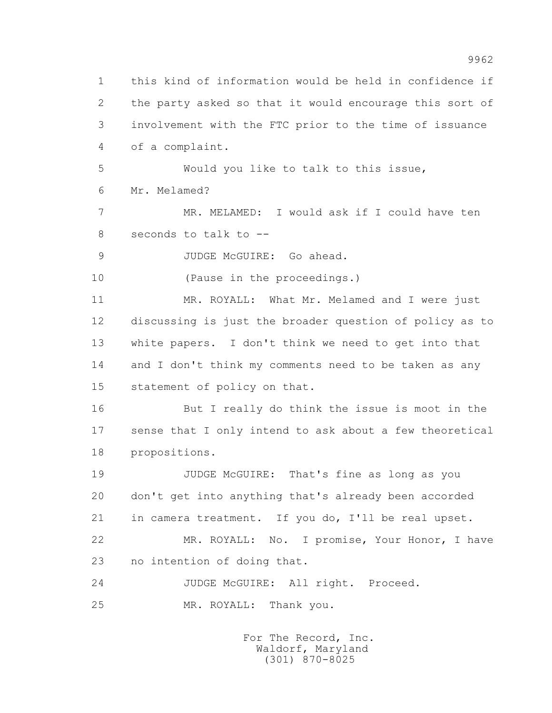1 this kind of information would be held in confidence if 2 the party asked so that it would encourage this sort of 3 involvement with the FTC prior to the time of issuance 4 of a complaint. 5 Would you like to talk to this issue, 6 Mr. Melamed? 7 MR. MELAMED: I would ask if I could have ten 8 seconds to talk to -- 9 JUDGE McGUIRE: Go ahead. 10 (Pause in the proceedings.) 11 MR. ROYALL: What Mr. Melamed and I were just 12 discussing is just the broader question of policy as to 13 white papers. I don't think we need to get into that 14 and I don't think my comments need to be taken as any 15 statement of policy on that. 16 But I really do think the issue is moot in the 17 sense that I only intend to ask about a few theoretical 18 propositions. 19 JUDGE McGUIRE: That's fine as long as you 20 don't get into anything that's already been accorded 21 in camera treatment. If you do, I'll be real upset. 22 MR. ROYALL: No. I promise, Your Honor, I have 23 no intention of doing that. 24 JUDGE McGUIRE: All right. Proceed. 25 MR. ROYALL: Thank you.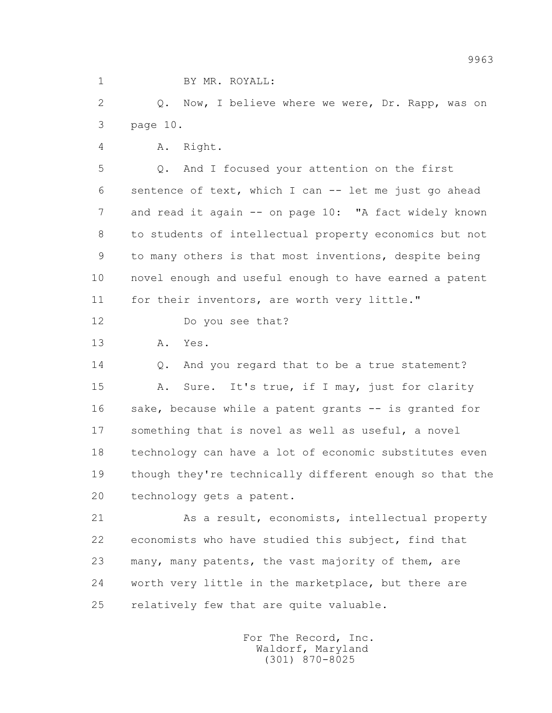1 BY MR. ROYALL:

 2 Q. Now, I believe where we were, Dr. Rapp, was on 3 page 10.

4 A. Right.

 5 Q. And I focused your attention on the first 6 sentence of text, which I can -- let me just go ahead 7 and read it again -- on page 10: "A fact widely known 8 to students of intellectual property economics but not 9 to many others is that most inventions, despite being 10 novel enough and useful enough to have earned a patent 11 for their inventors, are worth very little."

12 Do you see that?

13 A. Yes.

 14 Q. And you regard that to be a true statement? 15 A. Sure. It's true, if I may, just for clarity 16 sake, because while a patent grants -- is granted for 17 something that is novel as well as useful, a novel 18 technology can have a lot of economic substitutes even 19 though they're technically different enough so that the 20 technology gets a patent.

 21 As a result, economists, intellectual property 22 economists who have studied this subject, find that 23 many, many patents, the vast majority of them, are 24 worth very little in the marketplace, but there are 25 relatively few that are quite valuable.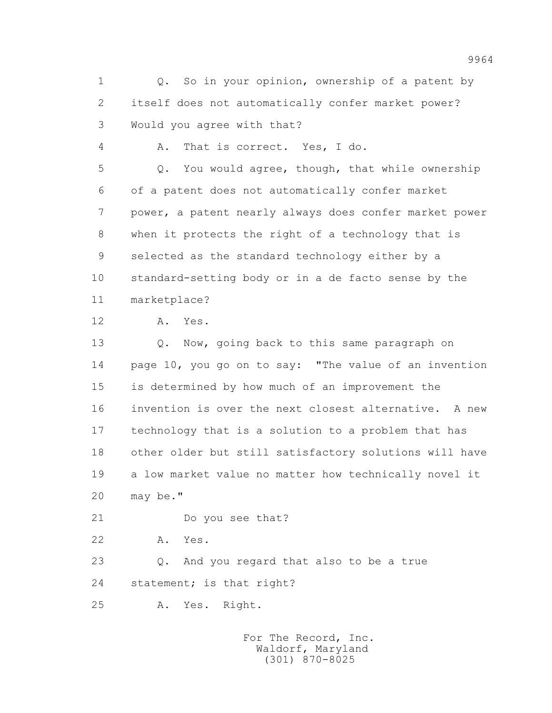1 Q. So in your opinion, ownership of a patent by 2 itself does not automatically confer market power? 3 Would you agree with that? 4 A. That is correct. Yes, I do. 5 Q. You would agree, though, that while ownership 6 of a patent does not automatically confer market 7 power, a patent nearly always does confer market power 8 when it protects the right of a technology that is 9 selected as the standard technology either by a 10 standard-setting body or in a de facto sense by the 11 marketplace? 12 A. Yes. 13 Q. Now, going back to this same paragraph on 14 page 10, you go on to say: "The value of an invention 15 is determined by how much of an improvement the 16 invention is over the next closest alternative. A new 17 technology that is a solution to a problem that has 18 other older but still satisfactory solutions will have 19 a low market value no matter how technically novel it 20 may be." 21 Do you see that? 22 A. Yes. 23 Q. And you regard that also to be a true 24 statement; is that right?

25 A. Yes. Right.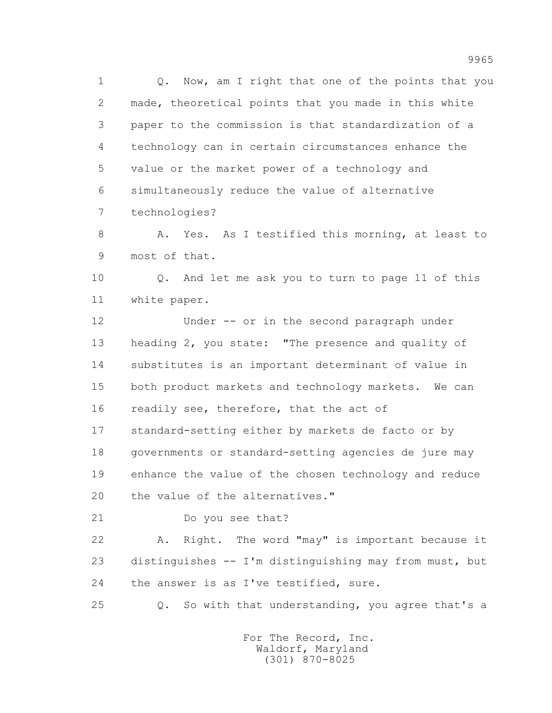1 0. Now, am I right that one of the points that you 2 made, theoretical points that you made in this white 3 paper to the commission is that standardization of a 4 technology can in certain circumstances enhance the 5 value or the market power of a technology and 6 simultaneously reduce the value of alternative 7 technologies?

 8 A. Yes. As I testified this morning, at least to 9 most of that.

 10 Q. And let me ask you to turn to page 11 of this 11 white paper.

 12 Under -- or in the second paragraph under 13 heading 2, you state: "The presence and quality of 14 substitutes is an important determinant of value in 15 both product markets and technology markets. We can 16 readily see, therefore, that the act of 17 standard-setting either by markets de facto or by 18 governments or standard-setting agencies de jure may

 19 enhance the value of the chosen technology and reduce 20 the value of the alternatives."

21 Do you see that?

 22 A. Right. The word "may" is important because it 23 distinguishes -- I'm distinguishing may from must, but 24 the answer is as I've testified, sure.

25 Q. So with that understanding, you agree that's a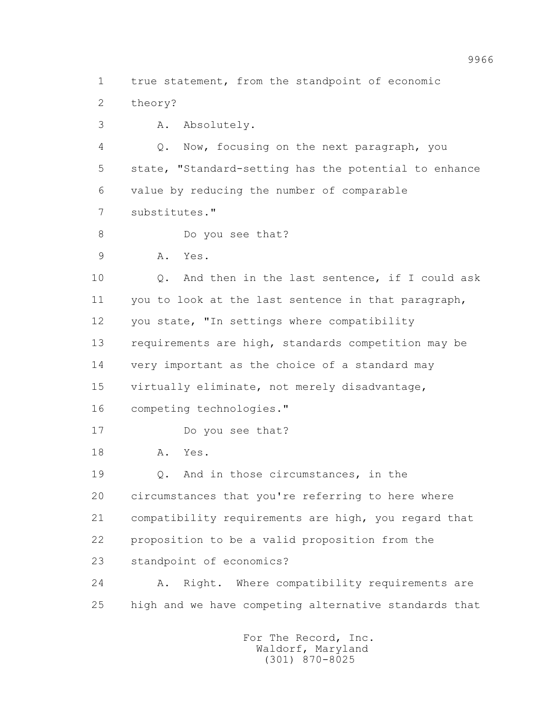1 true statement, from the standpoint of economic

2 theory?

3 A. Absolutely.

 4 Q. Now, focusing on the next paragraph, you 5 state, "Standard-setting has the potential to enhance 6 value by reducing the number of comparable 7 substitutes."

8 Do you see that?

9 A. Yes.

 10 Q. And then in the last sentence, if I could ask 11 you to look at the last sentence in that paragraph, 12 you state, "In settings where compatibility 13 requirements are high, standards competition may be 14 very important as the choice of a standard may 15 virtually eliminate, not merely disadvantage, 16 competing technologies."

17 Do you see that?

18 A. Yes.

 19 Q. And in those circumstances, in the 20 circumstances that you're referring to here where 21 compatibility requirements are high, you regard that 22 proposition to be a valid proposition from the 23 standpoint of economics?

 24 A. Right. Where compatibility requirements are 25 high and we have competing alternative standards that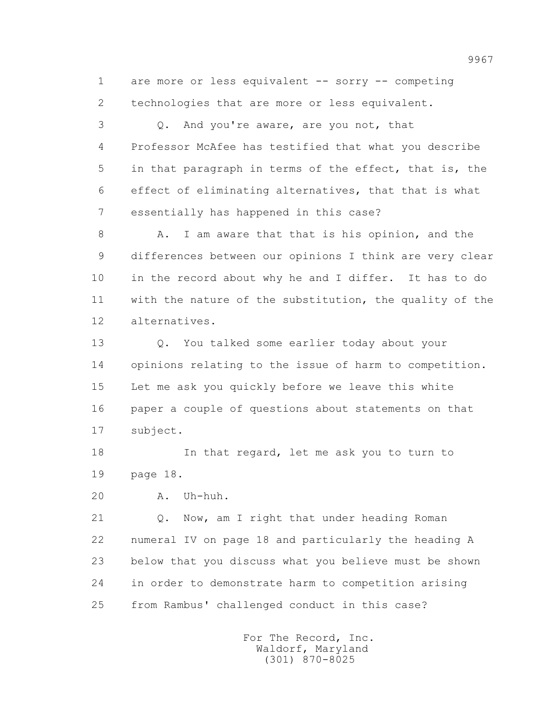1 are more or less equivalent -- sorry -- competing 2 technologies that are more or less equivalent.

 3 Q. And you're aware, are you not, that 4 Professor McAfee has testified that what you describe 5 in that paragraph in terms of the effect, that is, the 6 effect of eliminating alternatives, that that is what 7 essentially has happened in this case?

 8 A. I am aware that that is his opinion, and the 9 differences between our opinions I think are very clear 10 in the record about why he and I differ. It has to do 11 with the nature of the substitution, the quality of the 12 alternatives.

 13 Q. You talked some earlier today about your 14 opinions relating to the issue of harm to competition. 15 Let me ask you quickly before we leave this white 16 paper a couple of questions about statements on that 17 subject.

18 In that regard, let me ask you to turn to 19 page 18.

20 A. Uh-huh.

 21 Q. Now, am I right that under heading Roman 22 numeral IV on page 18 and particularly the heading A 23 below that you discuss what you believe must be shown 24 in order to demonstrate harm to competition arising 25 from Rambus' challenged conduct in this case?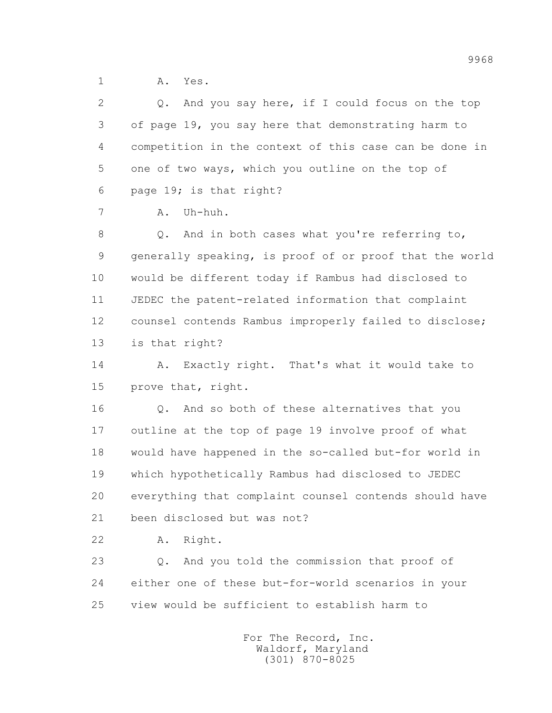1 A. Yes.

 2 Q. And you say here, if I could focus on the top 3 of page 19, you say here that demonstrating harm to 4 competition in the context of this case can be done in 5 one of two ways, which you outline on the top of 6 page 19; is that right? 7 A. Uh-huh. 8 Q. And in both cases what you're referring to, 9 generally speaking, is proof of or proof that the world 10 would be different today if Rambus had disclosed to 11 JEDEC the patent-related information that complaint 12 counsel contends Rambus improperly failed to disclose; 13 is that right? 14 A. Exactly right. That's what it would take to 15 prove that, right. 16 Q. And so both of these alternatives that you 17 outline at the top of page 19 involve proof of what 18 would have happened in the so-called but-for world in 19 which hypothetically Rambus had disclosed to JEDEC 20 everything that complaint counsel contends should have 21 been disclosed but was not? 22 A. Right. 23 Q. And you told the commission that proof of 24 either one of these but-for-world scenarios in your

25 view would be sufficient to establish harm to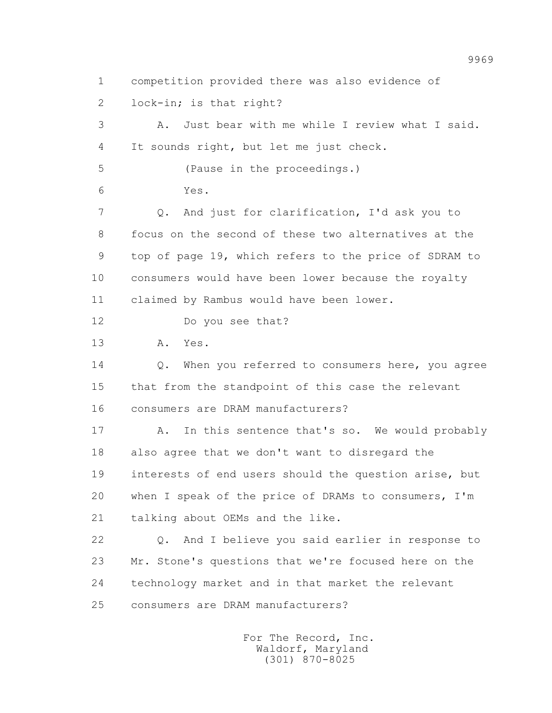1 competition provided there was also evidence of 2 lock-in; is that right? 3 A. Just bear with me while I review what I said. 4 It sounds right, but let me just check. 5 (Pause in the proceedings.) 6 Yes. 7 Q. And just for clarification, I'd ask you to 8 focus on the second of these two alternatives at the 9 top of page 19, which refers to the price of SDRAM to 10 consumers would have been lower because the royalty 11 claimed by Rambus would have been lower. 12 Do you see that? 13 A. Yes. 14 Q. When you referred to consumers here, you agree 15 that from the standpoint of this case the relevant 16 consumers are DRAM manufacturers? 17 A. In this sentence that's so. We would probably 18 also agree that we don't want to disregard the 19 interests of end users should the question arise, but 20 when I speak of the price of DRAMs to consumers, I'm 21 talking about OEMs and the like. 22 Q. And I believe you said earlier in response to 23 Mr. Stone's questions that we're focused here on the 24 technology market and in that market the relevant 25 consumers are DRAM manufacturers?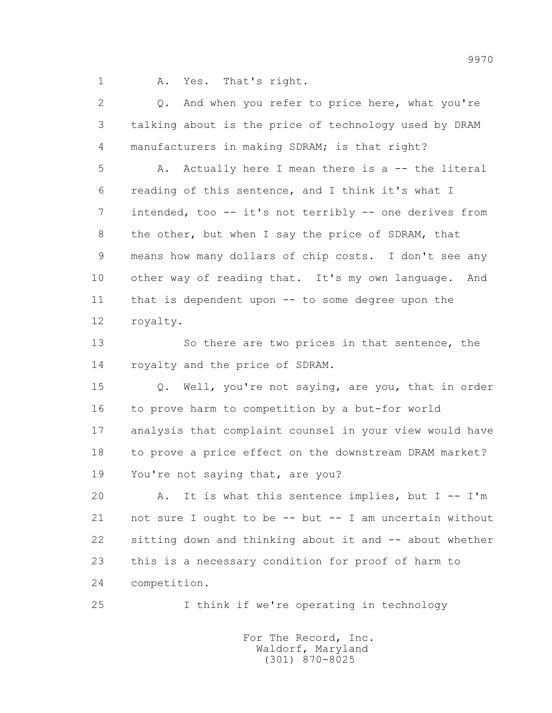1 A. Yes. That's right.

 2 Q. And when you refer to price here, what you're 3 talking about is the price of technology used by DRAM 4 manufacturers in making SDRAM; is that right? 5 A. Actually here I mean there is a -- the literal 6 reading of this sentence, and I think it's what I 7 intended, too -- it's not terribly -- one derives from 8 the other, but when I say the price of SDRAM, that 9 means how many dollars of chip costs. I don't see any 10 other way of reading that. It's my own language. And 11 that is dependent upon -- to some degree upon the 12 royalty. 13 So there are two prices in that sentence, the 14 royalty and the price of SDRAM. 15 Q. Well, you're not saying, are you, that in order 16 to prove harm to competition by a but-for world 17 analysis that complaint counsel in your view would have 18 to prove a price effect on the downstream DRAM market? 19 You're not saying that, are you? 20 A. It is what this sentence implies, but I -- I'm 21 not sure I ought to be -- but -- I am uncertain without 22 sitting down and thinking about it and -- about whether 23 this is a necessary condition for proof of harm to 24 competition.

25 I think if we're operating in technology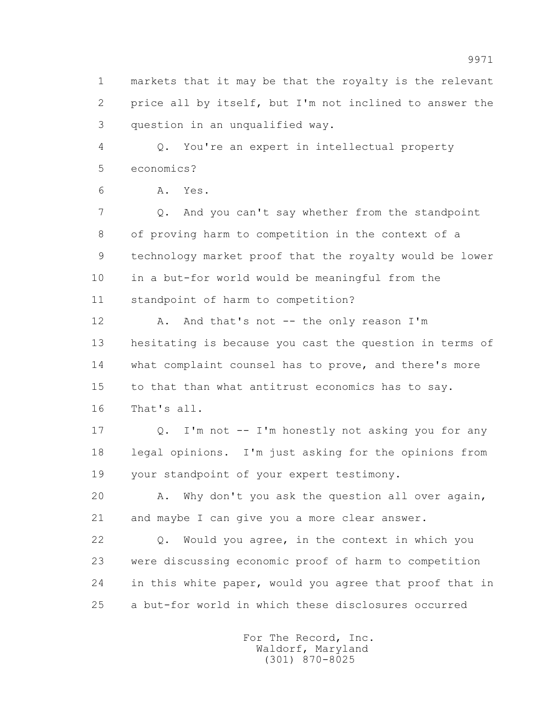1 markets that it may be that the royalty is the relevant 2 price all by itself, but I'm not inclined to answer the 3 question in an unqualified way.

 4 Q. You're an expert in intellectual property 5 economics?

6 A. Yes.

 7 Q. And you can't say whether from the standpoint 8 of proving harm to competition in the context of a 9 technology market proof that the royalty would be lower 10 in a but-for world would be meaningful from the 11 standpoint of harm to competition?

12 A. And that's not -- the only reason I'm 13 hesitating is because you cast the question in terms of 14 what complaint counsel has to prove, and there's more 15 to that than what antitrust economics has to say. 16 That's all.

 17 Q. I'm not -- I'm honestly not asking you for any 18 legal opinions. I'm just asking for the opinions from 19 your standpoint of your expert testimony.

 20 A. Why don't you ask the question all over again, 21 and maybe I can give you a more clear answer.

 22 Q. Would you agree, in the context in which you 23 were discussing economic proof of harm to competition 24 in this white paper, would you agree that proof that in 25 a but-for world in which these disclosures occurred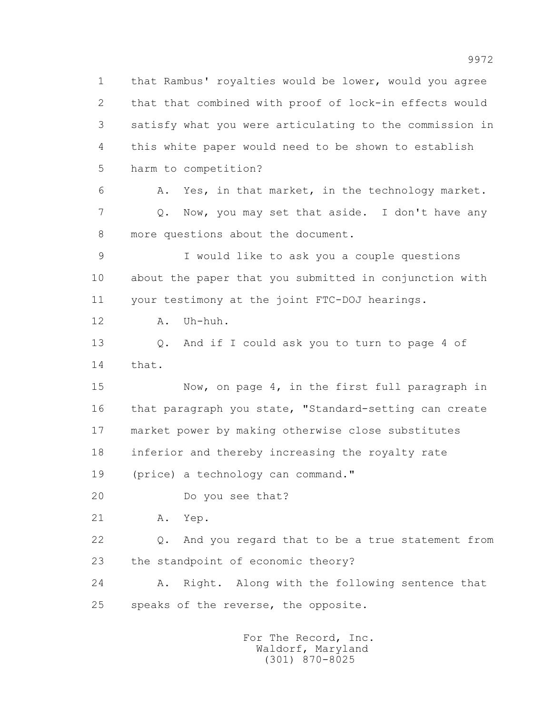1 that Rambus' royalties would be lower, would you agree 2 that that combined with proof of lock-in effects would 3 satisfy what you were articulating to the commission in 4 this white paper would need to be shown to establish 5 harm to competition? 6 A. Yes, in that market, in the technology market. 7 Q. Now, you may set that aside. I don't have any 8 more questions about the document. 9 I would like to ask you a couple questions 10 about the paper that you submitted in conjunction with 11 your testimony at the joint FTC-DOJ hearings. 12 A. Uh-huh. 13 Q. And if I could ask you to turn to page 4 of 14 that. 15 Now, on page 4, in the first full paragraph in 16 that paragraph you state, "Standard-setting can create 17 market power by making otherwise close substitutes 18 inferior and thereby increasing the royalty rate 19 (price) a technology can command." 20 Do you see that? 21 A. Yep. 22 Q. And you regard that to be a true statement from 23 the standpoint of economic theory? 24 A. Right. Along with the following sentence that 25 speaks of the reverse, the opposite.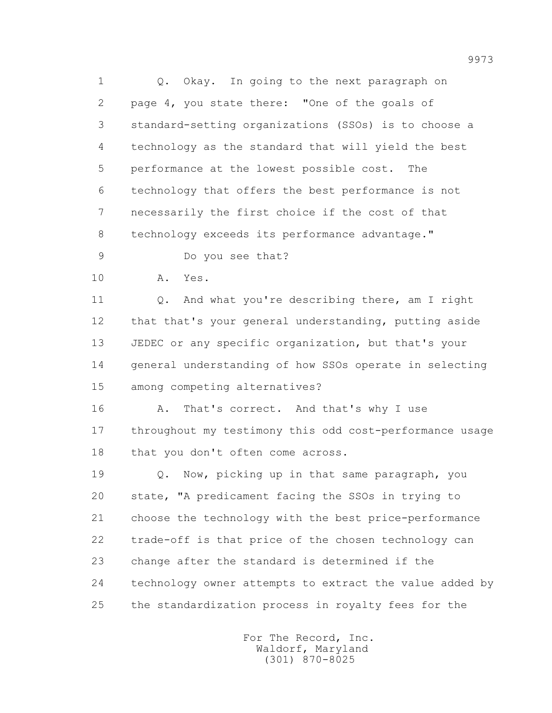1 Q. Okay. In going to the next paragraph on 2 page 4, you state there: "One of the goals of 3 standard-setting organizations (SSOs) is to choose a 4 technology as the standard that will yield the best 5 performance at the lowest possible cost. The 6 technology that offers the best performance is not 7 necessarily the first choice if the cost of that 8 technology exceeds its performance advantage."

9 Do you see that?

10 A. Yes.

11 0. And what you're describing there, am I right 12 that that's your general understanding, putting aside 13 JEDEC or any specific organization, but that's your 14 general understanding of how SSOs operate in selecting 15 among competing alternatives?

16 A. That's correct. And that's why I use 17 throughout my testimony this odd cost-performance usage 18 that you don't often come across.

 19 Q. Now, picking up in that same paragraph, you 20 state, "A predicament facing the SSOs in trying to 21 choose the technology with the best price-performance 22 trade-off is that price of the chosen technology can 23 change after the standard is determined if the 24 technology owner attempts to extract the value added by 25 the standardization process in royalty fees for the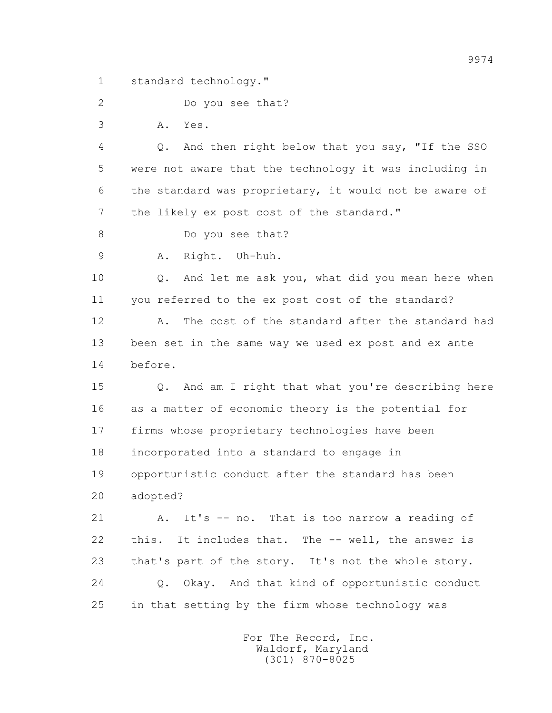1 standard technology."

2 Do you see that?

3 A. Yes.

 4 Q. And then right below that you say, "If the SSO 5 were not aware that the technology it was including in 6 the standard was proprietary, it would not be aware of 7 the likely ex post cost of the standard."

8 Do you see that?

9 A. Right. Uh-huh.

 10 Q. And let me ask you, what did you mean here when 11 you referred to the ex post cost of the standard?

12 A. The cost of the standard after the standard had 13 been set in the same way we used ex post and ex ante 14 before.

 15 Q. And am I right that what you're describing here 16 as a matter of economic theory is the potential for 17 firms whose proprietary technologies have been 18 incorporated into a standard to engage in 19 opportunistic conduct after the standard has been 20 adopted?

 21 A. It's -- no. That is too narrow a reading of 22 this. It includes that. The -- well, the answer is 23 that's part of the story. It's not the whole story. 24 Q. Okay. And that kind of opportunistic conduct 25 in that setting by the firm whose technology was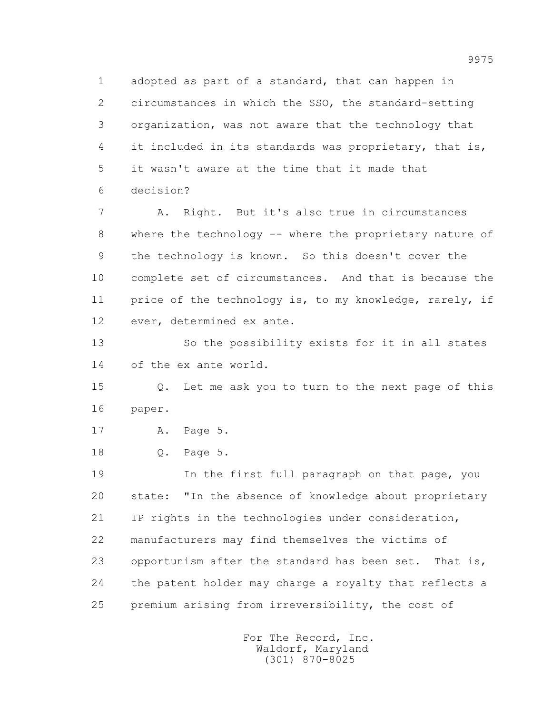1 adopted as part of a standard, that can happen in 2 circumstances in which the SSO, the standard-setting 3 organization, was not aware that the technology that 4 it included in its standards was proprietary, that is, 5 it wasn't aware at the time that it made that 6 decision?

 7 A. Right. But it's also true in circumstances 8 where the technology -- where the proprietary nature of 9 the technology is known. So this doesn't cover the 10 complete set of circumstances. And that is because the 11 price of the technology is, to my knowledge, rarely, if 12 ever, determined ex ante.

 13 So the possibility exists for it in all states 14 of the ex ante world.

 15 Q. Let me ask you to turn to the next page of this 16 paper.

17 A. Page 5.

18 Q. Page 5.

 19 In the first full paragraph on that page, you 20 state: "In the absence of knowledge about proprietary 21 IP rights in the technologies under consideration, 22 manufacturers may find themselves the victims of 23 opportunism after the standard has been set. That is, 24 the patent holder may charge a royalty that reflects a 25 premium arising from irreversibility, the cost of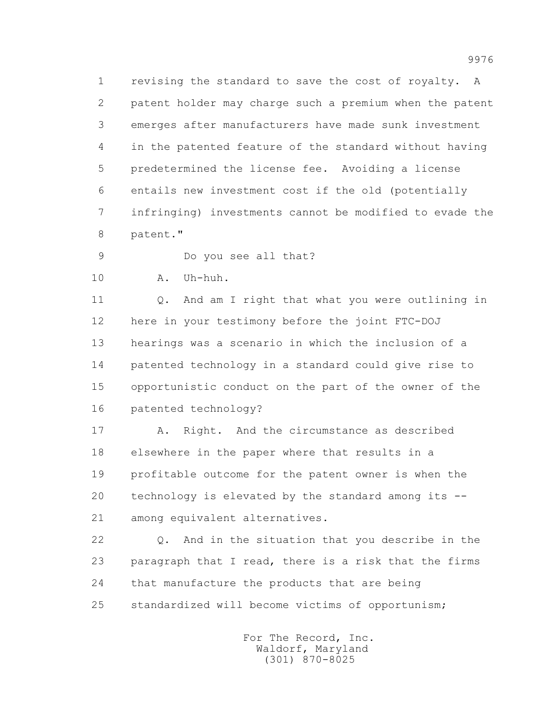1 revising the standard to save the cost of royalty. A 2 patent holder may charge such a premium when the patent 3 emerges after manufacturers have made sunk investment 4 in the patented feature of the standard without having 5 predetermined the license fee. Avoiding a license 6 entails new investment cost if the old (potentially 7 infringing) investments cannot be modified to evade the 8 patent."

9 Do you see all that?

10 A. Uh-huh.

11 0. And am I right that what you were outlining in 12 here in your testimony before the joint FTC-DOJ 13 hearings was a scenario in which the inclusion of a 14 patented technology in a standard could give rise to 15 opportunistic conduct on the part of the owner of the 16 patented technology?

17 A. Right. And the circumstance as described 18 elsewhere in the paper where that results in a 19 profitable outcome for the patent owner is when the 20 technology is elevated by the standard among its -- 21 among equivalent alternatives.

 22 Q. And in the situation that you describe in the 23 paragraph that I read, there is a risk that the firms 24 that manufacture the products that are being 25 standardized will become victims of opportunism;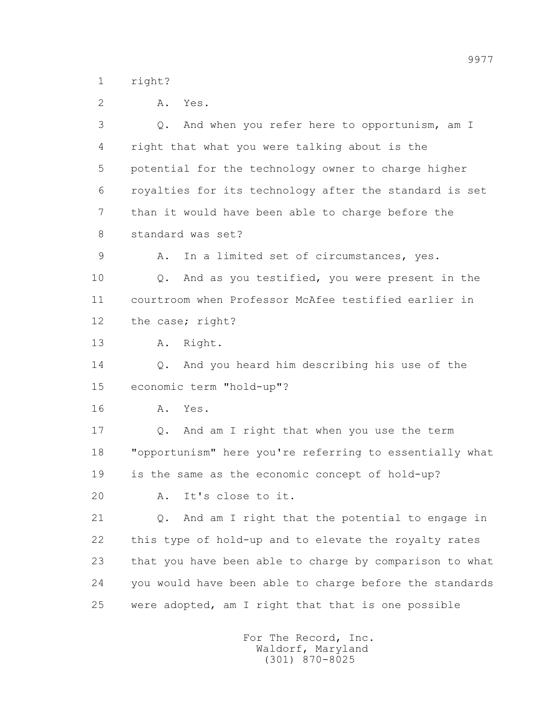1 right?

 2 A. Yes. 3 Q. And when you refer here to opportunism, am I 4 right that what you were talking about is the 5 potential for the technology owner to charge higher 6 royalties for its technology after the standard is set 7 than it would have been able to charge before the 8 standard was set? 9 A. In a limited set of circumstances, yes. 10 Q. And as you testified, you were present in the 11 courtroom when Professor McAfee testified earlier in 12 the case; right? 13 A. Right. 14 Q. And you heard him describing his use of the 15 economic term "hold-up"? 16 A. Yes. 17 Q. And am I right that when you use the term 18 "opportunism" here you're referring to essentially what 19 is the same as the economic concept of hold-up? 20 A. It's close to it. 21 Q. And am I right that the potential to engage in 22 this type of hold-up and to elevate the royalty rates 23 that you have been able to charge by comparison to what 24 you would have been able to charge before the standards 25 were adopted, am I right that that is one possible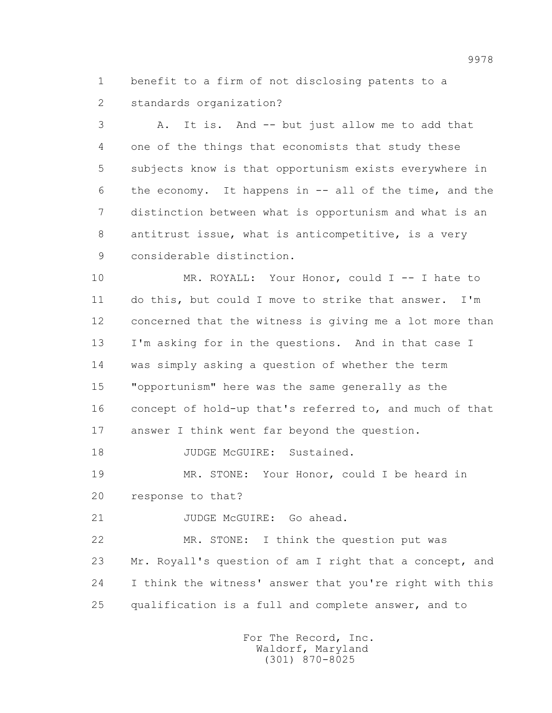1 benefit to a firm of not disclosing patents to a 2 standards organization?

 3 A. It is. And -- but just allow me to add that 4 one of the things that economists that study these 5 subjects know is that opportunism exists everywhere in 6 the economy. It happens in -- all of the time, and the 7 distinction between what is opportunism and what is an 8 antitrust issue, what is anticompetitive, is a very 9 considerable distinction.

 10 MR. ROYALL: Your Honor, could I -- I hate to 11 do this, but could I move to strike that answer. I'm 12 concerned that the witness is giving me a lot more than 13 I'm asking for in the questions. And in that case I 14 was simply asking a question of whether the term 15 "opportunism" here was the same generally as the 16 concept of hold-up that's referred to, and much of that 17 answer I think went far beyond the question.

18 JUDGE McGUIRE: Sustained.

 19 MR. STONE: Your Honor, could I be heard in 20 response to that?

21 JUDGE McGUIRE: Go ahead.

 22 MR. STONE: I think the question put was 23 Mr. Royall's question of am I right that a concept, and 24 I think the witness' answer that you're right with this 25 qualification is a full and complete answer, and to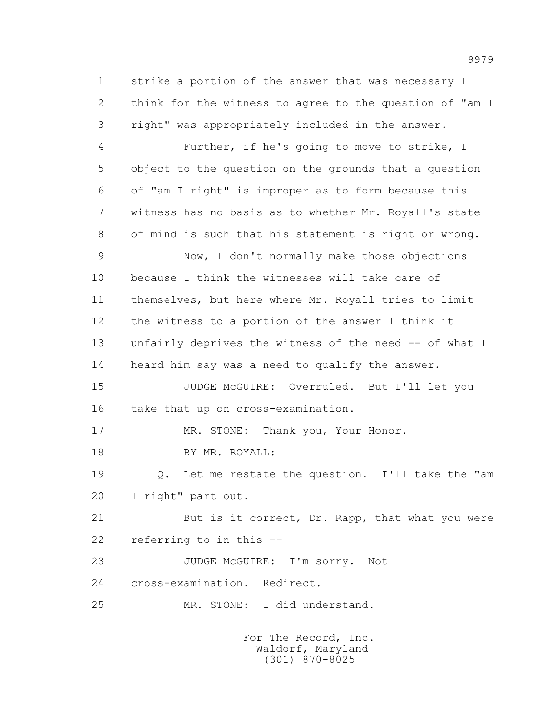1 strike a portion of the answer that was necessary I 2 think for the witness to agree to the question of "am I 3 right" was appropriately included in the answer.

 4 Further, if he's going to move to strike, I 5 object to the question on the grounds that a question 6 of "am I right" is improper as to form because this 7 witness has no basis as to whether Mr. Royall's state 8 of mind is such that his statement is right or wrong.

 9 Now, I don't normally make those objections 10 because I think the witnesses will take care of 11 themselves, but here where Mr. Royall tries to limit 12 the witness to a portion of the answer I think it 13 unfairly deprives the witness of the need -- of what I 14 heard him say was a need to qualify the answer.

 15 JUDGE McGUIRE: Overruled. But I'll let you 16 take that up on cross-examination.

17 MR. STONE: Thank you, Your Honor.

18 BY MR. ROYALL:

 19 Q. Let me restate the question. I'll take the "am 20 I right" part out.

21 But is it correct, Dr. Rapp, that what you were 22 referring to in this --

 23 JUDGE McGUIRE: I'm sorry. Not 24 cross-examination. Redirect.

25 MR. STONE: I did understand.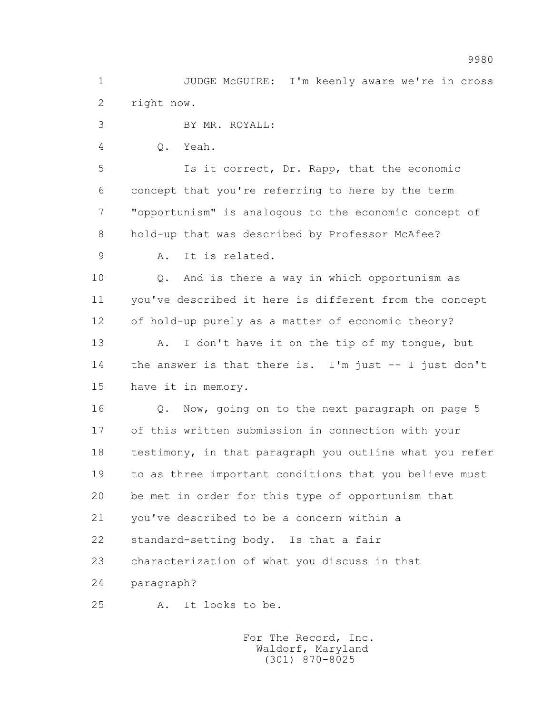1 JUDGE McGUIRE: I'm keenly aware we're in cross 2 right now.

3 BY MR. ROYALL:

4 Q. Yeah.

 5 Is it correct, Dr. Rapp, that the economic 6 concept that you're referring to here by the term 7 "opportunism" is analogous to the economic concept of 8 hold-up that was described by Professor McAfee?

9 A. It is related.

 10 Q. And is there a way in which opportunism as 11 you've described it here is different from the concept 12 of hold-up purely as a matter of economic theory?

13 A. I don't have it on the tip of my tonque, but 14 the answer is that there is. I'm just -- I just don't 15 have it in memory.

16 0. Now, going on to the next paragraph on page 5 17 of this written submission in connection with your 18 testimony, in that paragraph you outline what you refer 19 to as three important conditions that you believe must 20 be met in order for this type of opportunism that 21 you've described to be a concern within a 22 standard-setting body. Is that a fair 23 characterization of what you discuss in that 24 paragraph?

25 A. It looks to be.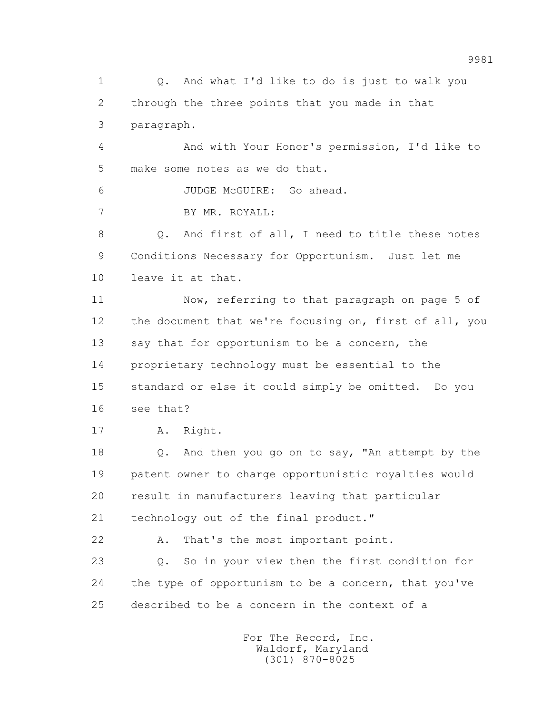1 Q. And what I'd like to do is just to walk you 2 through the three points that you made in that 3 paragraph.

 4 And with Your Honor's permission, I'd like to 5 make some notes as we do that.

6 JUDGE McGUIRE: Go ahead.

7 BY MR. ROYALL:

 8 Q. And first of all, I need to title these notes 9 Conditions Necessary for Opportunism. Just let me 10 leave it at that.

 11 Now, referring to that paragraph on page 5 of 12 the document that we're focusing on, first of all, you 13 say that for opportunism to be a concern, the 14 proprietary technology must be essential to the 15 standard or else it could simply be omitted. Do you 16 see that?

17 A. Right.

 18 Q. And then you go on to say, "An attempt by the 19 patent owner to charge opportunistic royalties would 20 result in manufacturers leaving that particular 21 technology out of the final product."

 22 A. That's the most important point. 23 Q. So in your view then the first condition for 24 the type of opportunism to be a concern, that you've 25 described to be a concern in the context of a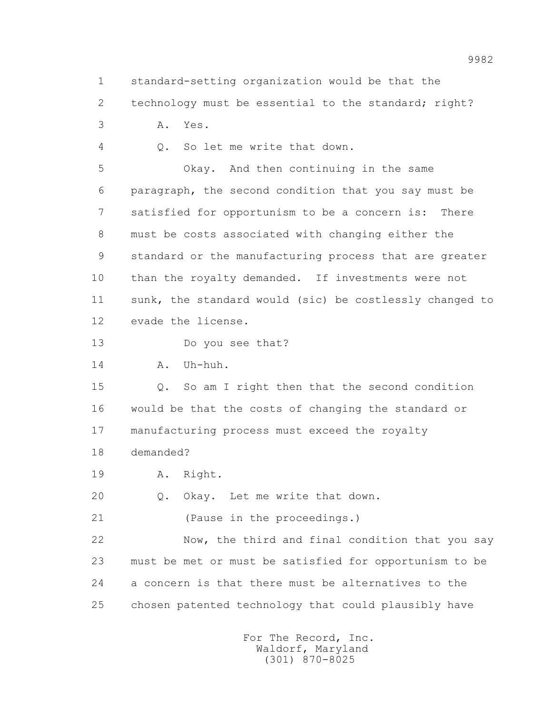1 standard-setting organization would be that the

2 technology must be essential to the standard; right?

3 A. Yes.

4 Q. So let me write that down.

 5 Okay. And then continuing in the same 6 paragraph, the second condition that you say must be 7 satisfied for opportunism to be a concern is: There 8 must be costs associated with changing either the 9 standard or the manufacturing process that are greater 10 than the royalty demanded. If investments were not 11 sunk, the standard would (sic) be costlessly changed to 12 evade the license.

13 Do you see that?

14 A. Uh-huh.

 15 Q. So am I right then that the second condition 16 would be that the costs of changing the standard or 17 manufacturing process must exceed the royalty

18 demanded?

19 A. Right.

20 Q. Okay. Let me write that down.

21 (Pause in the proceedings.)

 22 Now, the third and final condition that you say 23 must be met or must be satisfied for opportunism to be 24 a concern is that there must be alternatives to the 25 chosen patented technology that could plausibly have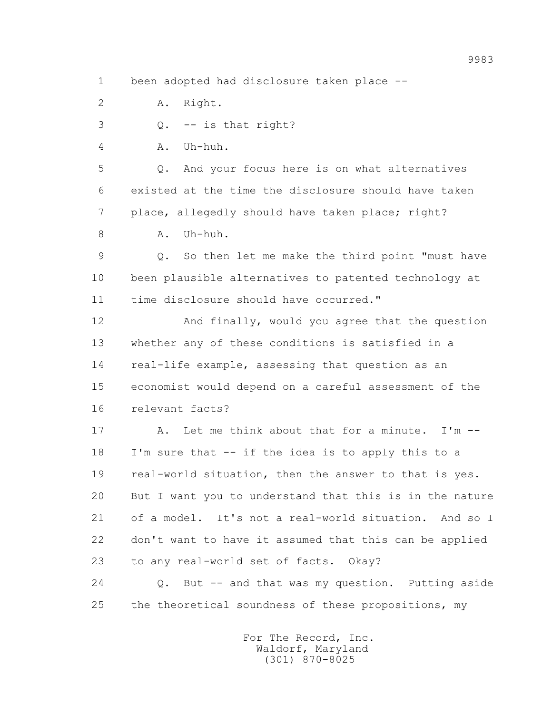1 been adopted had disclosure taken place --

2 A. Right.

 $\overline{Q}$ . -- is that right?

4 A. Uh-huh.

 5 Q. And your focus here is on what alternatives 6 existed at the time the disclosure should have taken 7 place, allegedly should have taken place; right?

8 A. Uh-huh.

 9 Q. So then let me make the third point "must have 10 been plausible alternatives to patented technology at 11 time disclosure should have occurred."

 12 And finally, would you agree that the question 13 whether any of these conditions is satisfied in a 14 real-life example, assessing that question as an 15 economist would depend on a careful assessment of the 16 relevant facts?

 17 A. Let me think about that for a minute. I'm -- 18 I'm sure that -- if the idea is to apply this to a 19 real-world situation, then the answer to that is yes. 20 But I want you to understand that this is in the nature 21 of a model. It's not a real-world situation. And so I 22 don't want to have it assumed that this can be applied 23 to any real-world set of facts. Okay?

 24 Q. But -- and that was my question. Putting aside 25 the theoretical soundness of these propositions, my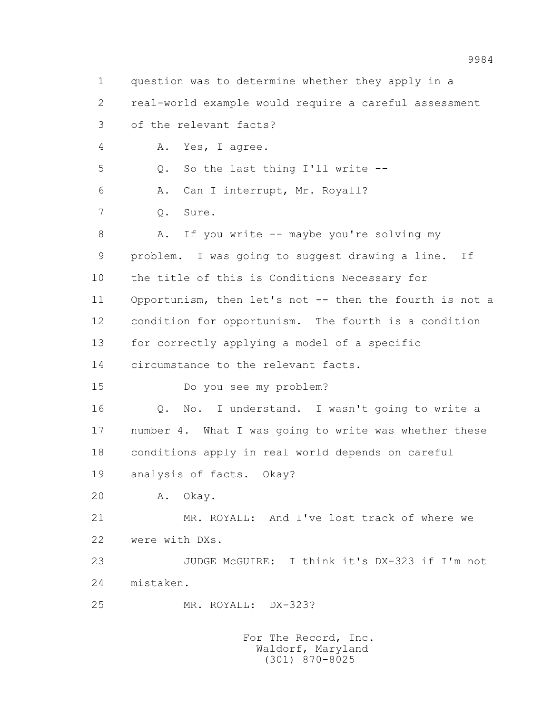1 question was to determine whether they apply in a 2 real-world example would require a careful assessment 3 of the relevant facts? 4 A. Yes, I agree. 5 Q. So the last thing I'll write -- 6 A. Can I interrupt, Mr. Royall? 7 Q. Sure. 8 A. If you write -- maybe you're solving my 9 problem. I was going to suggest drawing a line. If 10 the title of this is Conditions Necessary for 11 Opportunism, then let's not -- then the fourth is not a 12 condition for opportunism. The fourth is a condition 13 for correctly applying a model of a specific 14 circumstance to the relevant facts. 15 Do you see my problem? 16 Q. No. I understand. I wasn't going to write a 17 number 4. What I was going to write was whether these 18 conditions apply in real world depends on careful 19 analysis of facts. Okay? 20 A. Okay. 21 MR. ROYALL: And I've lost track of where we 22 were with DXs. 23 JUDGE McGUIRE: I think it's DX-323 if I'm not 24 mistaken. 25 MR. ROYALL: DX-323?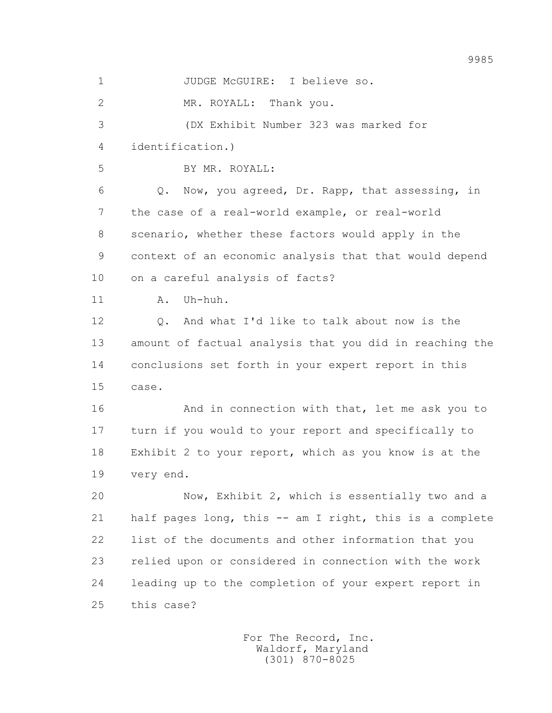1 JUDGE McGUIRE: I believe so. 2 MR. ROYALL: Thank you. 3 (DX Exhibit Number 323 was marked for 4 identification.) 5 BY MR. ROYALL: 6 Q. Now, you agreed, Dr. Rapp, that assessing, in 7 the case of a real-world example, or real-world 8 scenario, whether these factors would apply in the 9 context of an economic analysis that that would depend 10 on a careful analysis of facts? 11 A. Uh-huh. 12 Q. And what I'd like to talk about now is the 13 amount of factual analysis that you did in reaching the 14 conclusions set forth in your expert report in this 15 case. 16 And in connection with that, let me ask you to 17 turn if you would to your report and specifically to 18 Exhibit 2 to your report, which as you know is at the 19 very end. 20 Now, Exhibit 2, which is essentially two and a 21 half pages long, this -- am I right, this is a complete 22 list of the documents and other information that you 23 relied upon or considered in connection with the work 24 leading up to the completion of your expert report in 25 this case?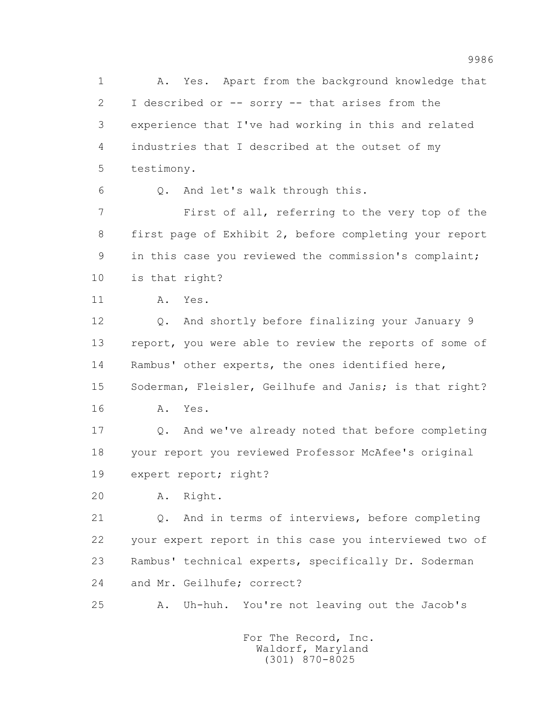1 A. Yes. Apart from the background knowledge that 2 I described or -- sorry -- that arises from the 3 experience that I've had working in this and related 4 industries that I described at the outset of my 5 testimony. 6 Q. And let's walk through this. 7 First of all, referring to the very top of the 8 first page of Exhibit 2, before completing your report 9 in this case you reviewed the commission's complaint; 10 is that right? 11 A. Yes. 12 Q. And shortly before finalizing your January 9 13 report, you were able to review the reports of some of 14 Rambus' other experts, the ones identified here, 15 Soderman, Fleisler, Geilhufe and Janis; is that right? 16 A. Yes. 17 Q. And we've already noted that before completing 18 your report you reviewed Professor McAfee's original 19 expert report; right? 20 A. Right. 21 Q. And in terms of interviews, before completing 22 your expert report in this case you interviewed two of 23 Rambus' technical experts, specifically Dr. Soderman 24 and Mr. Geilhufe; correct? 25 A. Uh-huh. You're not leaving out the Jacob's For The Record, Inc.

9986

 Waldorf, Maryland (301) 870-8025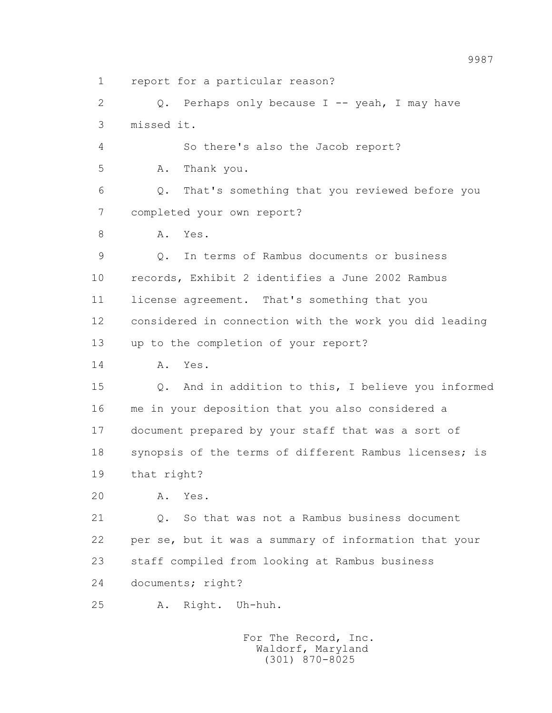1 report for a particular reason?

 2 Q. Perhaps only because I -- yeah, I may have 3 missed it.

4 So there's also the Jacob report?

5 A. Thank you.

 6 Q. That's something that you reviewed before you 7 completed your own report?

8 A. Yes.

 9 Q. In terms of Rambus documents or business 10 records, Exhibit 2 identifies a June 2002 Rambus 11 license agreement. That's something that you 12 considered in connection with the work you did leading 13 up to the completion of your report?

14 A. Yes.

 15 Q. And in addition to this, I believe you informed 16 me in your deposition that you also considered a 17 document prepared by your staff that was a sort of 18 synopsis of the terms of different Rambus licenses; is 19 that right?

20 A. Yes.

 21 Q. So that was not a Rambus business document 22 per se, but it was a summary of information that your 23 staff compiled from looking at Rambus business 24 documents; right?

25 A. Right. Uh-huh.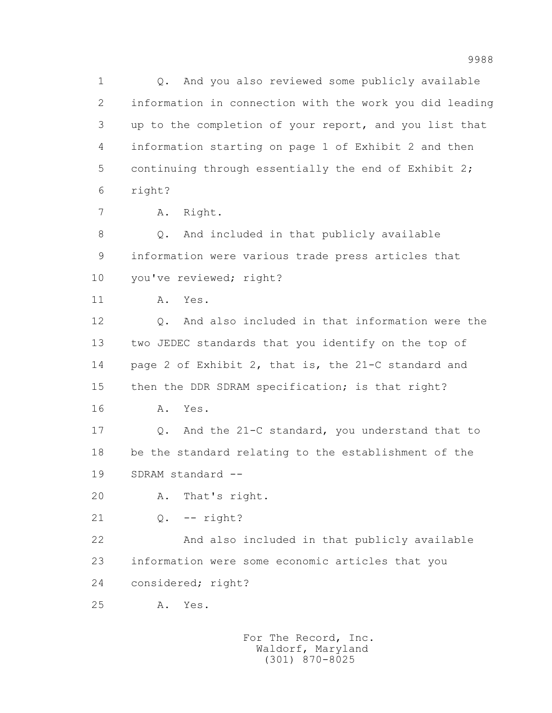1 Q. And you also reviewed some publicly available 2 information in connection with the work you did leading 3 up to the completion of your report, and you list that 4 information starting on page 1 of Exhibit 2 and then 5 continuing through essentially the end of Exhibit 2; 6 right?

7 A. Right.

 8 Q. And included in that publicly available 9 information were various trade press articles that 10 you've reviewed; right?

11 A. Yes.

 12 Q. And also included in that information were the 13 two JEDEC standards that you identify on the top of 14 page 2 of Exhibit 2, that is, the 21-C standard and 15 then the DDR SDRAM specification; is that right? 16 A. Yes.

 17 Q. And the 21-C standard, you understand that to 18 be the standard relating to the establishment of the 19 SDRAM standard --

20 A. That's right.

21 Q. -- right?

 22 And also included in that publicly available 23 information were some economic articles that you 24 considered; right?

25 A. Yes.

 For The Record, Inc. Waldorf, Maryland (301) 870-8025

9988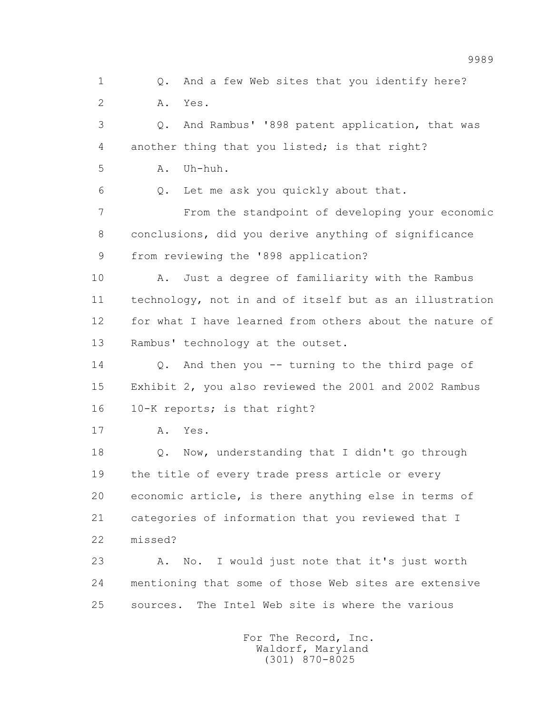1 0. And a few Web sites that you identify here? 2 A. Yes. 3 Q. And Rambus' '898 patent application, that was 4 another thing that you listed; is that right? 5 A. Uh-huh. 6 Q. Let me ask you quickly about that. 7 From the standpoint of developing your economic 8 conclusions, did you derive anything of significance 9 from reviewing the '898 application? 10 A. Just a degree of familiarity with the Rambus 11 technology, not in and of itself but as an illustration 12 for what I have learned from others about the nature of 13 Rambus' technology at the outset. 14 Q. And then you -- turning to the third page of 15 Exhibit 2, you also reviewed the 2001 and 2002 Rambus 16 10-K reports; is that right? 17 A. Yes. 18 Q. Now, understanding that I didn't go through 19 the title of every trade press article or every 20 economic article, is there anything else in terms of 21 categories of information that you reviewed that I 22 missed? 23 A. No. I would just note that it's just worth 24 mentioning that some of those Web sites are extensive 25 sources. The Intel Web site is where the various For The Record, Inc. Waldorf, Maryland

(301) 870-8025

9989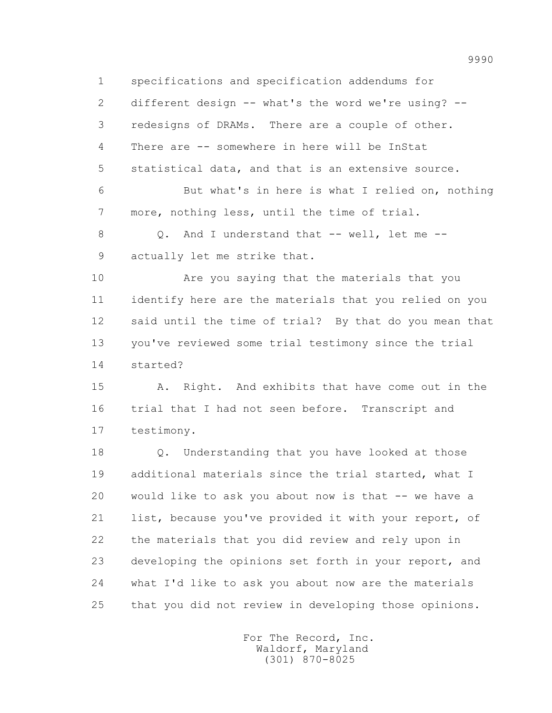1 specifications and specification addendums for

 2 different design -- what's the word we're using? -- 3 redesigns of DRAMs. There are a couple of other. 4 There are -- somewhere in here will be InStat 5 statistical data, and that is an extensive source. 6 But what's in here is what I relied on, nothing 7 more, nothing less, until the time of trial. 8 Q. And I understand that -- well, let me -- 9 actually let me strike that.

 10 Are you saying that the materials that you 11 identify here are the materials that you relied on you 12 said until the time of trial? By that do you mean that 13 you've reviewed some trial testimony since the trial 14 started?

 15 A. Right. And exhibits that have come out in the 16 trial that I had not seen before. Transcript and 17 testimony.

 18 Q. Understanding that you have looked at those 19 additional materials since the trial started, what I 20 would like to ask you about now is that -- we have a 21 list, because you've provided it with your report, of 22 the materials that you did review and rely upon in 23 developing the opinions set forth in your report, and 24 what I'd like to ask you about now are the materials 25 that you did not review in developing those opinions.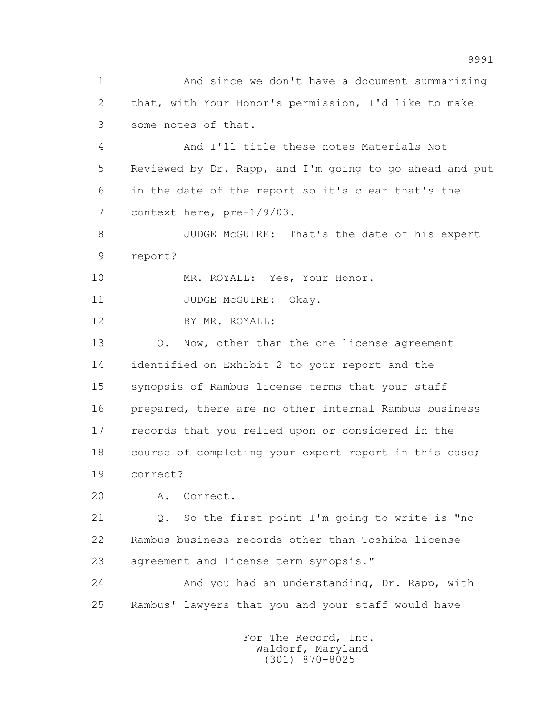1 And since we don't have a document summarizing 2 that, with Your Honor's permission, I'd like to make 3 some notes of that.

 4 And I'll title these notes Materials Not 5 Reviewed by Dr. Rapp, and I'm going to go ahead and put 6 in the date of the report so it's clear that's the 7 context here, pre-1/9/03.

 8 JUDGE McGUIRE: That's the date of his expert 9 report?

10 MR. ROYALL: Yes, Your Honor.

11 JUDGE McGUIRE: Okay.

12 BY MR. ROYALL:

13 0. Now, other than the one license agreement 14 identified on Exhibit 2 to your report and the 15 synopsis of Rambus license terms that your staff 16 prepared, there are no other internal Rambus business 17 records that you relied upon or considered in the 18 course of completing your expert report in this case; 19 correct?

20 A. Correct.

 21 Q. So the first point I'm going to write is "no 22 Rambus business records other than Toshiba license 23 agreement and license term synopsis."

 24 And you had an understanding, Dr. Rapp, with 25 Rambus' lawyers that you and your staff would have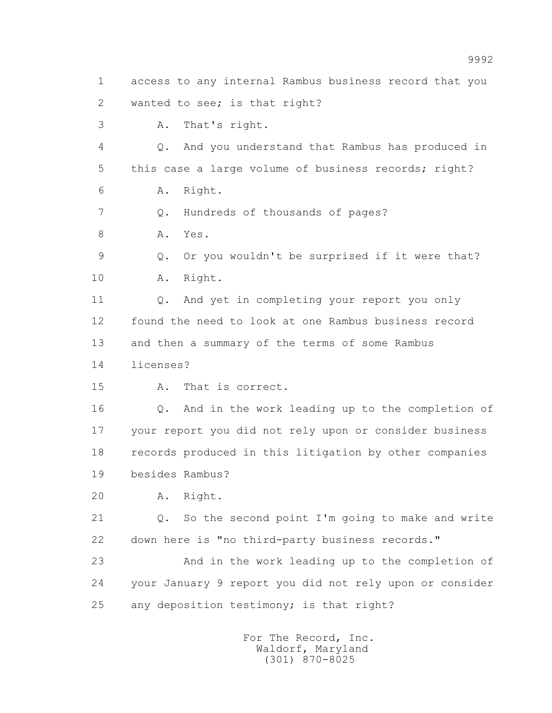1 access to any internal Rambus business record that you 2 wanted to see; is that right? 3 A. That's right. 4 Q. And you understand that Rambus has produced in 5 this case a large volume of business records; right? 6 A. Right. 7 Q. Hundreds of thousands of pages? 8 A. Yes. 9 Q. Or you wouldn't be surprised if it were that? 10 A. Right. 11 0. And yet in completing your report you only 12 found the need to look at one Rambus business record 13 and then a summary of the terms of some Rambus 14 licenses? 15 A. That is correct. 16 Q. And in the work leading up to the completion of 17 your report you did not rely upon or consider business 18 records produced in this litigation by other companies 19 besides Rambus? 20 A. Right. 21 Q. So the second point I'm going to make and write 22 down here is "no third-party business records." 23 And in the work leading up to the completion of 24 your January 9 report you did not rely upon or consider 25 any deposition testimony; is that right?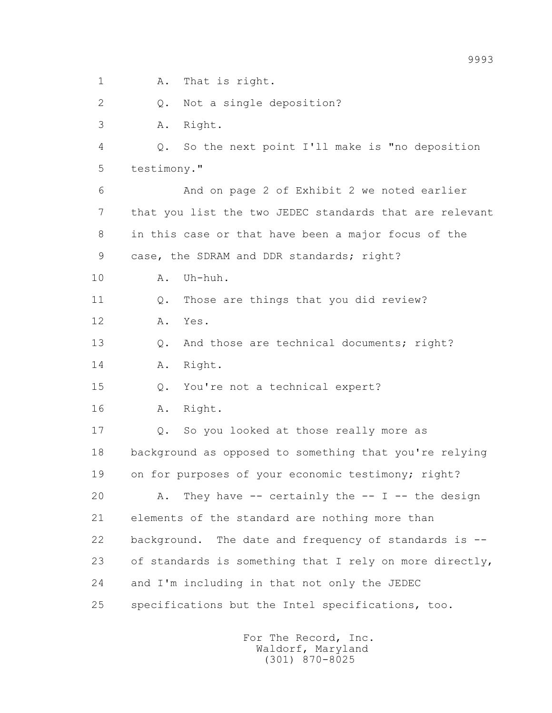1 A. That is right.

2 Q. Not a single deposition?

3 A. Right.

 4 Q. So the next point I'll make is "no deposition 5 testimony."

 6 And on page 2 of Exhibit 2 we noted earlier 7 that you list the two JEDEC standards that are relevant 8 in this case or that have been a major focus of the 9 case, the SDRAM and DDR standards; right?

10 A. Uh-huh.

11 0. Those are things that you did review?

12 A. Yes.

13 0. And those are technical documents; right?

14 A. Right.

15 Q. You're not a technical expert?

16 A. Right.

 17 Q. So you looked at those really more as 18 background as opposed to something that you're relying 19 on for purposes of your economic testimony; right?

20  $A.$  They have -- certainly the -- I -- the design 21 elements of the standard are nothing more than 22 background. The date and frequency of standards is -- 23 of standards is something that I rely on more directly, 24 and I'm including in that not only the JEDEC 25 specifications but the Intel specifications, too.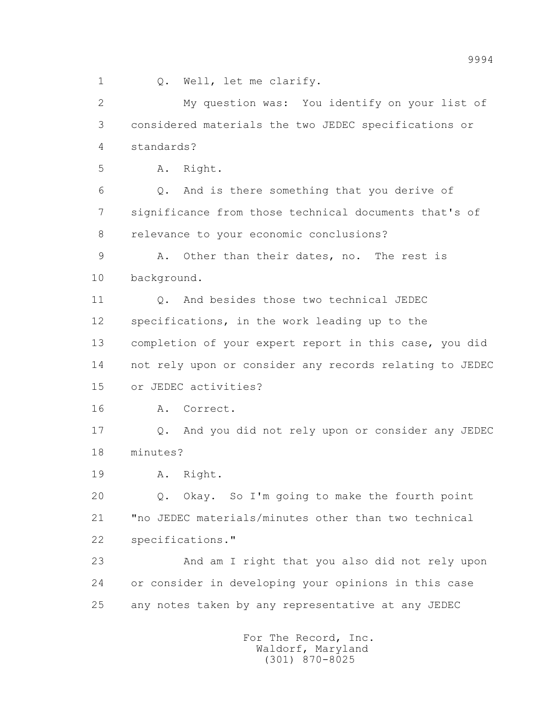1 0. Well, let me clarify.

 2 My question was: You identify on your list of 3 considered materials the two JEDEC specifications or 4 standards? 5 A. Right. 6 Q. And is there something that you derive of 7 significance from those technical documents that's of 8 relevance to your economic conclusions? 9 A. Other than their dates, no. The rest is 10 background. 11 Q. And besides those two technical JEDEC 12 specifications, in the work leading up to the 13 completion of your expert report in this case, you did 14 not rely upon or consider any records relating to JEDEC 15 or JEDEC activities? 16 A. Correct. 17 Q. And you did not rely upon or consider any JEDEC 18 minutes? 19 A. Right. 20 Q. Okay. So I'm going to make the fourth point 21 "no JEDEC materials/minutes other than two technical 22 specifications." 23 And am I right that you also did not rely upon 24 or consider in developing your opinions in this case 25 any notes taken by any representative at any JEDEC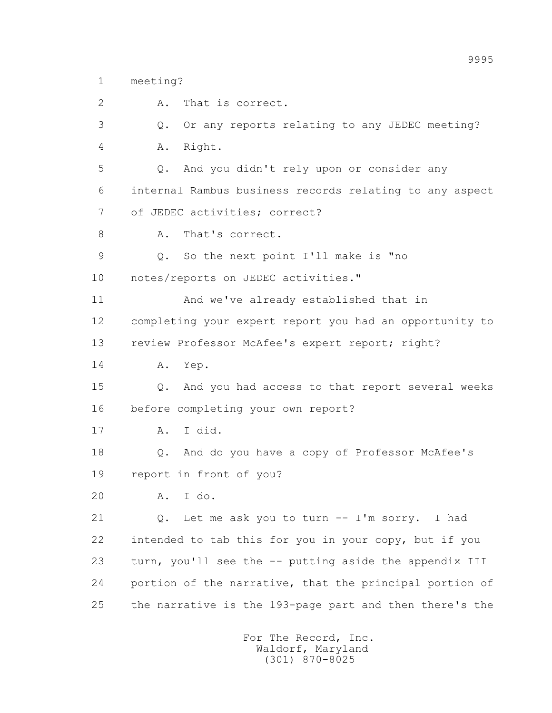1 meeting?

 2 A. That is correct. 3 Q. Or any reports relating to any JEDEC meeting? 4 A. Right. 5 Q. And you didn't rely upon or consider any 6 internal Rambus business records relating to any aspect 7 of JEDEC activities; correct? 8 A. That's correct. 9 Q. So the next point I'll make is "no 10 notes/reports on JEDEC activities." 11 And we've already established that in 12 completing your expert report you had an opportunity to 13 review Professor McAfee's expert report; right? 14 A. Yep. 15 Q. And you had access to that report several weeks 16 before completing your own report? 17 A. I did. 18 Q. And do you have a copy of Professor McAfee's 19 report in front of you? 20 A. I do. 21 Q. Let me ask you to turn -- I'm sorry. I had 22 intended to tab this for you in your copy, but if you 23 turn, you'll see the -- putting aside the appendix III 24 portion of the narrative, that the principal portion of 25 the narrative is the 193-page part and then there's the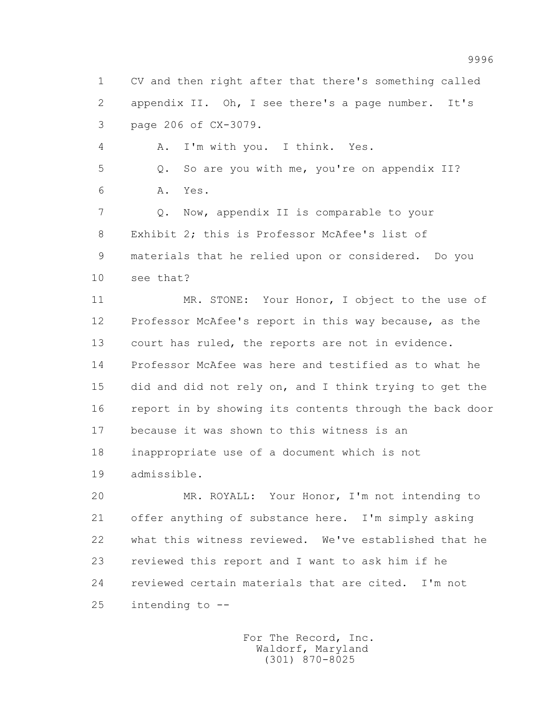1 CV and then right after that there's something called 2 appendix II. Oh, I see there's a page number. It's 3 page 206 of CX-3079.

4 A. I'm with you. I think. Yes.

 5 Q. So are you with me, you're on appendix II? 6 A. Yes.

 7 Q. Now, appendix II is comparable to your 8 Exhibit 2; this is Professor McAfee's list of 9 materials that he relied upon or considered. Do you 10 see that?

 11 MR. STONE: Your Honor, I object to the use of 12 Professor McAfee's report in this way because, as the 13 court has ruled, the reports are not in evidence. 14 Professor McAfee was here and testified as to what he 15 did and did not rely on, and I think trying to get the 16 report in by showing its contents through the back door 17 because it was shown to this witness is an 18 inappropriate use of a document which is not 19 admissible.

 20 MR. ROYALL: Your Honor, I'm not intending to 21 offer anything of substance here. I'm simply asking 22 what this witness reviewed. We've established that he 23 reviewed this report and I want to ask him if he 24 reviewed certain materials that are cited. I'm not 25 intending to --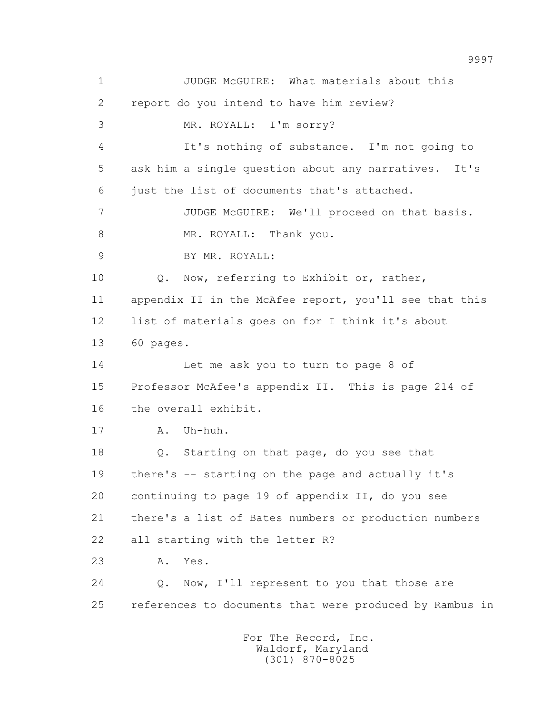1 JUDGE McGUIRE: What materials about this 2 report do you intend to have him review? 3 MR. ROYALL: I'm sorry? 4 It's nothing of substance. I'm not going to 5 ask him a single question about any narratives. It's 6 just the list of documents that's attached. 7 JUDGE McGUIRE: We'll proceed on that basis. 8 MR. ROYALL: Thank you. 9 BY MR. ROYALL: 10 Q. Now, referring to Exhibit or, rather, 11 appendix II in the McAfee report, you'll see that this 12 list of materials goes on for I think it's about 13 60 pages. 14 Let me ask you to turn to page 8 of 15 Professor McAfee's appendix II. This is page 214 of 16 the overall exhibit. 17 A. Uh-huh. 18 Q. Starting on that page, do you see that 19 there's -- starting on the page and actually it's 20 continuing to page 19 of appendix II, do you see 21 there's a list of Bates numbers or production numbers 22 all starting with the letter R? 23 A. Yes. 24 Q. Now, I'll represent to you that those are 25 references to documents that were produced by Rambus in For The Record, Inc.

 Waldorf, Maryland (301) 870-8025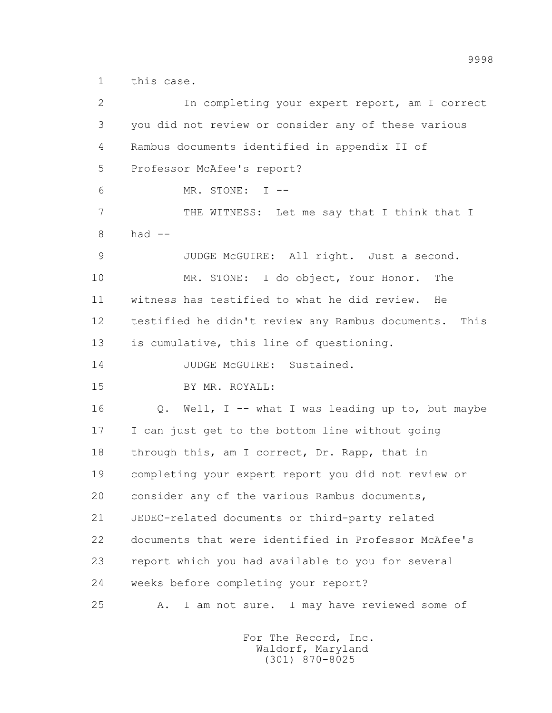1 this case.

| $\overline{2}$ | In completing your expert report, am I correct           |
|----------------|----------------------------------------------------------|
| 3              | you did not review or consider any of these various      |
| 4              | Rambus documents identified in appendix II of            |
| 5              | Professor McAfee's report?                               |
| 6              | MR. STONE: I --                                          |
| 7              | THE WITNESS: Let me say that I think that I              |
| 8              | had $--$                                                 |
| $\mathcal{G}$  | JUDGE McGUIRE: All right. Just a second.                 |
| 10             | MR. STONE: I do object, Your Honor.<br>The               |
| 11             | witness has testified to what he did review.<br>He       |
| 12             | testified he didn't review any Rambus documents.<br>This |
| 13             | is cumulative, this line of questioning.                 |
| 14             | JUDGE McGUIRE: Sustained.                                |
| 15             | BY MR. ROYALL:                                           |
| 16             | Q. Well, I -- what I was leading up to, but maybe        |
| 17             | I can just get to the bottom line without going          |
| 18             | through this, am I correct, Dr. Rapp, that in            |
| 19             | completing your expert report you did not review or      |
| 20             | consider any of the various Rambus documents,            |
| 21             | JEDEC-related documents or third-party related           |
| 22             | documents that were identified in Professor McAfee's     |
| 23             | report which you had available to you for several        |
| 24             | weeks before completing your report?                     |
| 25             | I am not sure. I may have reviewed some of<br>Α.         |
|                |                                                          |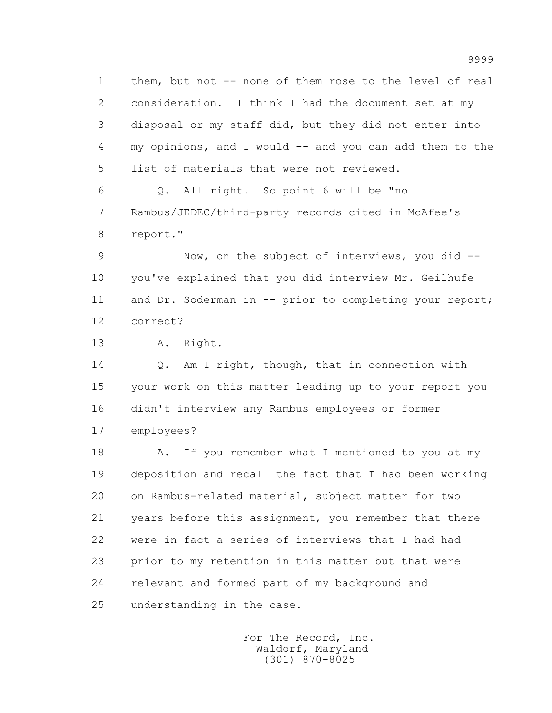1 them, but not -- none of them rose to the level of real 2 consideration. I think I had the document set at my 3 disposal or my staff did, but they did not enter into 4 my opinions, and I would -- and you can add them to the 5 list of materials that were not reviewed.

 6 Q. All right. So point 6 will be "no 7 Rambus/JEDEC/third-party records cited in McAfee's 8 report."

 9 Now, on the subject of interviews, you did -- 10 you've explained that you did interview Mr. Geilhufe 11 and Dr. Soderman in -- prior to completing your report; 12 correct?

13 A. Right.

 14 Q. Am I right, though, that in connection with 15 your work on this matter leading up to your report you 16 didn't interview any Rambus employees or former 17 employees?

18 A. If you remember what I mentioned to you at my 19 deposition and recall the fact that I had been working 20 on Rambus-related material, subject matter for two 21 years before this assignment, you remember that there 22 were in fact a series of interviews that I had had 23 prior to my retention in this matter but that were 24 relevant and formed part of my background and 25 understanding in the case.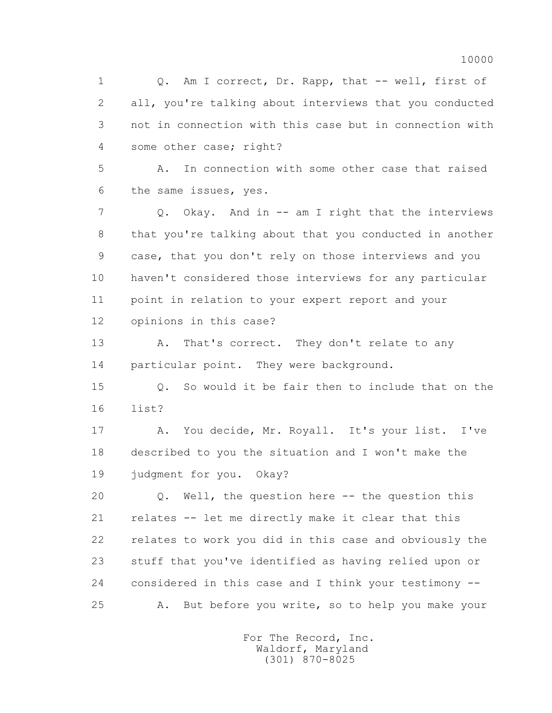1 0. Am I correct, Dr. Rapp, that -- well, first of 2 all, you're talking about interviews that you conducted 3 not in connection with this case but in connection with 4 some other case; right?

 5 A. In connection with some other case that raised 6 the same issues, yes.

 7 Q. Okay. And in -- am I right that the interviews 8 that you're talking about that you conducted in another 9 case, that you don't rely on those interviews and you 10 haven't considered those interviews for any particular 11 point in relation to your expert report and your 12 opinions in this case?

13 A. That's correct. They don't relate to any 14 particular point. They were background.

 15 Q. So would it be fair then to include that on the 16 list?

 17 A. You decide, Mr. Royall. It's your list. I've 18 described to you the situation and I won't make the 19 judgment for you. Okay?

 20 Q. Well, the question here -- the question this 21 relates -- let me directly make it clear that this 22 relates to work you did in this case and obviously the 23 stuff that you've identified as having relied upon or 24 considered in this case and I think your testimony -- 25 A. But before you write, so to help you make your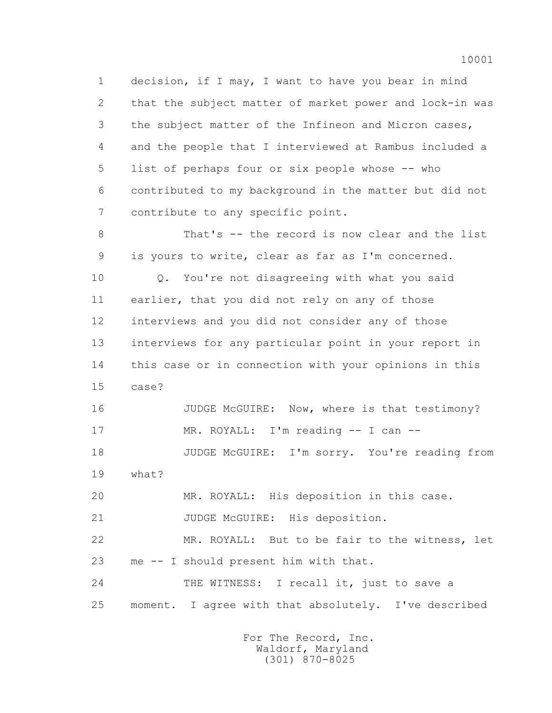1 decision, if I may, I want to have you bear in mind 2 that the subject matter of market power and lock-in was 3 the subject matter of the Infineon and Micron cases, 4 and the people that I interviewed at Rambus included a 5 list of perhaps four or six people whose -- who 6 contributed to my background in the matter but did not 7 contribute to any specific point.

 8 That's -- the record is now clear and the list 9 is yours to write, clear as far as I'm concerned.

 10 Q. You're not disagreeing with what you said 11 earlier, that you did not rely on any of those 12 interviews and you did not consider any of those 13 interviews for any particular point in your report in 14 this case or in connection with your opinions in this 15 case?

16 JUDGE McGUIRE: Now, where is that testimony? 17 MR. ROYALL: I'm reading -- I can --

 18 JUDGE McGUIRE: I'm sorry. You're reading from 19 what?

20 MR. ROYALL: His deposition in this case.

21 JUDGE McGUIRE: His deposition.

 22 MR. ROYALL: But to be fair to the witness, let 23 me -- I should present him with that.

24 THE WITNESS: I recall it, just to save a 25 moment. I agree with that absolutely. I've described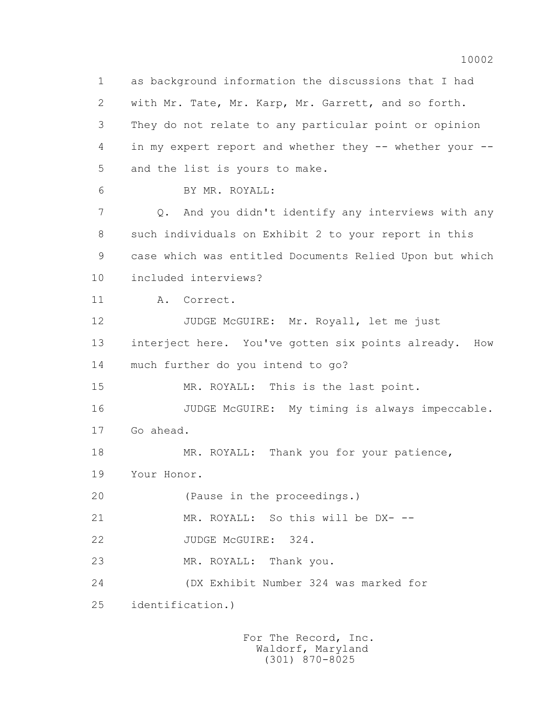1 as background information the discussions that I had 2 with Mr. Tate, Mr. Karp, Mr. Garrett, and so forth. 3 They do not relate to any particular point or opinion 4 in my expert report and whether they -- whether your -- 5 and the list is yours to make.

6 BY MR. ROYALL:

 7 Q. And you didn't identify any interviews with any 8 such individuals on Exhibit 2 to your report in this 9 case which was entitled Documents Relied Upon but which 10 included interviews?

11 A. Correct.

12 JUDGE McGUIRE: Mr. Royall, let me just 13 interject here. You've gotten six points already. How 14 much further do you intend to go?

15 MR. ROYALL: This is the last point.

 16 JUDGE McGUIRE: My timing is always impeccable. 17 Go ahead.

18 MR. ROYALL: Thank you for your patience, 19 Your Honor.

20 (Pause in the proceedings.)

21 MR. ROYALL: So this will be DX- --

22 JUDGE McGUIRE: 324.

23 MR. ROYALL: Thank you.

 24 (DX Exhibit Number 324 was marked for 25 identification.)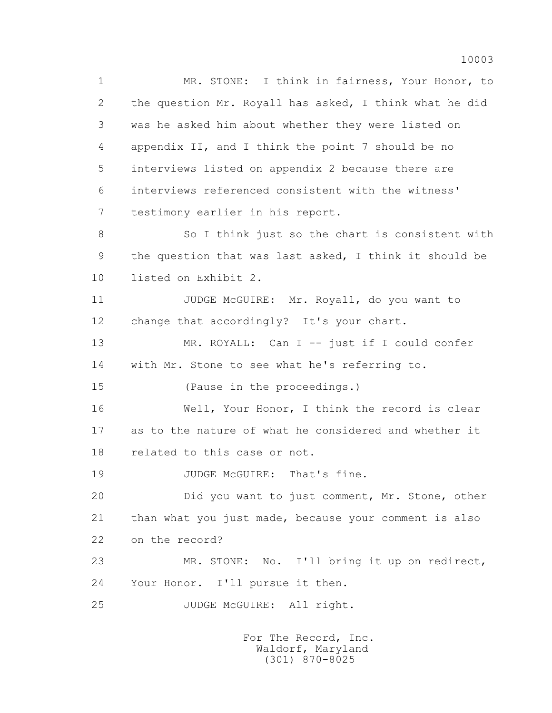1 MR. STONE: I think in fairness, Your Honor, to 2 the question Mr. Royall has asked, I think what he did 3 was he asked him about whether they were listed on 4 appendix II, and I think the point 7 should be no 5 interviews listed on appendix 2 because there are 6 interviews referenced consistent with the witness' 7 testimony earlier in his report. 8 So I think just so the chart is consistent with 9 the question that was last asked, I think it should be 10 listed on Exhibit 2.

11 JUDGE McGUIRE: Mr. Royall, do you want to 12 change that accordingly? It's your chart.

 13 MR. ROYALL: Can I -- just if I could confer 14 with Mr. Stone to see what he's referring to.

15 (Pause in the proceedings.)

 16 Well, Your Honor, I think the record is clear 17 as to the nature of what he considered and whether it 18 related to this case or not.

19 JUDGE McGUIRE: That's fine.

 20 Did you want to just comment, Mr. Stone, other 21 than what you just made, because your comment is also 22 on the record?

 23 MR. STONE: No. I'll bring it up on redirect, 24 Your Honor. I'll pursue it then.

25 JUDGE McGUIRE: All right.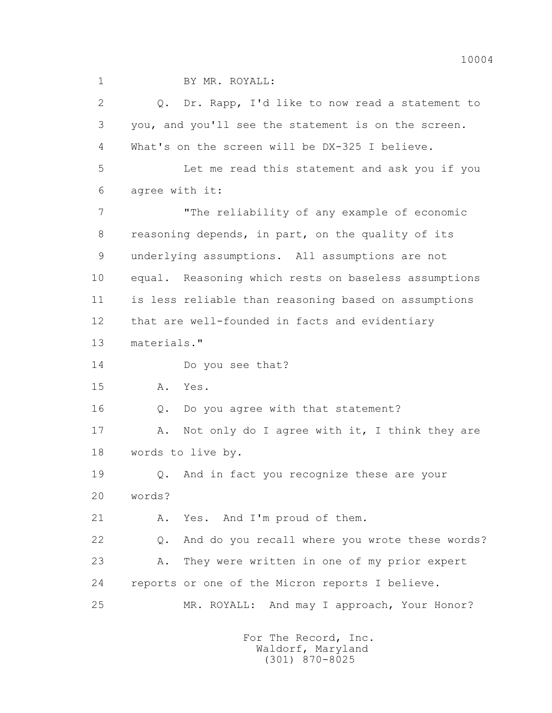1 BY MR. ROYALL:

 2 Q. Dr. Rapp, I'd like to now read a statement to 3 you, and you'll see the statement is on the screen. 4 What's on the screen will be DX-325 I believe. 5 Let me read this statement and ask you if you 6 agree with it: 7 The reliability of any example of economic 8 reasoning depends, in part, on the quality of its 9 underlying assumptions. All assumptions are not 10 equal. Reasoning which rests on baseless assumptions 11 is less reliable than reasoning based on assumptions 12 that are well-founded in facts and evidentiary 13 materials." 14 Do you see that? 15 A. Yes. 16 Q. Do you agree with that statement? 17 A. Not only do I agree with it, I think they are 18 words to live by. 19 Q. And in fact you recognize these are your 20 words? 21 A. Yes. And I'm proud of them. 22 Q. And do you recall where you wrote these words? 23 A. They were written in one of my prior expert 24 reports or one of the Micron reports I believe. 25 MR. ROYALL: And may I approach, Your Honor?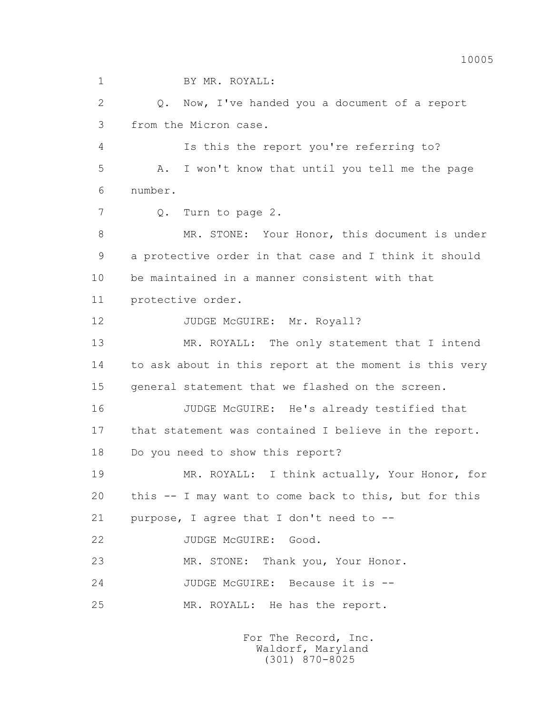1 BY MR. ROYALL: 2 Q. Now, I've handed you a document of a report 3 from the Micron case. 4 Is this the report you're referring to? 5 A. I won't know that until you tell me the page 6 number. 7 Q. Turn to page 2. 8 MR. STONE: Your Honor, this document is under 9 a protective order in that case and I think it should 10 be maintained in a manner consistent with that 11 protective order. 12 JUDGE McGUIRE: Mr. Royall? 13 MR. ROYALL: The only statement that I intend 14 to ask about in this report at the moment is this very 15 general statement that we flashed on the screen. 16 JUDGE McGUIRE: He's already testified that 17 that statement was contained I believe in the report. 18 Do you need to show this report? 19 MR. ROYALL: I think actually, Your Honor, for 20 this -- I may want to come back to this, but for this 21 purpose, I agree that I don't need to -- 22 JUDGE McGUIRE: Good. 23 MR. STONE: Thank you, Your Honor. 24 JUDGE McGUIRE: Because it is -- 25 MR. ROYALL: He has the report.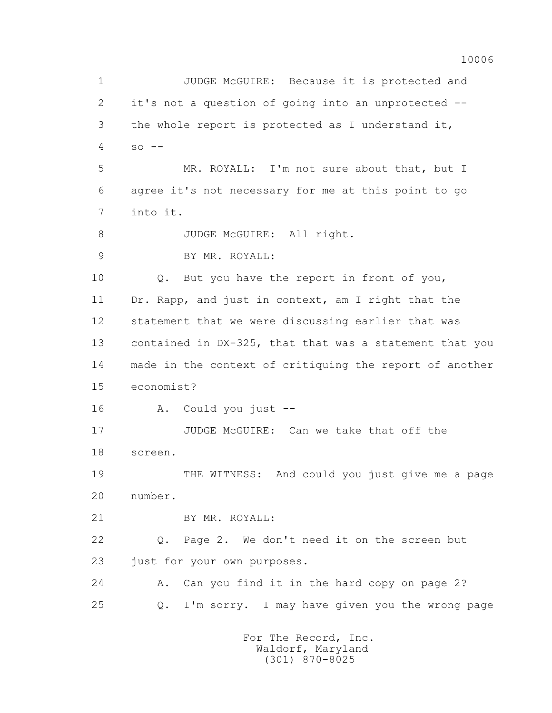10006 1 JUDGE McGUIRE: Because it is protected and 2 it's not a question of going into an unprotected -- 3 the whole report is protected as I understand it,  $4 \quad so --$  5 MR. ROYALL: I'm not sure about that, but I 6 agree it's not necessary for me at this point to go 7 into it. 8 JUDGE McGUIRE: All right. 9 BY MR. ROYALL: 10 Q. But you have the report in front of you, 11 Dr. Rapp, and just in context, am I right that the 12 statement that we were discussing earlier that was 13 contained in DX-325, that that was a statement that you 14 made in the context of critiquing the report of another 15 economist? 16 A. Could you just -- 17 JUDGE McGUIRE: Can we take that off the 18 screen. 19 THE WITNESS: And could you just give me a page 20 number. 21 BY MR. ROYALL: 22 Q. Page 2. We don't need it on the screen but 23 just for your own purposes. 24 A. Can you find it in the hard copy on page 2? 25 Q. I'm sorry. I may have given you the wrong page For The Record, Inc.

> Waldorf, Maryland (301) 870-8025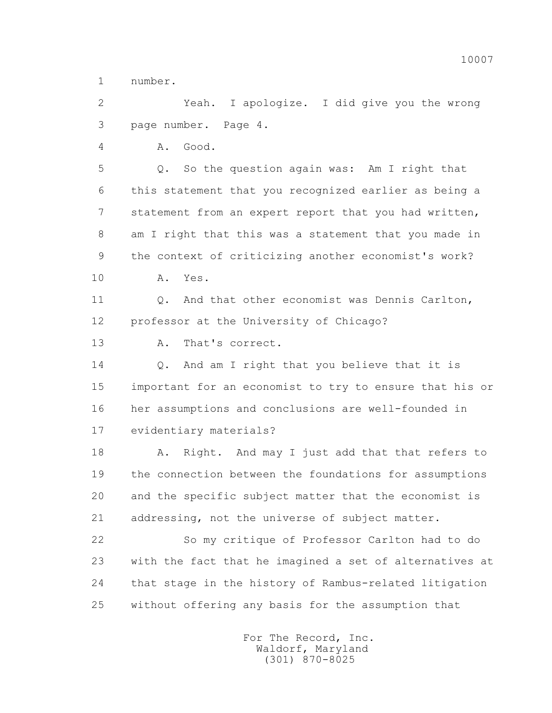1 number.

 2 Yeah. I apologize. I did give you the wrong 3 page number. Page 4.

4 A. Good.

 5 Q. So the question again was: Am I right that 6 this statement that you recognized earlier as being a 7 statement from an expert report that you had written, 8 am I right that this was a statement that you made in 9 the context of criticizing another economist's work? 10 A. Yes.

11 0. And that other economist was Dennis Carlton, 12 professor at the University of Chicago?

13 A. That's correct.

 14 Q. And am I right that you believe that it is 15 important for an economist to try to ensure that his or 16 her assumptions and conclusions are well-founded in 17 evidentiary materials?

18 A. Right. And may I just add that that refers to 19 the connection between the foundations for assumptions 20 and the specific subject matter that the economist is 21 addressing, not the universe of subject matter.

 22 So my critique of Professor Carlton had to do 23 with the fact that he imagined a set of alternatives at 24 that stage in the history of Rambus-related litigation 25 without offering any basis for the assumption that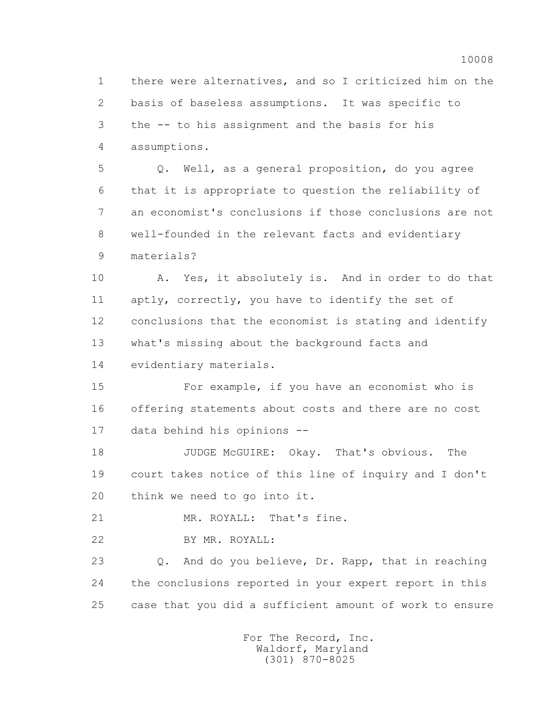1 there were alternatives, and so I criticized him on the 2 basis of baseless assumptions. It was specific to 3 the -- to his assignment and the basis for his 4 assumptions. 5 Q. Well, as a general proposition, do you agree 6 that it is appropriate to question the reliability of 7 an economist's conclusions if those conclusions are not 8 well-founded in the relevant facts and evidentiary 9 materials? 10 A. Yes, it absolutely is. And in order to do that 11 aptly, correctly, you have to identify the set of 12 conclusions that the economist is stating and identify 13 what's missing about the background facts and 14 evidentiary materials. 15 For example, if you have an economist who is 16 offering statements about costs and there are no cost 17 data behind his opinions -- 18 JUDGE McGUIRE: Okay. That's obvious. The 19 court takes notice of this line of inquiry and I don't 20 think we need to go into it. 21 MR. ROYALL: That's fine. 22 BY MR. ROYALL: 23 Q. And do you believe, Dr. Rapp, that in reaching 24 the conclusions reported in your expert report in this 25 case that you did a sufficient amount of work to ensure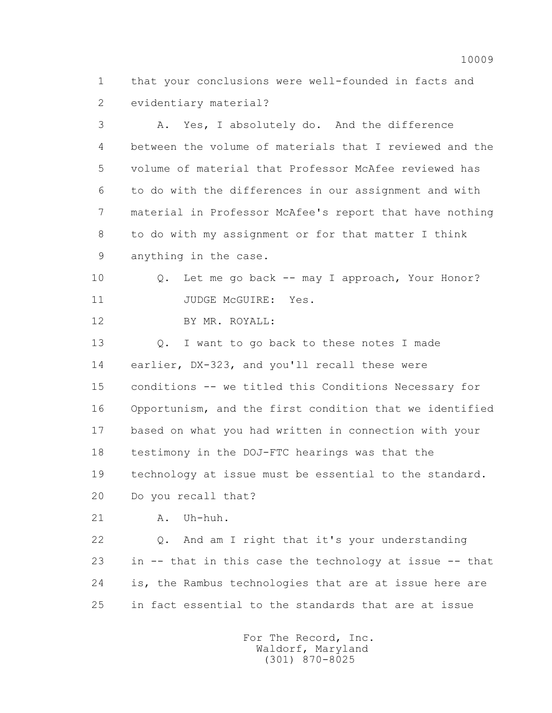1 that your conclusions were well-founded in facts and 2 evidentiary material?

 3 A. Yes, I absolutely do. And the difference 4 between the volume of materials that I reviewed and the 5 volume of material that Professor McAfee reviewed has 6 to do with the differences in our assignment and with 7 material in Professor McAfee's report that have nothing 8 to do with my assignment or for that matter I think 9 anything in the case.

 10 Q. Let me go back -- may I approach, Your Honor? 11 JUDGE McGUIRE: Yes.

12 BY MR. ROYALL:

 13 Q. I want to go back to these notes I made 14 earlier, DX-323, and you'll recall these were 15 conditions -- we titled this Conditions Necessary for 16 Opportunism, and the first condition that we identified 17 based on what you had written in connection with your 18 testimony in the DOJ-FTC hearings was that the 19 technology at issue must be essential to the standard. 20 Do you recall that?

21 A. Uh-huh.

 22 Q. And am I right that it's your understanding 23 in -- that in this case the technology at issue -- that 24 is, the Rambus technologies that are at issue here are 25 in fact essential to the standards that are at issue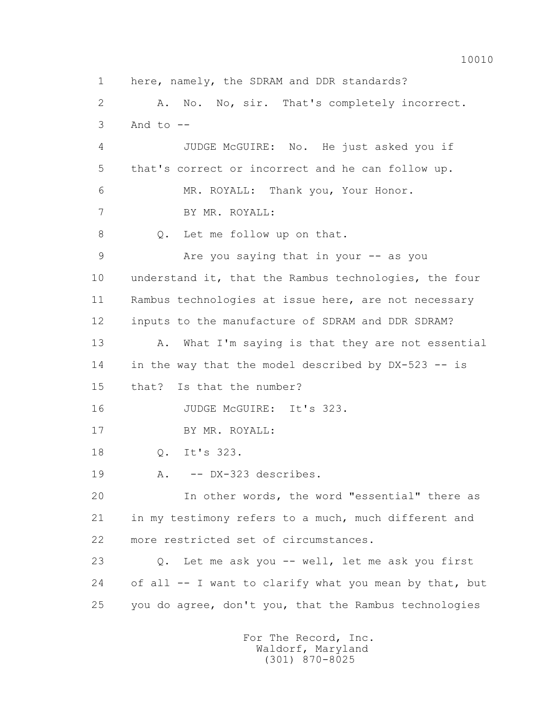1 here, namely, the SDRAM and DDR standards? 2 A. No. No, sir. That's completely incorrect.  $3$  And to  $-$  4 JUDGE McGUIRE: No. He just asked you if 5 that's correct or incorrect and he can follow up. 6 MR. ROYALL: Thank you, Your Honor. 7 BY MR. ROYALL: 8 Q. Let me follow up on that. 9 Are you saying that in your -- as you 10 understand it, that the Rambus technologies, the four 11 Rambus technologies at issue here, are not necessary 12 inputs to the manufacture of SDRAM and DDR SDRAM? 13 A. What I'm saying is that they are not essential 14 in the way that the model described by DX-523 -- is 15 that? Is that the number? 16 JUDGE McGUIRE: It's 323. 17 BY MR. ROYALL: 18 Q. It's 323. 19 A. -- DX-323 describes. 20 In other words, the word "essential" there as 21 in my testimony refers to a much, much different and 22 more restricted set of circumstances. 23 Q. Let me ask you -- well, let me ask you first 24 of all -- I want to clarify what you mean by that, but 25 you do agree, don't you, that the Rambus technologies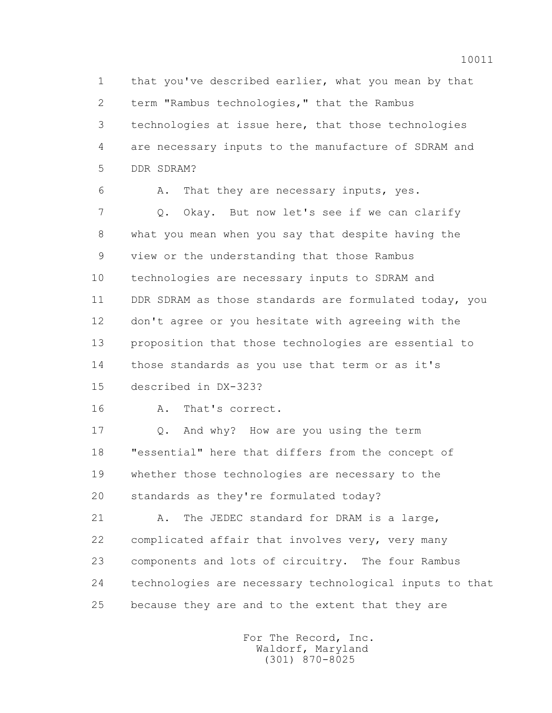1 that you've described earlier, what you mean by that 2 term "Rambus technologies," that the Rambus 3 technologies at issue here, that those technologies 4 are necessary inputs to the manufacture of SDRAM and 5 DDR SDRAM?

 6 A. That they are necessary inputs, yes. 7 Q. Okay. But now let's see if we can clarify 8 what you mean when you say that despite having the 9 view or the understanding that those Rambus 10 technologies are necessary inputs to SDRAM and 11 DDR SDRAM as those standards are formulated today, you 12 don't agree or you hesitate with agreeing with the 13 proposition that those technologies are essential to 14 those standards as you use that term or as it's 15 described in DX-323?

16 A. That's correct.

 17 Q. And why? How are you using the term 18 "essential" here that differs from the concept of 19 whether those technologies are necessary to the 20 standards as they're formulated today?

21 A. The JEDEC standard for DRAM is a large, 22 complicated affair that involves very, very many 23 components and lots of circuitry. The four Rambus 24 technologies are necessary technological inputs to that 25 because they are and to the extent that they are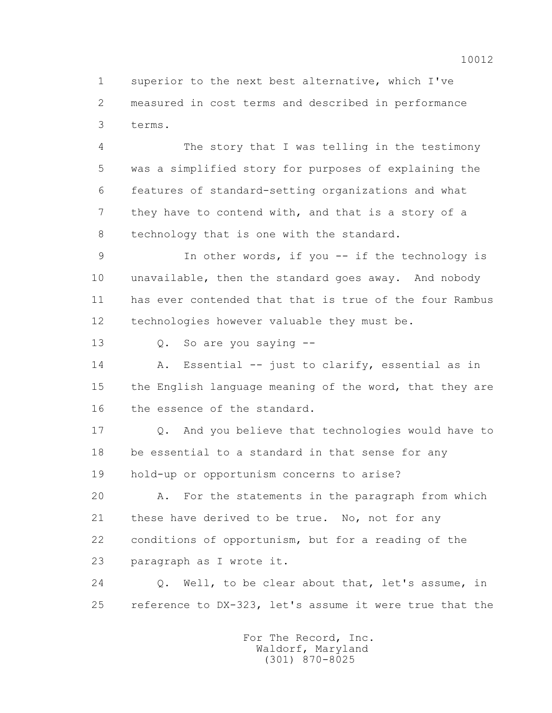1 superior to the next best alternative, which I've 2 measured in cost terms and described in performance 3 terms.

 4 The story that I was telling in the testimony 5 was a simplified story for purposes of explaining the 6 features of standard-setting organizations and what 7 they have to contend with, and that is a story of a 8 technology that is one with the standard.

 9 In other words, if you -- if the technology is 10 unavailable, then the standard goes away. And nobody 11 has ever contended that that is true of the four Rambus 12 technologies however valuable they must be.

13 Q. So are you saying --

 14 A. Essential -- just to clarify, essential as in 15 the English language meaning of the word, that they are 16 the essence of the standard.

17 0. And you believe that technologies would have to 18 be essential to a standard in that sense for any 19 hold-up or opportunism concerns to arise?

 20 A. For the statements in the paragraph from which 21 these have derived to be true. No, not for any 22 conditions of opportunism, but for a reading of the 23 paragraph as I wrote it.

 24 Q. Well, to be clear about that, let's assume, in 25 reference to DX-323, let's assume it were true that the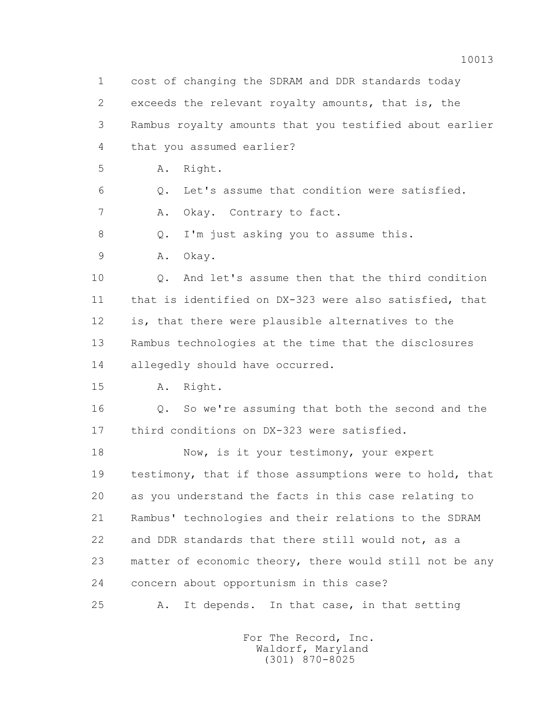1 cost of changing the SDRAM and DDR standards today 2 exceeds the relevant royalty amounts, that is, the 3 Rambus royalty amounts that you testified about earlier 4 that you assumed earlier? 5 A. Right. 6 Q. Let's assume that condition were satisfied. 7 A. Okay. Contrary to fact. 8 Q. I'm just asking you to assume this. 9 A. Okay. 10 Q. And let's assume then that the third condition 11 that is identified on DX-323 were also satisfied, that 12 is, that there were plausible alternatives to the 13 Rambus technologies at the time that the disclosures 14 allegedly should have occurred. 15 A. Right. 16 Q. So we're assuming that both the second and the 17 third conditions on DX-323 were satisfied. 18 Now, is it your testimony, your expert 19 testimony, that if those assumptions were to hold, that 20 as you understand the facts in this case relating to 21 Rambus' technologies and their relations to the SDRAM 22 and DDR standards that there still would not, as a 23 matter of economic theory, there would still not be any 24 concern about opportunism in this case? 25 A. It depends. In that case, in that setting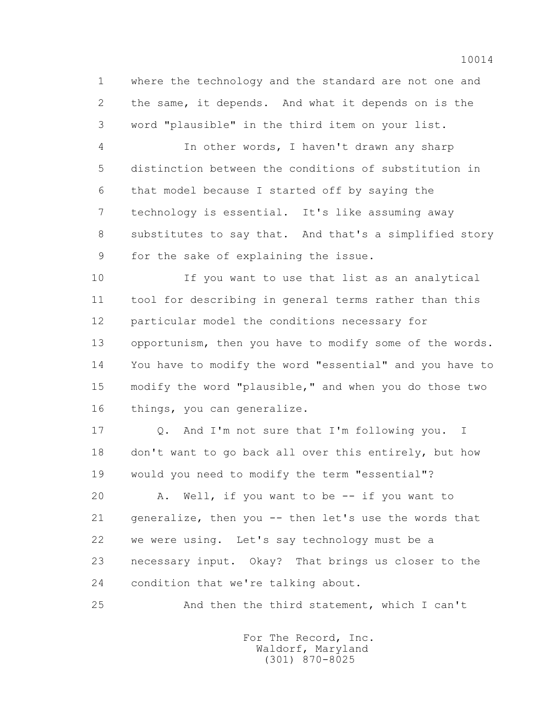1 where the technology and the standard are not one and 2 the same, it depends. And what it depends on is the 3 word "plausible" in the third item on your list.

 4 In other words, I haven't drawn any sharp 5 distinction between the conditions of substitution in 6 that model because I started off by saying the 7 technology is essential. It's like assuming away 8 substitutes to say that. And that's a simplified story 9 for the sake of explaining the issue.

 10 If you want to use that list as an analytical 11 tool for describing in general terms rather than this 12 particular model the conditions necessary for 13 opportunism, then you have to modify some of the words. 14 You have to modify the word "essential" and you have to 15 modify the word "plausible," and when you do those two 16 things, you can generalize.

17 0. And I'm not sure that I'm following you. I 18 don't want to go back all over this entirely, but how 19 would you need to modify the term "essential"?

 20 A. Well, if you want to be -- if you want to 21 generalize, then you -- then let's use the words that 22 we were using. Let's say technology must be a 23 necessary input. Okay? That brings us closer to the 24 condition that we're talking about.

25 And then the third statement, which I can't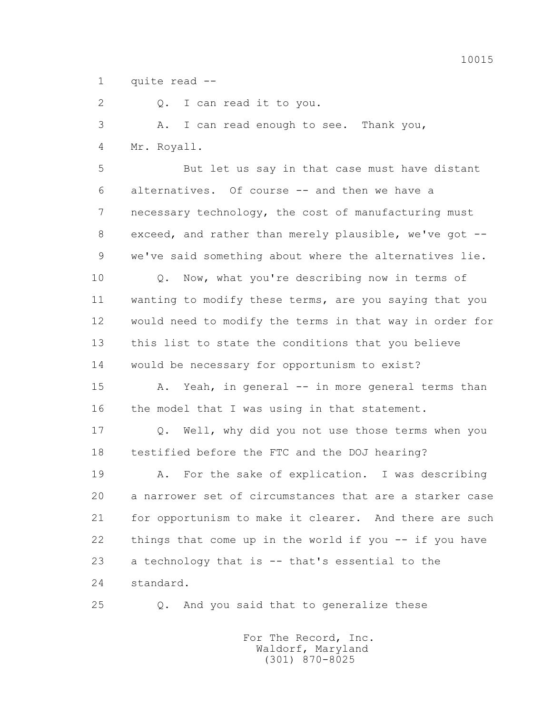1 quite read --

2 Q. I can read it to you.

 3 A. I can read enough to see. Thank you, 4 Mr. Royall.

 5 But let us say in that case must have distant 6 alternatives. Of course -- and then we have a 7 necessary technology, the cost of manufacturing must 8 exceed, and rather than merely plausible, we've got -- 9 we've said something about where the alternatives lie.

 10 Q. Now, what you're describing now in terms of 11 wanting to modify these terms, are you saying that you 12 would need to modify the terms in that way in order for 13 this list to state the conditions that you believe 14 would be necessary for opportunism to exist?

 15 A. Yeah, in general -- in more general terms than 16 the model that I was using in that statement.

 17 Q. Well, why did you not use those terms when you 18 testified before the FTC and the DOJ hearing?

 19 A. For the sake of explication. I was describing 20 a narrower set of circumstances that are a starker case 21 for opportunism to make it clearer. And there are such 22 things that come up in the world if you -- if you have 23 a technology that is -- that's essential to the 24 standard.

25 Q. And you said that to generalize these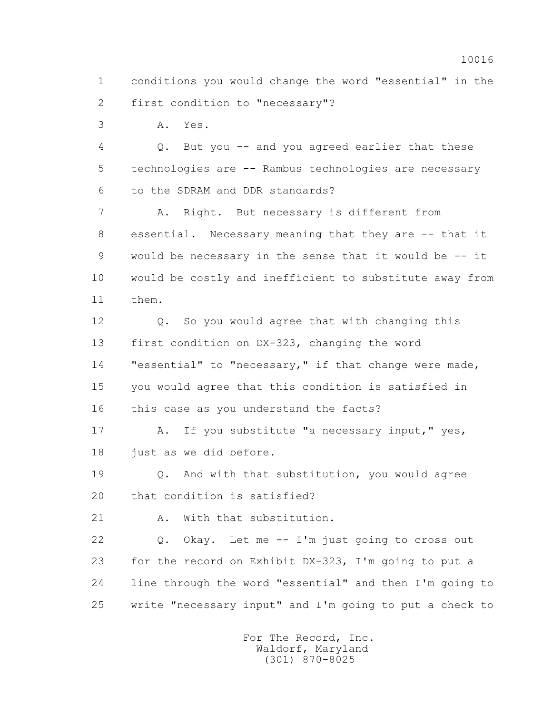1 conditions you would change the word "essential" in the 2 first condition to "necessary"?

3 A. Yes.

 4 Q. But you -- and you agreed earlier that these 5 technologies are -- Rambus technologies are necessary 6 to the SDRAM and DDR standards?

 7 A. Right. But necessary is different from 8 essential. Necessary meaning that they are -- that it 9 would be necessary in the sense that it would be -- it 10 would be costly and inefficient to substitute away from 11 them.

 12 Q. So you would agree that with changing this 13 first condition on DX-323, changing the word 14 "essential" to "necessary," if that change were made, 15 you would agree that this condition is satisfied in 16 this case as you understand the facts?

17 A. If you substitute "a necessary input," yes, 18 just as we did before.

19 Q. And with that substitution, you would agree 20 that condition is satisfied?

21 A. With that substitution.

 22 Q. Okay. Let me -- I'm just going to cross out 23 for the record on Exhibit DX-323, I'm going to put a 24 line through the word "essential" and then I'm going to 25 write "necessary input" and I'm going to put a check to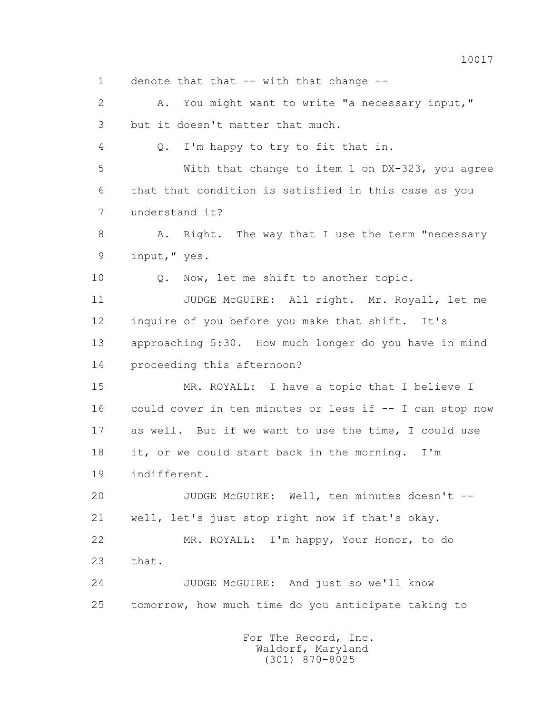1 denote that that -- with that change --

2 A. You might want to write "a necessary input," 3 but it doesn't matter that much.

4 Q. I'm happy to try to fit that in.

 5 With that change to item 1 on DX-323, you agree 6 that that condition is satisfied in this case as you 7 understand it?

8 A. Right. The way that I use the term "necessary 9 input," yes.

10 Q. Now, let me shift to another topic.

 11 JUDGE McGUIRE: All right. Mr. Royall, let me 12 inquire of you before you make that shift. It's 13 approaching 5:30. How much longer do you have in mind 14 proceeding this afternoon?

 15 MR. ROYALL: I have a topic that I believe I 16 could cover in ten minutes or less if -- I can stop now 17 as well. But if we want to use the time, I could use 18 it, or we could start back in the morning. I'm 19 indifferent.

 20 JUDGE McGUIRE: Well, ten minutes doesn't -- 21 well, let's just stop right now if that's okay. 22 MR. ROYALL: I'm happy, Your Honor, to do

23 that.

 24 JUDGE McGUIRE: And just so we'll know 25 tomorrow, how much time do you anticipate taking to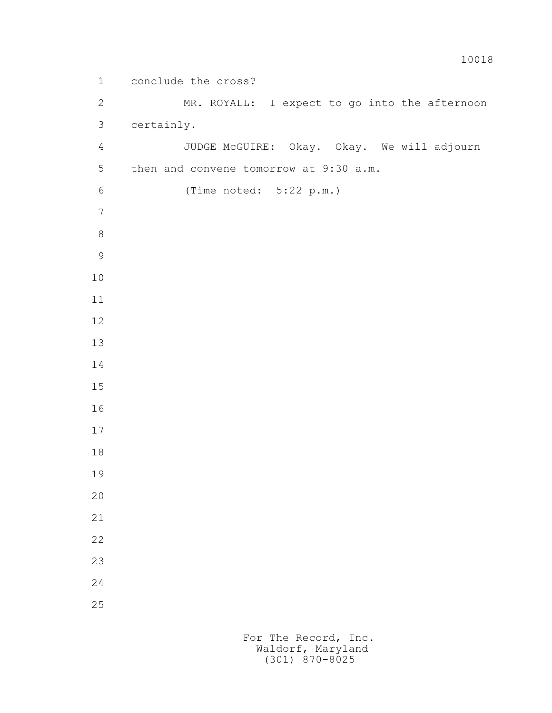1 conclude the cross? 2 MR. ROYALL: I expect to go into the afternoon 3 certainly. 4 JUDGE McGUIRE: Okay. Okay. We will adjourn 5 then and convene tomorrow at 9:30 a.m. 6 (Time noted: 5:22 p.m.)